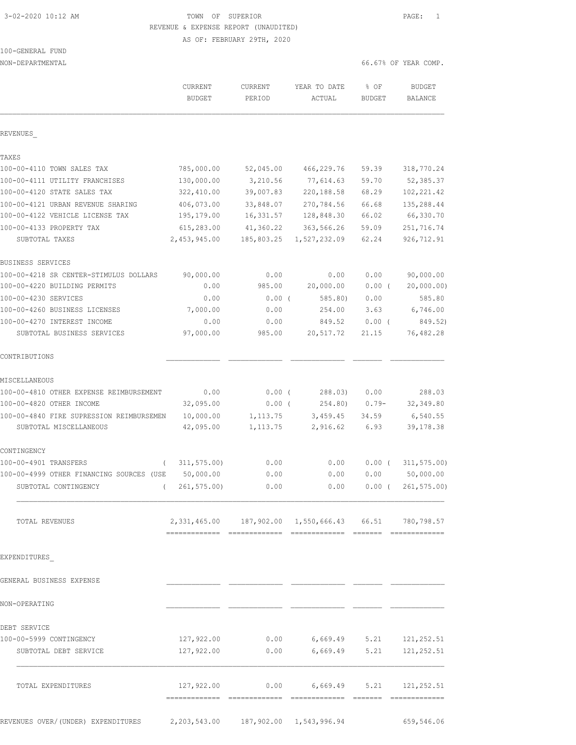# 3-02-2020 10:12 AM TOWN OF SUPERIOR PAGE: 1 REVENUE & EXPENSE REPORT (UNAUDITED)

AS OF: FEBRUARY 29TH, 2020

## 100-GENERAL FUND

NON-DEPARTMENTAL 66.67% OF YEAR COMP.

|                                          | CURRENT<br><b>BUDGET</b> | CURRENT<br>PERIOD | YEAR TO DATE<br>ACTUAL                                | % OF<br><b>BUDGET</b> | <b>BUDGET</b><br><b>BALANCE</b> |
|------------------------------------------|--------------------------|-------------------|-------------------------------------------------------|-----------------------|---------------------------------|
|                                          |                          |                   |                                                       |                       |                                 |
| REVENUES                                 |                          |                   |                                                       |                       |                                 |
| TAXES                                    |                          |                   |                                                       |                       |                                 |
| 100-00-4110 TOWN SALES TAX               | 785,000.00               | 52,045.00         | 466,229.76                                            | 59.39                 | 318,770.24                      |
| 100-00-4111 UTILITY FRANCHISES           | 130,000.00               | 3,210.56          | 77,614.63                                             | 59.70                 | 52,385.37                       |
| 100-00-4120 STATE SALES TAX              | 322,410.00               | 39,007.83         | 220, 188.58                                           | 68.29                 | 102, 221.42                     |
| 100-00-4121 URBAN REVENUE SHARING        | 406,073.00               | 33,848.07         | 270,784.56                                            | 66.68                 | 135,288.44                      |
| 100-00-4122 VEHICLE LICENSE TAX          | 195,179.00               | 16,331.57         | 128,848.30                                            | 66.02                 | 66,330.70                       |
| 100-00-4133 PROPERTY TAX                 | 615,283.00               | 41,360.22         | 363,566.26                                            | 59.09                 | 251,716.74                      |
| SUBTOTAL TAXES                           | 2,453,945.00             | 185,803.25        | 1,527,232.09                                          | 62.24                 | 926,712.91                      |
| BUSINESS SERVICES                        |                          |                   |                                                       |                       |                                 |
| 100-00-4218 SR CENTER-STIMULUS DOLLARS   | 90,000.00                | 0.00              | 0.00                                                  | 0.00                  | 90,000.00                       |
| 100-00-4220 BUILDING PERMITS             | 0.00                     | 985.00            | 20,000.00                                             | $0.00$ (              | 20,000.00)                      |
| 100-00-4230 SERVICES                     | 0.00                     | $0.00$ (          | 585.80)                                               | 0.00                  | 585.80                          |
| 100-00-4260 BUSINESS LICENSES            | 7,000.00                 | 0.00              | 254.00                                                | 3.63                  | 6,746.00                        |
| 100-00-4270 INTEREST INCOME              | 0.00                     | 0.00              | 849.52                                                | $0.00$ (              | 849.52)                         |
| SUBTOTAL BUSINESS SERVICES               | 97,000.00                | 985.00            | 20,517.72                                             | 21.15                 | 76,482.28                       |
| CONTRIBUTIONS                            |                          |                   |                                                       |                       |                                 |
| MISCELLANEOUS                            |                          |                   |                                                       |                       |                                 |
| 100-00-4810 OTHER EXPENSE REIMBURSEMENT  | 0.00                     | $0.00$ (          | 288.03)                                               | 0.00                  | 288.03                          |
| 100-00-4820 OTHER INCOME                 | 32,095.00                | $0.00$ (          | 254.80)                                               | $0.79 -$              | 32,349.80                       |
| 100-00-4840 FIRE SUPRESSION REIMBURSEMEN | 10,000.00                | 1, 113.75         | 3,459.45                                              | 34.59                 | 6,540.55                        |
| SUBTOTAL MISCELLANEOUS                   | 42,095.00                | 1, 113.75         | 2,916.62                                              | 6.93                  | 39, 178.38                      |
| CONTINGENCY                              |                          |                   |                                                       |                       |                                 |
| 100-00-4901 TRANSFERS<br>$\left($        | 311, 575.00              | 0.00              | 0.00                                                  | $0.00$ (              | 311, 575.00                     |
| 100-00-4999 OTHER FINANCING SOURCES (USE | 50,000.00                | 0.00              | 0.00                                                  | 0.00                  | 50,000.00                       |
| SUBTOTAL CONTINGENCY<br>$\left($         | 261, 575.00              | 0.00              | 0.00                                                  | $0.00$ (              | 261, 575.00                     |
|                                          |                          |                   |                                                       |                       |                                 |
| TOTAL REVENUES                           |                          |                   | 2,331,465.00 187,902.00 1,550,666.43 66.51 780,798.57 |                       |                                 |
| EXPENDITURES                             |                          |                   |                                                       |                       |                                 |
| GENERAL BUSINESS EXPENSE                 |                          |                   |                                                       |                       |                                 |
|                                          |                          |                   |                                                       |                       |                                 |
| NON-OPERATING                            |                          |                   |                                                       |                       |                                 |
| DEBT SERVICE                             |                          |                   |                                                       |                       |                                 |
| 100-00-5999 CONTINGENCY                  |                          | 127,922.00 0.00   |                                                       |                       | $6,669.49$ $5.21$ $121,252.51$  |
| SUBTOTAL DEBT SERVICE                    | 127,922.00               | 0.00              | 6,669.49                                              | 5.21                  | 121, 252.51                     |
| TOTAL EXPENDITURES                       |                          |                   | $127,922.00$ 0.00 6,669.49 5.21 121,252.51            |                       |                                 |
|                                          |                          |                   |                                                       |                       |                                 |
|                                          |                          |                   |                                                       |                       |                                 |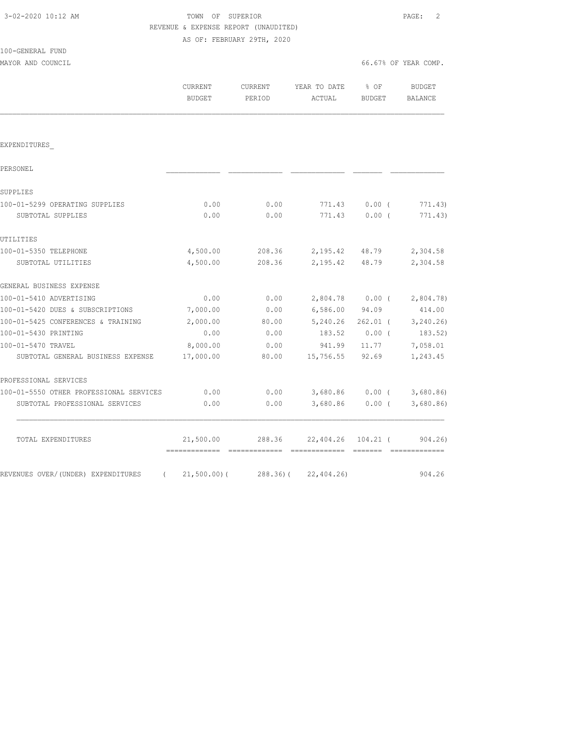|                                             | REVENUE & EXPENSE REPORT (UNAUDITED) |                            |                |                 |                      |
|---------------------------------------------|--------------------------------------|----------------------------|----------------|-----------------|----------------------|
|                                             |                                      | AS OF: FEBRUARY 29TH, 2020 |                |                 |                      |
| 100-GENERAL FUND                            |                                      |                            |                |                 |                      |
| MAYOR AND COUNCIL                           |                                      |                            |                |                 | 66.67% OF YEAR COMP. |
|                                             | <b>CURRENT</b>                       | <b>CURRENT</b>             | YEAR TO DATE   | % OF            | <b>BUDGET</b>        |
|                                             | <b>BUDGET</b>                        | PERIOD                     | ACTUAL         | <b>BUDGET</b>   | <b>BALANCE</b>       |
|                                             |                                      |                            |                |                 |                      |
| EXPENDITURES                                |                                      |                            |                |                 |                      |
| PERSONEL                                    |                                      |                            |                |                 |                      |
| SUPPLIES                                    |                                      |                            |                |                 |                      |
| 100-01-5299 OPERATING SUPPLIES              | 0.00                                 | 0.00                       | 771.43         | $0.00$ (        | 771.43)              |
| SUBTOTAL SUPPLIES                           | 0.00                                 | 0.00                       | 771.43         | 0.00(           | 771.43)              |
| UTILITIES                                   |                                      |                            |                |                 |                      |
| 100-01-5350 TELEPHONE                       | 4,500.00                             | 208.36                     | 2,195.42 48.79 |                 | 2,304.58             |
| SUBTOTAL UTILITIES                          | 4,500.00                             | 208.36                     | 2,195.42       | 48.79           | 2,304.58             |
| GENERAL BUSINESS EXPENSE                    |                                      |                            |                |                 |                      |
| 100-01-5410 ADVERTISING                     | 0.00                                 | 0.00                       |                | 2,804.78 0.00 ( | 2,804.78             |
| 100-01-5420 DUES & SUBSCRIPTIONS            | 7,000.00                             | 0.00                       | 6,586.00       | 94.09           | 414.00               |
| 100-01-5425 CONFERENCES & TRAINING          | 2,000.00                             | 80.00                      | 5,240.26       |                 | 262.01 ( 3,240.26)   |
| 100-01-5430 PRINTING                        | 0.00                                 | 0.00                       | 183.52         | $0.00$ (        | 183.52)              |
|                                             | 8,000.00                             | 0.00                       | 941.99         | 11.77           | 7,058.01             |
| SUBTOTAL GENERAL BUSINESS EXPENSE           | 17,000.00                            | 80.00                      | 15,756.55      | 92.69           | 1,243.45             |
|                                             |                                      |                            |                |                 |                      |
| 100-01-5550 OTHER PROFESSIONAL SERVICES     | 0.00                                 | 0.00                       | 3,680.86       |                 | $0.00$ ( 3,680.86)   |
| SUBTOTAL PROFESSIONAL SERVICES              | 0.00                                 | 0.00                       | 3,680.86       | $0.00$ (        | 3,680.86             |
| 100-01-5470 TRAVEL<br>PROFESSIONAL SERVICES |                                      |                            |                |                 |                      |

3-02-2020 10:12 AM TOWN OF SUPERIOR PAGE: 2

 TOTAL EXPENDITURES 21,500.00 288.36 22,404.26 104.21 ( 904.26) ============= ============= ============= ======= ============= REVENUES OVER/(UNDER) EXPENDITURES (21,500.00)(288.36)(22,404.26) 904.26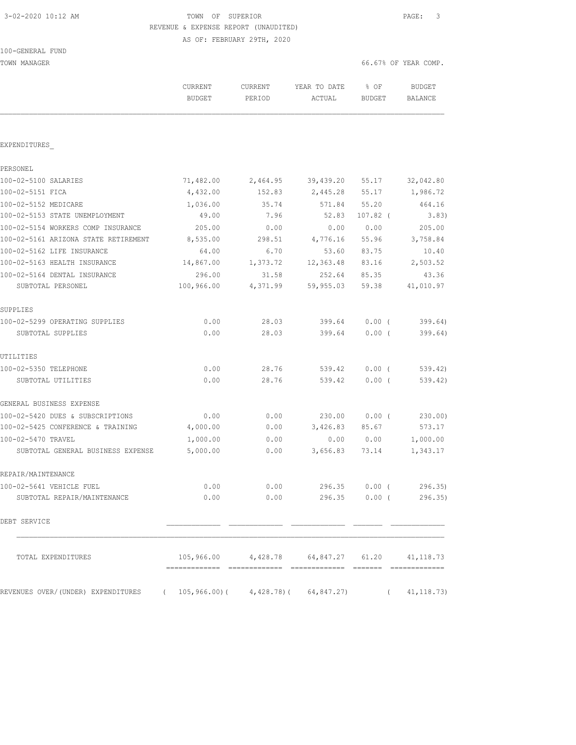100-GENERAL FUND

 3-02-2020 10:12 AM TOWN OF SUPERIOR PAGE: 3 REVENUE & EXPENSE REPORT (UNAUDITED) AS OF: FEBRUARY 29TH, 2020

| TOWN MANAGER                                                                       |                          |                   |                                               | 66.67% OF YEAR COMP. |                                 |
|------------------------------------------------------------------------------------|--------------------------|-------------------|-----------------------------------------------|----------------------|---------------------------------|
|                                                                                    | CURRENT<br><b>BUDGET</b> | CURRENT<br>PERIOD | YEAR TO DATE<br>ACTUAL                        | % OF<br>BUDGET       | <b>BUDGET</b><br><b>BALANCE</b> |
|                                                                                    |                          |                   |                                               |                      |                                 |
| EXPENDITURES                                                                       |                          |                   |                                               |                      |                                 |
| PERSONEL                                                                           |                          |                   |                                               |                      |                                 |
| 100-02-5100 SALARIES                                                               | 71,482.00                | 2,464.95          | 39,439.20                                     | 55.17                | 32,042.80                       |
| 100-02-5151 FICA                                                                   | 4,432.00                 | 152.83            | 2,445.28                                      | 55.17                | 1,986.72                        |
| 100-02-5152 MEDICARE                                                               | 1,036.00                 | 35.74             | 571.84                                        | 55.20                | 464.16                          |
| 100-02-5153 STATE UNEMPLOYMENT                                                     | 49.00                    | 7.96              | 52.83                                         | $107.82$ (           | 3.83)                           |
| 100-02-5154 WORKERS COMP INSURANCE                                                 | 205.00                   | 0.00              | 0.00                                          | 0.00                 | 205.00                          |
| 100-02-5161 ARIZONA STATE RETIREMENT                                               | 8,535.00                 | 298.51            | 4,776.16                                      | 55.96                | 3,758.84                        |
| 100-02-5162 LIFE INSURANCE                                                         | 64.00                    | 6.70              | 53.60                                         | 83.75                | 10.40                           |
| 100-02-5163 HEALTH INSURANCE                                                       | 14,867.00                | 1,373.72          | 12,363.48                                     | 83.16                | 2,503.52                        |
| 100-02-5164 DENTAL INSURANCE                                                       | 296.00                   | 31.58             | 252.64                                        | 85.35                | 43.36                           |
| SUBTOTAL PERSONEL                                                                  | 100,966.00               | 4,371.99          | 59,955.03                                     | 59.38                | 41,010.97                       |
| SUPPLIES                                                                           |                          |                   |                                               |                      |                                 |
| 100-02-5299 OPERATING SUPPLIES                                                     | 0.00                     | 28.03             | 399.64                                        | 0.00(                | 399.64)                         |
| SUBTOTAL SUPPLIES                                                                  | 0.00                     | 28.03             | 399.64                                        | $0.00$ (             | 399.64)                         |
| UTILITIES                                                                          |                          |                   |                                               |                      |                                 |
| 100-02-5350 TELEPHONE                                                              | 0.00                     | 28.76             | 539.42                                        | $0.00$ (             | 539.42)                         |
| SUBTOTAL UTILITIES                                                                 | 0.00                     | 28.76             | 539.42                                        | $0.00$ (             | 539.42)                         |
| GENERAL BUSINESS EXPENSE                                                           |                          |                   |                                               |                      |                                 |
| 100-02-5420 DUES & SUBSCRIPTIONS                                                   | 0.00                     | 0.00              | 230.00                                        | $0.00$ (             | 230.00)                         |
| 100-02-5425 CONFERENCE & TRAINING                                                  | 4,000.00                 | 0.00              | 3,426.83                                      | 85.67                | 573.17                          |
| 100-02-5470 TRAVEL                                                                 | 1,000.00                 | 0.00              | 0.00                                          | 0.00                 | 1,000.00                        |
| SUBTOTAL GENERAL BUSINESS EXPENSE                                                  | 5,000.00                 | 0.00              | 3,656.83                                      | 73.14                | 1,343.17                        |
| REPAIR/MAINTENANCE                                                                 |                          |                   |                                               |                      |                                 |
| 100-02-5641 VEHICLE FUEL                                                           | 0.00                     | 0.00              |                                               | 296.35 0.00 (        | 296.35)                         |
| SUBTOTAL REPAIR/MAINTENANCE                                                        | 0.00                     |                   | $0.00$ 296.35 $0.00$ (                        |                      | 296.35)                         |
| DEBT SERVICE                                                                       |                          |                   |                                               |                      |                                 |
| TOTAL EXPENDITURES                                                                 |                          |                   | 105,966.00 4,428.78 64,847.27 61.20 41,118.73 |                      |                                 |
| REVENUES OVER/(UNDER) EXPENDITURES (105,966.00) (4,428.78) (64,847.27) (41,118.73) |                          |                   |                                               |                      |                                 |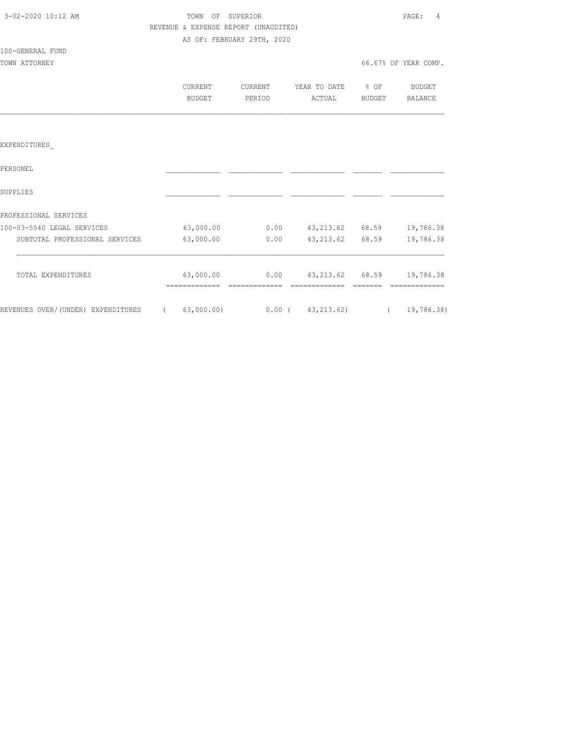| 3-02-2020 10:12 AM             |                                      | TOWN OF SUPERIOR           |                                                    |                       | PAGE: 4              |
|--------------------------------|--------------------------------------|----------------------------|----------------------------------------------------|-----------------------|----------------------|
|                                | REVENUE & EXPENSE REPORT (UNAUDITED) |                            |                                                    |                       |                      |
|                                |                                      | AS OF: FEBRUARY 29TH, 2020 |                                                    |                       |                      |
| 100-GENERAL FUND               |                                      |                            |                                                    |                       |                      |
| TOWN ATTORNEY                  |                                      |                            |                                                    |                       | 66.67% OF YEAR COMP. |
|                                | CURRENT                              |                            | CURRENT YEAR TO DATE % OF BUDGET                   |                       |                      |
|                                | BUDGET                               | PERIOD                     |                                                    | ACTUAL BUDGET BALANCE |                      |
|                                |                                      |                            |                                                    |                       |                      |
|                                |                                      |                            |                                                    |                       |                      |
|                                |                                      |                            |                                                    |                       |                      |
| EXPENDITURES                   |                                      |                            |                                                    |                       |                      |
| PERSONEL                       |                                      |                            |                                                    |                       |                      |
| SUPPLIES                       |                                      |                            |                                                    |                       |                      |
|                                |                                      |                            |                                                    |                       |                      |
| PROFESSIONAL SERVICES          |                                      |                            |                                                    |                       |                      |
| 100-03-5540 LEGAL SERVICES     |                                      |                            | $63,000.00$ $0.00$ $43,213.62$ $68.59$ $19,786.38$ |                       |                      |
| SUBTOTAL PROFESSIONAL SERVICES | 63,000.00                            |                            | $0.00$ $43,213.62$ $68.59$                         |                       | 19,786.38            |
|                                |                                      |                            |                                                    |                       |                      |
| TOTAL EXPENDITURES             |                                      |                            |                                                    |                       |                      |
|                                |                                      |                            |                                                    |                       |                      |

REVENUES OVER/(UNDER) EXPENDITURES ( 63,000.00) 0.00 ( 43,213.62) ( 19,786.38)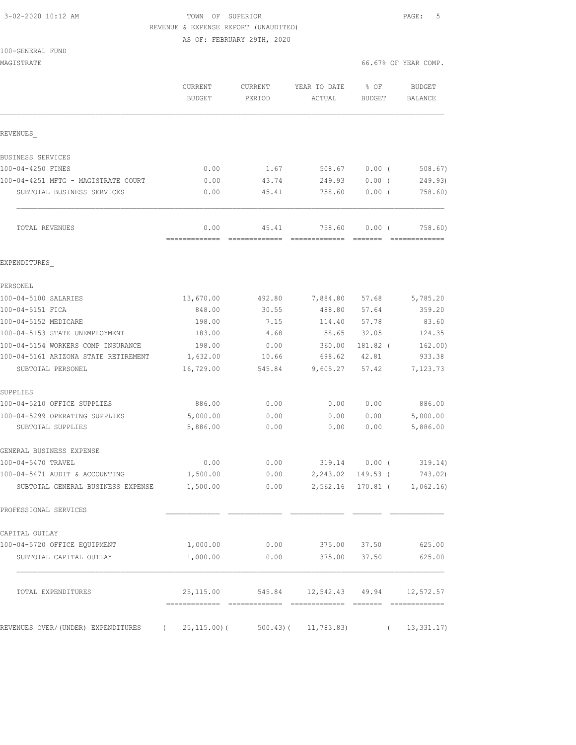3-02-2020 10:12 AM TOWN OF SUPERIOR PAGE: 5 REVENUE & EXPENSE REPORT (UNAUDITED)

AS OF: FEBRUARY 29TH, 2020

|  |  |  | 100-GENERAL FUND |  |
|--|--|--|------------------|--|
|--|--|--|------------------|--|

| MAGISTRATE                                                        |                          |                          |                                    |                | 66.67% OF YEAR COMP.        |
|-------------------------------------------------------------------|--------------------------|--------------------------|------------------------------------|----------------|-----------------------------|
|                                                                   | CURRENT<br><b>BUDGET</b> | <b>CURRENT</b><br>PERIOD | YEAR TO DATE<br>ACTUAL             | % OF<br>BUDGET | <b>BUDGET</b><br>BALANCE    |
| REVENUES                                                          |                          |                          |                                    |                |                             |
| BUSINESS SERVICES                                                 |                          |                          |                                    |                |                             |
| 100-04-4250 FINES                                                 | 0.00                     | 1.67                     | 508.67                             | $0.00$ (       | $508.67$ )                  |
| 100-04-4251 MFTG - MAGISTRATE COURT                               | 0.00                     | 43.74                    | 249.93                             | 0.00(          | 249.93)                     |
| SUBTOTAL BUSINESS SERVICES                                        | 0.00                     | 45.41                    | 758.60                             | $0.00$ (       | 758.60)                     |
| TOTAL REVENUES                                                    | 0.00<br>=============    | 45.41<br>=============   | 758.60<br>=============            | 0.00(          | 758.60)<br>=============    |
| EXPENDITURES                                                      |                          |                          |                                    |                |                             |
| PERSONEL                                                          |                          |                          |                                    |                |                             |
| 100-04-5100 SALARIES                                              | 13,670.00                | 492.80                   | 7,884.80                           | 57.68          | 5,785.20                    |
| 100-04-5151 FICA                                                  | 848.00                   | 30.55                    | 488.80                             | 57.64          | 359.20                      |
| 100-04-5152 MEDICARE                                              | 198.00                   | 7.15                     | 114.40                             | 57.78          | 83.60                       |
| 100-04-5153 STATE UNEMPLOYMENT                                    | 183.00                   | 4.68                     | 58.65                              | 32.05          | 124.35                      |
| 100-04-5154 WORKERS COMP INSURANCE                                | 198.00                   | 0.00                     | 360.00                             | 181.82 (       | 162.00)                     |
| 100-04-5161 ARIZONA STATE RETIREMENT                              | 1,632.00                 | 10.66                    | 698.62                             | 42.81          | 933.38                      |
| SUBTOTAL PERSONEL                                                 | 16,729.00                | 545.84                   | 9,605.27                           | 57.42          | 7,123.73                    |
| SUPPLIES                                                          |                          |                          |                                    |                |                             |
| 100-04-5210 OFFICE SUPPLIES                                       | 886.00                   | 0.00                     | 0.00                               | 0.00           | 886.00                      |
| 100-04-5299 OPERATING SUPPLIES                                    | 5,000.00                 | 0.00                     | 0.00                               | 0.00           | 5,000.00                    |
| SUBTOTAL SUPPLIES                                                 | 5,886.00                 | 0.00                     | 0.00                               | 0.00           | 5,886.00                    |
| GENERAL BUSINESS EXPENSE                                          |                          |                          |                                    |                |                             |
| 100-04-5470 TRAVEL                                                | 0.00                     | 0.00                     | 319.14 0.00 (                      |                | 319.14)                     |
| 100-04-5471 AUDIT & ACCOUNTING                                    | 1,500.00                 | 0.00                     | 2,243.02                           | 149.53 (       | 743.02)                     |
| SUBTOTAL GENERAL BUSINESS EXPENSE                                 | 1,500.00                 | 0.00                     |                                    |                | 2,562.16 170.81 ( 1,062.16) |
| PROFESSIONAL SERVICES                                             |                          |                          |                                    |                |                             |
| CAPITAL OUTLAY                                                    |                          |                          |                                    |                |                             |
| 100-04-5720 OFFICE EQUIPMENT                                      | 1,000.00                 | 0.00                     | 375.00 37.50                       |                | 625.00                      |
| SUBTOTAL CAPITAL OUTLAY                                           | 1,000.00                 | 0.00                     | 375.00                             | 37.50          | 625.00                      |
| TOTAL EXPENDITURES                                                |                          |                          | 25, 115.00 545.84 12, 542.43 49.94 |                | 12,572.57                   |
|                                                                   |                          |                          |                                    |                |                             |
| REVENUES OVER/(UNDER) EXPENDITURES (25,115.00)(500.43)(11,783.83) |                          |                          |                                    |                | 13,331.17<br>$\left($       |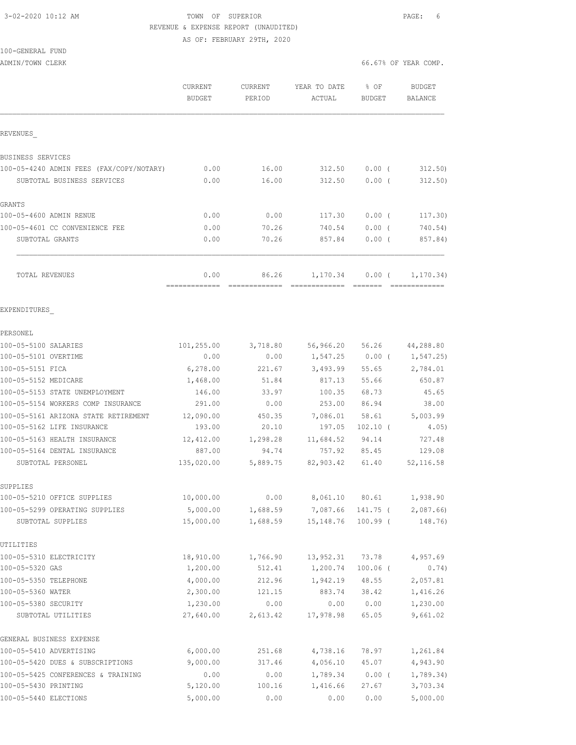100-GENERAL FUND

### 3-02-2020 10:12 AM TOWN OF SUPERIOR PAGE: 6 REVENUE & EXPENSE REPORT (UNAUDITED) AS OF: FEBRUARY 29TH, 2020

| ADMIN/TOWN CLERK                           |                                 |                   |                        |                 | 66.67% OF YEAR COMP.     |
|--------------------------------------------|---------------------------------|-------------------|------------------------|-----------------|--------------------------|
|                                            | <b>CURRENT</b><br><b>BUDGET</b> | CURRENT<br>PERIOD | YEAR TO DATE<br>ACTUAL | % OF<br>BUDGET  | <b>BUDGET</b><br>BALANCE |
| REVENUES                                   |                                 |                   |                        |                 |                          |
| BUSINESS SERVICES                          |                                 |                   |                        |                 |                          |
| 100-05-4240 ADMIN FEES (FAX/COPY/NOTARY)   | 0.00                            | 16.00             | 312.50                 | $0.00$ (        | 312.50                   |
| SUBTOTAL BUSINESS SERVICES                 | 0.00                            | 16.00             | 312.50                 | 0.00(           | 312.50)                  |
| <b>GRANTS</b>                              |                                 |                   |                        |                 |                          |
| 100-05-4600 ADMIN RENUE                    | 0.00                            | 0.00              | 117.30                 | 0.00(           | 117.30)                  |
| 100-05-4601 CC CONVENIENCE FEE             | 0.00                            | 70.26             | 740.54                 | $0.00$ (        | 740.54)                  |
| SUBTOTAL GRANTS                            | 0.00                            | 70.26             | 857.84                 | 0.00(           | 857.84)                  |
| TOTAL REVENUES                             | 0.00<br>=============           | 86.26             | 1,170.34               | 0.00(           | 1, 170.34)               |
| EXPENDITURES                               |                                 |                   |                        |                 |                          |
| PERSONEL                                   |                                 |                   |                        |                 |                          |
| 100-05-5100 SALARIES                       | 101,255.00                      | 3,718.80          |                        | 56,966.20 56.26 | 44,288.80                |
| 100-05-5101 OVERTIME                       | 0.00                            | 0.00              | 1,547.25               | $0.00$ (        | 1,547.25)                |
| 100-05-5151 FICA                           | 6,278.00                        | 221.67            | 3,493.99               | 55.65           | 2,784.01                 |
| 100-05-5152 MEDICARE                       | 1,468.00                        | 51.84             | 817.13                 | 55.66           | 650.87                   |
| 100-05-5153 STATE UNEMPLOYMENT             | 146.00                          | 33.97             | 100.35                 | 68.73           | 45.65                    |
| 100-05-5154 WORKERS COMP INSURANCE         | 291.00                          | 0.00              | 253.00                 | 86.94           | 38.00                    |
| 100-05-5161 ARIZONA STATE RETIREMENT       | 12,090.00                       | 450.35            | 7,086.01               | 58.61           | 5,003.99                 |
| 100-05-5162 LIFE INSURANCE                 | 193.00                          | 20.10             | 197.05                 | $102.10$ (      | 4.05)                    |
| 100-05-5163 HEALTH INSURANCE               | 12,412.00                       | 1,298.28          | 11,684.52              | 94.14           | 727.48                   |
| 100-05-5164 DENTAL INSURANCE               | 887.00                          | 94.74             | 757.92                 | 85.45           | 129.08                   |
| SUBTOTAL PERSONEL                          | 135,020.00                      | 5,889.75          | 82,903.42              | 61.40           | 52, 116.58               |
| SUPPLIES                                   |                                 |                   |                        |                 |                          |
| 100-05-5210 OFFICE SUPPLIES                | 10,000.00                       | 0.00              | 8,061.10               | 80.61           | 1,938.90                 |
| 100-05-5299 OPERATING SUPPLIES             | 5,000.00                        | 1,688.59          | 7,087.66               | 141.75 (        | 2,087.66                 |
| SUBTOTAL SUPPLIES                          | 15,000.00                       | 1,688.59          | 15, 148.76             | $100.99$ (      | 148.76)                  |
| UTILITIES                                  |                                 |                   |                        |                 |                          |
| 100-05-5310 ELECTRICITY                    | 18,910.00                       | 1,766.90          | 13,952.31              | 73.78           | 4,957.69                 |
| 100-05-5320 GAS                            | 1,200.00                        | 512.41            | 1,200.74               | $100.06$ (      | 0.74)                    |
| 100-05-5350 TELEPHONE                      | 4,000.00                        | 212.96            | 1,942.19               | 48.55           | 2,057.81                 |
| 100-05-5360 WATER                          | 2,300.00                        | 121.15            | 883.74                 | 38.42           | 1,416.26                 |
| 100-05-5380 SECURITY<br>SUBTOTAL UTILITIES | 1,230.00<br>27,640.00           | 0.00<br>2,613.42  | 0.00<br>17,978.98      | 0.00<br>65.05   | 1,230.00<br>9,661.02     |
| GENERAL BUSINESS EXPENSE                   |                                 |                   |                        |                 |                          |
| 100-05-5410 ADVERTISING                    | 6,000.00                        | 251.68            | 4,738.16               | 78.97           | 1,261.84                 |
| 100-05-5420 DUES & SUBSCRIPTIONS           | 9,000.00                        | 317.46            | 4,056.10               | 45.07           | 4,943.90                 |
| 100-05-5425 CONFERENCES & TRAINING         | 0.00                            | 0.00              | 1,789.34               | $0.00$ (        | 1,789.34)                |
| 100-05-5430 PRINTING                       | 5,120.00                        | 100.16            | 1,416.66               | 27.67           | 3,703.34                 |
| 100-05-5440 ELECTIONS                      | 5,000.00                        | 0.00              | 0.00                   | 0.00            | 5,000.00                 |
|                                            |                                 |                   |                        |                 |                          |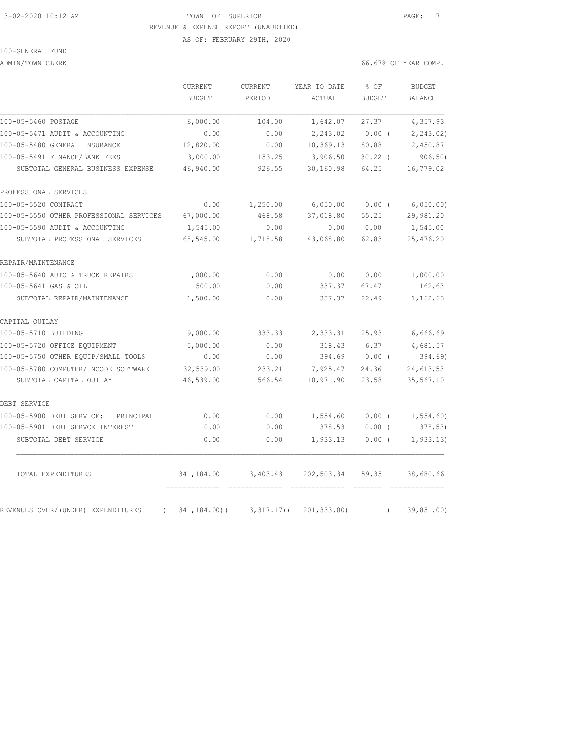#### 3-02-2020 10:12 AM TOWN OF SUPERIOR PAGE: 7 REVENUE & EXPENSE REPORT (UNAUDITED) AS OF: FEBRUARY 29TH, 2020

100-GENERAL FUND

ADMIN/TOWN CLERK COMP.

|                                                | CURRENT         | <b>CURRENT</b>  | YEAR TO DATE | % OF          | <b>BUDGET</b>  |
|------------------------------------------------|-----------------|-----------------|--------------|---------------|----------------|
|                                                | <b>BUDGET</b>   | PERIOD          | ACTUAL       | <b>BUDGET</b> | <b>BALANCE</b> |
| 100-05-5460 POSTAGE                            | 6,000.00        | 104.00          | 1,642.07     | 27.37         | 4,357.93       |
| 100-05-5471 AUDIT & ACCOUNTING                 | 0.00            | 0.00            | 2,243.02     | $0.00$ (      | 2,243.02)      |
| 100-05-5480 GENERAL INSURANCE                  | 12,820.00       | 0.00            | 10,369.13    | 80.88         | 2,450.87       |
| 100-05-5491 FINANCE/BANK FEES                  | 3,000.00        | 153.25          | 3,906.50     | $130.22$ (    | 906.50         |
| SUBTOTAL GENERAL BUSINESS EXPENSE              | 46,940.00       | 926.55          | 30,160.98    | 64.25         | 16,779.02      |
| PROFESSIONAL SERVICES                          |                 |                 |              |               |                |
| 100-05-5520 CONTRACT                           | 0.00            | 1,250.00        | 6,050.00     | $0.00$ (      | 6,050.00)      |
| 100-05-5550 OTHER PROFESSIONAL SERVICES        | 67,000.00       | 468.58          | 37,018.80    | 55.25         | 29,981.20      |
| 100-05-5590 AUDIT & ACCOUNTING                 | 1,545.00        | 0.00            | 0.00         | 0.00          | 1,545.00       |
| SUBTOTAL PROFESSIONAL SERVICES                 | 68,545.00       | 1,718.58        | 43,068.80    | 62.83         | 25,476.20      |
| REPAIR/MAINTENANCE                             |                 |                 |              |               |                |
| 100-05-5640 AUTO & TRUCK REPAIRS               | 1,000.00        | 0.00            | 0.00         | 0.00          | 1,000.00       |
| 100-05-5641 GAS & OIL                          | 500.00          | 0.00            | 337.37       | 67.47         | 162.63         |
| SUBTOTAL REPAIR/MAINTENANCE                    | 1,500.00        | 0.00            | 337.37       | 22.49         | 1,162.63       |
| CAPITAL OUTLAY                                 |                 |                 |              |               |                |
| 100-05-5710 BUILDING                           | 9,000.00        | 333.33          | 2,333.31     | 25.93         | 6,666.69       |
| 100-05-5720 OFFICE EQUIPMENT                   | 5,000.00        | 0.00            | 318.43       | 6.37          | 4,681.57       |
| 100-05-5750 OTHER EQUIP/SMALL TOOLS            | 0.00            | 0.00            | 394.69       | 0.00(         | 394.69         |
| 100-05-5780 COMPUTER/INCODE SOFTWARE           | 32,539.00       | 233.21          | 7,925.47     | 24.36         | 24,613.53      |
| SUBTOTAL CAPITAL OUTLAY                        | 46,539.00       | 566.54          | 10,971.90    | 23.58         | 35,567.10      |
| DEBT SERVICE                                   |                 |                 |              |               |                |
| 100-05-5900 DEBT SERVICE:<br>PRINCIPAL         | 0.00            | 0.00            | 1,554.60     | $0.00$ (      | 1,554.60       |
| 100-05-5901 DEBT SERVCE INTEREST               | 0.00            | 0.00            | 378.53       | 0.00(         | 378.53)        |
| SUBTOTAL DEBT SERVICE                          | 0.00            | 0.00            | 1,933.13     | $0.00$ (      | 1, 933.13      |
| TOTAL EXPENDITURES                             | 341,184.00      | 13,403.43       | 202,503.34   | 59.35         | 138,680.66     |
| REVENUES OVER/(UNDER) EXPENDITURES<br>$\left($ | $341, 184.00$ ( | $13, 317.17)$ ( | 201, 333.00  | $\left($      | 139,851.00)    |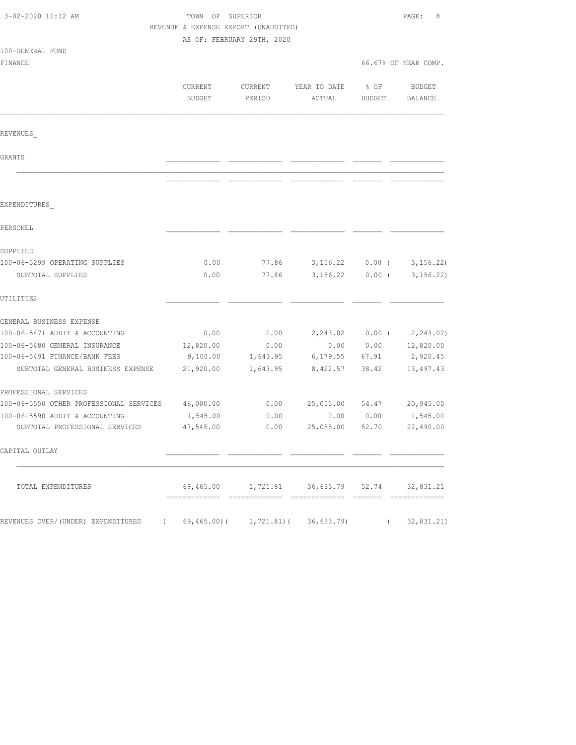| 3-02-2020 10:12 AM                      |           | TOWN OF SUPERIOR<br>REVENUE & EXPENSE REPORT (UNAUDITED) |                                                      |                   |                      |
|-----------------------------------------|-----------|----------------------------------------------------------|------------------------------------------------------|-------------------|----------------------|
| 100-GENERAL FUND                        |           | AS OF: FEBRUARY 29TH, 2020                               |                                                      |                   |                      |
| FINANCE                                 |           |                                                          |                                                      |                   | 66.67% OF YEAR COMP. |
|                                         |           |                                                          |                                                      |                   |                      |
|                                         | CURRENT   | CURRENT                                                  | YEAR TO DATE                                         | $8$ OF            | BUDGET               |
|                                         | BUDGET    | PERIOD                                                   | ACTUAL                                               | BUDGET            | BALANCE              |
| REVENUES                                |           |                                                          |                                                      |                   |                      |
| GRANTS                                  |           |                                                          |                                                      |                   |                      |
|                                         |           |                                                          |                                                      |                   |                      |
| EXPENDITURES                            |           |                                                          |                                                      |                   |                      |
| PERSONEL                                |           |                                                          |                                                      |                   |                      |
| SUPPLIES                                |           |                                                          |                                                      |                   |                      |
| 100-06-5299 OPERATING SUPPLIES          | 0.00      | 77.86                                                    | 3,156.22                                             | $0.00$ (          | 3, 156.22            |
| SUBTOTAL SUPPLIES                       | 0.00      | 77.86                                                    | 3,156.22                                             | $0.00$ (          | 3, 156.22            |
| UTILITIES                               |           |                                                          |                                                      |                   |                      |
| GENERAL BUSINESS EXPENSE                |           |                                                          |                                                      |                   |                      |
| 100-06-5471 AUDIT & ACCOUNTING          | 0.00      | 0.00                                                     |                                                      | $2,243.02$ 0.00 ( | 2,243.02)            |
| 100-06-5480 GENERAL INSURANCE           | 12,820.00 | 0.00                                                     | 0.00                                                 | 0.00              | 12,820.00            |
| 100-06-5491 FINANCE/BANK FEES           | 9,100.00  | 1,643.95                                                 | 6,179.55 67.91                                       |                   | 2,920.45             |
| SUBTOTAL GENERAL BUSINESS EXPENSE       | 21,920.00 | 1,643.95                                                 | 8,422.57                                             | 38.42             | 13,497.43            |
| PROFESSIONAL SERVICES                   |           |                                                          |                                                      |                   |                      |
| 100-06-5550 OTHER PROFESSIONAL SERVICES | 46,000.00 | 0.00                                                     | 25,055.00                                            | 54.47             | 20,945.00            |
| 100-06-5590 AUDIT & ACCOUNTING          | 1,545.00  | 0.00                                                     | 0.00                                                 | 0.00              | 1,545.00             |
| SUBTOTAL PROFESSIONAL SERVICES          | 47,545.00 | 0.00                                                     | 25,055.00                                            | 52.70             | 22,490.00            |
| CAPITAL OUTLAY                          |           |                                                          |                                                      |                   |                      |
| TOTAL EXPENDITURES                      |           |                                                          | 69,465.00   1,721.81   36,633.79   52.74   32,831.21 |                   |                      |
| REVENUES OVER/(UNDER) EXPENDITURES (    |           |                                                          | $69, 465.00$ ( $1, 721.81$ ( $36, 633.79$ )          |                   | (32, 831.21)         |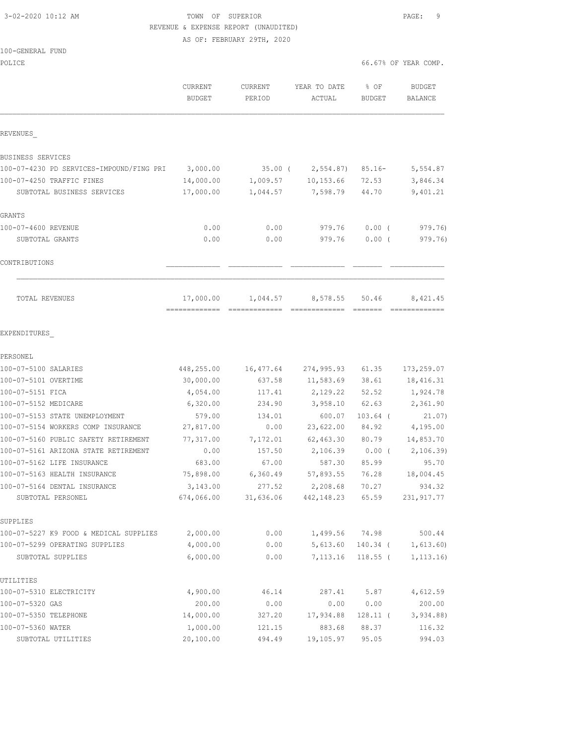# 3-02-2020 10:12 AM TOWN OF SUPERIOR PAGE: 9 REVENUE & EXPENSE REPORT (UNAUDITED)

AS OF: FEBRUARY 29TH, 2020

#### 100-GENERAL FUND

| POLICE                                            |                          |                   |                                  | 66.67% OF YEAR COMP.  |                                 |
|---------------------------------------------------|--------------------------|-------------------|----------------------------------|-----------------------|---------------------------------|
|                                                   | CURRENT<br><b>BUDGET</b> | CURRENT<br>PERIOD | YEAR TO DATE<br>ACTUAL           | % OF<br><b>BUDGET</b> | <b>BUDGET</b><br><b>BALANCE</b> |
| REVENUES                                          |                          |                   |                                  |                       |                                 |
| BUSINESS SERVICES                                 |                          |                   |                                  |                       |                                 |
| 100-07-4230 PD SERVICES-IMPOUND/FING PRI          | 3,000.00                 | $35.00$ (         | 2,554.87)                        | $85.16 -$             | 5,554.87                        |
| 100-07-4250 TRAFFIC FINES                         | 14,000.00                | 1,009.57          | 10, 153.66                       | 72.53                 | 3,846.34                        |
| SUBTOTAL BUSINESS SERVICES                        | 17,000.00                | 1,044.57          | 7,598.79                         | 44.70                 | 9,401.21                        |
| GRANTS                                            |                          |                   |                                  |                       |                                 |
| 100-07-4600 REVENUE                               | 0.00                     | 0.00              | 979.76                           | $0.00$ (              | 979.76)                         |
| SUBTOTAL GRANTS                                   | 0.00                     | 0.00              | 979.76                           | $0.00$ (              | 979.76)                         |
| CONTRIBUTIONS                                     |                          |                   |                                  |                       |                                 |
| TOTAL REVENUES                                    | 17,000.00                | 1,044.57          | 8,578.55                         | 50.46                 | 8,421.45                        |
| EXPENDITURES                                      |                          |                   |                                  |                       |                                 |
| PERSONEL                                          |                          |                   |                                  |                       |                                 |
| 100-07-5100 SALARIES                              | 448,255.00               | 16,477.64         | 274,995.93                       | 61.35                 | 173,259.07                      |
| 100-07-5101 OVERTIME                              | 30,000.00                | 637.58            | 11,583.69                        | 38.61                 | 18, 416.31                      |
| 100-07-5151 FICA                                  | 4,054.00                 | 117.41            | 2,129.22                         | 52.52                 | 1,924.78                        |
| 100-07-5152 MEDICARE                              | 6,320.00                 | 234.90            | 3,958.10                         | 62.63                 | 2,361.90                        |
| 100-07-5153 STATE UNEMPLOYMENT                    | 579.00                   | 134.01            | 600.07                           | $103.64$ (            | 21.07)                          |
| 100-07-5154 WORKERS COMP INSURANCE                | 27,817.00                | 0.00              | 23,622.00                        | 84.92                 | 4,195.00                        |
| 100-07-5160 PUBLIC SAFETY RETIREMENT              | 77,317.00                | 7,172.01          | 62, 463.30                       | 80.79                 | 14,853.70                       |
| 100-07-5161 ARIZONA STATE RETIREMENT              | 0.00                     | 157.50            | 2,106.39                         | $0.00$ (              | 2,106.39                        |
| 100-07-5162 LIFE INSURANCE                        | 683.00                   | 67.00             | 587.30                           | 85.99                 | 95.70                           |
| 100-07-5163 HEALTH INSURANCE                      | 75,898.00                | 6,360.49          | 57,893.55                        | 76.28                 | 18,004.45                       |
| 100-07-5164 DENTAL INSURANCE<br>SUBTOTAL PERSONEL | 3,143.00<br>674,066.00   | 277.52            | 2,208.68<br>31,636.06 442,148.23 | 70.27<br>65.59        | 934.32<br>231, 917.77           |
| SUPPLIES                                          |                          |                   |                                  |                       |                                 |
| 100-07-5227 K9 FOOD & MEDICAL SUPPLIES            | 2,000.00                 | 0.00              | 1,499.56                         | 74.98                 | 500.44                          |
| 100-07-5299 OPERATING SUPPLIES                    | 4,000.00                 | 0.00              | 5,613.60                         | 140.34 (              | 1,613.60)                       |
| SUBTOTAL SUPPLIES                                 | 6,000.00                 | 0.00              | 7,113.16                         | $118.55$ (            | 1, 113.16)                      |
| UTILITIES                                         |                          |                   |                                  |                       |                                 |
| 100-07-5310 ELECTRICITY                           | 4,900.00                 | 46.14             | 287.41                           | 5.87                  | 4,612.59                        |
| 100-07-5320 GAS                                   | 200.00                   | 0.00              | 0.00                             | 0.00                  | 200.00                          |
| 100-07-5350 TELEPHONE                             | 14,000.00                | 327.20            | 17,934.88                        | $128.11$ (            | 3,934.88                        |
| 100-07-5360 WATER                                 | 1,000.00                 | 121.15            | 883.68                           | 88.37                 | 116.32                          |
| SUBTOTAL UTILITIES                                | 20,100.00                | 494.49            | 19,105.97                        | 95.05                 | 994.03                          |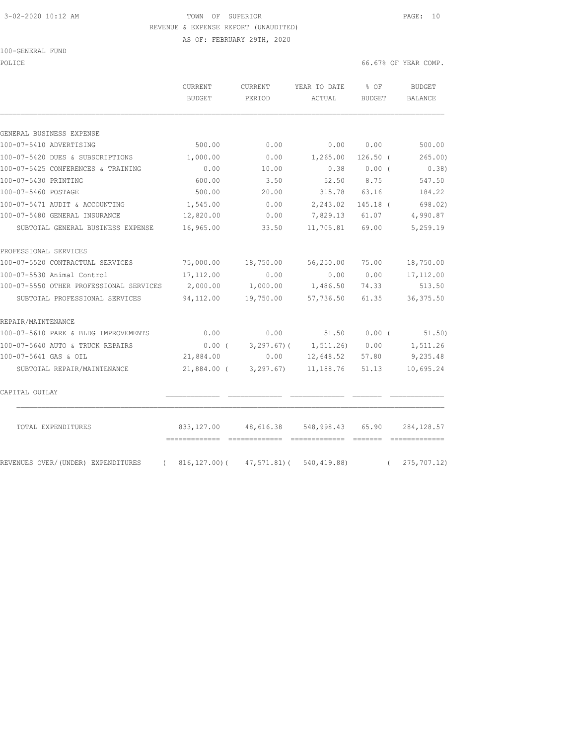# 3-02-2020 10:12 AM TOWN OF SUPERIOR PAGE: 10 REVENUE & EXPENSE REPORT (UNAUDITED)

AS OF: FEBRUARY 29TH, 2020

#### 100-GENERAL FUND

POLICE 66.67% OF YEAR COMP.

|                                                | CURRENT       | CURRENT     | YEAR TO DATE            | $8$ OF        | <b>BUDGET</b>      |
|------------------------------------------------|---------------|-------------|-------------------------|---------------|--------------------|
|                                                | <b>BUDGET</b> | PERIOD      | ACTUAL                  | <b>BUDGET</b> | <b>BALANCE</b>     |
|                                                |               |             |                         |               |                    |
| GENERAL BUSINESS EXPENSE                       |               |             |                         |               |                    |
| 100-07-5410 ADVERTISING                        | 500.00        | 0.00        | 0.00                    | 0.00          | 500.00             |
| 100-07-5420 DUES & SUBSCRIPTIONS               | 1,000.00      | 0.00        | 1,265.00                | $126.50$ (    | 265.00)            |
| 100-07-5425 CONFERENCES & TRAINING             | 0.00          | 10.00       | 0.38                    | 0.00(         | 0.38               |
| 100-07-5430 PRINTING                           | 600.00        | 3.50        | 52.50                   | 8.75          | 547.50             |
| 100-07-5460 POSTAGE                            | 500.00        | 20.00       | 315.78                  | 63.16         | 184.22             |
| 100-07-5471 AUDIT & ACCOUNTING                 | 1,545.00      | 0.00        | 2,243.02                | 145.18 (      | 698.02)            |
| 100-07-5480 GENERAL INSURANCE                  | 12,820.00     | 0.00        | 7,829.13                | 61.07         | 4,990.87           |
| SUBTOTAL GENERAL BUSINESS EXPENSE              | 16,965.00     | 33.50       | 11,705.81               | 69.00         | 5,259.19           |
| PROFESSIONAL SERVICES                          |               |             |                         |               |                    |
| 100-07-5520 CONTRACTUAL SERVICES               | 75,000.00     | 18,750.00   | 56,250.00               | 75.00         | 18,750.00          |
| 100-07-5530 Animal Control                     | 17,112.00     | 0.00        | 0.00                    | 0.00          | 17, 112.00         |
| 100-07-5550 OTHER PROFESSIONAL SERVICES        | 2,000.00      | 1,000.00    | 1,486.50                | 74.33         | 513.50             |
| SUBTOTAL PROFESSIONAL SERVICES                 | 94,112.00     | 19,750.00   | 57,736.50               | 61.35         | 36, 375.50         |
| REPAIR/MAINTENANCE                             |               |             |                         |               |                    |
| 100-07-5610 PARK & BLDG IMPROVEMENTS           | 0.00          | 0.00        | 51.50                   |               | $0.00$ ( $51.50$ ) |
| 100-07-5640 AUTO & TRUCK REPAIRS               | $0.00$ (      |             | $3, 297.67$ ( 1,511.26) | 0.00          | 1,511.26           |
| 100-07-5641 GAS & OIL                          | 21,884.00     | 0.00        | 12,648.52               | 57.80         | 9,235.48           |
| SUBTOTAL REPAIR/MAINTENANCE                    | 21,884.00 (   | 3,297.67)   | 11,188.76               | 51.13         | 10,695.24          |
| CAPITAL OUTLAY                                 |               |             |                         |               |                    |
| TOTAL EXPENDITURES                             | 833,127.00    | 48,616.38   | 548,998.43              | 65.90         | 284, 128.57        |
| REVENUES OVER/(UNDER) EXPENDITURES<br>$\left($ | 816,127.00)(  | 47,571.81)( | 540, 419.88)            | $\left($      | $275, 707.12$ )    |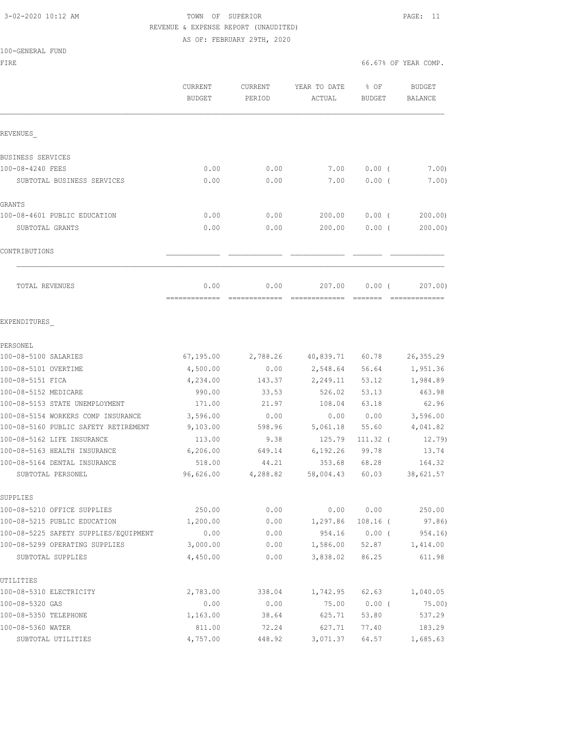### 3-02-2020 10:12 AM TOWN OF SUPERIOR PAGE: 11 REVENUE & EXPENSE REPORT (UNAUDITED) AS OF: FEBRUARY 29TH, 2020

#### 100-GENERAL FUND

| FIRE                                              |                                 |                   |                          | 66.67% OF YEAR COMP. |                                 |
|---------------------------------------------------|---------------------------------|-------------------|--------------------------|----------------------|---------------------------------|
|                                                   | <b>CURRENT</b><br><b>BUDGET</b> | CURRENT<br>PERIOD | YEAR TO DATE<br>ACTUAL   | % OF<br>BUDGET       | <b>BUDGET</b><br><b>BALANCE</b> |
| REVENUES                                          |                                 |                   |                          |                      |                                 |
| BUSINESS SERVICES                                 |                                 |                   |                          |                      |                                 |
| 100-08-4240 FEES                                  | 0.00                            | 0.00              | 7.00                     | $0.00$ (             | 7.00                            |
| SUBTOTAL BUSINESS SERVICES                        | 0.00                            | 0.00              | 7.00                     | $0.00$ (             | 7.00)                           |
| GRANTS                                            |                                 |                   |                          |                      |                                 |
| 100-08-4601 PUBLIC EDUCATION                      | 0.00                            | 0.00              | 200.00                   | $0.00$ (             | 200.00)                         |
| SUBTOTAL GRANTS                                   | 0.00                            | 0.00              | 200.00                   | $0.00$ (             | 200.00)                         |
| CONTRIBUTIONS                                     |                                 |                   |                          |                      |                                 |
| TOTAL REVENUES                                    | 0.00                            | 0.00              | 207.00                   | $0.00$ (             | 207.00)                         |
| EXPENDITURES                                      |                                 |                   |                          |                      |                                 |
| PERSONEL                                          |                                 |                   |                          |                      |                                 |
| 100-08-5100 SALARIES                              | 67,195.00                       | 2,788.26          | 40,839.71                | 60.78                | 26, 355.29                      |
| 100-08-5101 OVERTIME                              | 4,500.00                        | 0.00              | 2,548.64                 | 56.64                | 1,951.36                        |
| 100-08-5151 FICA                                  | 4,234.00                        | 143.37            | 2,249.11                 | 53.12                | 1,984.89                        |
| 100-08-5152 MEDICARE                              | 990.00                          | 33.53             | 526.02                   | 53.13                | 463.98                          |
| 100-08-5153 STATE UNEMPLOYMENT                    | 171.00                          | 21.97             | 108.04                   | 63.18                | 62.96                           |
| 100-08-5154 WORKERS COMP INSURANCE                | 3,596.00                        | 0.00              | 0.00                     | 0.00                 | 3,596.00                        |
| 100-08-5160 PUBLIC SAFETY RETIREMENT              | 9,103.00                        | 598.96            | 5,061.18                 | 55.60                | 4,041.82                        |
| 100-08-5162 LIFE INSURANCE                        | 113.00                          | 9.38              | 125.79                   | $111.32$ (           | 12.79)                          |
| 100-08-5163 HEALTH INSURANCE                      | 6,206.00                        | 649.14            | 6,192.26                 | 99.78                | 13.74                           |
| 100-08-5164 DENTAL INSURANCE<br>SUBTOTAL PERSONEL | 518.00<br>96,626.00             | 44.21<br>4,288.82 | 353.68<br>58,004.43      | 68.28<br>60.03       | 164.32<br>38,621.57             |
|                                                   |                                 |                   |                          |                      |                                 |
| SUPPLIES                                          |                                 |                   |                          |                      |                                 |
| 100-08-5210 OFFICE SUPPLIES                       | 250.00                          | 0.00              |                          | 0.00 0.00            | 250.00                          |
| 100-08-5215 PUBLIC EDUCATION                      | 1,200.00                        | 0.00              | 1,297.86 108.16 (        |                      | 97.86)                          |
| 100-08-5225 SAFETY SUPPLIES/EQUIPMENT             | 0.00                            | 0.00              |                          |                      | 954.16 0.00 (954.16)            |
| 100-08-5299 OPERATING SUPPLIES                    | 3,000.00                        | 0.00              |                          |                      | 1,586.00 52.87 1,414.00         |
| SUBTOTAL SUPPLIES                                 | 4,450.00                        | 0.00              |                          | 3,838.02 86.25       | 611.98                          |
| UTILITIES                                         |                                 |                   |                          |                      |                                 |
| 100-08-5310 ELECTRICITY                           | 2,783.00                        | 338.04            |                          |                      | 1,742.95 62.63 1,040.05         |
| 100-08-5320 GAS                                   | 0.00                            | 0.00              | 75.00                    | $0.00$ (             | 75.00)                          |
| 100-08-5350 TELEPHONE                             | 1,163.00                        | 38.64             | 625.71                   | 53.80                | 537.29                          |
| 100-08-5360 WATER<br>SUBTOTAL UTILITIES           | 811.00<br>4,757.00              | 72.24<br>448.92   | 627.71<br>3,071.37 64.57 | 77.40                | 183.29<br>1,685.63              |
|                                                   |                                 |                   |                          |                      |                                 |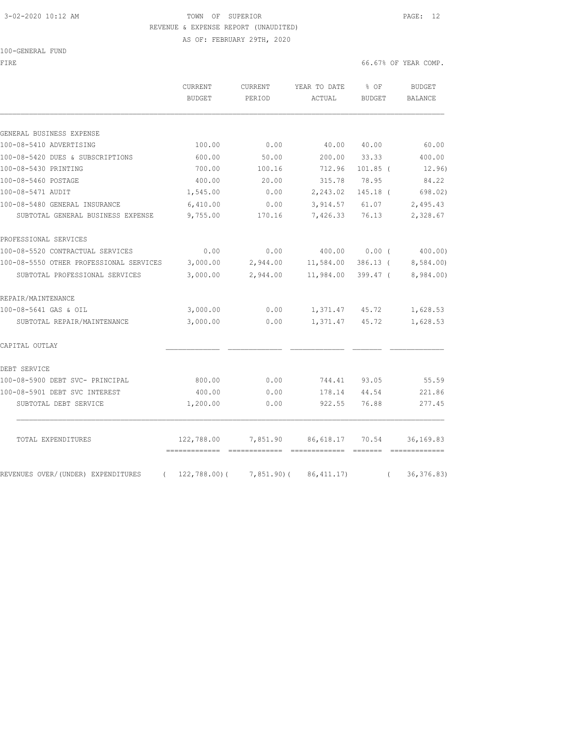# 3-02-2020 10:12 AM TOWN OF SUPERIOR PAGE: 12 REVENUE & EXPENSE REPORT (UNAUDITED)

AS OF: FEBRUARY 29TH, 2020

| 100-GENERAL FUND |
|------------------|
|------------------|

| FIRE                                    |                                              |                   |                          |                       | 66.67% OF YEAR COMP.       |
|-----------------------------------------|----------------------------------------------|-------------------|--------------------------|-----------------------|----------------------------|
|                                         | <b>CURRENT</b><br><b>BUDGET</b>              | CURRENT<br>PERIOD | YEAR TO DATE<br>ACTUAL   | % OF<br><b>BUDGET</b> | BUDGET<br><b>BALANCE</b>   |
|                                         |                                              |                   |                          |                       |                            |
| GENERAL BUSINESS EXPENSE                |                                              |                   |                          |                       |                            |
| 100-08-5410 ADVERTISING                 | 100.00                                       | 0.00              | 40.00                    | 40.00                 | 60.00                      |
| 100-08-5420 DUES & SUBSCRIPTIONS        | 600.00                                       | 50.00             | 200.00                   | 33.33                 | 400.00                     |
| 100-08-5430 PRINTING                    | 700.00                                       | 100.16            | 712.96                   | $101.85$ (            | 12.96)                     |
| 100-08-5460 POSTAGE                     | 400.00                                       | 20.00             | 315.78                   | 78.95                 | 84.22                      |
| 100-08-5471 AUDIT                       | 1,545.00                                     | 0.00              | 2,243.02                 | $145.18$ (            | 698.02)                    |
| 100-08-5480 GENERAL INSURANCE           | 6,410.00                                     | 0.00              | 3,914.57                 | 61.07                 | 2,495.43                   |
| SUBTOTAL GENERAL BUSINESS EXPENSE       | 9,755.00                                     | 170.16            | 7,426.33                 | 76.13                 | 2,328.67                   |
| PROFESSIONAL SERVICES                   |                                              |                   |                          |                       |                            |
| 100-08-5520 CONTRACTUAL SERVICES        | 0.00                                         | 0.00              | 400.00                   | $0.00$ (              | 400.00)                    |
| 100-08-5550 OTHER PROFESSIONAL SERVICES | 3,000.00                                     | 2,944.00          | 11,584.00                | 386.13 (              | 8,584.00)                  |
| SUBTOTAL PROFESSIONAL SERVICES          | 3,000.00                                     | 2,944.00          | 11,984.00                | 399.47 (              | 8,984.00)                  |
| REPAIR/MAINTENANCE                      |                                              |                   |                          |                       |                            |
| 100-08-5641 GAS & OIL                   | 3,000.00                                     | 0.00              |                          | 1,371.47 45.72        | 1,628.53                   |
| SUBTOTAL REPAIR/MAINTENANCE             | 3,000.00                                     | 0.00              | 1,371.47                 | 45.72                 | 1,628.53                   |
| CAPITAL OUTLAY                          |                                              |                   |                          |                       |                            |
| DEBT SERVICE                            |                                              |                   |                          |                       |                            |
| 100-08-5900 DEBT SVC- PRINCIPAL         | 800.00                                       | 0.00              | 744.41                   | 93.05                 | 55.59                      |
| 100-08-5901 DEBT SVC INTEREST           | 400.00                                       | 0.00              | 178.14                   | 44.54                 | 221.86                     |
| SUBTOTAL DEBT SERVICE                   | 1,200.00                                     | 0.00              | 922.55                   | 76.88                 | 277.45                     |
| TOTAL EXPENDITURES                      | 122,788.00<br>============================== |                   | 7,851.90 86,618.17 70.54 |                       | 36, 169.83<br>essessessess |
| REVENUES OVER/(UNDER) EXPENDITURES      | $(122, 788.00) (7, 851.90) (86, 411.17)$     |                   |                          | $\left($              | 36, 376.83)                |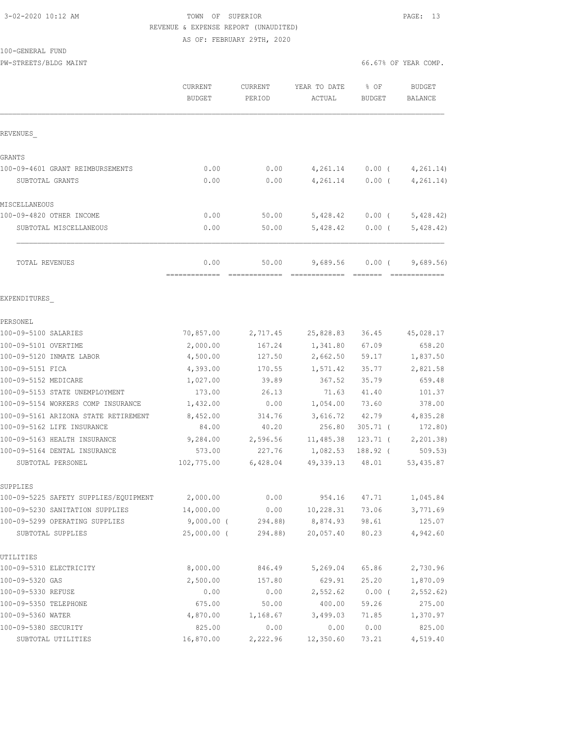### 3-02-2020 10:12 AM TOWN OF SUPERIOR PAGE: 13 REVENUE & EXPENSE REPORT (UNAUDITED) AS OF: FEBRUARY 29TH, 2020

#### 100-GENERAL FUND

PW-STREETS/BLDG MAINT 66.67% OF YEAR COMP.

|                                       | <b>CURRENT</b><br><b>BUDGET</b> | CURRENT<br>PERIOD      | YEAR TO DATE<br>ACTUAL | % OF<br><b>BUDGET</b> | <b>BUDGET</b><br>BALANCE |
|---------------------------------------|---------------------------------|------------------------|------------------------|-----------------------|--------------------------|
| REVENUES                              |                                 |                        |                        |                       |                          |
| GRANTS                                |                                 |                        |                        |                       |                          |
| 100-09-4601 GRANT REIMBURSEMENTS      | 0.00                            | 0.00                   | 4,261.14               | $0.00$ (              | 4, 261.14)               |
| SUBTOTAL GRANTS                       | 0.00                            | 0.00                   | 4,261.14               | $0.00$ (              | 4, 261.14)               |
| MISCELLANEOUS                         |                                 |                        |                        |                       |                          |
| 100-09-4820 OTHER INCOME              | 0.00                            | 50.00                  | 5,428.42               | $0.00$ (              | 5,428.42                 |
| SUBTOTAL MISCELLANEOUS                | 0.00                            | 50.00                  | 5,428.42               | $0.00$ (              | 5,428.42)                |
| TOTAL REVENUES                        | 0.00<br>--------------          | 50.00<br>============= | 9,689.56               | $0.00$ (              | 9,689.56                 |
| EXPENDITURES                          |                                 |                        |                        |                       |                          |
| PERSONEL                              |                                 |                        |                        |                       |                          |
| 100-09-5100 SALARIES                  | 70,857.00                       | 2,717.45               | 25,828.83              | 36.45                 | 45,028.17                |
| 100-09-5101 OVERTIME                  | 2,000.00                        | 167.24                 | 1,341.80               | 67.09                 | 658.20                   |
| 100-09-5120 INMATE LABOR              | 4,500.00                        | 127.50                 | 2,662.50               | 59.17                 | 1,837.50                 |
| 100-09-5151 FICA                      | 4,393.00                        | 170.55                 | 1,571.42               | 35.77                 | 2,821.58                 |
| 100-09-5152 MEDICARE                  | 1,027.00                        | 39.89                  | 367.52                 | 35.79                 | 659.48                   |
| 100-09-5153 STATE UNEMPLOYMENT        | 173.00                          | 26.13                  | 71.63                  | 41.40                 | 101.37                   |
| 100-09-5154 WORKERS COMP INSURANCE    | 1,432.00                        | 0.00                   | 1,054.00               | 73.60                 | 378.00                   |
| 100-09-5161 ARIZONA STATE RETIREMENT  | 8,452.00                        | 314.76                 | 3,616.72               | 42.79                 | 4,835.28                 |
| 100-09-5162 LIFE INSURANCE            | 84.00                           | 40.20                  | 256.80                 | $305.71$ (            | 172.80)                  |
| 100-09-5163 HEALTH INSURANCE          | 9,284.00                        | 2,596.56               | 11,485.38              | 123.71 (              | 2, 201.38                |
| 100-09-5164 DENTAL INSURANCE          | 573.00                          | 227.76                 | 1,082.53               | 188.92 (              | 509.53)                  |
| SUBTOTAL PERSONEL                     | 102,775.00                      | 6,428.04               | 49,339.13              | 48.01                 | 53, 435.87               |
| SUPPLIES                              |                                 |                        |                        |                       |                          |
| 100-09-5225 SAFETY SUPPLIES/EQUIPMENT | 2,000.00                        | 0.00                   |                        | 954.16 47.71          | 1,045.84                 |
| 100-09-5230 SANITATION SUPPLIES       | 14,000.00                       | 0.00                   | 10,228.31              | 73.06                 | 3,771.69                 |
| 100-09-5299 OPERATING SUPPLIES        | 9,000.00 (                      | 294.88)                | 8,874.93               | 98.61                 | 125.07                   |
| SUBTOTAL SUPPLIES                     | $25,000.00$ (                   | 294.88)                | 20,057.40              | 80.23                 | 4,942.60                 |
| UTILITIES                             |                                 |                        |                        |                       |                          |
| 100-09-5310 ELECTRICITY               | 8,000.00                        | 846.49                 | 5,269.04               | 65.86                 | 2,730.96                 |
| 100-09-5320 GAS                       | 2,500.00                        | 157.80                 | 629.91                 | 25.20                 | 1,870.09                 |
| 100-09-5330 REFUSE                    | 0.00                            | 0.00                   | 2,552.62               | $0.00$ (              | 2,552.62)                |
| 100-09-5350 TELEPHONE                 | 675.00                          | 50.00                  | 400.00                 | 59.26                 | 275.00                   |
| 100-09-5360 WATER                     | 4,870.00                        | 1,168.67               | 3,499.03               | 71.85                 | 1,370.97                 |
| 100-09-5380 SECURITY                  | 825.00                          | 0.00                   | 0.00                   | 0.00                  | 825.00                   |
| SUBTOTAL UTILITIES                    | 16,870.00                       | 2,222.96               | 12,350.60              | 73.21                 | 4,519.40                 |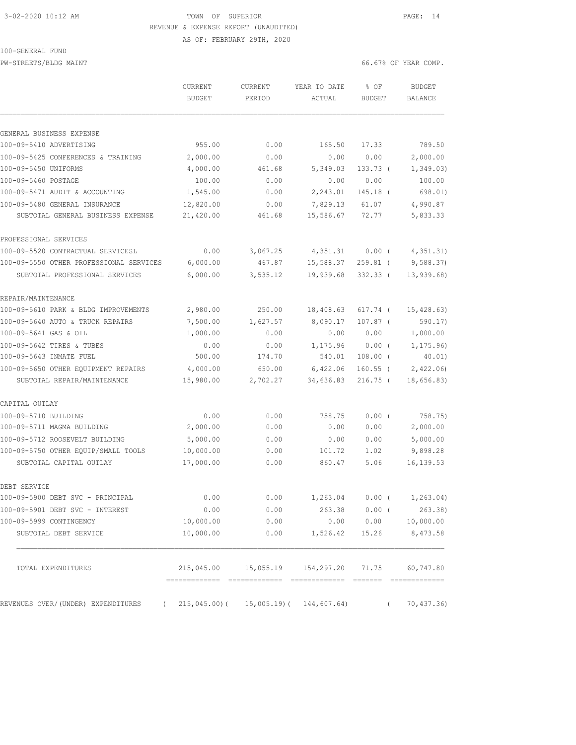# 3-02-2020 10:12 AM TOWN OF SUPERIOR PAGE: 14 REVENUE & EXPENSE REPORT (UNAUDITED)

AS OF: FEBRUARY 29TH, 2020

#### 100-GENERAL FUND

PW-STREETS/BLDG MAINT **1999** MAINT 66.67% OF YEAR COMP.

|                                                  | CURRENT<br><b>BUDGET</b> | <b>CURRENT</b><br>PERIOD | YEAR TO DATE<br>ACTUAL                              | % OF<br><b>BUDGET</b> | <b>BUDGET</b><br><b>BALANCE</b> |
|--------------------------------------------------|--------------------------|--------------------------|-----------------------------------------------------|-----------------------|---------------------------------|
|                                                  |                          |                          |                                                     |                       |                                 |
| GENERAL BUSINESS EXPENSE                         |                          |                          |                                                     |                       |                                 |
| 100-09-5410 ADVERTISING                          | 955.00                   | 0.00                     | 165.50                                              | 17.33                 | 789.50                          |
| 100-09-5425 CONFERENCES & TRAINING               | 2,000.00                 | 0.00                     | 0.00                                                | 0.00                  | 2,000.00                        |
| 100-09-5450 UNIFORMS                             | 4,000.00                 | 461.68                   | 5,349.03                                            | 133.73 (              | 1,349.03)                       |
| 100-09-5460 POSTAGE                              | 100.00                   | 0.00                     | 0.00                                                | 0.00                  | 100.00                          |
| 100-09-5471 AUDIT & ACCOUNTING                   | 1,545.00                 | 0.00                     | 2,243.01                                            | $145.18$ (            | 698.01)                         |
| 100-09-5480 GENERAL INSURANCE                    | 12,820.00                | 0.00                     | 7,829.13                                            | 61.07                 | 4,990.87                        |
| SUBTOTAL GENERAL BUSINESS EXPENSE                | 21,420.00                | 461.68                   | 15,586.67                                           | 72.77                 | 5,833.33                        |
| PROFESSIONAL SERVICES                            |                          |                          |                                                     |                       |                                 |
| 100-09-5520 CONTRACTUAL SERVICESL                | 0.00                     | 3,067.25                 | 4,351.31                                            | $0.00$ (              | 4,351.31)                       |
| 100-09-5550 OTHER PROFESSIONAL SERVICES          | 6,000.00                 | 467.87                   | 15,588.37                                           | 259.81 (              | 9,588.37                        |
| SUBTOTAL PROFESSIONAL SERVICES                   | 6,000.00                 | 3,535.12                 | 19,939.68                                           | $332.33$ (            | 13,939.68)                      |
| REPAIR/MAINTENANCE                               |                          |                          |                                                     |                       |                                 |
| 100-09-5610 PARK & BLDG IMPROVEMENTS             | 2,980.00                 | 250.00                   | 18,408.63                                           | 617.74 (              | 15, 428.63)                     |
| 100-09-5640 AUTO & TRUCK REPAIRS                 | 7,500.00                 | 1,627.57                 | 8,090.17                                            | $107.87$ $($          | 590.17                          |
| 100-09-5641 GAS & OIL                            | 1,000.00                 | 0.00                     | 0.00                                                | 0.00                  | 1,000.00                        |
| 100-09-5642 TIRES & TUBES                        | 0.00                     | 0.00                     | 1,175.96                                            | $0.00$ (              | 1, 175.96                       |
| 100-09-5643 INMATE FUEL                          | 500.00                   | 174.70                   | 540.01                                              | $108.00$ (            | 40.01)                          |
| 100-09-5650 OTHER EQUIPMENT REPAIRS              | 4,000.00                 | 650.00                   | 6,422.06                                            | $160.55$ (            | 2,422.06                        |
| SUBTOTAL REPAIR/MAINTENANCE                      | 15,980.00                | 2,702.27                 | 34,636.83                                           | 216.75 (              | 18,656.83)                      |
| CAPITAL OUTLAY                                   |                          |                          |                                                     |                       |                                 |
| 100-09-5710 BUILDING                             | 0.00                     | 0.00                     | 758.75                                              | $0.00$ (              | 758.75)                         |
| 100-09-5711 MAGMA BUILDING                       | 2,000.00                 | 0.00                     | 0.00                                                | 0.00                  | 2,000.00                        |
| 100-09-5712 ROOSEVELT BUILDING                   | 5,000.00                 | 0.00                     | 0.00                                                | 0.00                  | 5,000.00                        |
| 100-09-5750 OTHER EQUIP/SMALL TOOLS              | 10,000.00                | 0.00                     | 101.72                                              | 1.02                  | 9,898.28                        |
| SUBTOTAL CAPITAL OUTLAY                          | 17,000.00                | 0.00                     | 860.47                                              | 5.06                  | 16, 139.53                      |
| DEBT SERVICE                                     |                          |                          |                                                     |                       |                                 |
| 100-09-5900 DEBT SVC - PRINCIPAL                 | 0.00                     | 0.00                     | 1,263.04                                            | $0.00$ (              | 1, 263.04)                      |
| 100-09-5901 DEBT SVC - INTEREST                  | 0.00                     | 0.00                     | 263.38                                              | $0.00$ (              | 263.38)                         |
| 100-09-5999 CONTINGENCY                          | 10,000.00                | 0.00                     | 0.00                                                | 0.00                  | 10,000.00                       |
| SUBTOTAL DEBT SERVICE                            | 10,000.00                | 0.00                     | 1,526.42                                            | 15.26                 | 8,473.58                        |
| TOTAL EXPENDITURES                               |                          |                          | 215,045.00  15,055.19  154,297.20  71.75  60,747.80 |                       |                                 |
| REVENUES OVER/(UNDER) EXPENDITURES<br>$\sqrt{2}$ |                          |                          | $215,045.00$ ( $15,005.19$ ( $144,607.64$ )         | $\left($              | 70,437.36)                      |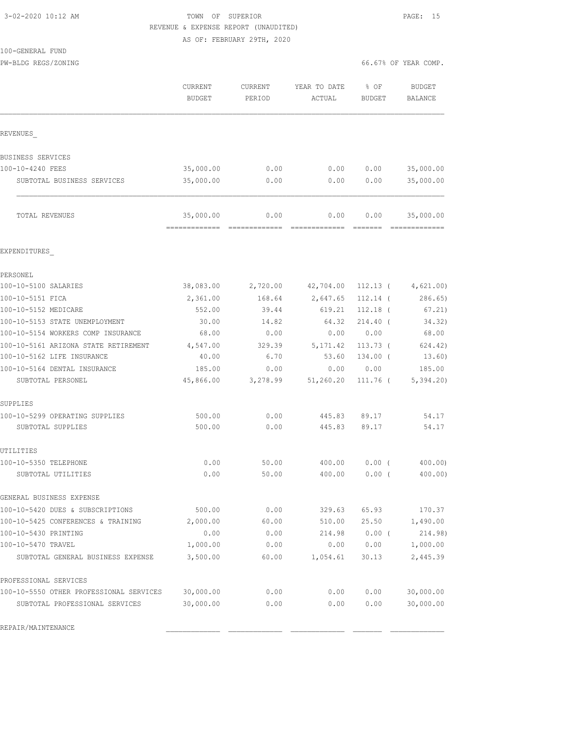100-GENERAL FUND

### 3-02-2020 10:12 AM TOWN OF SUPERIOR PAGE: 15 REVENUE & EXPENSE REPORT (UNAUDITED) AS OF: FEBRUARY 29TH, 2020

| PW-BLDG REGS/ZONING                     |                                             |                   |                        | 66.67% OF YEAR COMP.                |                                 |
|-----------------------------------------|---------------------------------------------|-------------------|------------------------|-------------------------------------|---------------------------------|
|                                         | <b>CURRENT</b><br><b>BUDGET</b>             | CURRENT<br>PERIOD | YEAR TO DATE<br>ACTUAL | % OF<br><b>BUDGET</b>               | <b>BUDGET</b><br><b>BALANCE</b> |
| REVENUES                                |                                             |                   |                        |                                     |                                 |
|                                         |                                             |                   |                        |                                     |                                 |
| BUSINESS SERVICES<br>100-10-4240 FEES   | 35,000.00                                   | 0.00              | 0.00                   | 0.00                                | 35,000.00                       |
|                                         |                                             | 0.00              |                        |                                     |                                 |
| SUBTOTAL BUSINESS SERVICES              | 35,000.00                                   |                   | 0.00                   | 0.00                                | 35,000.00                       |
| TOTAL REVENUES                          | 35,000.00<br>------------------------------ | 0.00              | 0.00                   | 0.00<br>$=$ $=$ $=$ $=$ $=$ $=$ $=$ | 35,000.00<br>--------------     |
| EXPENDITURES                            |                                             |                   |                        |                                     |                                 |
| PERSONEL                                |                                             |                   |                        |                                     |                                 |
| 100-10-5100 SALARIES                    | 38,083.00                                   |                   | 2,720.00 42,704.00     | 112.13 (                            | 4,621.00)                       |
| 100-10-5151 FICA                        | 2,361.00                                    | 168.64            | 2,647.65               | $112.14$ (                          | 286.65                          |
| 100-10-5152 MEDICARE                    | 552.00                                      | 39.44             | 619.21                 | $112.18$ (                          | 67.21)                          |
| 100-10-5153 STATE UNEMPLOYMENT          | 30.00                                       | 14.82             | 64.32                  | $214.40$ (                          | 34.32)                          |
| 100-10-5154 WORKERS COMP INSURANCE      | 68.00                                       | 0.00              | 0.00                   | 0.00                                | 68.00                           |
| 100-10-5161 ARIZONA STATE RETIREMENT    | 4,547.00                                    | 329.39            | 5,171.42               | $113.73$ (                          | 624.42)                         |
| 100-10-5162 LIFE INSURANCE              | 40.00                                       | 6.70              | 53.60                  | 134.00 (                            | 13.60)                          |
| 100-10-5164 DENTAL INSURANCE            | 185.00                                      | 0.00              | 0.00                   | 0.00                                | 185.00                          |
| SUBTOTAL PERSONEL                       | 45,866.00                                   | 3,278.99          | 51, 260.20             | 111.76 (                            | 5,394.20                        |
| SUPPLIES                                |                                             |                   |                        |                                     |                                 |
| 100-10-5299 OPERATING SUPPLIES          | 500.00                                      | 0.00              | 445.83                 | 89.17                               | 54.17                           |
| SUBTOTAL SUPPLIES                       | 500.00                                      | 0.00              | 445.83                 | 89.17                               | 54.17                           |
| UTILITIES                               |                                             |                   |                        |                                     |                                 |
| 100-10-5350 TELEPHONE                   | 0.00                                        | 50.00             | 400.00                 | $0.00$ (                            | 400.00                          |
| SUBTOTAL UTILITIES                      | 0.00                                        | 50.00             | 400.00                 | $0.00$ (                            | 400.00)                         |
| GENERAL BUSINESS EXPENSE                |                                             |                   |                        |                                     |                                 |
| 100-10-5420 DUES & SUBSCRIPTIONS        | 500.00                                      | 0.00              | 329.63                 | 65.93                               | 170.37                          |
| 100-10-5425 CONFERENCES & TRAINING      | 2,000.00                                    | 60.00             | 510.00                 | 25.50                               | 1,490.00                        |
| 100-10-5430 PRINTING                    | 0.00                                        | 0.00              | 214.98                 | $0.00$ (                            | 214.98)                         |
| 100-10-5470 TRAVEL                      | 1,000.00                                    | 0.00              | 0.00                   | 0.00                                | 1,000.00                        |
| SUBTOTAL GENERAL BUSINESS EXPENSE       | 3,500.00                                    | 60.00             | 1,054.61               | 30.13                               | 2,445.39                        |
| PROFESSIONAL SERVICES                   |                                             |                   |                        |                                     |                                 |
| 100-10-5550 OTHER PROFESSIONAL SERVICES | 30,000.00                                   | 0.00              | 0.00                   | 0.00                                | 30,000.00                       |
| SUBTOTAL PROFESSIONAL SERVICES          | 30,000.00                                   | 0.00              | 0.00                   | 0.00                                | 30,000.00                       |

REPAIR/MAINTENANCE \_\_\_\_\_\_\_\_\_\_\_\_\_ \_\_\_\_\_\_\_\_\_\_\_\_\_ \_\_\_\_\_\_\_\_\_\_\_\_\_ \_\_\_\_\_\_\_ \_\_\_\_\_\_\_\_\_\_\_\_\_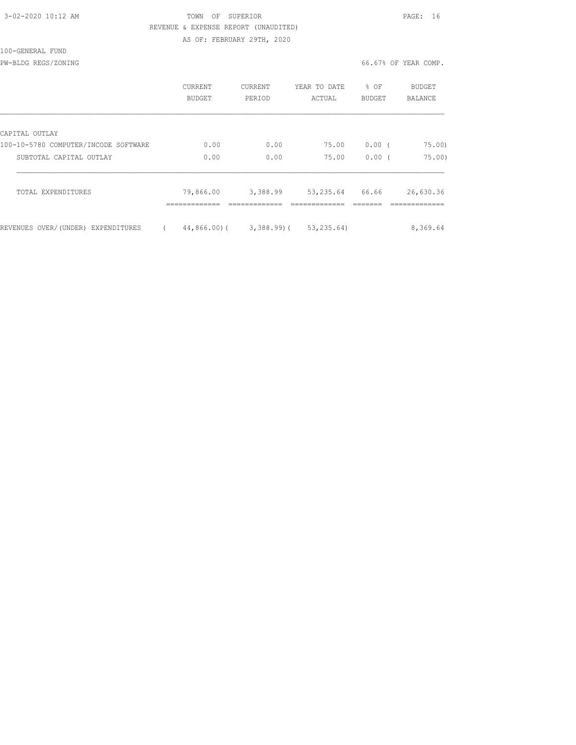### TOWN OF SUPERIOR **PAGE:** 16 REVENUE & EXPENSE REPORT (UNAUDITED) AS OF: FEBRUARY 29TH, 2020

100-GENERAL FUND

PW-BLDG REGS/ZONING 66.67% OF YEAR COMP.

|                                      | CURRENT<br><b>BUDGET</b> | <b>CURRENT</b><br>PERIOD | YEAR TO DATE<br>ACTUAL | % OF<br><b>BUDGET</b> | BUDGET<br><b>BALANCE</b> |
|--------------------------------------|--------------------------|--------------------------|------------------------|-----------------------|--------------------------|
| CAPITAL OUTLAY                       |                          |                          |                        |                       |                          |
| 100-10-5780 COMPUTER/INCODE SOFTWARE | 0.00                     | 0.00                     | 75.00                  | 0.00(                 | 75.00                    |
| SUBTOTAL CAPITAL OUTLAY              | 0.00                     | 0.00                     | 75.00                  | 0.00(                 | 75.00                    |
| TOTAL EXPENDITURES                   | 79,866.00                | 3,388.99                 | 53,235.64              | 66.66                 | 26,630.36                |
| REVENUES OVER/(UNDER) EXPENDITURES   | 44,866,00)(              | 3,388.99)(               | 53, 235.64)            |                       | 8,369.64                 |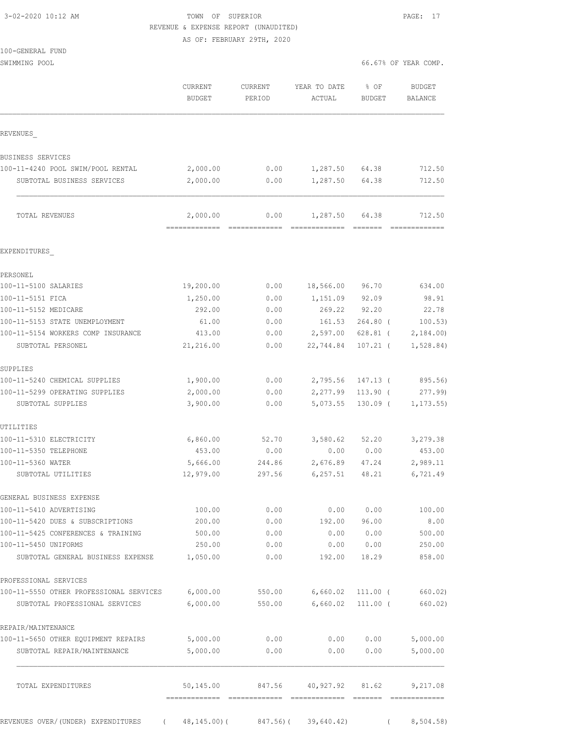| 3-02-2020 10:12 AM |  |
|--------------------|--|
|                    |  |

# 3-02-2020 10:12 AM TOWN OF SUPERIOR PAGE: 17 REVENUE & EXPENSE REPORT (UNAUDITED)

AS OF: FEBRUARY 29TH, 2020

SWIMMING POOL 66.67% OF YEAR COMP.

|                                                             | <b>CURRENT</b><br><b>BUDGET</b> | CURRENT<br>PERIOD                          | YEAR TO DATE<br>ACTUAL | $8$ OF<br><b>BUDGET</b> | <b>BUDGET</b><br><b>BALANCE</b>                                                                                                                                                                                                                                                                                                                                                                                                                                                            |
|-------------------------------------------------------------|---------------------------------|--------------------------------------------|------------------------|-------------------------|--------------------------------------------------------------------------------------------------------------------------------------------------------------------------------------------------------------------------------------------------------------------------------------------------------------------------------------------------------------------------------------------------------------------------------------------------------------------------------------------|
| REVENUES                                                    |                                 |                                            |                        |                         |                                                                                                                                                                                                                                                                                                                                                                                                                                                                                            |
| BUSINESS SERVICES                                           |                                 |                                            |                        |                         |                                                                                                                                                                                                                                                                                                                                                                                                                                                                                            |
| 100-11-4240 POOL SWIM/POOL RENTAL                           | 2,000.00                        | 0.00                                       | 1,287.50               | 64.38                   | 712.50                                                                                                                                                                                                                                                                                                                                                                                                                                                                                     |
| SUBTOTAL BUSINESS SERVICES                                  | 2,000.00                        | 0.00                                       | 1,287.50               | 64.38                   | 712.50                                                                                                                                                                                                                                                                                                                                                                                                                                                                                     |
| TOTAL REVENUES                                              | 2,000.00<br>----------          | 0.00                                       | 1,287.50               | 64.38                   | 712.50                                                                                                                                                                                                                                                                                                                                                                                                                                                                                     |
| EXPENDITURES                                                |                                 |                                            |                        |                         |                                                                                                                                                                                                                                                                                                                                                                                                                                                                                            |
| PERSONEL                                                    |                                 |                                            |                        |                         |                                                                                                                                                                                                                                                                                                                                                                                                                                                                                            |
| 100-11-5100 SALARIES                                        | 19,200.00                       | 0.00                                       | 18,566.00              | 96.70                   | 634.00                                                                                                                                                                                                                                                                                                                                                                                                                                                                                     |
| 100-11-5151 FICA                                            | 1,250.00                        | 0.00                                       | 1,151.09               | 92.09                   | 98.91                                                                                                                                                                                                                                                                                                                                                                                                                                                                                      |
| 100-11-5152 MEDICARE                                        | 292.00                          | 0.00                                       | 269.22                 | 92.20                   | 22.78                                                                                                                                                                                                                                                                                                                                                                                                                                                                                      |
| 100-11-5153 STATE UNEMPLOYMENT                              | 61.00                           | 0.00                                       | 161.53                 | $264.80$ (              | 100.53)                                                                                                                                                                                                                                                                                                                                                                                                                                                                                    |
| 100-11-5154 WORKERS COMP INSURANCE                          | 413.00                          | 0.00                                       | 2,597.00               | $628.81$ (              | 2,184.00                                                                                                                                                                                                                                                                                                                                                                                                                                                                                   |
| SUBTOTAL PERSONEL                                           | 21,216.00                       | 0.00                                       | 22,744.84              | $107.21$ (              | 1,528.84)                                                                                                                                                                                                                                                                                                                                                                                                                                                                                  |
| SUPPLIES                                                    |                                 |                                            |                        |                         |                                                                                                                                                                                                                                                                                                                                                                                                                                                                                            |
| 100-11-5240 CHEMICAL SUPPLIES                               | 1,900.00                        | 0.00                                       | 2,795.56               | $147.13$ (              | 895.56)                                                                                                                                                                                                                                                                                                                                                                                                                                                                                    |
| 100-11-5299 OPERATING SUPPLIES                              | 2,000.00                        | 0.00                                       | 2,277.99               | $113.90$ (              | 277.99                                                                                                                                                                                                                                                                                                                                                                                                                                                                                     |
| SUBTOTAL SUPPLIES                                           | 3,900.00                        | 0.00                                       | 5,073.55               | $130.09$ (              | 1, 173.55                                                                                                                                                                                                                                                                                                                                                                                                                                                                                  |
| UTILITIES                                                   |                                 |                                            |                        |                         |                                                                                                                                                                                                                                                                                                                                                                                                                                                                                            |
| 100-11-5310 ELECTRICITY                                     | 6,860.00                        | 52.70                                      | 3,580.62               | 52.20                   | 3,279.38                                                                                                                                                                                                                                                                                                                                                                                                                                                                                   |
| 100-11-5350 TELEPHONE                                       | 453.00                          | 0.00                                       | 0.00                   | 0.00                    | 453.00                                                                                                                                                                                                                                                                                                                                                                                                                                                                                     |
| 100-11-5360 WATER<br>SUBTOTAL UTILITIES                     | 5,666.00<br>12,979.00           | 244.86<br>297.56                           | 2,676.89<br>6, 257.51  | 47.24<br>48.21          | 2,989.11<br>6,721.49                                                                                                                                                                                                                                                                                                                                                                                                                                                                       |
|                                                             |                                 |                                            |                        |                         |                                                                                                                                                                                                                                                                                                                                                                                                                                                                                            |
| GENERAL BUSINESS EXPENSE                                    |                                 |                                            |                        |                         |                                                                                                                                                                                                                                                                                                                                                                                                                                                                                            |
| 100-11-5410 ADVERTISING<br>100-11-5420 DUES & SUBSCRIPTIONS | 100.00                          | 0.00                                       | 0.00                   | 0.00                    | 100.00                                                                                                                                                                                                                                                                                                                                                                                                                                                                                     |
|                                                             | 200.00                          | 0.00                                       | 192.00                 | 96.00                   | 8.00                                                                                                                                                                                                                                                                                                                                                                                                                                                                                       |
| 100-11-5425 CONFERENCES & TRAINING<br>100-11-5450 UNIFORMS  | 500.00<br>250.00                | 0.00<br>0.00                               | 0.00<br>0.00           | 0.00<br>0.00            | 500.00<br>250.00                                                                                                                                                                                                                                                                                                                                                                                                                                                                           |
| SUBTOTAL GENERAL BUSINESS EXPENSE                           | 1,050.00                        | 0.00                                       | 192.00                 | 18.29                   | 858.00                                                                                                                                                                                                                                                                                                                                                                                                                                                                                     |
| PROFESSIONAL SERVICES                                       |                                 |                                            |                        |                         |                                                                                                                                                                                                                                                                                                                                                                                                                                                                                            |
| 100-11-5550 OTHER PROFESSIONAL SERVICES                     | 6,000.00                        | 550.00                                     | 6,660.02               | $111.00$ (              | 660.02)                                                                                                                                                                                                                                                                                                                                                                                                                                                                                    |
| SUBTOTAL PROFESSIONAL SERVICES                              | 6,000.00                        | 550.00                                     | 6,660.02               | $111.00$ (              | 660.02)                                                                                                                                                                                                                                                                                                                                                                                                                                                                                    |
| REPAIR/MAINTENANCE                                          |                                 |                                            |                        |                         |                                                                                                                                                                                                                                                                                                                                                                                                                                                                                            |
| 100-11-5650 OTHER EQUIPMENT REPAIRS                         | 5,000.00                        | 0.00                                       | 0.00                   | 0.00                    | 5,000.00                                                                                                                                                                                                                                                                                                                                                                                                                                                                                   |
| SUBTOTAL REPAIR/MAINTENANCE                                 | 5,000.00                        | 0.00                                       | 0.00                   | 0.00                    | 5,000.00                                                                                                                                                                                                                                                                                                                                                                                                                                                                                   |
| TOTAL EXPENDITURES                                          | 50,145.00                       |                                            | 847.56 40,927.92 81.62 |                         | 9,217.08                                                                                                                                                                                                                                                                                                                                                                                                                                                                                   |
| REVENUES OVER/(UNDER) EXPENDITURES                          |                                 | $48, 145.00$ ( $847.56$ ) ( $39, 640.42$ ) |                        |                         | $\begin{array}{c} \multicolumn{2}{c} {\textbf 1} & \multicolumn{2}{c} {\textbf 2} & \multicolumn{2}{c} {\textbf 3} & \multicolumn{2}{c} {\textbf 4} & \multicolumn{2}{c} {\textbf 5} & \multicolumn{2}{c} {\textbf 6} & \multicolumn{2}{c} {\textbf 7} & \multicolumn{2}{c} {\textbf 8} & \multicolumn{2}{c} {\textbf 9} & \multicolumn{2}{c} {\textbf 1} & \multicolumn{2}{c} {\textbf 1} & \multicolumn{2}{c} {\textbf 1} & \multicolumn{2}{c} {\textbf 1} & \multicolumn{$<br>8,504.58) |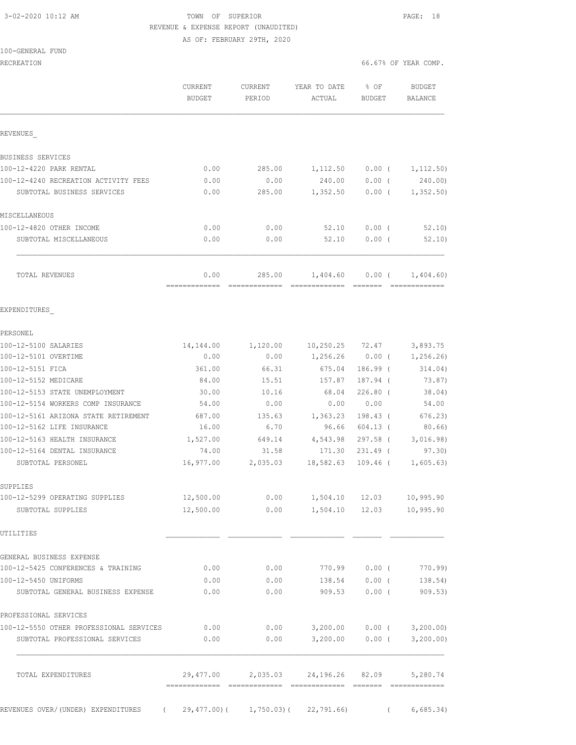### 3-02-2020 10:12 AM TOWN OF SUPERIOR PAGE: 18 REVENUE & EXPENSE REPORT (UNAUDITED) AS OF: FEBRUARY 29TH, 2020

| 100-GENERAL FUND |
|------------------|
|------------------|

RECREATION 66.67% OF YEAR COMP.

|                                         | CURRENT<br><b>BUDGET</b> | CURRENT<br>PERIOD       | YEAR TO DATE<br>ACTUAL   | % OF<br><b>BUDGET</b> | <b>BUDGET</b><br>BALANCE |
|-----------------------------------------|--------------------------|-------------------------|--------------------------|-----------------------|--------------------------|
| REVENUES                                |                          |                         |                          |                       |                          |
| BUSINESS SERVICES                       |                          |                         |                          |                       |                          |
| 100-12-4220 PARK RENTAL                 | 0.00                     | 285.00                  | 1,112.50                 | 0.00(                 | 1,112.50)                |
| 100-12-4240 RECREATION ACTIVITY FEES    | 0.00                     | 0.00                    | 240.00                   | 0.00(                 | 240.00)                  |
| SUBTOTAL BUSINESS SERVICES              | 0.00                     | 285.00                  | 1,352.50                 | $0.00$ (              | 1,352.50                 |
| MISCELLANEOUS                           |                          |                         |                          |                       |                          |
| 100-12-4820 OTHER INCOME                | 0.00                     | 0.00                    | 52.10                    | $0.00$ (              | 52.10                    |
| SUBTOTAL MISCELLANEOUS                  | 0.00                     | 0.00                    | 52.10                    | $0.00$ (              | 52.10                    |
| TOTAL REVENUES                          | 0.00<br>=============    | 285.00<br>============= | 1,404.60                 | 0.00(                 | 1,404.60                 |
| EXPENDITURES                            |                          |                         |                          |                       |                          |
| PERSONEL                                |                          |                         |                          |                       |                          |
| 100-12-5100 SALARIES                    | 14,144.00                | 1,120.00                | 10, 250.25               | 72.47                 | 3,893.75                 |
| 100-12-5101 OVERTIME                    | 0.00                     | 0.00                    | 1,256.26                 | $0.00$ (              | 1,256.26)                |
| 100-12-5151 FICA                        | 361.00                   | 66.31                   | 675.04                   | 186.99 (              | 314.04)                  |
| 100-12-5152 MEDICARE                    | 84.00                    | 15.51                   | 157.87                   | 187.94 (              | 73.87)                   |
| 100-12-5153 STATE UNEMPLOYMENT          | 30.00                    | 10.16                   | 68.04                    | $226.80$ (            | 38.04)                   |
| 100-12-5154 WORKERS COMP INSURANCE      | 54.00                    | 0.00                    | 0.00                     | 0.00                  | 54.00                    |
| 100-12-5161 ARIZONA STATE RETIREMENT    | 687.00                   | 135.63                  | 1,363.23                 | 198.43 (              | 676.23                   |
| 100-12-5162 LIFE INSURANCE              | 16.00                    | 6.70                    | 96.66                    | $604.13$ (            | 80.66)                   |
| 100-12-5163 HEALTH INSURANCE            | 1,527.00                 | 649.14                  | 4,543.98                 | $297.58$ (            | 3,016.98)                |
| 100-12-5164 DENTAL INSURANCE            | 74.00                    | 31.58                   | 171.30                   | $231.49$ (            | 97.30                    |
| SUBTOTAL PERSONEL                       | 16,977.00                | 2,035.03                | 18,582.63                | $109.46$ (            | 1,605.63)                |
| SUPPLIES                                |                          |                         |                          |                       |                          |
| 100-12-5299 OPERATING SUPPLIES          | 12,500.00                | 0.00                    |                          | 1,504.10 12.03        | 10,995.90                |
| SUBTOTAL SUPPLIES                       | 12,500.00                | 0.00                    |                          | 1,504.10 12.03        | 10,995.90                |
| UTILITIES                               |                          |                         |                          |                       |                          |
| GENERAL BUSINESS EXPENSE                |                          |                         |                          |                       |                          |
| 100-12-5425 CONFERENCES & TRAINING      | 0.00                     | 0.00                    | 770.99                   | $0.00$ (              | 770.99)                  |
| 100-12-5450 UNIFORMS                    | 0.00                     | 0.00                    | 138.54                   | $0.00$ (              | 138.54)                  |
| SUBTOTAL GENERAL BUSINESS EXPENSE       | 0.00                     | 0.00                    | 909.53                   | $0.00$ (              | 909.53)                  |
| PROFESSIONAL SERVICES                   |                          |                         |                          |                       |                          |
| 100-12-5550 OTHER PROFESSIONAL SERVICES | 0.00                     | 0.00                    | 3,200.00                 |                       | $0.00$ ( $3,200.00$ )    |
| SUBTOTAL PROFESSIONAL SERVICES          | 0.00                     | 0.00                    | 3,200.00                 |                       | $0.00$ ( $3,200.00$ )    |
| TOTAL EXPENDITURES                      | 29,477.00                |                         | 2,035.03 24,196.26 82.09 |                       | 5,280.74                 |

REVENUES OVER/(UNDER) EXPENDITURES ( 29,477.00)( 1,750.03)( 22,791.66) ( 6,685.34)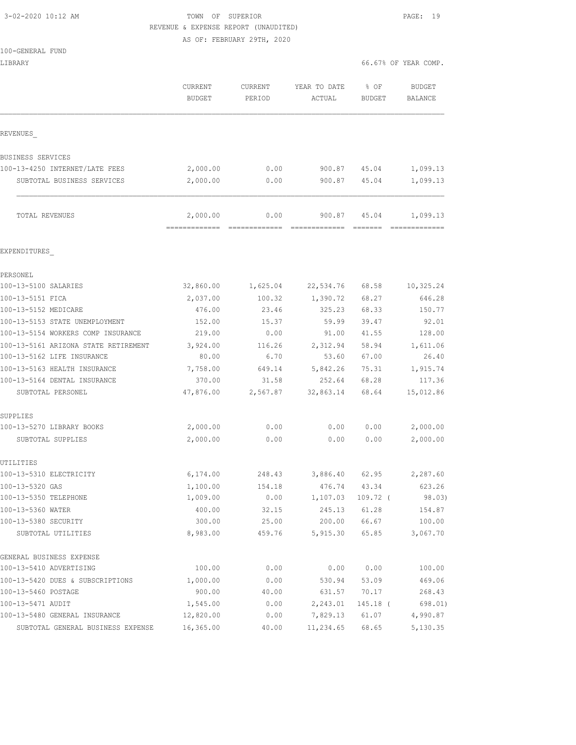# 3-02-2020 10:12 AM TOWN OF SUPERIOR PAGE: 19 REVENUE & EXPENSE REPORT (UNAUDITED)

AS OF: FEBRUARY 29TH, 2020

|  | 100-GENERAL FUND |  |
|--|------------------|--|
|  |                  |  |

| LIBRARY                                           |                                          |                          |                                                  |                       | 66.67% OF YEAR COMP.            |
|---------------------------------------------------|------------------------------------------|--------------------------|--------------------------------------------------|-----------------------|---------------------------------|
|                                                   | <b>CURRENT</b><br>BUDGET                 | <b>CURRENT</b><br>PERIOD | YEAR TO DATE<br>ACTUAL                           | % OF<br><b>BUDGET</b> | <b>BUDGET</b><br><b>BALANCE</b> |
| REVENUES                                          |                                          |                          |                                                  |                       |                                 |
| BUSINESS SERVICES                                 |                                          |                          |                                                  |                       |                                 |
| 100-13-4250 INTERNET/LATE FEES                    | 2,000.00                                 | 0.00                     | 900.87                                           | 45.04                 | 1,099.13                        |
| SUBTOTAL BUSINESS SERVICES                        | 2,000.00                                 | 0.00                     | 900.87                                           | 45.04                 | 1,099.13                        |
| TOTAL REVENUES                                    | 2,000.00<br>-------------- ------------- | 0.00                     | 900.87<br>====================================== | 45.04                 | 1,099.13                        |
| EXPENDITURES                                      |                                          |                          |                                                  |                       |                                 |
| PERSONEL                                          |                                          |                          |                                                  |                       |                                 |
| 100-13-5100 SALARIES                              | 32,860.00                                | 1,625.04                 | 22,534.76                                        | 68.58                 | 10,325.24                       |
| 100-13-5151 FICA                                  | 2,037.00                                 | 100.32                   | 1,390.72                                         | 68.27                 | 646.28                          |
| 100-13-5152 MEDICARE                              | 476.00                                   | 23.46                    | 325.23                                           | 68.33                 | 150.77                          |
| 100-13-5153 STATE UNEMPLOYMENT                    | 152.00                                   | 15.37                    | 59.99                                            | 39.47                 | 92.01                           |
| 100-13-5154 WORKERS COMP INSURANCE                | 219.00                                   | 0.00                     | 91.00                                            | 41.55                 | 128.00                          |
| 100-13-5161 ARIZONA STATE RETIREMENT              | 3,924.00                                 | 116.26                   | 2,312.94                                         | 58.94                 | 1,611.06                        |
| 100-13-5162 LIFE INSURANCE                        | 80.00                                    | 6.70                     | 53.60                                            | 67.00                 | 26.40                           |
| 100-13-5163 HEALTH INSURANCE                      | 7,758.00                                 | 649.14                   | 5,842.26                                         | 75.31                 | 1,915.74                        |
| 100-13-5164 DENTAL INSURANCE<br>SUBTOTAL PERSONEL | 370.00<br>47,876.00                      | 31.58<br>2,567.87        | 252.64<br>32,863.14                              | 68.28<br>68.64        | 117.36<br>15,012.86             |
| SUPPLIES                                          |                                          |                          |                                                  |                       |                                 |
| 100-13-5270 LIBRARY BOOKS                         | 2,000.00                                 | 0.00                     | 0.00                                             | 0.00                  | 2,000.00                        |
| SUBTOTAL SUPPLIES                                 | 2,000.00                                 | 0.00                     | 0.00                                             | 0.00                  | 2,000.00                        |
| UTILITIES                                         |                                          |                          |                                                  |                       |                                 |
| 100-13-5310 ELECTRICITY                           | 6,174.00                                 | 248.43                   | 3,886.40                                         | 62.95                 | 2,287.60                        |
| 100-13-5320 GAS                                   | 1,100.00                                 | 154.18                   | 476.74                                           | 43.34                 | 623.26                          |
| 100-13-5350 TELEPHONE                             | 1,009.00                                 | 0.00                     | 1,107.03                                         | 109.72 (              | 98.03)                          |
| 100-13-5360 WATER<br>100-13-5380 SECURITY         | 400.00<br>300.00                         | 32.15<br>25.00           | 245.13<br>200.00                                 | 61.28<br>66.67        | 154.87<br>100.00                |
| SUBTOTAL UTILITIES                                | 8,983.00                                 | 459.76                   | 5,915.30                                         | 65.85                 | 3,067.70                        |
| GENERAL BUSINESS EXPENSE                          |                                          |                          |                                                  |                       |                                 |
| 100-13-5410 ADVERTISING                           | 100.00                                   | 0.00                     | 0.00                                             | 0.00                  | 100.00                          |
| 100-13-5420 DUES & SUBSCRIPTIONS                  | 1,000.00                                 | 0.00                     | 530.94                                           | 53.09                 | 469.06                          |
| 100-13-5460 POSTAGE                               | 900.00                                   | 40.00                    | 631.57                                           | 70.17                 | 268.43                          |
| 100-13-5471 AUDIT                                 | 1,545.00                                 | 0.00                     | 2,243.01                                         | 145.18 (              | 698.01)                         |
| 100-13-5480 GENERAL INSURANCE                     | 12,820.00                                | 0.00                     | 7,829.13                                         | 61.07                 | 4,990.87                        |
| SUBTOTAL GENERAL BUSINESS EXPENSE                 | 16,365.00                                | 40.00                    | 11,234.65                                        | 68.65                 | 5,130.35                        |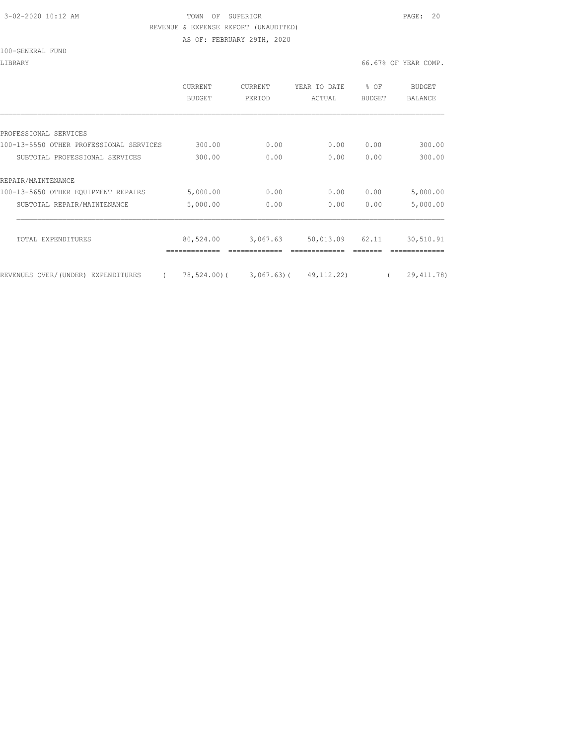### 3-02-2020 10:12 AM TOWN OF SUPERIOR PAGE: 20 REVENUE & EXPENSE REPORT (UNAUDITED)

AS OF: FEBRUARY 29TH, 2020

#### 100-GENERAL FUND

#### LIBRARY 66.67% OF YEAR COMP.

|                                                | <b>CURRENT</b><br>BUDGET | <b>CURRENT</b><br>PERIOD | YEAR TO DATE<br>ACTUAL     | % OF<br><b>BUDGET</b> | BUDGET<br>BALANCE |
|------------------------------------------------|--------------------------|--------------------------|----------------------------|-----------------------|-------------------|
|                                                |                          |                          |                            |                       |                   |
| PROFESSIONAL SERVICES                          |                          |                          |                            |                       |                   |
| 100-13-5550 OTHER PROFESSIONAL SERVICES        | 300.00                   | 0.00                     | 0.00                       | 0.00                  | 300.00            |
| SUBTOTAL PROFESSIONAL SERVICES                 | 300.00                   | 0.00                     | 0.00                       | 0.00                  | 300.00            |
| REPAIR/MAINTENANCE                             |                          |                          |                            |                       |                   |
| 100-13-5650 OTHER EQUIPMENT REPAIRS            | 5,000.00                 | 0.00                     | 0.00                       | 0.00                  | 5,000.00          |
| SUBTOTAL REPAIR/MAINTENANCE                    | 5,000.00                 | 0.00                     | 0.00                       | 0.00                  | 5,000.00          |
|                                                |                          |                          |                            |                       |                   |
| TOTAL EXPENDITURES                             | 80,524.00                | 3,067.63                 | 50,013.09                  | 62.11                 | 30,510.91         |
|                                                |                          |                          |                            |                       |                   |
| REVENUES OVER/(UNDER) EXPENDITURES<br>$\left($ | 78,524.00)(              |                          | $3,067.63$ ( $49,112.22$ ) |                       | 29, 411.78)       |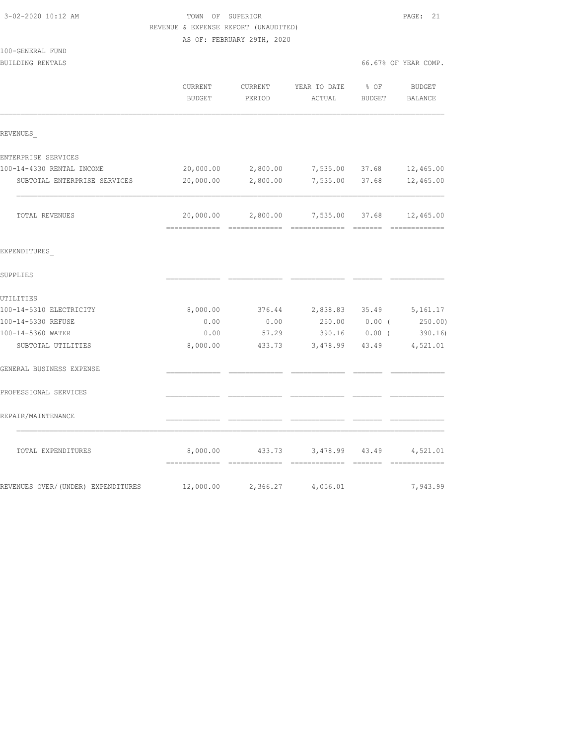|                                    | REVENUE & EXPENSE REPORT (UNAUDITED) |                            |                |               |                      |
|------------------------------------|--------------------------------------|----------------------------|----------------|---------------|----------------------|
|                                    |                                      | AS OF: FEBRUARY 29TH, 2020 |                |               |                      |
| 100-GENERAL FUND                   |                                      |                            |                |               |                      |
| BUILDING RENTALS                   |                                      |                            |                |               | 66.67% OF YEAR COMP. |
|                                    | CURRENT                              | CURRENT                    | YEAR TO DATE   | $8$ OF        | BUDGET               |
|                                    | <b>BUDGET</b>                        | PERIOD                     | ACTUAL         | <b>BUDGET</b> | BALANCE              |
| REVENUES                           |                                      |                            |                |               |                      |
| ENTERPRISE SERVICES                |                                      |                            |                |               |                      |
| 100-14-4330 RENTAL INCOME          | 20,000.00                            | 2,800.00                   | 7,535.00 37.68 |               | 12,465.00            |
| SUBTOTAL ENTERPRISE SERVICES       | 20,000.00                            | 2,800.00                   | 7,535.00       | 37.68         | 12,465.00            |
| TOTAL REVENUES                     | 20,000.00                            | 2,800.00                   | 7,535.00       | 37.68         | 12,465.00            |
| EXPENDITURES                       |                                      |                            |                |               |                      |
| SUPPLIES                           |                                      |                            |                |               |                      |
| UTILITIES                          |                                      |                            |                |               |                      |
| 100-14-5310 ELECTRICITY            | 8,000.00                             | 376.44                     | 2,838.83 35.49 |               | 5,161.17             |
| 100-14-5330 REFUSE                 | 0.00                                 | 0.00                       | 250.00         | $0.00$ (      | 250.00)              |
| 100-14-5360 WATER                  | 0.00                                 | 57.29                      | 390.16         | $0.00$ (      | 390.16               |
| SUBTOTAL UTILITIES                 | 8,000.00                             | 433.73                     | 3,478.99       | 43.49         | 4,521.01             |
| GENERAL BUSINESS EXPENSE           |                                      |                            |                |               |                      |
| PROFESSIONAL SERVICES              |                                      |                            |                |               |                      |
| REPAIR/MAINTENANCE                 |                                      |                            |                |               |                      |
| TOTAL EXPENDITURES                 | 8,000.00                             | 433.73                     | 3,478.99       | 43.49         | 4,521.01             |
| REVENUES OVER/(UNDER) EXPENDITURES | 12,000.00                            | 2,366.27                   | 4,056.01       |               | 7,943.99             |

3-02-2020 10:12 AM TOWN OF SUPERIOR PAGE: 21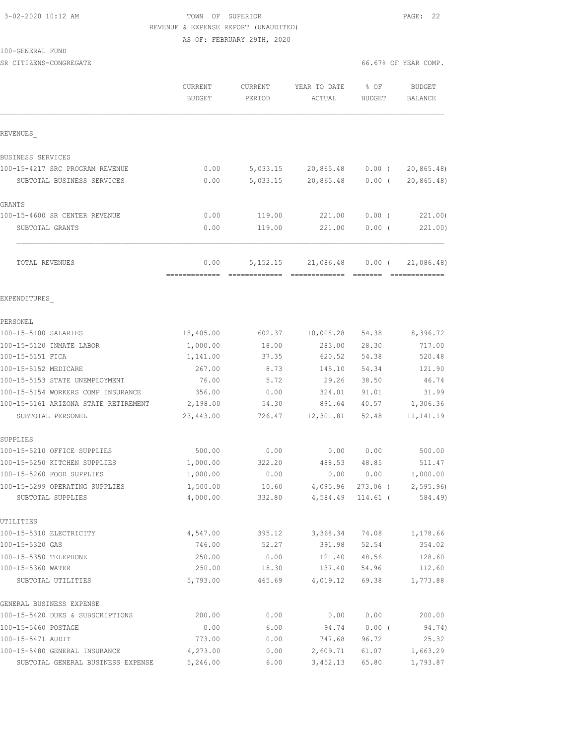### 3-02-2020 10:12 AM TOWN OF SUPERIOR PAGE: 22 REVENUE & EXPENSE REPORT (UNAUDITED) AS OF: FEBRUARY 29TH, 2020

### 100-GENERAL FUND

SR CITIZENS-CONGREGATE SERVICES AND RESOLUTION OF SERVICES AND RESOLUTION OF SERVICES AND SERVICES AND SERVICES

|                                      | CURRENT<br>BUDGET | CURRENT<br>PERIOD | YEAR TO DATE<br>ACTUAL | % OF<br><b>BUDGET</b> | <b>BUDGET</b><br>BALANCE |
|--------------------------------------|-------------------|-------------------|------------------------|-----------------------|--------------------------|
| REVENUES                             |                   |                   |                        |                       |                          |
| BUSINESS SERVICES                    |                   |                   |                        |                       |                          |
| 100-15-4217 SRC PROGRAM REVENUE      | 0.00              | 5,033.15          | 20,865.48              | $0.00$ (              | 20, 865.48               |
| SUBTOTAL BUSINESS SERVICES           | 0.00              | 5,033.15          | 20,865.48              | $0.00$ (              | 20, 865.48               |
| GRANTS                               |                   |                   |                        |                       |                          |
| 100-15-4600 SR CENTER REVENUE        | 0.00              | 119.00            | 221.00                 | $0.00$ (              | 221.00)                  |
| SUBTOTAL GRANTS                      | 0.00              | 119.00            | 221.00                 | $0.00$ (              | 221.00)                  |
| TOTAL REVENUES                       | 0.00              | 5, 152. 15        | 21,086.48              | $0.00$ (              | 21,086.48)               |
| EXPENDITURES                         |                   |                   |                        |                       |                          |
| PERSONEL                             |                   |                   |                        |                       |                          |
| 100-15-5100 SALARIES                 | 18,405.00         | 602.37            | 10,008.28              | 54.38                 | 8,396.72                 |
| 100-15-5120 INMATE LABOR             | 1,000.00          | 18.00             | 283.00                 | 28.30                 | 717.00                   |
| 100-15-5151 FICA                     | 1,141.00          | 37.35             | 620.52                 | 54.38                 | 520.48                   |
| 100-15-5152 MEDICARE                 | 267.00            | 8.73              | 145.10                 | 54.34                 | 121.90                   |
| 100-15-5153 STATE UNEMPLOYMENT       | 76.00             | 5.72              | 29.26                  | 38.50                 | 46.74                    |
| 100-15-5154 WORKERS COMP INSURANCE   | 356.00            | 0.00              | 324.01                 | 91.01                 | 31.99                    |
| 100-15-5161 ARIZONA STATE RETIREMENT | 2,198.00          | 54.30             | 891.64                 | 40.57                 | 1,306.36                 |
| SUBTOTAL PERSONEL                    | 23,443.00         | 726.47            | 12,301.81              | 52.48                 | 11, 141. 19              |
| SUPPLIES                             |                   |                   |                        |                       |                          |
| 100-15-5210 OFFICE SUPPLIES          | 500.00            | 0.00              | 0.00                   | 0.00                  | 500.00                   |
| 100-15-5250 KITCHEN SUPPLIES         | 1,000.00          | 322.20            | 488.53                 | 48.85                 | 511.47                   |
| 100-15-5260 FOOD SUPPLIES            | 1,000.00          | 0.00              | 0.00                   | 0.00                  | 1,000.00                 |
| 100-15-5299 OPERATING SUPPLIES       | 1,500.00          | 10.60             | 4,095.96               | $273.06$ (            | 2, 595.96                |
| SUBTOTAL SUPPLIES                    | 4,000.00          | 332.80            |                        | 4,584.49 114.61 (     | 584.49)                  |
| UTILITIES                            |                   |                   |                        |                       |                          |
| 100-15-5310 ELECTRICITY              | 4,547.00          | 395.12            | 3,368.34               | 74.08                 | 1,178.66                 |
| 100-15-5320 GAS                      | 746.00            | 52.27             | 391.98                 | 52.54                 | 354.02                   |
| 100-15-5350 TELEPHONE                | 250.00            | 0.00              | 121.40                 | 48.56                 | 128.60                   |
| 100-15-5360 WATER                    | 250.00            | 18.30             | 137.40                 | 54.96                 | 112.60                   |
| SUBTOTAL UTILITIES                   | 5,793.00          | 465.69            | 4,019.12               | 69.38                 | 1,773.88                 |
| GENERAL BUSINESS EXPENSE             |                   |                   |                        |                       |                          |
| 100-15-5420 DUES & SUBSCRIPTIONS     | 200.00            | 0.00              | 0.00                   | 0.00                  | 200.00                   |
| 100-15-5460 POSTAGE                  | 0.00              | 6.00              | 94.74                  | 0.00(                 | 94.74)                   |
| 100-15-5471 AUDIT                    | 773.00            | 0.00              | 747.68                 | 96.72                 | 25.32                    |
| 100-15-5480 GENERAL INSURANCE        | 4,273.00          | 0.00              | 2,609.71               | 61.07                 | 1,663.29                 |
| SUBTOTAL GENERAL BUSINESS EXPENSE    | 5,246.00          | 6.00              | 3,452.13               | 65.80                 | 1,793.87                 |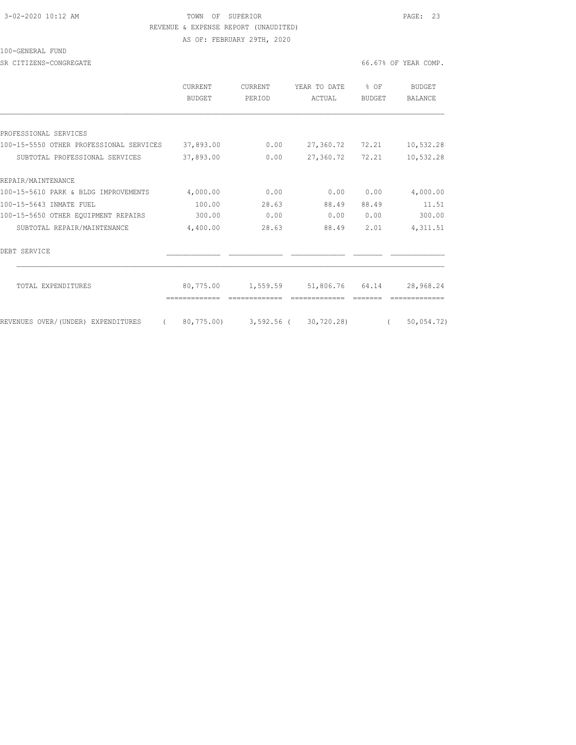# 3-02-2020 10:12 AM TOWN OF SUPERIOR PAGE: 23 REVENUE & EXPENSE REPORT (UNAUDITED)

AS OF: FEBRUARY 29TH, 2020

#### 100-GENERAL FUND

SR CITIZENS-CONGREGATE **66.67%** OF YEAR COMP.

|                                         | <b>CURRENT</b><br><b>BUDGET</b> | <b>CURRENT</b><br>PERIOD | YEAR TO DATE<br>ACTUAL | % OF<br><b>BUDGET</b> | BUDGET<br><b>BALANCE</b> |
|-----------------------------------------|---------------------------------|--------------------------|------------------------|-----------------------|--------------------------|
|                                         |                                 |                          |                        |                       |                          |
| PROFESSIONAL SERVICES                   |                                 |                          |                        |                       |                          |
| 100-15-5550 OTHER PROFESSIONAL SERVICES | 37,893.00                       | 0.00                     | 27,360.72              | 72.21                 | 10,532.28                |
| SUBTOTAL PROFESSIONAL SERVICES          | 37,893.00                       | 0.00                     | 27,360.72              | 72.21                 | 10,532.28                |
| REPAIR/MAINTENANCE                      |                                 |                          |                        |                       |                          |
| 100-15-5610 PARK & BLDG IMPROVEMENTS    | 4,000.00                        | 0.00                     | 0.00                   | 0.00                  | 4,000.00                 |
| 100-15-5643 INMATE FUEL                 | 100.00                          | 28.63                    | 88.49                  | 88.49                 | 11.51                    |
| 100-15-5650 OTHER EQUIPMENT REPAIRS     | 300.00                          | 0.00                     | 0.00                   | 0.00                  | 300.00                   |
| SUBTOTAL REPAIR/MAINTENANCE             | 4,400.00                        | 28.63                    | 88.49                  | 2.01                  | 4, 311.51                |
| DEBT SERVICE                            |                                 |                          |                        |                       |                          |
| TOTAL EXPENDITURES                      | 80,775.00                       | 1,559.59                 | 51,806.76              | 64.14                 | 28,968.24                |
| REVENUES OVER/(UNDER) EXPENDITURES      | 80,775.00)                      | 3,592.56 (               | 30,720.28)             |                       | 50,054.72)               |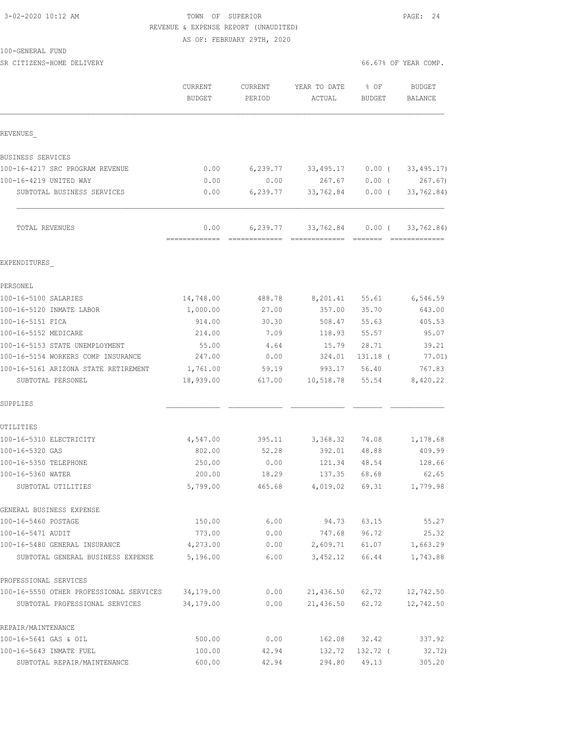# TOWN OF SUPERIOR **PAGE:** 24 REVENUE & EXPENSE REPORT (UNAUDITED)

AS OF: FEBRUARY 29TH, 2020

| 100-GENERAL FUND |  |
|------------------|--|
|------------------|--|

| REVENUES                                          |                               |          |           |                           |             |
|---------------------------------------------------|-------------------------------|----------|-----------|---------------------------|-------------|
| <b>BUSINESS SERVICES</b>                          |                               |          |           |                           |             |
| 100-16-4217 SRC PROGRAM REVENUE                   | 0.00                          | 6,239.77 | 33,495.17 | 0.00(                     | 33, 495.17) |
| 100-16-4219 UNITED WAY                            | 0.00                          | 0.00     | 267.67    | 0.00(                     | 267.67)     |
| SUBTOTAL BUSINESS SERVICES                        | 0.00                          | 6,239.77 | 33,762.84 | $0.00$ (                  | 33,762.84)  |
| TOTAL REVENUES                                    | 0.00<br>-------------- ------ | 6,239.77 | 33,762.84 | $0.00$ (<br>----- ------- | 33,762.84)  |
| EXPENDITURES                                      |                               |          |           |                           |             |
| PERSONEL                                          |                               |          |           |                           |             |
| 100-16-5100 SALARIES                              | 14,748.00                     | 488.78   | 8,201.41  | 55.61                     | 6,546.59    |
| 100-16-5120 INMATE LABOR                          | 1,000.00                      | 27.00    | 357.00    | 35.70                     | 643.00      |
| 100-16-5151 FICA                                  | 914.00                        | 30.30    | 508.47    | 55.63                     | 405.53      |
| 100-16-5152 MEDICARE                              | 214.00                        | 7.09     | 118.93    | 55.57                     | 95.07       |
| 100-16-5153 STATE UNEMPLOYMENT                    | 55.00                         | 4.64     | 15.79     | 28.71                     | 39.21       |
| 100-16-5154 WORKERS COMP INSURANCE                | 247.00                        | 0.00     | 324.01    | 131.18 (                  | 77.01)      |
| 100-16-5161 ARIZONA STATE RETIREMENT              | 1,761.00                      | 59.19    | 993.17    | 56.40                     | 767.83      |
| SUBTOTAL PERSONEL                                 | 18,939.00                     | 617.00   | 10,518.78 | 55.54                     | 8,420.22    |
| SUPPLIES                                          |                               |          |           |                           |             |
| UTILITIES                                         |                               |          |           |                           |             |
| 100-16-5310 ELECTRICITY                           | 4,547.00                      | 395.11   | 3,368.32  | 74.08                     | 1,178.68    |
| 100-16-5320 GAS                                   | 802.00                        | 52.28    | 392.01    | 48.88                     | 409.99      |
| 100-16-5350 TELEPHONE                             | 250.00                        | 0.00     | 121.34    | 48.54                     | 128.66      |
| 100-16-5360 WATER                                 | 200.00                        | 18.29    | 137.35    | 68.68                     | 62.65       |
| SUBTOTAL UTILITIES                                | 5,799.00                      | 465.68   | 4,019.02  | 69.31                     | 1,779.98    |
| GENERAL BUSINESS EXPENSE                          |                               |          |           |                           |             |
| 100-16-5460 POSTAGE                               | 150.00                        | 6.00     | 94.73     | 63.15                     | 55.27       |
| 100-16-5471 AUDIT                                 | 773.00                        | 0.00     | 747.68    | 96.72                     | 25.32       |
| 100-16-5480 GENERAL INSURANCE                     | 4,273.00                      | 0.00     |           | 2,609.71 61.07            | 1,663.29    |
| SUBTOTAL GENERAL BUSINESS EXPENSE 5,196.00        |                               | 6.00     |           | 3,452.12 66.44            | 1,743.88    |
| PROFESSIONAL SERVICES                             |                               |          |           |                           |             |
| 100-16-5550 OTHER PROFESSIONAL SERVICES 34,179.00 |                               | 0.00     |           | 21,436.50 62.72           | 12,742.50   |
| SUBTOTAL PROFESSIONAL SERVICES                    | 34,179.00                     | 0.00     |           | 21,436.50 62.72           | 12,742.50   |
| REPAIR/MAINTENANCE                                |                               |          |           |                           |             |
| 100-16-5641 GAS & OIL                             | 500.00                        | 0.00     |           | 162.08 32.42              | 337.92      |
| 100-16-5643 INMATE FUEL                           | 100.00                        | 42.94    | 132.72    | 132.72 (                  | 32.72)      |
| SUBTOTAL REPAIR/MAINTENANCE                       | 600.00                        | 42.94    | 294.80    | 49.13                     | 305.20      |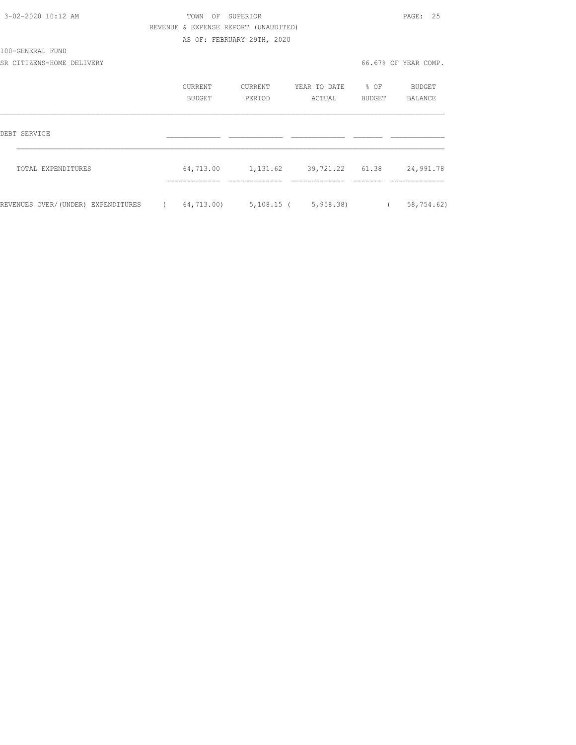| 3-02-2020 10:12 AM                 |            | TOWN OF SUPERIOR |                                      |                                             |          | PAGE: 25             |
|------------------------------------|------------|------------------|--------------------------------------|---------------------------------------------|----------|----------------------|
|                                    |            |                  | REVENUE & EXPENSE REPORT (UNAUDITED) |                                             |          |                      |
|                                    |            |                  | AS OF: FEBRUARY 29TH, 2020           |                                             |          |                      |
| 100-GENERAL FUND                   |            |                  |                                      |                                             |          |                      |
| SR CITIZENS-HOME DELIVERY          |            |                  |                                      |                                             |          | 66.67% OF YEAR COMP. |
|                                    |            | CURRENT          | CURRENT                              | YEAR TO DATE % OF                           |          | BUDGET               |
|                                    |            | BUDGET           | PERIOD                               | ACTUAL                                      | BUDGET   | BALANCE              |
| DEBT SERVICE                       |            |                  |                                      |                                             |          |                      |
| TOTAL EXPENDITURES                 |            |                  |                                      | 64,713.00    1,131.62    39,721.22    61.38 |          | 24,991.78            |
|                                    |            |                  |                                      |                                             |          |                      |
| REVENUES OVER/(UNDER) EXPENDITURES | $\sqrt{2}$ |                  |                                      | 64,713.00) 5,108.15 ( 5,958.38)             | $\left($ | 58,754.62)           |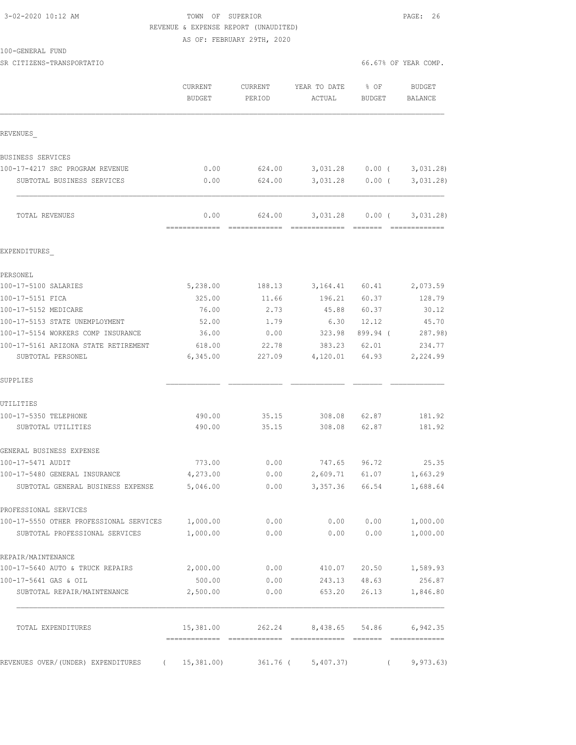100-GENERAL FUND

### TOWN OF SUPERIOR **10:2000** PAGE: 26 REVENUE & EXPENSE REPORT (UNAUDITED) AS OF: FEBRUARY 29TH, 2020

| SR CITIZENS-TRANSPORTATIO | 66.67% OF YEAR COMP. |  |
|---------------------------|----------------------|--|
|                           |                      |  |

|                                         | CURRENT<br><b>BUDGET</b> | CURRENT<br>PERIOD       | YEAR TO DATE<br>ACTUAL  | % OF<br>BUDGET | <b>BUDGET</b><br>BALANCE |
|-----------------------------------------|--------------------------|-------------------------|-------------------------|----------------|--------------------------|
| REVENUES                                |                          |                         |                         |                |                          |
| BUSINESS SERVICES                       |                          |                         |                         |                |                          |
| 100-17-4217 SRC PROGRAM REVENUE         | 0.00                     | 624.00                  | 3,031.28                | $0.00$ (       | 3,031.28                 |
| SUBTOTAL BUSINESS SERVICES              | 0.00                     | 624.00                  | 3,031.28                | $0.00$ (       | 3,031,28                 |
|                                         |                          |                         |                         |                |                          |
| TOTAL REVENUES                          | 0.00<br>=============    | 624.00<br>============= | 3,031.28<br>----------- | $0.00$ (       | 3,031.28)                |
| EXPENDITURES                            |                          |                         |                         |                |                          |
| PERSONEL                                |                          |                         |                         |                |                          |
| 100-17-5100 SALARIES                    | 5,238.00                 | 188.13                  | 3,164.41                | 60.41          | 2,073.59                 |
| 100-17-5151 FICA                        | 325.00                   | 11.66                   | 196.21                  | 60.37          | 128.79                   |
| 100-17-5152 MEDICARE                    | 76.00                    | 2.73                    | 45.88                   | 60.37          | 30.12                    |
| 100-17-5153 STATE UNEMPLOYMENT          | 52.00                    | 1.79                    | 6.30                    | 12.12          | 45.70                    |
| 100-17-5154 WORKERS COMP INSURANCE      | 36.00                    | 0.00                    | 323.98                  | 899.94 (       | 287.98)                  |
| 100-17-5161 ARIZONA STATE RETIREMENT    | 618.00                   | 22.78                   | 383.23                  | 62.01          | 234.77                   |
| SUBTOTAL PERSONEL                       | 6,345.00                 | 227.09                  | 4,120.01                | 64.93          | 2,224.99                 |
| SUPPLIES                                |                          |                         |                         |                |                          |
| UTILITIES                               |                          |                         |                         |                |                          |
| 100-17-5350 TELEPHONE                   | 490.00                   | 35.15                   | 308.08                  | 62.87          | 181.92                   |
| SUBTOTAL UTILITIES                      | 490.00                   | 35.15                   | 308.08                  | 62.87          | 181.92                   |
| GENERAL BUSINESS EXPENSE                |                          |                         |                         |                |                          |
| 100-17-5471 AUDIT                       | 773.00                   | 0.00                    | 747.65                  | 96.72          | 25.35                    |
| 100-17-5480 GENERAL INSURANCE           | 4,273.00                 | 0.00                    | 2,609.71                | 61.07          | 1,663.29                 |
| SUBTOTAL GENERAL BUSINESS EXPENSE       | 5,046.00                 | 0.00                    | 3,357.36                | 66.54          | 1,688.64                 |
| PROFESSIONAL SERVICES                   |                          |                         |                         |                |                          |
| 100-17-5550 OTHER PROFESSIONAL SERVICES | 1,000.00                 | 0.00                    | 0.00                    | 0.00           | 1,000.00                 |
| SUBTOTAL PROFESSIONAL SERVICES          | 1,000.00                 | 0.00                    | 0.00                    | 0.00           | 1,000.00                 |
| REPAIR/MAINTENANCE                      |                          |                         |                         |                |                          |
| 100-17-5640 AUTO & TRUCK REPAIRS        | 2,000.00                 | 0.00                    | 410.07                  | 20.50          | 1,589.93                 |
| 100-17-5641 GAS & OIL                   | 500.00                   | 0.00                    | 243.13                  | 48.63          | 256.87                   |
| SUBTOTAL REPAIR/MAINTENANCE             | 2,500.00                 | 0.00                    | 653.20                  | 26.13          | 1,846.80                 |
| TOTAL EXPENDITURES                      | 15,381.00                | 262.24                  | 8,438.65                | 54.86          | 6,942.35                 |
| REVENUES OVER/(UNDER) EXPENDITURES      | 15,381.00)               | 361.76 (                | 5,407.37)               |                | 9,973.63)                |
|                                         |                          |                         |                         |                |                          |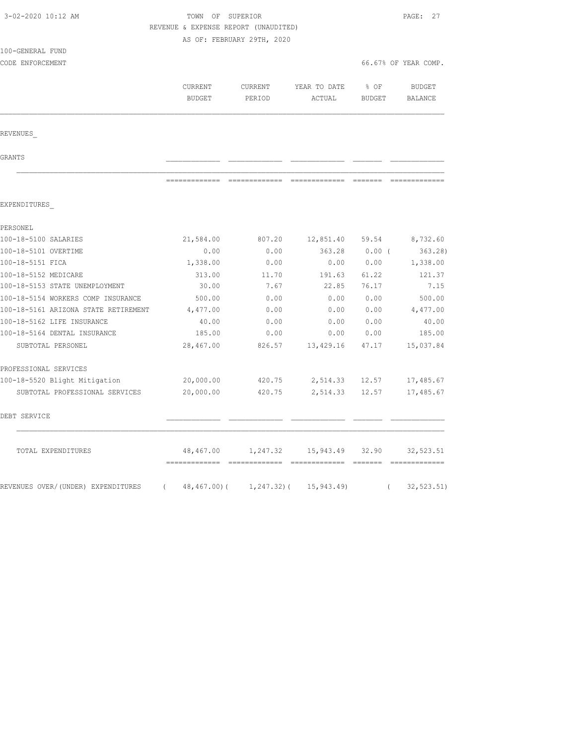| 3-02-2020 10:12 AM                   |                                      | TOWN OF SUPERIOR           |              |          |                      |
|--------------------------------------|--------------------------------------|----------------------------|--------------|----------|----------------------|
|                                      | REVENUE & EXPENSE REPORT (UNAUDITED) |                            |              |          |                      |
|                                      |                                      | AS OF: FEBRUARY 29TH, 2020 |              |          |                      |
| 100-GENERAL FUND<br>CODE ENFORCEMENT |                                      |                            |              |          | 66.67% OF YEAR COMP. |
|                                      |                                      |                            |              |          |                      |
|                                      | CURRENT                              | CURRENT                    | YEAR TO DATE | % OF     | <b>BUDGET</b>        |
|                                      | <b>BUDGET</b>                        | PERIOD                     | ACTUAL       | BUDGET   | BALANCE              |
|                                      |                                      |                            |              |          |                      |
| REVENUES                             |                                      |                            |              |          |                      |
| GRANTS                               |                                      |                            |              |          |                      |
|                                      |                                      |                            |              |          |                      |
| EXPENDITURES                         |                                      |                            |              |          |                      |
| PERSONEL                             |                                      |                            |              |          |                      |
| 100-18-5100 SALARIES                 | 21,584.00                            | 807.20                     | 12,851.40    | 59.54    | 8,732.60             |
| 100-18-5101 OVERTIME                 | 0.00                                 | 0.00                       | 363.28       | $0.00$ ( | 363.28)              |
| 100-18-5151 FICA                     | 1,338.00                             | 0.00                       | 0.00         | 0.00     | 1,338.00             |
| 100-18-5152 MEDICARE                 | 313.00                               | 11.70                      | 191.63       | 61.22    | 121.37               |
| 100-18-5153 STATE UNEMPLOYMENT       | 30.00                                | 7.67                       | 22.85        | 76.17    | 7.15                 |
| 100-18-5154 WORKERS COMP INSURANCE   | 500.00                               | 0.00                       | 0.00         | 0.00     | 500.00               |
| 100-18-5161 ARIZONA STATE RETIREMENT | 4,477.00                             | 0.00                       | 0.00         | 0.00     | 4,477.00             |
| 100-18-5162 LIFE INSURANCE           | 40.00                                | 0.00                       | 0.00         | 0.00     | 40.00                |
| 100-18-5164 DENTAL INSURANCE         | 185.00                               | 0.00                       | 0.00         | 0.00     | 185.00               |
| SUBTOTAL PERSONEL                    | 28,467.00                            | 826.57                     | 13,429.16    | 47.17    | 15,037.84            |
| PROFESSIONAL SERVICES                |                                      |                            |              |          |                      |
| 100-18-5520 Blight Mitigation        | 20,000.00                            | 420.75                     | 2,514.33     | 12.57    | 17,485.67            |
| SUBTOTAL PROFESSIONAL SERVICES       | 20,000.00                            | 420.75                     | 2,514.33     | 12.57    | 17,485.67            |
| DEBT SERVICE                         |                                      |                            |              |          |                      |
| TOTAL EXPENDITURES                   | 48,467.00                            | 1,247.32                   | 15,943.49    | 32.90    | 32, 523.51           |
| REVENUES OVER/(UNDER) EXPENDITURES   | 48,467.00)(<br>$\left($              | $1, 247.32)$ (             | 15, 943.49   | $\left($ | 32, 523.51)          |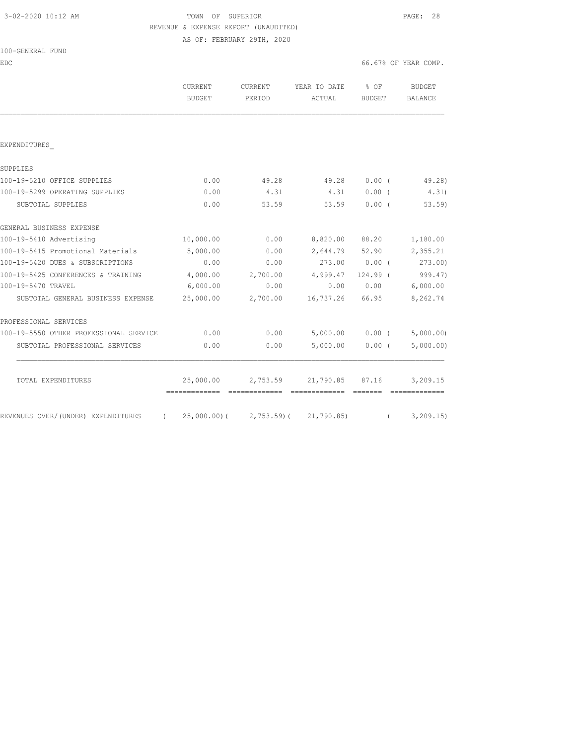### 3-02-2020 10:12 AM TOWN OF SUPERIOR PAGE: 28 REVENUE & EXPENSE REPORT (UNAUDITED) AS OF: FEBRUARY 29TH, 2020

|  | 100-GENERAL FUND |  |
|--|------------------|--|
|  |                  |  |

EDC 66.67% OF YEAR COMP.

|                                                | CURRENT<br><b>BUDGET</b> | CURRENT<br>PERIOD                                                                                                                                                                                                                                                                                                                                                                                                                                                                      | YEAR TO DATE<br>ACTUAL                                                                                                                                                                                                                                                                                                                                                                                                                                                                 | $8$ OF<br>BUDGET                                                                                                                                                                                                                                                                                                                                                                                                                                                                                                                                                                              | BUDGET<br>BALANCE              |
|------------------------------------------------|--------------------------|----------------------------------------------------------------------------------------------------------------------------------------------------------------------------------------------------------------------------------------------------------------------------------------------------------------------------------------------------------------------------------------------------------------------------------------------------------------------------------------|----------------------------------------------------------------------------------------------------------------------------------------------------------------------------------------------------------------------------------------------------------------------------------------------------------------------------------------------------------------------------------------------------------------------------------------------------------------------------------------|-----------------------------------------------------------------------------------------------------------------------------------------------------------------------------------------------------------------------------------------------------------------------------------------------------------------------------------------------------------------------------------------------------------------------------------------------------------------------------------------------------------------------------------------------------------------------------------------------|--------------------------------|
|                                                |                          |                                                                                                                                                                                                                                                                                                                                                                                                                                                                                        |                                                                                                                                                                                                                                                                                                                                                                                                                                                                                        |                                                                                                                                                                                                                                                                                                                                                                                                                                                                                                                                                                                               |                                |
| EXPENDITURES                                   |                          |                                                                                                                                                                                                                                                                                                                                                                                                                                                                                        |                                                                                                                                                                                                                                                                                                                                                                                                                                                                                        |                                                                                                                                                                                                                                                                                                                                                                                                                                                                                                                                                                                               |                                |
| SUPPLIES                                       |                          |                                                                                                                                                                                                                                                                                                                                                                                                                                                                                        |                                                                                                                                                                                                                                                                                                                                                                                                                                                                                        |                                                                                                                                                                                                                                                                                                                                                                                                                                                                                                                                                                                               |                                |
| 100-19-5210 OFFICE SUPPLIES                    | 0.00                     | 49.28                                                                                                                                                                                                                                                                                                                                                                                                                                                                                  | 49.28                                                                                                                                                                                                                                                                                                                                                                                                                                                                                  | $0.00$ (                                                                                                                                                                                                                                                                                                                                                                                                                                                                                                                                                                                      | 49.28)                         |
| 100-19-5299 OPERATING SUPPLIES                 | 0.00                     | 4.31                                                                                                                                                                                                                                                                                                                                                                                                                                                                                   | 4.31                                                                                                                                                                                                                                                                                                                                                                                                                                                                                   | $0.00$ (                                                                                                                                                                                                                                                                                                                                                                                                                                                                                                                                                                                      | 4.31)                          |
| SUBTOTAL SUPPLIES                              | 0.00                     | 53.59                                                                                                                                                                                                                                                                                                                                                                                                                                                                                  | 53.59                                                                                                                                                                                                                                                                                                                                                                                                                                                                                  | 0.00(                                                                                                                                                                                                                                                                                                                                                                                                                                                                                                                                                                                         | $53.59$ )                      |
| GENERAL BUSINESS EXPENSE                       |                          |                                                                                                                                                                                                                                                                                                                                                                                                                                                                                        |                                                                                                                                                                                                                                                                                                                                                                                                                                                                                        |                                                                                                                                                                                                                                                                                                                                                                                                                                                                                                                                                                                               |                                |
| 100-19-5410 Advertising                        | 10,000.00                | 0.00                                                                                                                                                                                                                                                                                                                                                                                                                                                                                   | 8,820.00                                                                                                                                                                                                                                                                                                                                                                                                                                                                               | 88.20                                                                                                                                                                                                                                                                                                                                                                                                                                                                                                                                                                                         | 1,180.00                       |
| 100-19-5415 Promotional Materials              | 5,000.00                 | 0.00                                                                                                                                                                                                                                                                                                                                                                                                                                                                                   |                                                                                                                                                                                                                                                                                                                                                                                                                                                                                        | 2,644.79 52.90                                                                                                                                                                                                                                                                                                                                                                                                                                                                                                                                                                                | 2,355.21                       |
| 100-19-5420 DUES & SUBSCRIPTIONS               | 0.00                     | 0.00                                                                                                                                                                                                                                                                                                                                                                                                                                                                                   | 273.00 0.00 (                                                                                                                                                                                                                                                                                                                                                                                                                                                                          |                                                                                                                                                                                                                                                                                                                                                                                                                                                                                                                                                                                               | 273.00)                        |
| 100-19-5425 CONFERENCES & TRAINING             | 4,000.00                 | 2,700.00                                                                                                                                                                                                                                                                                                                                                                                                                                                                               | 4,999.47                                                                                                                                                                                                                                                                                                                                                                                                                                                                               | 124.99 (                                                                                                                                                                                                                                                                                                                                                                                                                                                                                                                                                                                      | 999.47)                        |
| 100-19-5470 TRAVEL                             | 6,000.00                 | 0.00                                                                                                                                                                                                                                                                                                                                                                                                                                                                                   | 0.00                                                                                                                                                                                                                                                                                                                                                                                                                                                                                   | 0.00                                                                                                                                                                                                                                                                                                                                                                                                                                                                                                                                                                                          | 6,000.00                       |
| SUBTOTAL GENERAL BUSINESS EXPENSE              | 25,000.00                | 2,700.00                                                                                                                                                                                                                                                                                                                                                                                                                                                                               | 16,737.26                                                                                                                                                                                                                                                                                                                                                                                                                                                                              | 66.95                                                                                                                                                                                                                                                                                                                                                                                                                                                                                                                                                                                         | 8,262.74                       |
| PROFESSIONAL SERVICES                          |                          |                                                                                                                                                                                                                                                                                                                                                                                                                                                                                        |                                                                                                                                                                                                                                                                                                                                                                                                                                                                                        |                                                                                                                                                                                                                                                                                                                                                                                                                                                                                                                                                                                               |                                |
| 100-19-5550 OTHER PROFESSIONAL SERVICE         | 0.00                     | 0.00                                                                                                                                                                                                                                                                                                                                                                                                                                                                                   |                                                                                                                                                                                                                                                                                                                                                                                                                                                                                        |                                                                                                                                                                                                                                                                                                                                                                                                                                                                                                                                                                                               | $5,000.00$ 0.00 ( $5,000.00$ ) |
| SUBTOTAL PROFESSIONAL SERVICES                 | 0.00                     | 0.00                                                                                                                                                                                                                                                                                                                                                                                                                                                                                   | 5,000.00                                                                                                                                                                                                                                                                                                                                                                                                                                                                               | $0.00$ (                                                                                                                                                                                                                                                                                                                                                                                                                                                                                                                                                                                      | 5,000.00)                      |
| TOTAL EXPENDITURES                             |                          |                                                                                                                                                                                                                                                                                                                                                                                                                                                                                        | 25,000.00 2,753.59 21,790.85 87.16                                                                                                                                                                                                                                                                                                                                                                                                                                                     |                                                                                                                                                                                                                                                                                                                                                                                                                                                                                                                                                                                               | 3,209.15                       |
|                                                |                          | $\begin{array}{cccccccccccccc} \multicolumn{2}{c}{} & \multicolumn{2}{c}{} & \multicolumn{2}{c}{} & \multicolumn{2}{c}{} & \multicolumn{2}{c}{} & \multicolumn{2}{c}{} & \multicolumn{2}{c}{} & \multicolumn{2}{c}{} & \multicolumn{2}{c}{} & \multicolumn{2}{c}{} & \multicolumn{2}{c}{} & \multicolumn{2}{c}{} & \multicolumn{2}{c}{} & \multicolumn{2}{c}{} & \multicolumn{2}{c}{} & \multicolumn{2}{c}{} & \multicolumn{2}{c}{} & \multicolumn{2}{c}{} & \multicolumn{2}{c}{} & \$ | $\begin{array}{cccccccccccccc} \multicolumn{2}{c}{} & \multicolumn{2}{c}{} & \multicolumn{2}{c}{} & \multicolumn{2}{c}{} & \multicolumn{2}{c}{} & \multicolumn{2}{c}{} & \multicolumn{2}{c}{} & \multicolumn{2}{c}{} & \multicolumn{2}{c}{} & \multicolumn{2}{c}{} & \multicolumn{2}{c}{} & \multicolumn{2}{c}{} & \multicolumn{2}{c}{} & \multicolumn{2}{c}{} & \multicolumn{2}{c}{} & \multicolumn{2}{c}{} & \multicolumn{2}{c}{} & \multicolumn{2}{c}{} & \multicolumn{2}{c}{} & \$ | $\qquad \qquad \overline{\qquad \qquad }=\overline{\qquad \qquad }=\overline{\qquad \qquad }=\overline{\qquad \qquad }=\overline{\qquad \qquad }=\overline{\qquad \qquad }=\overline{\qquad \qquad }=\overline{\qquad \qquad }=\overline{\qquad \qquad }=\overline{\qquad \qquad }=\overline{\qquad \qquad }=\overline{\qquad \qquad }=\overline{\qquad \qquad }=\overline{\qquad \qquad }=\overline{\qquad \qquad }=\overline{\qquad \qquad }=\overline{\qquad \qquad }=\overline{\qquad \qquad }=\overline{\qquad \qquad }=\overline{\qquad \qquad }=\overline{\qquad \qquad }=\overline{\$ | =============                  |
| REVENUES OVER/(UNDER) EXPENDITURES<br>$\left($ |                          |                                                                                                                                                                                                                                                                                                                                                                                                                                                                                        | 25,000.00) ( 2,753.59) ( 21,790.85)                                                                                                                                                                                                                                                                                                                                                                                                                                                    | $\left($                                                                                                                                                                                                                                                                                                                                                                                                                                                                                                                                                                                      | 3, 209.15                      |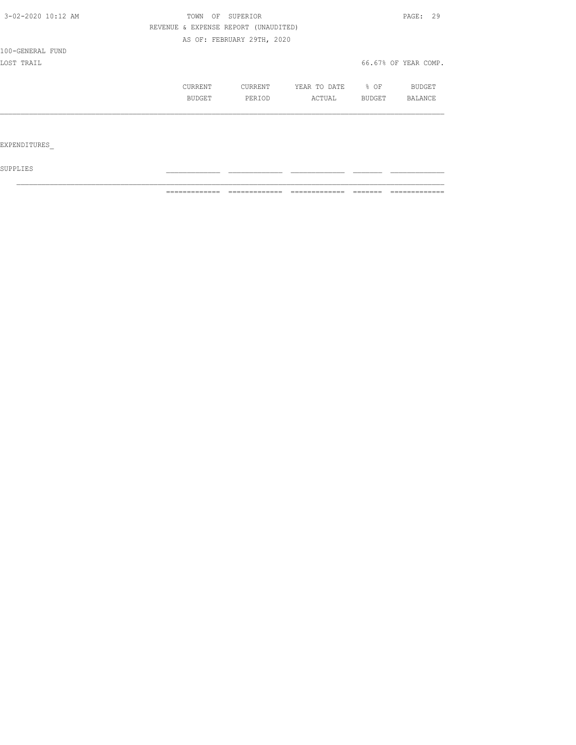| 3-02-2020 10:12 AM | OF<br>TOWN                           | SUPERIOR                   |              |        | PAGE: 29             |
|--------------------|--------------------------------------|----------------------------|--------------|--------|----------------------|
|                    | REVENUE & EXPENSE REPORT (UNAUDITED) |                            |              |        |                      |
|                    |                                      | AS OF: FEBRUARY 29TH, 2020 |              |        |                      |
| 100-GENERAL FUND   |                                      |                            |              |        |                      |
| LOST TRAIL         |                                      |                            |              |        | 66.67% OF YEAR COMP. |
|                    | CURRENT                              | CURRENT                    | YEAR TO DATE | $8$ OF | BUDGET               |
|                    | BUDGET                               | PERIOD                     | ACTUAL       | BUDGET | BALANCE              |
|                    |                                      |                            |              |        |                      |
|                    |                                      |                            |              |        |                      |
| EXPENDITURES       |                                      |                            |              |        |                      |

 ${\tt SUPPLIES}$ 

============= ============= ============= ======= =============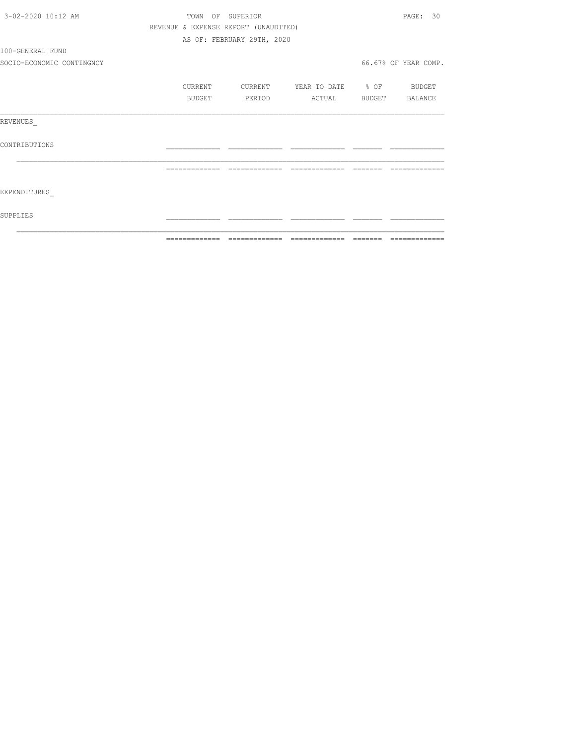| 3-02-2020 10:12 AM        |         | TOWN OF SUPERIOR                     |                          | PAGE: 30             |
|---------------------------|---------|--------------------------------------|--------------------------|----------------------|
|                           |         | REVENUE & EXPENSE REPORT (UNAUDITED) |                          |                      |
|                           |         | AS OF: FEBRUARY 29TH, 2020           |                          |                      |
| 100-GENERAL FUND          |         |                                      |                          |                      |
| SOCIO-ECONOMIC CONTINGNCY |         |                                      |                          | 66.67% OF YEAR COMP. |
|                           | CURRENT | CURRENT                              | YEAR TO DATE % OF BUDGET |                      |
|                           | BUDGET  | PERIOD                               | ACTUAL BUDGET BALANCE    |                      |
| REVENUES                  |         |                                      |                          |                      |
| CONTRIBUTIONS             |         |                                      |                          |                      |
|                           |         |                                      |                          | --------------       |
| EXPENDITURES              |         |                                      |                          |                      |
| SUPPLIES                  |         |                                      |                          |                      |
|                           |         |                                      |                          |                      |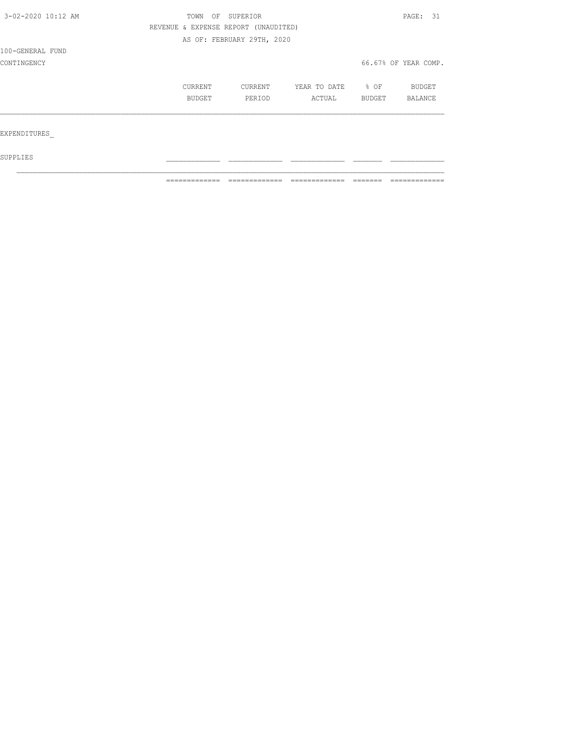| 3-02-2020 10:12 AM | SUPERIOR<br>TOWN<br>OF               |                            |              |                  | PAGE: 31             |
|--------------------|--------------------------------------|----------------------------|--------------|------------------|----------------------|
|                    | REVENUE & EXPENSE REPORT (UNAUDITED) |                            |              |                  |                      |
|                    |                                      | AS OF: FEBRUARY 29TH, 2020 |              |                  |                      |
| 100-GENERAL FUND   |                                      |                            |              |                  |                      |
| CONTINGENCY        |                                      |                            |              |                  | 66.67% OF YEAR COMP. |
|                    | CURRENT                              | CURRENT                    | YEAR TO DATE | $\textdegree$ OF | BUDGET               |
|                    | BUDGET                               | PERIOD                     | ACTUAL       | BUDGET           | BALANCE              |
| EXPENDITURES       |                                      |                            |              |                  |                      |
|                    |                                      |                            |              |                  |                      |
| SUPPLIES           |                                      |                            |              |                  |                      |

 $\mathcal{L}_\text{max}$ 

============= ============= ============= ======= =============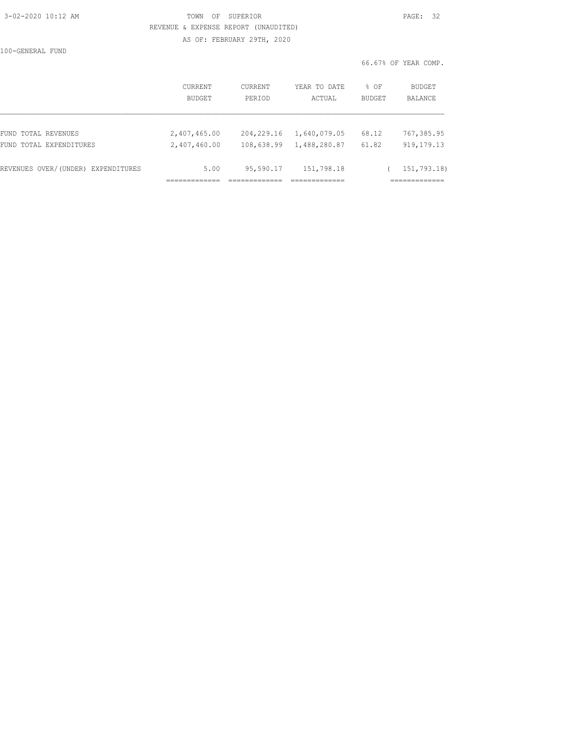### 3-02-2020 10:12 AM TOWN OF SUPERIOR PAGE: 32 REVENUE & EXPENSE REPORT (UNAUDITED) AS OF: FEBRUARY 29TH, 2020

100-GENERAL FUND

| PAGE : |  |
|--------|--|
|        |  |

66.67% OF YEAR COMP.

|                                    | <b>CURRENT</b> | <b>CURRENT</b> | YEAR TO DATE | $8$ OF        | BUDGET       |
|------------------------------------|----------------|----------------|--------------|---------------|--------------|
|                                    | <b>BUDGET</b>  | PERIOD         | ACTUAL       | <b>BUDGET</b> | BALANCE      |
| FUND TOTAL REVENUES                | 2,407,465.00   | 204,229.16     | 1,640,079.05 | 68.12         | 767,385.95   |
| FUND TOTAL EXPENDITURES            | 2,407,460.00   | 108,638.99     | 1,488,280.87 | 61.82         | 919, 179. 13 |
| REVENUES OVER/(UNDER) EXPENDITURES | 5.00           | 95,590.17      | 151,798.18   |               | 151,793.18)  |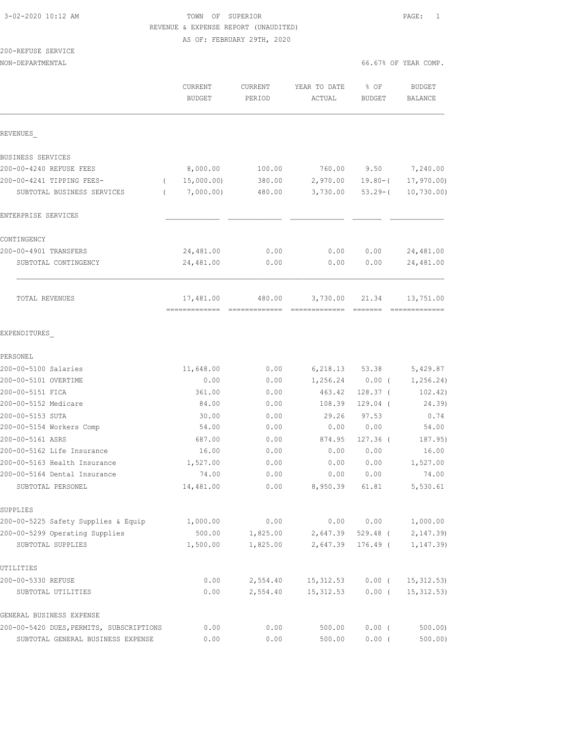### 3-02-2020 10:12 AM TOWN OF SUPERIOR PAGE: 1 REVENUE & EXPENSE REPORT (UNAUDITED) AS OF: FEBRUARY 29TH, 2020

200-REFUSE SERVICE  $N = 66.67$  OF  $N = 66$ 

| 6.67% OF YEAR COMP. |  |
|---------------------|--|
|---------------------|--|

|                                          | CURRENT<br><b>BUDGET</b>    | CURRENT<br>PERIOD       | YEAR TO DATE<br>ACTUAL    | % OF<br>BUDGET                                                                                                                                                                                                                                                                                                                                                                                                                                                                                | <b>BUDGET</b><br><b>BALANCE</b> |
|------------------------------------------|-----------------------------|-------------------------|---------------------------|-----------------------------------------------------------------------------------------------------------------------------------------------------------------------------------------------------------------------------------------------------------------------------------------------------------------------------------------------------------------------------------------------------------------------------------------------------------------------------------------------|---------------------------------|
| REVENUES                                 |                             |                         |                           |                                                                                                                                                                                                                                                                                                                                                                                                                                                                                               |                                 |
| BUSINESS SERVICES                        |                             |                         |                           |                                                                                                                                                                                                                                                                                                                                                                                                                                                                                               |                                 |
| 200-00-4240 REFUSE FEES                  | 8,000.00                    | 100.00                  | 760.00                    | 9.50                                                                                                                                                                                                                                                                                                                                                                                                                                                                                          | 7,240.00                        |
| 200-00-4241 TIPPING FEES-<br>$\left($    | 15,000.00)                  | 380.00                  | 2,970.00                  | $19.80 - ($                                                                                                                                                                                                                                                                                                                                                                                                                                                                                   | 17, 970.00                      |
| SUBTOTAL BUSINESS SERVICES<br>$\left($   | 7,000.00)                   | 480.00                  | 3,730.00                  | $53.29 - ($                                                                                                                                                                                                                                                                                                                                                                                                                                                                                   | $10,730.00$ )                   |
| ENTERPRISE SERVICES                      |                             |                         |                           |                                                                                                                                                                                                                                                                                                                                                                                                                                                                                               |                                 |
| CONTINGENCY                              |                             |                         |                           |                                                                                                                                                                                                                                                                                                                                                                                                                                                                                               |                                 |
| 200-00-4901 TRANSFERS                    | 24,481.00                   | 0.00                    | 0.00                      | 0.00                                                                                                                                                                                                                                                                                                                                                                                                                                                                                          | 24,481.00                       |
| SUBTOTAL CONTINGENCY                     | 24,481.00                   | 0.00                    | 0.00                      | 0.00                                                                                                                                                                                                                                                                                                                                                                                                                                                                                          | 24,481.00                       |
| TOTAL REVENUES                           | 17,481.00<br>-------------- | 480.00<br>============= | 3,730.00<br>------------- | 21.34<br>$\begin{array}{cccccc} \multicolumn{2}{c}{} & \multicolumn{2}{c}{} & \multicolumn{2}{c}{} & \multicolumn{2}{c}{} & \multicolumn{2}{c}{} & \multicolumn{2}{c}{} & \multicolumn{2}{c}{} & \multicolumn{2}{c}{} & \multicolumn{2}{c}{} & \multicolumn{2}{c}{} & \multicolumn{2}{c}{} & \multicolumn{2}{c}{} & \multicolumn{2}{c}{} & \multicolumn{2}{c}{} & \multicolumn{2}{c}{} & \multicolumn{2}{c}{} & \multicolumn{2}{c}{} & \multicolumn{2}{c}{} & \multicolumn{2}{c}{} & \multic$ | 13,751.00<br>=============      |
| EXPENDITURES                             |                             |                         |                           |                                                                                                                                                                                                                                                                                                                                                                                                                                                                                               |                                 |
| PERSONEL                                 |                             |                         |                           |                                                                                                                                                                                                                                                                                                                                                                                                                                                                                               |                                 |
| 200-00-5100 Salaries                     | 11,648.00                   | 0.00                    | 6, 218.13                 | 53.38                                                                                                                                                                                                                                                                                                                                                                                                                                                                                         | 5,429.87                        |
| 200-00-5101 OVERTIME                     | 0.00                        | 0.00                    | 1,256.24                  | $0.00$ (                                                                                                                                                                                                                                                                                                                                                                                                                                                                                      | 1, 256.24)                      |
| 200-00-5151 FICA                         | 361.00                      | 0.00                    | 463.42                    | $128.37$ (                                                                                                                                                                                                                                                                                                                                                                                                                                                                                    | 102.42)                         |
| 200-00-5152 Medicare                     | 84.00                       | 0.00                    | 108.39                    | $129.04$ (                                                                                                                                                                                                                                                                                                                                                                                                                                                                                    | 24.39)                          |
| 200-00-5153 SUTA                         | 30.00                       | 0.00                    | 29.26                     | 97.53                                                                                                                                                                                                                                                                                                                                                                                                                                                                                         | 0.74                            |
| 200-00-5154 Workers Comp                 | 54.00                       | 0.00                    | 0.00                      | 0.00                                                                                                                                                                                                                                                                                                                                                                                                                                                                                          | 54.00                           |
| 200-00-5161 ASRS                         | 687.00                      | 0.00                    | 874.95                    | $127.36$ (                                                                                                                                                                                                                                                                                                                                                                                                                                                                                    | 187.95)                         |
| 200-00-5162 Life Insurance               | 16.00                       | 0.00                    | 0.00                      | 0.00                                                                                                                                                                                                                                                                                                                                                                                                                                                                                          | 16.00                           |
| 200-00-5163 Health Insurance             | 1,527.00                    | 0.00                    | 0.00                      | 0.00                                                                                                                                                                                                                                                                                                                                                                                                                                                                                          | 1,527.00                        |
| 200-00-5164 Dental Insurance             | 74.00                       | 0.00                    | 0.00                      | 0.00                                                                                                                                                                                                                                                                                                                                                                                                                                                                                          | 74.00                           |
| SUBTOTAL PERSONEL                        | 14,481.00                   | 0.00                    | 8,950.39                  | 61.81                                                                                                                                                                                                                                                                                                                                                                                                                                                                                         | 5,530.61                        |
| SUPPLIES                                 |                             |                         |                           |                                                                                                                                                                                                                                                                                                                                                                                                                                                                                               |                                 |
| 200-00-5225 Safety Supplies & Equip      | 1,000.00                    | 0.00                    | 0.00                      | 0.00                                                                                                                                                                                                                                                                                                                                                                                                                                                                                          | 1,000.00                        |
| 200-00-5299 Operating Supplies           | 500.00                      | 1,825.00                | 2,647.39                  | 529.48 (                                                                                                                                                                                                                                                                                                                                                                                                                                                                                      | 2,147.39                        |
| SUBTOTAL SUPPLIES                        | 1,500.00                    | 1,825.00                | 2,647.39                  | $176.49$ (                                                                                                                                                                                                                                                                                                                                                                                                                                                                                    | 1, 147.39                       |
| UTILITIES                                |                             |                         |                           |                                                                                                                                                                                                                                                                                                                                                                                                                                                                                               |                                 |
| 200-00-5330 REFUSE                       | 0.00                        | 2,554.40                | 15, 312.53                | $0.00$ (                                                                                                                                                                                                                                                                                                                                                                                                                                                                                      | 15, 312.53                      |
| SUBTOTAL UTILITIES                       | 0.00                        | 2,554.40                | 15, 312.53                | $0.00$ (                                                                                                                                                                                                                                                                                                                                                                                                                                                                                      | 15, 312.53)                     |
| GENERAL BUSINESS EXPENSE                 |                             |                         |                           |                                                                                                                                                                                                                                                                                                                                                                                                                                                                                               |                                 |
| 200-00-5420 DUES, PERMITS, SUBSCRIPTIONS | 0.00                        | 0.00                    | 500.00                    | $0.00$ (                                                                                                                                                                                                                                                                                                                                                                                                                                                                                      | 500.00                          |
| SUBTOTAL GENERAL BUSINESS EXPENSE        | 0.00                        | 0.00                    | 500.00                    | 0.00(                                                                                                                                                                                                                                                                                                                                                                                                                                                                                         | $500.00$ )                      |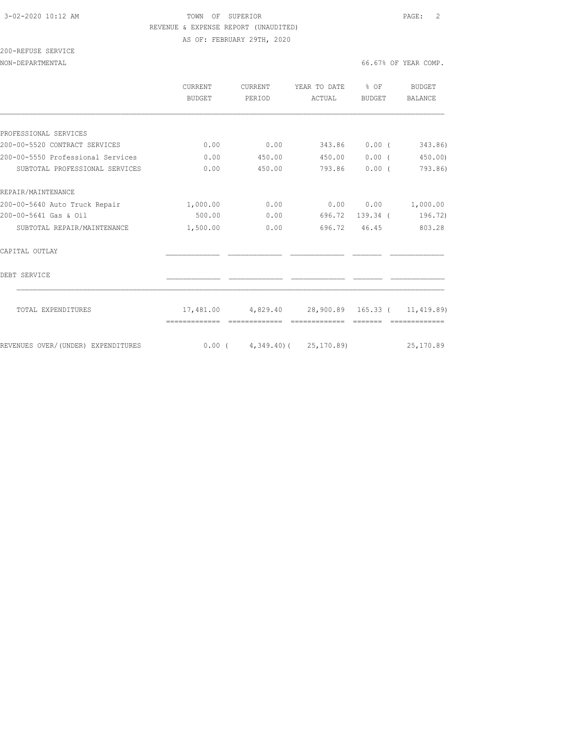### 3-02-2020 10:12 AM TOWN OF SUPERIOR PAGE: 2 REVENUE & EXPENSE REPORT (UNAUDITED) AS OF: FEBRUARY 29TH, 2020

200-REFUSE SERVICE

|                                    | <b>CURRENT</b><br>BUDGET | <b>CURRENT</b><br>PERIOD | YEAR TO DATE<br>ACTUAL                                      | % OF<br>BUDGET | BUDGET<br><b>BALANCE</b> |
|------------------------------------|--------------------------|--------------------------|-------------------------------------------------------------|----------------|--------------------------|
|                                    |                          |                          |                                                             |                |                          |
| PROFESSIONAL SERVICES              |                          |                          |                                                             |                |                          |
| 200-00-5520 CONTRACT SERVICES      | 0.00                     | 0.00                     | 343.86                                                      | 0.00(          | 343.86)                  |
| 200-00-5550 Professional Services  | 0.00                     | 450.00                   | 450.00                                                      | $0.00$ (       | 450.00                   |
| SUBTOTAL PROFESSIONAL SERVICES     | 0.00                     | 450.00                   | 793.86                                                      | 0.00(          | 793.86)                  |
| REPAIR/MAINTENANCE                 |                          |                          |                                                             |                |                          |
| 200-00-5640 Auto Truck Repair      | 1,000.00                 | 0.00                     | 0.00                                                        | 0.00           | 1,000.00                 |
| 200-00-5641 Gas & Oil              | 500.00                   | 0.00                     | 696.72                                                      |                | 139.34 ( 196.72)         |
| SUBTOTAL REPAIR/MAINTENANCE        | 1,500.00                 | 0.00                     | 696.72 46.45                                                |                | 803.28                   |
| CAPITAL OUTLAY                     |                          |                          |                                                             |                |                          |
| DEBT SERVICE                       |                          |                          |                                                             |                |                          |
| TOTAL EXPENDITURES                 |                          |                          | $17,481.00$ $4,829.40$ $28,900.89$ $165.33$ ( $11,419.89$ ) |                |                          |
|                                    |                          |                          |                                                             |                |                          |
| REVENUES OVER/(UNDER) EXPENDITURES |                          |                          | $0.00$ ( $4,349.40$ ) ( $25,170.89$ ) $25,170.89$           |                |                          |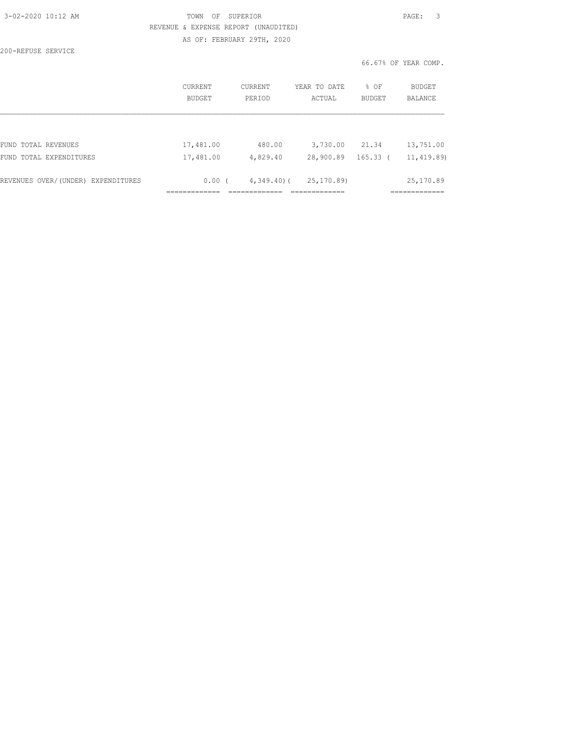| 3-02-2020 10:12 AM |  |
|--------------------|--|
|                    |  |

### 3-02-2020 10:12 AM TOWN OF SUPERIOR PAGE: 3 REVENUE & EXPENSE REPORT (UNAUDITED) AS OF: FEBRUARY 29TH, 2020

200-REFUSE SERVICE

66.67% OF YEAR COMP.

|                                    | <b>CURRENT</b><br>BUDGET | CURRENT<br>PERTOD | YEAR TO DATE<br>ACTUAL | % OF<br>BUDGET | <b>BUDGET</b><br>BALANCE |
|------------------------------------|--------------------------|-------------------|------------------------|----------------|--------------------------|
| FUND TOTAL REVENUES                | 17,481.00                | 480.00            | 3,730.00               | 21.34          | 13,751.00                |
| FUND TOTAL EXPENDITURES            | 17,481.00                | 4,829.40          | 28,900.89              | $165.33$ (     | 11, 419.89)              |
| REVENUES OVER/(UNDER) EXPENDITURES | 0.00(                    | $4,349.40$ ) (    | 25, 170, 89)           |                | 25, 170.89               |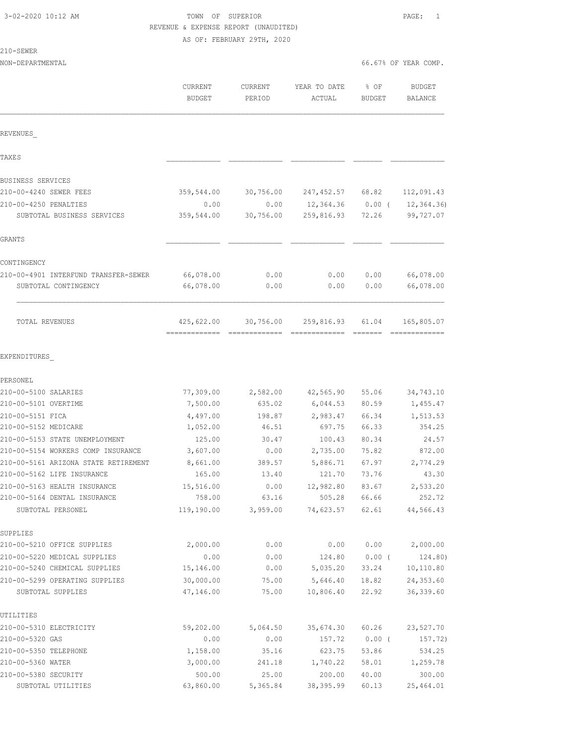# TOWN OF SUPERIOR **10:2000 PAGE:** 1 REVENUE & EXPENSE REPORT (UNAUDITED)

AS OF: FEBRUARY 29TH, 2020

210-SEWER

| NON-DEPARTMENTAL |         |         |                   |        | 66.67% OF YEAR COMP. |
|------------------|---------|---------|-------------------|--------|----------------------|
|                  | CURRENT | CURRENT | YEAR TO DATE % OF |        | <b>BUDGET</b>        |
|                  | BUDGET  | PERTOD  | ACTUAL            | BUDGET | BALANCE              |

| REVENUES                                          |                                            |                   |                     |                |                     |
|---------------------------------------------------|--------------------------------------------|-------------------|---------------------|----------------|---------------------|
| <b>TAXES</b>                                      |                                            |                   |                     |                |                     |
| <b>BUSINESS SERVICES</b>                          |                                            |                   |                     |                |                     |
| 210-00-4240 SEWER FEES                            | 359,544.00                                 | 30,756.00         | 247,452.57 68.82    |                | 112,091.43          |
| 210-00-4250 PENALTIES                             | 0.00                                       | 0.00              | 12,364.36           | $0.00$ (       | 12, 364.36          |
| SUBTOTAL BUSINESS SERVICES                        | 359,544.00                                 | 30,756.00         | 259,816.93          | 72.26          | 99,727.07           |
| GRANTS                                            |                                            |                   |                     |                |                     |
| CONTINGENCY                                       |                                            |                   |                     |                |                     |
| 210-00-4901 INTERFUND TRANSFER-SEWER              | 66,078.00                                  | 0.00              | 0.00                | 0.00           | 66,078.00           |
| SUBTOTAL CONTINGENCY                              | 66,078.00                                  | 0.00              | 0.00                | 0.00           | 66,078.00           |
| TOTAL REVENUES                                    | 425,622.00<br>------------- -------------- | 30,756.00         | 259,816.93          | 61.04          | 165,805.07          |
| EXPENDITURES                                      |                                            |                   |                     |                |                     |
| PERSONEL                                          |                                            |                   |                     |                |                     |
| 210-00-5100 SALARIES                              | 77,309.00                                  | 2,582.00          | 42,565.90           | 55.06          | 34,743.10           |
| 210-00-5101 OVERTIME                              | 7,500.00                                   | 635.02            | 6,044.53            | 80.59          | 1,455.47            |
| 210-00-5151 FICA                                  | 4,497.00                                   | 198.87            | 2,983.47            | 66.34          | 1,513.53            |
| 210-00-5152 MEDICARE                              | 1,052.00                                   | 46.51             | 697.75              | 66.33          | 354.25              |
| 210-00-5153 STATE UNEMPLOYMENT                    | 125.00                                     | 30.47             | 100.43              | 80.34          | 24.57               |
| 210-00-5154 WORKERS COMP INSURANCE                | 3,607.00                                   | 0.00              | 2,735.00            | 75.82          | 872.00              |
| 210-00-5161 ARIZONA STATE RETIREMENT              | 8,661.00                                   | 389.57            | 5,886.71            | 67.97          | 2,774.29            |
| 210-00-5162 LIFE INSURANCE                        | 165.00                                     | 13.40             | 121.70              | 73.76          | 43.30               |
| 210-00-5163 HEALTH INSURANCE                      | 15,516.00                                  | 0.00              | 12,982.80           | 83.67          | 2,533.20            |
| 210-00-5164 DENTAL INSURANCE<br>SUBTOTAL PERSONEL | 758.00<br>119,190.00                       | 63.16<br>3,959.00 | 505.28<br>74,623.57 | 66.66<br>62.61 | 252.72<br>44,566.43 |
| SUPPLIES                                          |                                            |                   |                     |                |                     |
| 210-00-5210 OFFICE SUPPLIES                       | 2,000.00                                   | 0.00              | 0.00                | 0.00           | 2,000.00            |
| 210-00-5220 MEDICAL SUPPLIES                      | 0.00                                       | 0.00              | 124.80              | $0.00$ (       | 124.80)             |
| 210-00-5240 CHEMICAL SUPPLIES                     | 15,146.00                                  | 0.00              | 5,035.20            | 33.24          | 10,110.80           |
| 210-00-5299 OPERATING SUPPLIES                    | 30,000.00                                  | 75.00             | 5,646.40            | 18.82          | 24,353.60           |
| SUBTOTAL SUPPLIES                                 | 47,146.00                                  | 75.00             | 10,806.40           | 22.92          | 36, 339.60          |
| UTILITIES                                         |                                            |                   |                     |                |                     |
| 210-00-5310 ELECTRICITY                           | 59,202.00                                  | 5,064.50          | 35,674.30           | 60.26          | 23,527.70           |
| 210-00-5320 GAS                                   | 0.00                                       | 0.00              | 157.72              | $0.00$ (       | 157.72)             |
| 210-00-5350 TELEPHONE                             | 1,158.00                                   | 35.16             | 623.75              | 53.86          | 534.25              |
| 210-00-5360 WATER                                 | 3,000.00                                   | 241.18            | 1,740.22            | 58.01          | 1,259.78            |
| 210-00-5380 SECURITY                              | 500.00                                     | 25.00             | 200.00              | 40.00          | 300.00              |

SUBTOTAL UTILITIES 63,860.00 5,365.84 38,395.99 60.13 25,464.01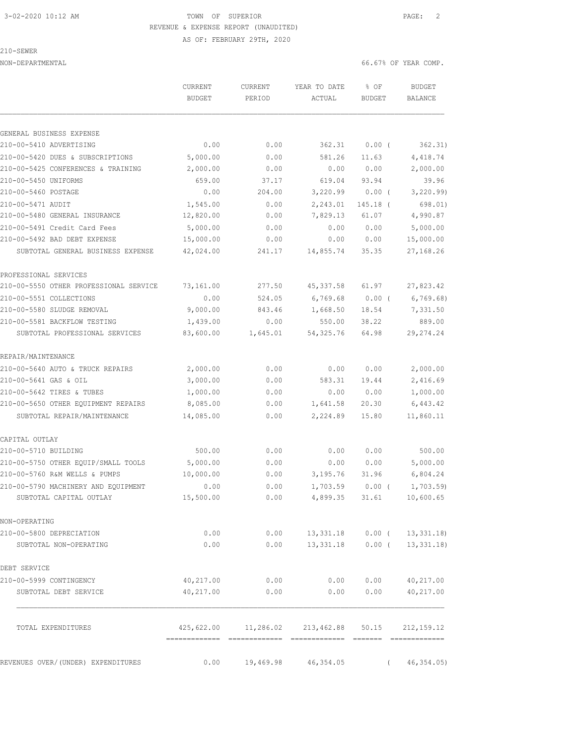# 3-02-2020 10:12 AM TOWN OF SUPERIOR PAGE: 2 REVENUE & EXPENSE REPORT (UNAUDITED)

AS OF: FEBRUARY 29TH, 2020

210-SEWER

|                                        | CURRENT       | CURRENT  | YEAR TO DATE | % OF          | <b>BUDGET</b>  |
|----------------------------------------|---------------|----------|--------------|---------------|----------------|
|                                        | <b>BUDGET</b> | PERIOD   | ACTUAL       | <b>BUDGET</b> | <b>BALANCE</b> |
|                                        |               |          |              |               |                |
| GENERAL BUSINESS EXPENSE               |               |          |              |               |                |
| 210-00-5410 ADVERTISING                | 0.00          | 0.00     | 362.31       | $0.00$ (      | 362.31)        |
| 210-00-5420 DUES & SUBSCRIPTIONS       | 5,000.00      | 0.00     | 581.26       | 11.63         | 4,418.74       |
| 210-00-5425 CONFERENCES & TRAINING     | 2,000.00      | 0.00     | 0.00         | 0.00          | 2,000.00       |
| 210-00-5450 UNIFORMS                   | 659.00        | 37.17    | 619.04       | 93.94         | 39.96          |
| 210-00-5460 POSTAGE                    | 0.00          | 204.00   | 3,220.99     | 0.00(         | 3, 220.99      |
| 210-00-5471 AUDIT                      | 1,545.00      | 0.00     | 2,243.01     | 145.18 (      | 698.01)        |
| 210-00-5480 GENERAL INSURANCE          | 12,820.00     | 0.00     | 7,829.13     | 61.07         | 4,990.87       |
| 210-00-5491 Credit Card Fees           | 5,000.00      | 0.00     | 0.00         | 0.00          | 5,000.00       |
| 210-00-5492 BAD DEBT EXPENSE           | 15,000.00     | 0.00     | 0.00         | 0.00          | 15,000.00      |
| SUBTOTAL GENERAL BUSINESS EXPENSE      | 42,024.00     | 241.17   | 14,855.74    | 35.35         | 27,168.26      |
| PROFESSIONAL SERVICES                  |               |          |              |               |                |
| 210-00-5550 OTHER PROFESSIONAL SERVICE | 73,161.00     | 277.50   | 45, 337.58   | 61.97         | 27,823.42      |
| 210-00-5551 COLLECTIONS                | 0.00          | 524.05   | 6,769.68     | 0.00(         | 6,769.68)      |
| 210-00-5580 SLUDGE REMOVAL             | 9,000.00      | 843.46   | 1,668.50     | 18.54         | 7,331.50       |
| 210-00-5581 BACKFLOW TESTING           | 1,439.00      | 0.00     | 550.00       | 38.22         | 889.00         |
| SUBTOTAL PROFESSIONAL SERVICES         | 83,600.00     | 1,645.01 | 54, 325.76   | 64.98         | 29, 274.24     |
| REPAIR/MAINTENANCE                     |               |          |              |               |                |
| 210-00-5640 AUTO & TRUCK REPAIRS       | 2,000.00      | 0.00     | 0.00         | 0.00          | 2,000.00       |
| 210-00-5641 GAS & OIL                  | 3,000.00      | 0.00     | 583.31       | 19.44         | 2,416.69       |
| 210-00-5642 TIRES & TUBES              | 1,000.00      | 0.00     | 0.00         | 0.00          | 1,000.00       |
| 210-00-5650 OTHER EQUIPMENT REPAIRS    | 8,085.00      | 0.00     | 1,641.58     | 20.30         | 6,443.42       |
| SUBTOTAL REPAIR/MAINTENANCE            | 14,085.00     | 0.00     | 2,224.89     | 15.80         | 11,860.11      |
| CAPITAL OUTLAY                         |               |          |              |               |                |
| 210-00-5710 BUILDING                   | 500.00        | 0.00     | 0.00         | 0.00          | 500.00         |
| 210-00-5750 OTHER EQUIP/SMALL TOOLS    | 5,000.00      | 0.00     | 0.00         | 0.00          | 5,000.00       |
| 210-00-5760 R&M WELLS & PUMPS          | 10,000.00     | 0.00     | 3,195.76     | 31.96         | 6,804.24       |

| 210-00-5650 OTHER EQUIPMENT REPAIRS | 8,085.00  | 0.00                                  |                  |                | 1,641.58 20.30 6,443.42        |
|-------------------------------------|-----------|---------------------------------------|------------------|----------------|--------------------------------|
| SUBTOTAL REPAIR/MAINTENANCE         | 14,085.00 | 0.00                                  |                  | 2,224.89 15.80 | 11,860.11                      |
| CAPITAL OUTLAY                      |           |                                       |                  |                |                                |
| 210-00-5710 BUILDING                | 500.00    | 0.00                                  | 0.00             | 0.00           | 500.00                         |
| 210-00-5750 OTHER EQUIP/SMALL TOOLS | 5,000.00  | 0.00                                  | 0.00             | 0.00           | 5,000.00                       |
| 210-00-5760 R&M WELLS & PUMPS       | 10,000.00 | 0.00                                  | 3,195.76         | 31.96          | 6,804.24                       |
| 210-00-5790 MACHINERY AND EQUIPMENT | 0.00      | 0.00                                  | 1,703.59         | 0.00(          | 1,703.59)                      |
| SUBTOTAL CAPITAL OUTLAY             | 15,500.00 | 0.00                                  | 4,899.35         | 31.61          | 10,600.65                      |
| NON-OPERATING                       |           |                                       |                  |                |                                |
| 210-00-5800 DEPRECIATION            | 0.00      | 0.00                                  |                  |                | 13, 331.18  0.00 ( 13, 331.18) |
| SUBTOTAL NON-OPERATING              | 0.00      | 0.00                                  | 13,331.18 0.00 ( |                | 13, 331, 18)                   |
| DEBT SERVICE                        |           |                                       |                  |                |                                |
| 210-00-5999 CONTINGENCY             | 40,217.00 | 0.00                                  | 0.00             | 0.00           | 40,217.00                      |
| SUBTOTAL DEBT SERVICE               | 40,217.00 | 0.00                                  | 0.00             | 0.00           | 40,217.00                      |
|                                     |           |                                       |                  |                |                                |
| TOTAL EXPENDITURES                  |           | 425,622.00 11,286.02 213,462.88 50.15 |                  |                | 212, 159.12                    |
|                                     |           |                                       |                  |                |                                |

REVENUES OVER/(UNDER) EXPENDITURES 0.00 19,469.98 46,354.05 (46,354.05)

NON-DEPARTMENTAL 66.67% OF YEAR COMP.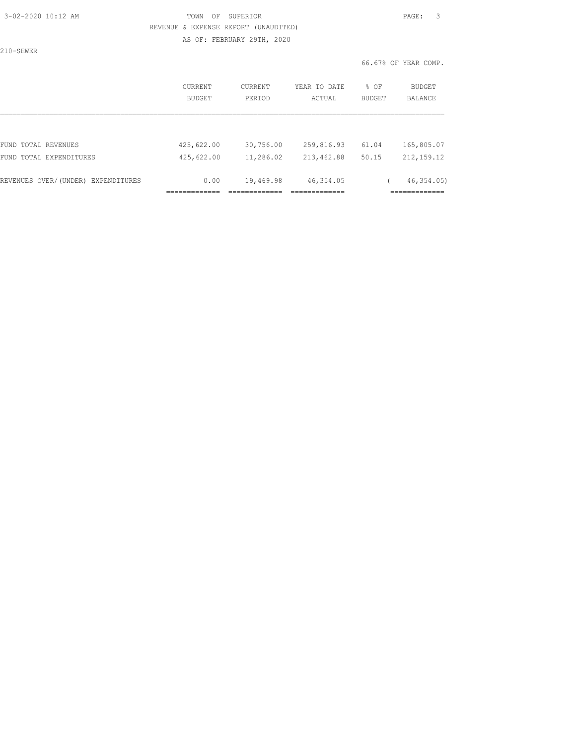#### 3-02-2020 10:12 AM TOWN OF SUPERIOR PAGE: 3 REVENUE & EXPENSE REPORT (UNAUDITED) AS OF: FEBRUARY 29TH, 2020

210-SEWER

|                                    | CURRENT<br>BUDGET | CURRENT<br>PERIOD | YEAR TO DATE<br>ACTUAL | % OF<br>BUDGET | <b>BUDGET</b><br><b>BALANCE</b> |
|------------------------------------|-------------------|-------------------|------------------------|----------------|---------------------------------|
|                                    |                   |                   |                        |                |                                 |
| FUND TOTAL REVENUES                | 425,622.00        | 30,756.00         | 259,816.93             | 61.04          | 165,805.07                      |
| FUND TOTAL EXPENDITURES            | 425,622.00        | 11,286.02         | 213,462.88             | 50.15          | 212, 159.12                     |
| REVENUES OVER/(UNDER) EXPENDITURES | 0.00              | 19,469.98         | 46,354.05              |                | 46, 354, 05)                    |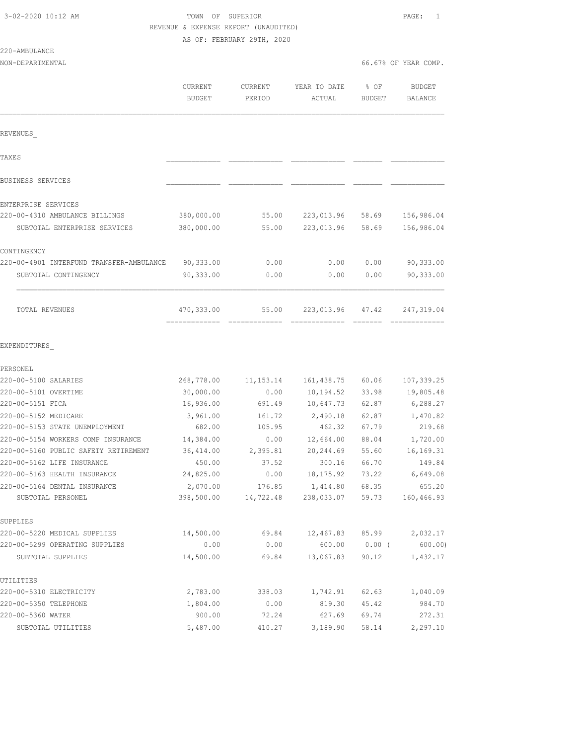220-AMBULANCE

### 3-02-2020 10:12 AM TOWN OF SUPERIOR PAGE: 1 REVENUE & EXPENSE REPORT (UNAUDITED) AS OF: FEBRUARY 29TH, 2020

NON-DEPARTMENTAL 66.67% OF YEAR COMP.

|                                                     | <b>CURRENT</b><br><b>BUDGET</b> | <b>CURRENT</b><br>PERIOD | YEAR TO DATE<br>ACTUAL   | % OF<br><b>BUDGET</b> | <b>BUDGET</b><br><b>BALANCE</b> |
|-----------------------------------------------------|---------------------------------|--------------------------|--------------------------|-----------------------|---------------------------------|
| REVENUES                                            |                                 |                          |                          |                       |                                 |
| TAXE S                                              |                                 |                          |                          |                       |                                 |
| BUSINESS SERVICES                                   |                                 |                          |                          |                       |                                 |
| ENTERPRISE SERVICES                                 |                                 |                          |                          |                       |                                 |
| 220-00-4310 AMBULANCE BILLINGS                      | 380,000.00                      | 55.00                    | 223,013.96               | 58.69                 | 156,986.04                      |
| SUBTOTAL ENTERPRISE SERVICES                        | 380,000.00                      | 55.00                    | 223,013.96               | 58.69                 | 156,986.04                      |
| CONTINGENCY                                         |                                 |                          |                          |                       |                                 |
| 220-00-4901 INTERFUND TRANSFER-AMBULANCE            | 90,333.00                       | 0.00                     | 0.00                     | 0.00                  | 90,333.00                       |
| SUBTOTAL CONTINGENCY                                | 90,333.00                       | 0.00                     | 0.00                     | 0.00                  | 90,333.00                       |
| TOTAL REVENUES                                      | 470,333.00                      | 55.00                    | 223,013.96 47.42         |                       | 247, 319.04                     |
| EXPENDITURES                                        |                                 |                          |                          |                       |                                 |
| PERSONEL<br>220-00-5100 SALARIES                    |                                 |                          |                          |                       |                                 |
| 220-00-5101 OVERTIME                                | 268,778.00<br>30,000.00         | 11, 153. 14<br>0.00      | 161, 438.75<br>10,194.52 | 60.06<br>33.98        | 107,339.25<br>19,805.48         |
| 220-00-5151 FICA                                    | 16,936.00                       | 691.49                   | 10,647.73                | 62.87                 | 6, 288.27                       |
| 220-00-5152 MEDICARE                                | 3,961.00                        | 161.72                   | 2,490.18                 | 62.87                 | 1,470.82                        |
| 220-00-5153 STATE UNEMPLOYMENT                      | 682.00                          | 105.95                   | 462.32                   | 67.79                 | 219.68                          |
| 220-00-5154 WORKERS COMP INSURANCE                  | 14,384.00                       | 0.00                     | 12,664.00                | 88.04                 | 1,720.00                        |
| 220-00-5160 PUBLIC SAFETY RETIREMENT                | 36, 414.00                      | 2,395.81                 | 20,244.69                | 55.60                 | 16, 169. 31                     |
| 220-00-5162 LIFE INSURANCE                          | 450.00                          | 37.52                    | 300.16                   | 66.70                 | 149.84                          |
| 220-00-5163 HEALTH INSURANCE                        | 24,825.00                       | 0.00                     | 18, 175.92               | 73.22                 | 6,649.08                        |
| 220-00-5164 DENTAL INSURANCE                        | 2,070.00                        | 176.85                   | 1,414.80                 | 68.35                 | 655.20                          |
| SUBTOTAL PERSONEL                                   | 398,500.00                      | 14,722.48                | 238,033.07               | 59.73                 | 160,466.93                      |
| SUPPLIES                                            |                                 |                          |                          |                       |                                 |
| 220-00-5220 MEDICAL SUPPLIES                        | 14,500.00                       | 69.84                    | 12,467.83                | 85.99                 | 2,032.17                        |
| 220-00-5299 OPERATING SUPPLIES<br>SUBTOTAL SUPPLIES | 0.00<br>14,500.00               | 0.00<br>69.84            | 600.00<br>13,067.83      | $0.00$ (<br>90.12     | 600.00<br>1,432.17              |
|                                                     |                                 |                          |                          |                       |                                 |
| UTILITIES                                           |                                 |                          |                          |                       |                                 |
| 220-00-5310 ELECTRICITY                             | 2,783.00                        | 338.03                   | 1,742.91                 | 62.63                 | 1,040.09                        |
| 220-00-5350 TELEPHONE<br>220-00-5360 WATER          | 1,804.00<br>900.00              | 0.00                     | 819.30<br>627.69         | 45.42                 | 984.70                          |
|                                                     |                                 | 72.24                    |                          | 69.74                 | 272.31                          |
| SUBTOTAL UTILITIES                                  | 5,487.00                        | 410.27                   | 3,189.90                 | 58.14                 | 2,297.10                        |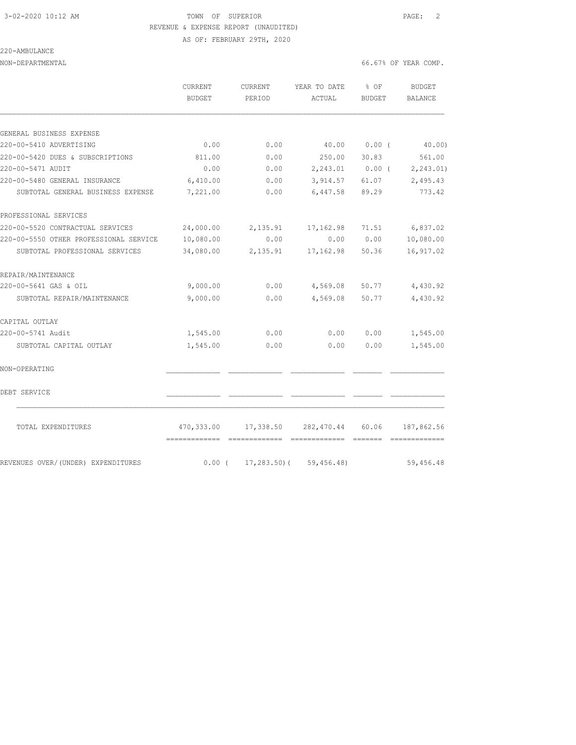#### 3-02-2020 10:12 AM TOWN OF SUPERIOR PAGE: 2 REVENUE & EXPENSE REPORT (UNAUDITED) AS OF: FEBRUARY 29TH, 2020

220-AMBULANCE

NON-DEPARTMENTAL 66.67% OF YEAR COMP.

|                                        | CURRENT<br><b>BUDGET</b>                    | CURRENT<br>PERIOD | YEAR TO DATE<br>ACTUAL | % OF<br><b>BUDGET</b> | <b>BUDGET</b><br><b>BALANCE</b> |
|----------------------------------------|---------------------------------------------|-------------------|------------------------|-----------------------|---------------------------------|
|                                        |                                             |                   |                        |                       |                                 |
| GENERAL BUSINESS EXPENSE               |                                             |                   |                        |                       |                                 |
| 220-00-5410 ADVERTISING                | 0.00                                        | 0.00              | 40.00                  | 0.00(                 | 40.00)                          |
| 220-00-5420 DUES & SUBSCRIPTIONS       | 811.00                                      | 0.00              | 250.00                 | 30.83                 | 561.00                          |
| 220-00-5471 AUDIT                      | 0.00                                        | 0.00              |                        |                       | $2,243.01$ 0.00 ( 2,243.01)     |
| 220-00-5480 GENERAL INSURANCE          | 6,410.00                                    | 0.00              | 3,914.57               | 61.07                 | 2,495.43                        |
| SUBTOTAL GENERAL BUSINESS EXPENSE      | 7,221.00                                    | 0.00              | 6,447.58               | 89.29                 | 773.42                          |
| PROFESSIONAL SERVICES                  |                                             |                   |                        |                       |                                 |
| 220-00-5520 CONTRACTUAL SERVICES       | 24,000.00                                   | 2,135.91          | 17,162.98              | 71.51                 | 6,837.02                        |
| 220-00-5550 OTHER PROFESSIONAL SERVICE | 10,080.00                                   | 0.00              | 0.00                   | 0.00                  | 10,080.00                       |
| SUBTOTAL PROFESSIONAL SERVICES         | 34,080.00                                   | 2,135.91          | 17,162.98              | 50.36                 | 16, 917.02                      |
| REPAIR/MAINTENANCE                     |                                             |                   |                        |                       |                                 |
| 220-00-5641 GAS & OIL                  | 9,000.00                                    | 0.00              | 4,569.08               | 50.77                 | 4,430.92                        |
| SUBTOTAL REPAIR/MAINTENANCE            | 9,000.00                                    | 0.00              | 4,569.08               | 50.77                 | 4,430.92                        |
| CAPITAL OUTLAY                         |                                             |                   |                        |                       |                                 |
| 220-00-5741 Audit                      | 1,545.00                                    | 0.00              | 0.00                   | 0.00                  | 1,545.00                        |
| SUBTOTAL CAPITAL OUTLAY                | 1,545.00                                    | 0.00              | 0.00                   | 0.00                  | 1,545.00                        |
| NON-OPERATING                          |                                             |                   |                        |                       |                                 |
| DEBT SERVICE                           |                                             |                   |                        |                       |                                 |
| TOTAL EXPENDITURES                     | 470,333.00<br>-------------- -------------- | 17,338.50         | 282,470.44             | 60.06                 | 187,862.56                      |
| REVENUES OVER/ (UNDER) EXPENDITURES    | $0.00$ (                                    | $17,283.50$ (     | 59,456.48)             |                       | 59,456.48                       |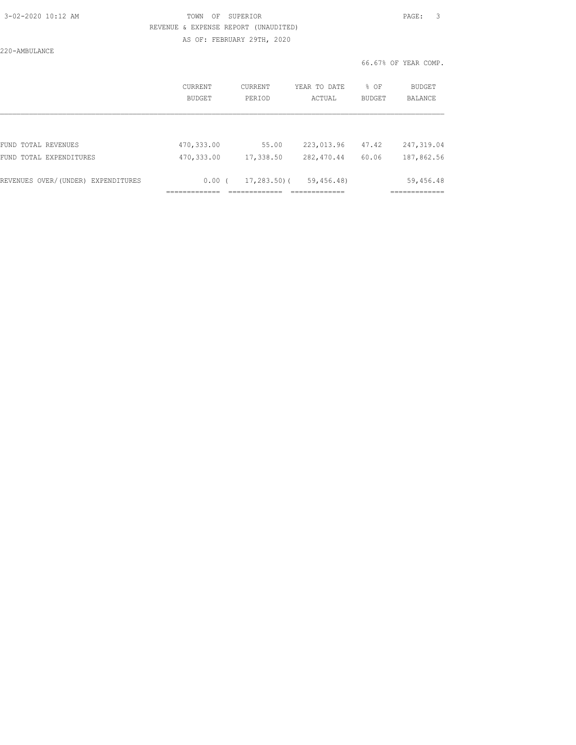| 3-02-2020 10:12 AM |  |
|--------------------|--|
|                    |  |

### 3-02-2020 10:12 AM TOWN OF SUPERIOR PAGE: 3 REVENUE & EXPENSE REPORT (UNAUDITED) AS OF: FEBRUARY 29TH, 2020

220-AMBULANCE

|                                    | CURRENT<br>BUDGET | CURRENT<br>PERIOD | YEAR TO DATE<br>ACTUAL | % OF<br><b>BUDGET</b> | BUDGET<br><b>BALANCE</b> |
|------------------------------------|-------------------|-------------------|------------------------|-----------------------|--------------------------|
|                                    |                   |                   |                        |                       |                          |
| FUND TOTAL REVENUES                | 470,333.00        | 55.00             | 223,013.96             | 47.42                 | 247,319.04               |
| FUND TOTAL EXPENDITURES            | 470,333.00        | 17,338.50         | 282, 470.44            | 60.06                 | 187,862.56               |
| REVENUES OVER/(UNDER) EXPENDITURES | 0.00(             | 17,283.50)(       | 59,456.48)             |                       | 59,456.48                |
|                                    |                   |                   |                        |                       |                          |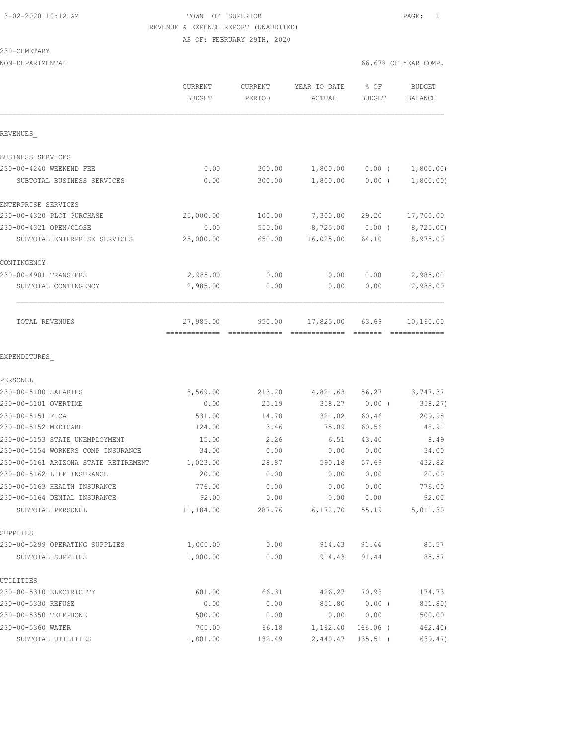#### 3-02-2020 10:12 AM TOWN OF SUPERIOR PAGE: 1 REVENUE & EXPENSE REPORT (UNAUDITED) AS OF: FEBRUARY 29TH, 2020

| 230-CEMETARY                         |                                 |                   |                        |                                                                                                                                                                                                                                                                                                                                                                                                                                                                 |                      |
|--------------------------------------|---------------------------------|-------------------|------------------------|-----------------------------------------------------------------------------------------------------------------------------------------------------------------------------------------------------------------------------------------------------------------------------------------------------------------------------------------------------------------------------------------------------------------------------------------------------------------|----------------------|
| NON-DEPARTMENTAL                     |                                 |                   |                        |                                                                                                                                                                                                                                                                                                                                                                                                                                                                 | 66.67% OF YEAR COMP. |
|                                      | <b>CURRENT</b><br><b>BUDGET</b> | CURRENT<br>PERIOD | YEAR TO DATE<br>ACTUAL | $\textdegree$ OF<br>BUDGET                                                                                                                                                                                                                                                                                                                                                                                                                                      | BUDGET<br>BALANCE    |
| REVENUES                             |                                 |                   |                        |                                                                                                                                                                                                                                                                                                                                                                                                                                                                 |                      |
| BUSINESS SERVICES                    |                                 |                   |                        |                                                                                                                                                                                                                                                                                                                                                                                                                                                                 |                      |
| 230-00-4240 WEEKEND FEE              | 0.00                            | 300.00            | 1,800.00               | $0.00$ (                                                                                                                                                                                                                                                                                                                                                                                                                                                        | 1,800.00)            |
| SUBTOTAL BUSINESS SERVICES           | 0.00                            | 300.00            | 1,800.00               | $0.00$ (                                                                                                                                                                                                                                                                                                                                                                                                                                                        | 1,800.00)            |
| ENTERPRISE SERVICES                  |                                 |                   |                        |                                                                                                                                                                                                                                                                                                                                                                                                                                                                 |                      |
| 230-00-4320 PLOT PURCHASE            | 25,000.00                       | 100.00            | 7,300.00               | 29.20                                                                                                                                                                                                                                                                                                                                                                                                                                                           | 17,700.00            |
| 230-00-4321 OPEN/CLOSE               | 0.00                            | 550.00            | 8,725.00               | $0.00$ (                                                                                                                                                                                                                                                                                                                                                                                                                                                        | 8,725.00)            |
| SUBTOTAL ENTERPRISE SERVICES         | 25,000.00                       | 650.00            | 16,025.00              | 64.10                                                                                                                                                                                                                                                                                                                                                                                                                                                           | 8,975.00             |
| CONTINGENCY                          |                                 |                   |                        |                                                                                                                                                                                                                                                                                                                                                                                                                                                                 |                      |
| 230-00-4901 TRANSFERS                | 2,985.00                        | 0.00              | 0.00                   | 0.00                                                                                                                                                                                                                                                                                                                                                                                                                                                            | 2,985.00             |
| SUBTOTAL CONTINGENCY                 | 2,985.00                        | 0.00              | 0.00                   | 0.00                                                                                                                                                                                                                                                                                                                                                                                                                                                            | 2,985.00             |
| TOTAL REVENUES                       | 27,985.00                       | 950.00            | 17,825.00              | 63.69<br>$\begin{tabular}{ll} \multicolumn{2}{c}{\textbf{2.5}} & \multicolumn{2}{c}{\textbf{2.5}} & \multicolumn{2}{c}{\textbf{2.5}} \\ \multicolumn{2}{c}{\textbf{2.5}} & \multicolumn{2}{c}{\textbf{2.5}} & \multicolumn{2}{c}{\textbf{2.5}} \\ \multicolumn{2}{c}{\textbf{3.5}} & \multicolumn{2}{c}{\textbf{4.5}} & \multicolumn{2}{c}{\textbf{5.5}} \\ \multicolumn{2}{c}{\textbf{5.5}} & \multicolumn{2}{c}{\textbf{6.5}} & \multicolumn{2}{c}{\textbf{7$ | 10,160.00            |
| EXPENDITURES                         |                                 |                   |                        |                                                                                                                                                                                                                                                                                                                                                                                                                                                                 |                      |
| PERSONEL                             |                                 |                   |                        |                                                                                                                                                                                                                                                                                                                                                                                                                                                                 |                      |
| 230-00-5100 SALARIES                 | 8,569.00                        | 213.20            | 4,821.63               | 56.27                                                                                                                                                                                                                                                                                                                                                                                                                                                           | 3,747.37             |
| 230-00-5101 OVERTIME                 | 0.00                            | 25.19             | 358.27                 | $0.00$ (                                                                                                                                                                                                                                                                                                                                                                                                                                                        | 358.27)              |
| 230-00-5151 FICA                     | 531.00                          | 14.78             | 321.02                 | 60.46                                                                                                                                                                                                                                                                                                                                                                                                                                                           | 209.98               |
| 230-00-5152 MEDICARE                 | 124.00                          | 3.46              | 75.09                  | 60.56                                                                                                                                                                                                                                                                                                                                                                                                                                                           | 48.91                |
| 230-00-5153 STATE UNEMPLOYMENT       | 15.00                           | 2.26              | 6.51                   | 43.40                                                                                                                                                                                                                                                                                                                                                                                                                                                           | 8.49                 |
| 230-00-5154 WORKERS COMP INSURANCE   | 34.00                           | 0.00              | 0.00                   | 0.00                                                                                                                                                                                                                                                                                                                                                                                                                                                            | 34.00                |
| 230-00-5161 ARIZONA STATE RETIREMENT | 1,023.00                        | 28.87             | 590.18                 | 57.69                                                                                                                                                                                                                                                                                                                                                                                                                                                           | 432.82               |
| 230-00-5162 LIFE INSURANCE           | 20.00                           | 0.00              | 0.00                   | 0.00                                                                                                                                                                                                                                                                                                                                                                                                                                                            | 20.00                |
| 230-00-5163 HEALTH INSURANCE         | 776.00                          | 0.00              | 0.00                   | 0.00                                                                                                                                                                                                                                                                                                                                                                                                                                                            | 776.00               |
| 230-00-5164 DENTAL INSURANCE         | 92.00                           | 0.00              | 0.00                   | 0.00                                                                                                                                                                                                                                                                                                                                                                                                                                                            | 92.00                |
| SUBTOTAL PERSONEL                    | 11,184.00                       | 287.76            | 6,172.70               | 55.19                                                                                                                                                                                                                                                                                                                                                                                                                                                           | 5,011.30             |
| SUPPLIES                             |                                 |                   |                        |                                                                                                                                                                                                                                                                                                                                                                                                                                                                 |                      |
| 230-00-5299 OPERATING SUPPLIES       | 1,000.00                        | 0.00              | 914.43                 | 91.44                                                                                                                                                                                                                                                                                                                                                                                                                                                           | 85.57                |
| SUBTOTAL SUPPLIES                    | 1,000.00                        | 0.00              | 914.43                 | 91.44                                                                                                                                                                                                                                                                                                                                                                                                                                                           | 85.57                |
| UTILITIES                            |                                 |                   |                        |                                                                                                                                                                                                                                                                                                                                                                                                                                                                 |                      |
| 230-00-5310 ELECTRICITY              | 601.00                          | 66.31             | 426.27                 | 70.93                                                                                                                                                                                                                                                                                                                                                                                                                                                           | 174.73               |
| 230-00-5330 REFUSE                   | 0.00                            | 0.00              | 851.80                 | $0.00$ (                                                                                                                                                                                                                                                                                                                                                                                                                                                        | 851.80)              |
| 230-00-5350 TELEPHONE                | 500.00                          | 0.00              | 0.00                   | 0.00                                                                                                                                                                                                                                                                                                                                                                                                                                                            | 500.00               |
| 230-00-5360 WATER                    | 700.00                          | 66.18             | 1,162.40               | $166.06$ (                                                                                                                                                                                                                                                                                                                                                                                                                                                      | 462.40)              |

SUBTOTAL UTILITIES 1,801.00 132.49 2,440.47 135.51 (639.47)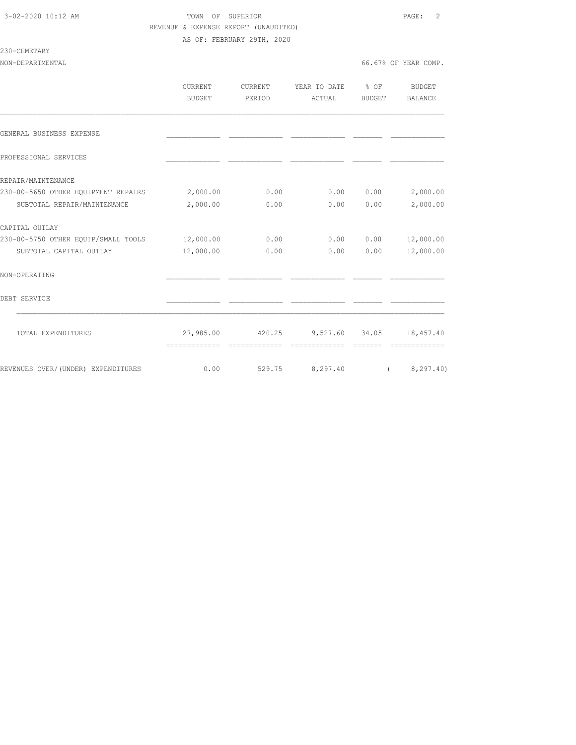#### 3-02-2020 10:12 AM TOWN OF SUPERIOR PAGE: 2 REVENUE & EXPENSE REPORT (UNAUDITED) AS OF: FEBRUARY 29TH, 2020

230-CEMETARY

|                                     | <b>CURRENT</b><br>BUDGET | CURRENT<br>PERIOD | YEAR TO DATE % OF<br>ACTUAL | BUDGET | BUDGET<br>BALANCE |
|-------------------------------------|--------------------------|-------------------|-----------------------------|--------|-------------------|
| GENERAL BUSINESS EXPENSE            |                          |                   |                             |        |                   |
| PROFESSIONAL SERVICES               |                          |                   |                             |        |                   |
| REPAIR/MAINTENANCE                  |                          |                   |                             |        |                   |
| 230-00-5650 OTHER EQUIPMENT REPAIRS | 2,000.00                 | 0.00              | 0.00                        | 0.00   | 2,000.00          |
| SUBTOTAL REPAIR/MAINTENANCE         | 2,000.00                 | 0.00              | 0.00                        | 0.00   | 2,000.00          |
| CAPITAL OUTLAY                      |                          |                   |                             |        |                   |
| 230-00-5750 OTHER EQUIP/SMALL TOOLS | 12,000.00                | 0.00              | 0.00                        | 0.00   | 12,000.00         |
| SUBTOTAL CAPITAL OUTLAY             | 12,000.00                | 0.00              | 0.00                        | 0.00   | 12,000.00         |
| NON-OPERATING                       |                          |                   |                             |        |                   |
| DEBT SERVICE                        |                          |                   |                             |        |                   |
| TOTAL EXPENDITURES                  | 27,985.00                | 420.25            | 9,527.60 34.05              |        | 18,457.40         |
|                                     | -------------            | =============     | =============               |        | =============     |
| REVENUES OVER/(UNDER) EXPENDITURES  | 0.00                     | 529.75            | 8,297.40                    |        | (8, 297, 40)      |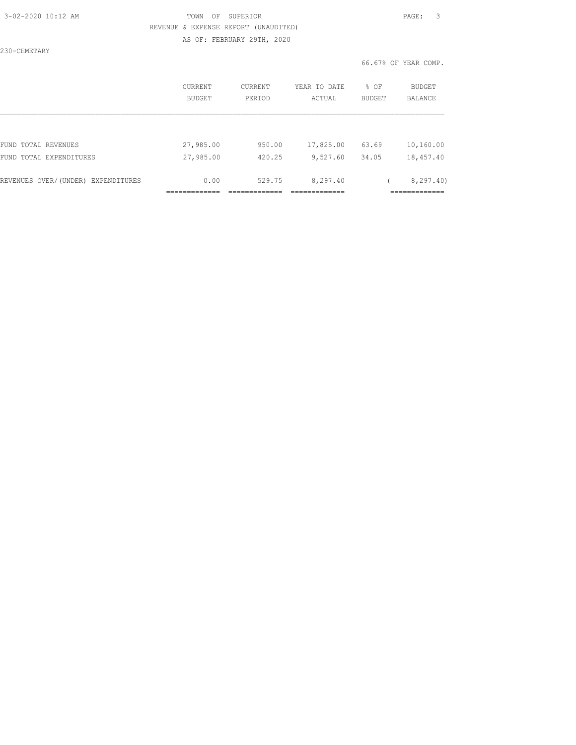#### 3-02-2020 10:12 AM TOWN OF SUPERIOR PAGE: 3 REVENUE & EXPENSE REPORT (UNAUDITED) AS OF: FEBRUARY 29TH, 2020

230-CEMETARY

|                                    | CURRENT<br>BUDGET | CURRENT<br>PERIOD | YEAR TO DATE<br>ACTUAL | % OF<br><b>BUDGET</b> | <b>BUDGET</b><br>BALANCE |
|------------------------------------|-------------------|-------------------|------------------------|-----------------------|--------------------------|
|                                    |                   |                   |                        |                       |                          |
| FUND TOTAL REVENUES                | 27,985.00         | 950.00            | 17,825.00              | 63.69                 | 10,160.00                |
| FUND TOTAL EXPENDITURES            | 27,985.00         | 420.25            | 9,527.60               | 34.05                 | 18,457.40                |
| REVENUES OVER/(UNDER) EXPENDITURES | 0.00              | 529.75            | 8,297.40               |                       | 8, 297.40                |
|                                    |                   |                   |                        |                       |                          |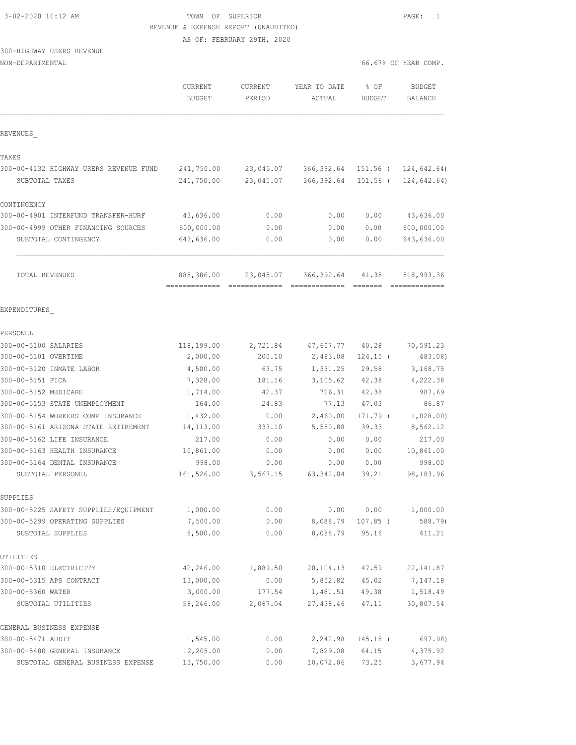| 3-02-2020 10:12 AM |  |
|--------------------|--|
|                    |  |

# 3-02-2020 10:12 AM TOWN OF SUPERIOR PAGE: 1 REVENUE & EXPENSE REPORT (UNAUDITED)

AS OF: FEBRUARY 29TH, 2020

# 300-HIGHWAY USERS REVENUE

| NON-DEPARTMENTAL |  |
|------------------|--|
|------------------|--|

|                                                     | CURRENT<br><b>BUDGET</b> | CURRENT<br>PERIOD | YEAR TO DATE<br>ACTUAL | % OF<br><b>BUDGET</b> | <b>BUDGET</b><br>BALANCE |
|-----------------------------------------------------|--------------------------|-------------------|------------------------|-----------------------|--------------------------|
| REVENUES                                            |                          |                   |                        |                       |                          |
| TAXES                                               |                          |                   |                        |                       |                          |
| 300-00-4132 HIGHWAY USERS REVENUE FUND              | 241,750.00               | 23,045.07         | 366,392.64             | 151.56 (              | 124,642.64)              |
| SUBTOTAL TAXES                                      | 241,750.00               | 23,045.07         | 366,392.64             | $151.56$ (            | 124,642.64)              |
| CONTINGENCY                                         |                          |                   |                        |                       |                          |
| 300-00-4901 INTERFUND TRANSFER-HURF                 | 43,636.00                | 0.00              | 0.00                   | 0.00                  | 43,636.00                |
| 300-00-4999 OTHER FINANCING SOURCES                 | 600,000.00               | 0.00              | 0.00                   | 0.00                  | 600,000.00               |
| SUBTOTAL CONTINGENCY                                | 643,636.00               | 0.00              | 0.00                   | 0.00                  | 643,636.00               |
| TOTAL REVENUES                                      | 885,386.00               | 23,045.07         | 366,392.64             | 41.38                 | 518,993.36               |
| EXPENDITURES                                        |                          |                   |                        |                       |                          |
| PERSONEL                                            |                          |                   |                        |                       |                          |
| 300-00-5100 SALARIES                                | 118,199.00               | 2,721.84          | 47,607.77              | 40.28                 | 70,591.23                |
| 300-00-5101 OVERTIME                                | 2,000.00                 | 200.10            | 2,483.08               | $124.15$ (            | 483.08)                  |
| 300-00-5120 INMATE LABOR                            | 4,500.00                 | 63.75             | 1,331.25               | 29.58                 | 3,168.75                 |
| 300-00-5151 FICA                                    | 7,328.00                 | 181.16            | 3,105.62               | 42.38                 | 4,222.38                 |
| 300-00-5152 MEDICARE                                | 1,714.00                 | 42.37             | 726.31                 | 42.38                 | 987.69                   |
| 300-00-5153 STATE UNEMPLOYMENT                      | 164.00                   | 24.83             | 77.13                  | 47.03                 | 86.87                    |
| 300-00-5154 WORKERS COMP INSURANCE                  | 1,432.00                 | 0.00              | 2,460.00               | 171.79 (              | 1,028.00)                |
| 300-00-5161 ARIZONA STATE RETIREMENT                | 14, 113.00               | 333.10            | 5,550.88               | 39.33                 | 8,562.12                 |
| 300-00-5162 LIFE INSURANCE                          | 217.00                   | 0.00              | 0.00                   | 0.00                  | 217.00                   |
| 300-00-5163 HEALTH INSURANCE                        | 10,861.00                | 0.00              | 0.00                   | 0.00                  | 10,861.00                |
| 300-00-5164 DENTAL INSURANCE                        | 998.00                   | 0.00              | 0.00                   | 0.00                  | 998.00                   |
| SUBTOTAL PERSONEL                                   | 161,526.00               | 3,567.15          | 63, 342.04             | 39.21                 | 98,183.96                |
| SUPPLIES                                            |                          |                   |                        |                       |                          |
| 300-00-5225 SAFETY SUPPLIES/EQUIPMENT               | 1,000.00                 | 0.00              | 0.00                   | 0.00                  | 1,000.00                 |
| 300-00-5299 OPERATING SUPPLIES<br>SUBTOTAL SUPPLIES | 7,500.00<br>8,500.00     | 0.00<br>0.00      | 8,088.79<br>8,088.79   | $107.85$ (<br>95.16   | 588.79)<br>411.21        |
|                                                     |                          |                   |                        |                       |                          |
| UTILITIES                                           |                          |                   |                        |                       |                          |
| 300-00-5310 ELECTRICITY                             | 42,246.00                | 1,889.50          | 20,104.13              | 47.59                 | 22, 141.87               |
| 300-00-5315 APS CONTRACT                            | 13,000.00                | 0.00              | 5,852.82               | 45.02                 | 7,147.18                 |
| 300-00-5360 WATER                                   | 3,000.00                 | 177.54            | 1,481.51               | 49.38                 | 1,518.49                 |
| SUBTOTAL UTILITIES                                  | 58,246.00                | 2,067.04          | 27,438.46              | 47.11                 | 30,807.54                |
| GENERAL BUSINESS EXPENSE                            |                          |                   |                        |                       |                          |
| 300-00-5471 AUDIT                                   | 1,545.00                 | 0.00              | 2,242.98               | 145.18 (              | 697.98)                  |
| 300-00-5480 GENERAL INSURANCE                       | 12,205.00                | 0.00              | 7,829.08               | 64.15                 | 4,375.92                 |
| SUBTOTAL GENERAL BUSINESS EXPENSE                   | 13,750.00                | 0.00              | 10,072.06              | 73.25                 | 3,677.94                 |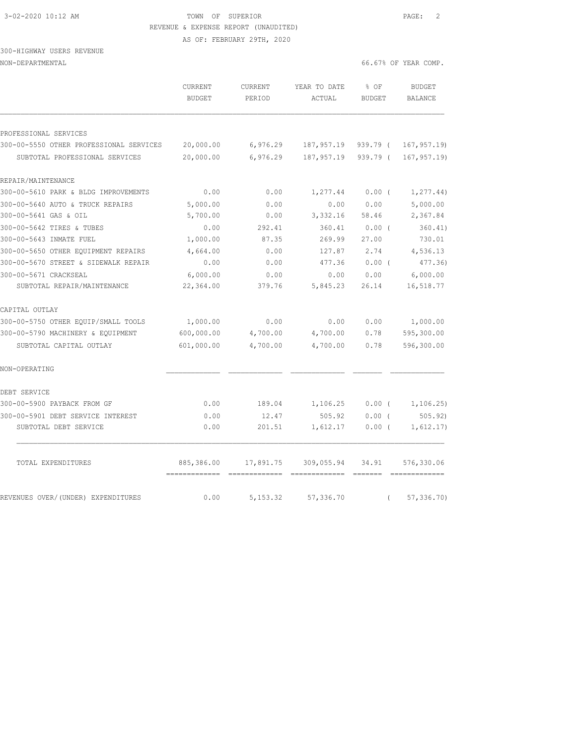## 3-02-2020 10:12 AM TOWN OF SUPERIOR PAGE: 2 REVENUE & EXPENSE REPORT (UNAUDITED)

AS OF: FEBRUARY 29TH, 2020

#### 300-HIGHWAY USERS REVENUE NON-DEPARTMENTAL 66.67% OF YEAR COMP.

|                                         | <b>CURRENT</b><br><b>BUDGET</b> | <b>CURRENT</b><br>PERIOD | YEAR TO DATE<br>ACTUAL | % OF<br><b>BUDGET</b> | <b>BUDGET</b><br><b>BALANCE</b> |
|-----------------------------------------|---------------------------------|--------------------------|------------------------|-----------------------|---------------------------------|
| PROFESSIONAL SERVICES                   |                                 |                          |                        |                       |                                 |
| 300-00-5550 OTHER PROFESSIONAL SERVICES | 20,000.00                       | 6,976.29                 | 187,957.19             | $939.79$ (            | 167, 957.19                     |
| SUBTOTAL PROFESSIONAL SERVICES          | 20,000.00                       | 6,976.29                 | 187, 957.19            | $939.79$ (            | 167, 957.19                     |
| REPAIR/MAINTENANCE                      |                                 |                          |                        |                       |                                 |
| 300-00-5610 PARK & BLDG IMPROVEMENTS    | 0.00                            | 0.00                     | 1,277.44               | 0.00(                 | 1, 277.44)                      |
| 300-00-5640 AUTO & TRUCK REPAIRS        | 5,000.00                        | 0.00                     | 0.00                   | 0.00                  | 5,000.00                        |
| 300-00-5641 GAS & OIL                   | 5,700.00                        | 0.00                     | 3,332.16               | 58.46                 | 2,367.84                        |
| 300-00-5642 TIRES & TUBES               | 0.00                            | 292.41                   | 360.41                 | 0.00(                 | 360.41)                         |
| 300-00-5643 INMATE FUEL                 | 1,000.00                        | 87.35                    | 269.99                 | 27.00                 | 730.01                          |
| 300-00-5650 OTHER EOUIPMENT REPAIRS     | 4,664.00                        | 0.00                     | 127.87                 | 2.74                  | 4,536.13                        |
| 300-00-5670 STREET & SIDEWALK REPAIR    | 0.00                            | 0.00                     | 477.36                 | 0.00(                 | 477.36)                         |
| 300-00-5671 CRACKSEAL                   | 6,000.00                        | 0.00                     | 0.00                   | 0.00                  | 6,000.00                        |
| SUBTOTAL REPAIR/MAINTENANCE             | 22,364.00                       | 379.76                   | 5,845.23               | 26.14                 | 16,518.77                       |
| CAPITAL OUTLAY                          |                                 |                          |                        |                       |                                 |
| 300-00-5750 OTHER EQUIP/SMALL TOOLS     | 1,000.00                        | 0.00                     | 0.00                   | 0.00                  | 1,000.00                        |
| 300-00-5790 MACHINERY & EOUIPMENT       | 600,000.00                      | 4,700.00                 | 4,700.00               | 0.78                  | 595,300.00                      |
| SUBTOTAL CAPITAL OUTLAY                 | 601,000.00                      | 4,700.00                 | 4,700.00               | 0.78                  | 596,300.00                      |
| NON-OPERATING                           |                                 |                          |                        |                       |                                 |
| DEBT SERVICE                            |                                 |                          |                        |                       |                                 |
| 300-00-5900 PAYBACK FROM GF             | 0.00                            | 189.04                   | 1,106.25               | 0.00(                 | 1, 106.25)                      |
| 300-00-5901 DEBT SERVICE INTEREST       | 0.00                            | 12.47                    | 505.92                 | 0.00(                 | 505.92                          |
| SUBTOTAL DEBT SERVICE                   | 0.00                            | 201.51                   | 1,612.17               | 0.00(                 | 1,612.17)                       |
| TOTAL EXPENDITURES                      | 885,386.00<br>=============     | 17,891.75                | 309,055.94             | 34.91                 | 576,330.06                      |
| REVENUES OVER/(UNDER) EXPENDITURES      | 0.00                            | 5, 153.32                | 57,336.70              | $\left($              | 57, 336.70                      |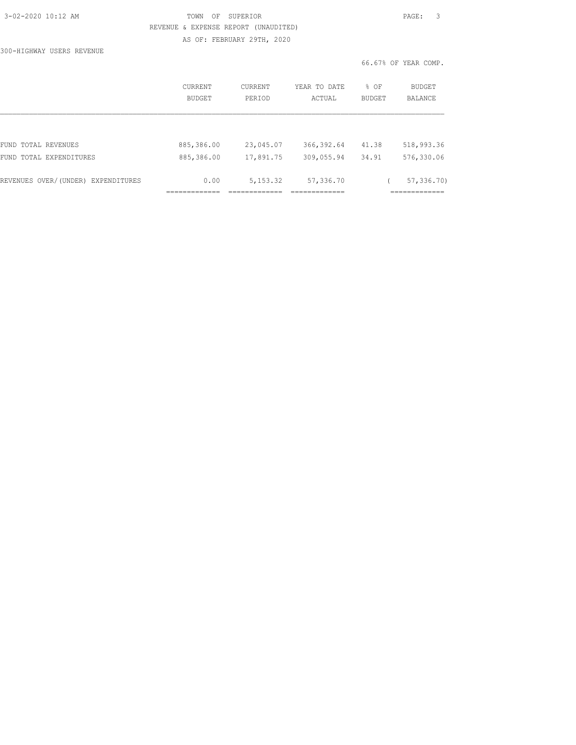| 3-02-2020 10:12 AM |  |  |
|--------------------|--|--|
|                    |  |  |

### 3-02-2020 10:12 AM TOWN OF SUPERIOR PAGE: 3 REVENUE & EXPENSE REPORT (UNAUDITED) AS OF: FEBRUARY 29TH, 2020

300-HIGHWAY USERS REVENUE

|                                    | CURRENT<br>BUDGET | CURRENT<br>PERTOD | YEAR TO DATE<br>ACTUAL | % OF<br><b>BUDGET</b> | BUDGET<br><b>BALANCE</b> |
|------------------------------------|-------------------|-------------------|------------------------|-----------------------|--------------------------|
|                                    |                   |                   |                        |                       |                          |
| FUND TOTAL REVENUES                | 885,386.00        | 23,045.07         | 366, 392.64            | 41.38                 | 518,993.36               |
| FUND TOTAL EXPENDITURES            | 885,386.00        | 17,891.75         | 309,055.94             | 34.91                 | 576,330.06               |
| REVENUES OVER/(UNDER) EXPENDITURES | 0.00              | 5, 153.32         | 57,336.70              |                       | 57, 336, 70              |
|                                    |                   |                   |                        |                       |                          |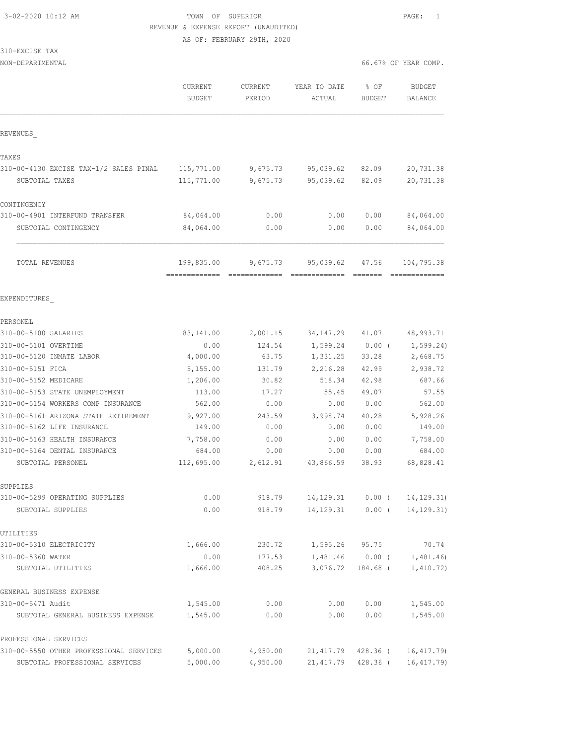# 3-02-2020 10:12 AM TOWN OF SUPERIOR PAGE: 1 REVENUE & EXPENSE REPORT (UNAUDITED)

AS OF: FEBRUARY 29TH, 2020

| 310-EXCISE TAX |  |
|----------------|--|
|----------------|--|

| NON-DEPARTMENTAL                        |                              |                   |                                                                                                                                                                                                                                                                                                                                                                                                                                                                                                                                                       |                       | 66.67% OF YEAR COMP.            |
|-----------------------------------------|------------------------------|-------------------|-------------------------------------------------------------------------------------------------------------------------------------------------------------------------------------------------------------------------------------------------------------------------------------------------------------------------------------------------------------------------------------------------------------------------------------------------------------------------------------------------------------------------------------------------------|-----------------------|---------------------------------|
|                                         | CURRENT<br><b>BUDGET</b>     | CURRENT<br>PERIOD | YEAR TO DATE<br>ACTUAL                                                                                                                                                                                                                                                                                                                                                                                                                                                                                                                                | % OF<br><b>BUDGET</b> | <b>BUDGET</b><br><b>BALANCE</b> |
| REVENUES                                |                              |                   |                                                                                                                                                                                                                                                                                                                                                                                                                                                                                                                                                       |                       |                                 |
| TAXES                                   |                              |                   |                                                                                                                                                                                                                                                                                                                                                                                                                                                                                                                                                       |                       |                                 |
| 310-00-4130 EXCISE TAX-1/2 SALES PINAL  | 115,771.00                   | 9,675.73          | 95,039.62                                                                                                                                                                                                                                                                                                                                                                                                                                                                                                                                             | 82.09                 | 20,731.38                       |
| SUBTOTAL TAXES                          | 115,771.00                   | 9,675.73          | 95,039.62                                                                                                                                                                                                                                                                                                                                                                                                                                                                                                                                             | 82.09                 | 20,731.38                       |
| CONTINGENCY                             |                              |                   |                                                                                                                                                                                                                                                                                                                                                                                                                                                                                                                                                       |                       |                                 |
| 310-00-4901 INTERFUND TRANSFER          | 84,064.00                    | 0.00              | 0.00                                                                                                                                                                                                                                                                                                                                                                                                                                                                                                                                                  | 0.00                  | 84,064.00                       |
| SUBTOTAL CONTINGENCY                    | 84,064.00                    | 0.00              | 0.00                                                                                                                                                                                                                                                                                                                                                                                                                                                                                                                                                  | 0.00                  | 84,064.00                       |
| TOTAL REVENUES                          | 199,835.00                   | 9,675.73          | 95,039.62                                                                                                                                                                                                                                                                                                                                                                                                                                                                                                                                             | 47.56                 | 104,795.38                      |
|                                         | -------------- ------------- |                   | $\begin{tabular}{lllllllllll} \multicolumn{2}{l}{{\color{red}{{\color{red}\boldsymbol{z}}}}} & \multicolumn{2}{l}{\color{red}\boldsymbol{z}} & \multicolumn{2}{l}{\color{blue}\boldsymbol{z}} & \multicolumn{2}{l}{\color{blue}\boldsymbol{z}} & \multicolumn{2}{l}{\color{blue}\boldsymbol{z}} & \multicolumn{2}{l}{\color{blue}\boldsymbol{z}} & \multicolumn{2}{l}{\color{blue}\boldsymbol{z}} & \multicolumn{2}{l}{\color{blue}\boldsymbol{z}} & \multicolumn{2}{l}{\color{blue}\boldsymbol{z}} & \multicolumn{2}{l}{\color{blue}\boldsymbol{z}}$ |                       |                                 |
| EXPENDITURES                            |                              |                   |                                                                                                                                                                                                                                                                                                                                                                                                                                                                                                                                                       |                       |                                 |
| PERSONEL                                |                              |                   |                                                                                                                                                                                                                                                                                                                                                                                                                                                                                                                                                       |                       |                                 |
| 310-00-5100 SALARIES                    | 83,141.00                    | 2,001.15          | 34, 147.29                                                                                                                                                                                                                                                                                                                                                                                                                                                                                                                                            | 41.07                 | 48,993.71                       |
| 310-00-5101 OVERTIME                    | 0.00                         | 124.54            | 1,599.24                                                                                                                                                                                                                                                                                                                                                                                                                                                                                                                                              | $0.00$ (              | 1, 599.24)                      |
| 310-00-5120 INMATE LABOR                | 4,000.00                     | 63.75             | 1,331.25                                                                                                                                                                                                                                                                                                                                                                                                                                                                                                                                              | 33.28                 | 2,668.75                        |
| 310-00-5151 FICA                        | 5,155.00                     | 131.79            | 2,216.28                                                                                                                                                                                                                                                                                                                                                                                                                                                                                                                                              | 42.99                 | 2,938.72                        |
| 310-00-5152 MEDICARE                    | 1,206.00                     | 30.82             | 518.34                                                                                                                                                                                                                                                                                                                                                                                                                                                                                                                                                | 42.98                 | 687.66                          |
| 310-00-5153 STATE UNEMPLOYMENT          | 113.00                       | 17.27             | 55.45                                                                                                                                                                                                                                                                                                                                                                                                                                                                                                                                                 | 49.07                 | 57.55                           |
| 310-00-5154 WORKERS COMP INSURANCE      | 562.00                       | 0.00              | 0.00                                                                                                                                                                                                                                                                                                                                                                                                                                                                                                                                                  | 0.00                  | 562.00                          |
| 310-00-5161 ARIZONA STATE RETIREMENT    | 9,927.00                     | 243.59            | 3,998.74                                                                                                                                                                                                                                                                                                                                                                                                                                                                                                                                              | 40.28                 | 5,928.26                        |
| 310-00-5162 LIFE INSURANCE              | 149.00                       | 0.00              | 0.00                                                                                                                                                                                                                                                                                                                                                                                                                                                                                                                                                  | 0.00                  | 149.00                          |
| 310-00-5163 HEALTH INSURANCE            | 7,758.00                     | 0.00              | 0.00                                                                                                                                                                                                                                                                                                                                                                                                                                                                                                                                                  | 0.00                  | 7,758.00                        |
| 310-00-5164 DENTAL INSURANCE            | 684.00                       | 0.00              | 0.00                                                                                                                                                                                                                                                                                                                                                                                                                                                                                                                                                  | 0.00                  | 684.00                          |
| SUBTOTAL PERSONEL                       | 112,695.00                   | 2,612.91          | 43,866.59                                                                                                                                                                                                                                                                                                                                                                                                                                                                                                                                             | 38.93                 | 68,828.41                       |
| SUPPLIES                                |                              |                   |                                                                                                                                                                                                                                                                                                                                                                                                                                                                                                                                                       |                       |                                 |
| 310-00-5299 OPERATING SUPPLIES          | 0.00                         | 918.79            | 14, 129. 31                                                                                                                                                                                                                                                                                                                                                                                                                                                                                                                                           | $0.00$ (              | 14, 129.31)                     |
| SUBTOTAL SUPPLIES                       | 0.00                         | 918.79            | 14, 129.31                                                                                                                                                                                                                                                                                                                                                                                                                                                                                                                                            | $0.00$ (              | 14, 129.31)                     |
| UTILITIES                               |                              |                   |                                                                                                                                                                                                                                                                                                                                                                                                                                                                                                                                                       |                       |                                 |
| 310-00-5310 ELECTRICITY                 | 1,666.00                     | 230.72            | 1,595.26                                                                                                                                                                                                                                                                                                                                                                                                                                                                                                                                              | 95.75                 | 70.74                           |
| 310-00-5360 WATER                       | 0.00                         | 177.53            | 1,481.46                                                                                                                                                                                                                                                                                                                                                                                                                                                                                                                                              | $0.00$ (              | 1,481.46)                       |
| SUBTOTAL UTILITIES                      | 1,666.00                     | 408.25            | 3,076.72                                                                                                                                                                                                                                                                                                                                                                                                                                                                                                                                              | 184.68 (              | 1,410.72)                       |
| GENERAL BUSINESS EXPENSE                |                              |                   |                                                                                                                                                                                                                                                                                                                                                                                                                                                                                                                                                       |                       |                                 |
| 310-00-5471 Audit                       | 1,545.00                     | 0.00              | 0.00                                                                                                                                                                                                                                                                                                                                                                                                                                                                                                                                                  | 0.00                  | 1,545.00                        |
| SUBTOTAL GENERAL BUSINESS EXPENSE       | 1,545.00                     | 0.00              | 0.00                                                                                                                                                                                                                                                                                                                                                                                                                                                                                                                                                  | 0.00                  | 1,545.00                        |
| PROFESSIONAL SERVICES                   |                              |                   |                                                                                                                                                                                                                                                                                                                                                                                                                                                                                                                                                       |                       |                                 |
| 310-00-5550 OTHER PROFESSIONAL SERVICES | 5,000.00                     | 4,950.00          | 21,417.79                                                                                                                                                                                                                                                                                                                                                                                                                                                                                                                                             | 428.36 (              | 16, 417.79)                     |
| SUBTOTAL PROFESSIONAL SERVICES          | 5,000.00                     | 4,950.00          | 21, 417.79                                                                                                                                                                                                                                                                                                                                                                                                                                                                                                                                            | 428.36 (              | 16, 417.79)                     |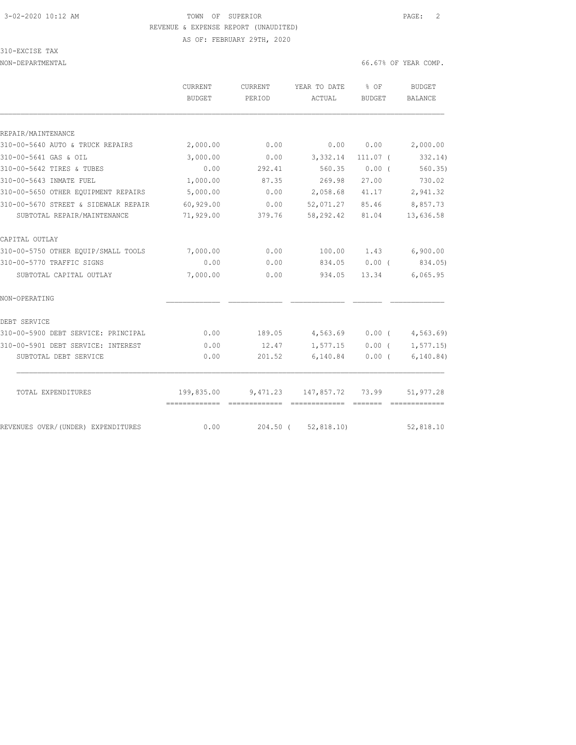# 3-02-2020 10:12 AM TOWN OF SUPERIOR PAGE: 2 REVENUE & EXPENSE REPORT (UNAUDITED)

AS OF: FEBRUARY 29TH, 2020

#### 310-EXCISE TAX

NON-DEPARTMENTAL 66.67% OF YEAR COMP.

|                                      | <b>CURRENT</b> | <b>CURRENT</b> | YEAR TO DATE          | % OF          | <b>BUDGET</b>         |
|--------------------------------------|----------------|----------------|-----------------------|---------------|-----------------------|
|                                      | BUDGET         | PERIOD         | ACTUAL                | <b>BUDGET</b> | <b>BALANCE</b>        |
|                                      |                |                |                       |               |                       |
| REPAIR/MAINTENANCE                   |                |                |                       |               |                       |
| 310-00-5640 AUTO & TRUCK REPAIRS     | 2,000.00       | 0.00           | 0.00                  | 0.00          | 2,000.00              |
| 310-00-5641 GAS & OIL                | 3,000.00       | 0.00           | 3,332.14              | $111.07$ (    | 332.14)               |
| 310-00-5642 TIRES & TUBES            | 0.00           | 292.41         | 560.35                | 0.00(         | 560.35                |
| 310-00-5643 INMATE FUEL              | 1,000.00       | 87.35          | 269.98                | 27.00         | 730.02                |
| 310-00-5650 OTHER EQUIPMENT REPAIRS  | 5,000.00       | 0.00           | 2,058.68              | 41.17         | 2,941.32              |
| 310-00-5670 STREET & SIDEWALK REPAIR | 60,929.00      | 0.00           | 52,071.27             | 85.46         | 8,857.73              |
| SUBTOTAL REPAIR/MAINTENANCE          | 71,929.00      | 379.76         | 58,292.42             | 81.04         | 13,636.58             |
| CAPITAL OUTLAY                       |                |                |                       |               |                       |
| 310-00-5750 OTHER EOUIP/SMALL TOOLS  | 7,000.00       | 0.00           |                       |               | 100.00 1.43 6,900.00  |
| 310-00-5770 TRAFFIC SIGNS            | 0.00           | 0.00           | 834.05                | $0.00$ (      | 834.05)               |
| SUBTOTAL CAPITAL OUTLAY              | 7,000.00       | 0.00           | 934.05                | 13.34         | 6,065.95              |
| NON-OPERATING                        |                |                |                       |               |                       |
| DEBT SERVICE                         |                |                |                       |               |                       |
| 310-00-5900 DEBT SERVICE: PRINCIPAL  | 0.00           | 189.05         | 4,563.69              |               | $0.00$ ( $4,563.69$ ) |
| 310-00-5901 DEBT SERVICE: INTEREST   | 0.00           | 12.47          | 1,577.15              | $0.00$ (      | 1,577.15)             |
| SUBTOTAL DEBT SERVICE                | 0.00           | 201.52         | 6,140.84              | $0.00$ (      | 6, 140.84)            |
| TOTAL EXPENDITURES                   | 199,835.00     |                | $9,471.23$ 147,857.72 | 73.99         | 51,977.28             |
|                                      |                | - =======      |                       |               |                       |
| REVENUES OVER/(UNDER) EXPENDITURES   | 0.00           |                | 204.50 ( 52,818.10)   |               | 52,818.10             |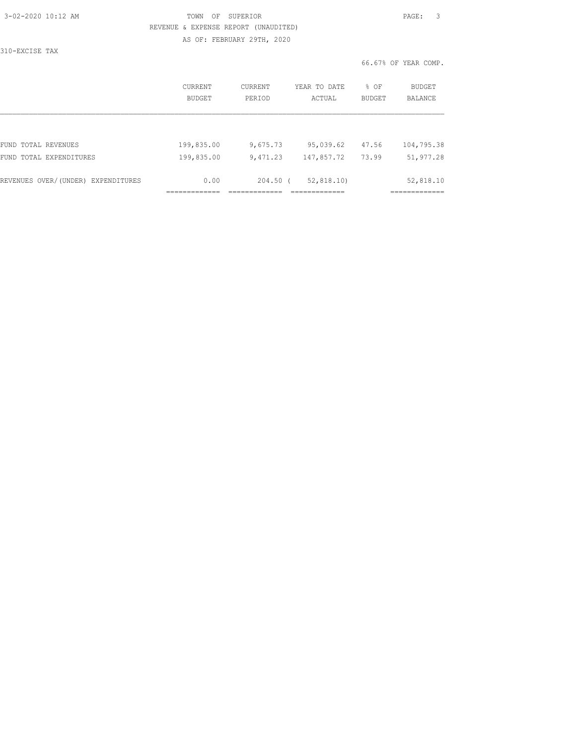| 3-02-2020 10:12 AM |  |
|--------------------|--|
|                    |  |

310-EXCISE TAX

### 3-02-2020 10:12 AM TOWN OF SUPERIOR PAGE: 3 REVENUE & EXPENSE REPORT (UNAUDITED) AS OF: FEBRUARY 29TH, 2020

|                                    | <b>CURRENT</b><br>BUDGET | CURRENT<br>PERIOD | YEAR TO DATE<br>ACTUAL | % OF<br><b>BUDGET</b> | BUDGET<br><b>BALANCE</b> |
|------------------------------------|--------------------------|-------------------|------------------------|-----------------------|--------------------------|
|                                    |                          |                   |                        |                       |                          |
| TOTAL REVENUES<br>FUND             | 199,835.00               | 9,675.73          | 95,039.62              | 47.56                 | 104,795.38               |
| FUND TOTAL EXPENDITURES            | 199,835.00               | 9,471.23          | 147,857.72             | 73.99                 | 51,977.28                |
| REVENUES OVER/(UNDER) EXPENDITURES | 0.00                     | $204.50$ (        | 52, 818, 10)           |                       | 52,818.10                |
|                                    |                          |                   |                        |                       |                          |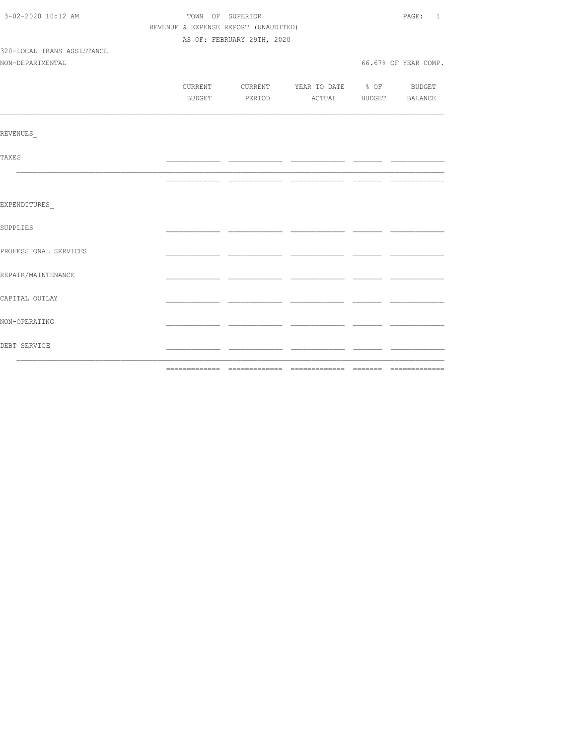| 3-02-2020 10:12 AM         |                                      | TOWN OF SUPERIOR                         | PAGE: 1 |                      |
|----------------------------|--------------------------------------|------------------------------------------|---------|----------------------|
|                            | REVENUE & EXPENSE REPORT (UNAUDITED) |                                          |         |                      |
|                            |                                      | AS OF: FEBRUARY 29TH, 2020               |         |                      |
| 320-LOCAL TRANS ASSISTANCE |                                      |                                          |         |                      |
| NON-DEPARTMENTAL           |                                      |                                          |         | 66.67% OF YEAR COMP. |
|                            |                                      |                                          |         |                      |
|                            |                                      | CURRENT CURRENT YEAR TO DATE % OF BUDGET |         |                      |
|                            |                                      | BUDGET PERIOD ACTUAL BUDGET BALANCE      |         |                      |
|                            |                                      |                                          |         |                      |
| <b>REVENUES</b>            |                                      |                                          |         |                      |
| <b>TAXES</b>               |                                      |                                          |         |                      |
|                            |                                      |                                          |         |                      |
| EXPENDITURES               |                                      |                                          |         |                      |
| <b>SUPPLIES</b>            |                                      |                                          |         |                      |
| PROFESSIONAL SERVICES      |                                      |                                          |         |                      |
| REPAIR/MAINTENANCE         |                                      |                                          |         |                      |
| CAPITAL OUTLAY             |                                      |                                          |         |                      |
| NON-OPERATING              |                                      |                                          |         |                      |
| DEBT SERVICE               |                                      |                                          |         |                      |
|                            |                                      |                                          |         |                      |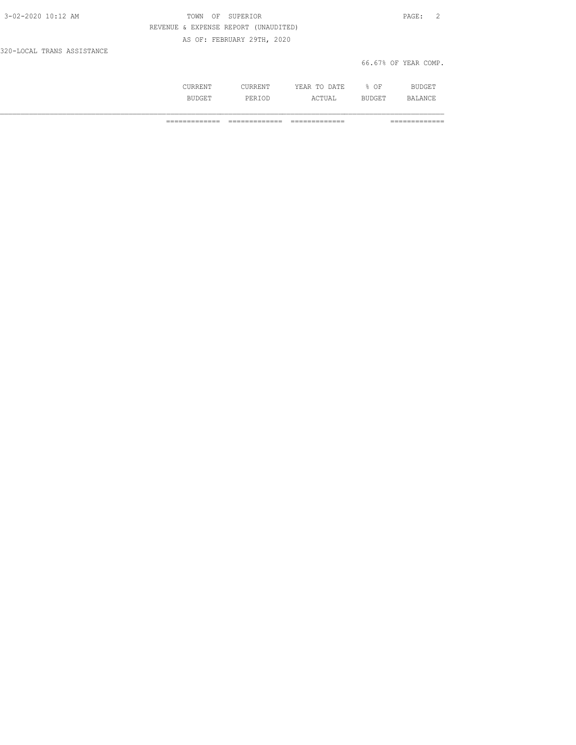| 3-02-2020 10:12 AM         | TOWN OF SUPERIOR                     | PAGE: 2              |
|----------------------------|--------------------------------------|----------------------|
|                            | REVENUE & EXPENSE REPORT (UNAUDITED) |                      |
|                            | AS OF: FEBRUARY 29TH, 2020           |                      |
| 320-LOCAL TRANS ASSISTANCE |                                      |                      |
|                            |                                      | 66.67% OF YEAR COMP. |

| ---<br>$\frac{1}{2} \left( \frac{1}{2} \right) \left( \frac{1}{2} \right) \left( \frac{1}{2} \right) \left( \frac{1}{2} \right) \left( \frac{1}{2} \right) \left( \frac{1}{2} \right) \left( \frac{1}{2} \right) \left( \frac{1}{2} \right) \left( \frac{1}{2} \right) \left( \frac{1}{2} \right) \left( \frac{1}{2} \right) \left( \frac{1}{2} \right) \left( \frac{1}{2} \right) \left( \frac{1}{2} \right) \left( \frac{1}{2} \right) \left( \frac{1}{2} \right) \left( \frac$ | .<br>سالة السنة عنه من | ١Δ<br>٠<br>----<br>-----<br>__ | ΟF |     |
|-----------------------------------------------------------------------------------------------------------------------------------------------------------------------------------------------------------------------------------------------------------------------------------------------------------------------------------------------------------------------------------------------------------------------------------------------------------------------------------|------------------------|--------------------------------|----|-----|
|                                                                                                                                                                                                                                                                                                                                                                                                                                                                                   | ים כ<br>د .            | ,,,,                           | ◡  | ΔNΙ |

============= ============= ============= =============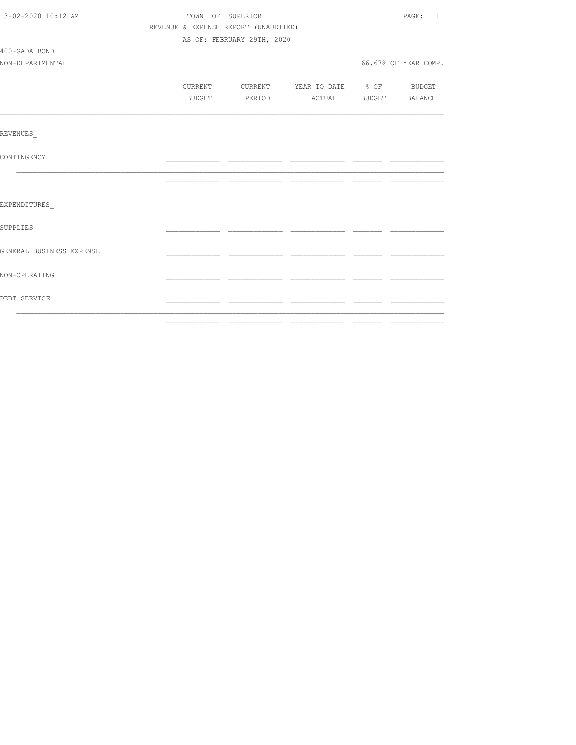| 3-02-2020 10:12 AM       | TOWN OF SUPERIOR                     | PAGE: 1                    |                                  |  |                      |
|--------------------------|--------------------------------------|----------------------------|----------------------------------|--|----------------------|
|                          | REVENUE & EXPENSE REPORT (UNAUDITED) |                            |                                  |  |                      |
|                          |                                      | AS OF: FEBRUARY 29TH, 2020 |                                  |  |                      |
| 400-GADA BOND            |                                      |                            |                                  |  |                      |
| NON-DEPARTMENTAL         |                                      |                            |                                  |  | 66.67% OF YEAR COMP. |
|                          |                                      |                            |                                  |  |                      |
|                          | CURRENT                              |                            | CURRENT YEAR TO DATE % OF BUDGET |  |                      |
|                          | BUDGET                               | PERIOD                     | ACTUAL BUDGET BALANCE            |  |                      |
|                          |                                      |                            |                                  |  |                      |
| <b>REVENUES</b>          |                                      |                            |                                  |  |                      |
| CONTINGENCY              |                                      |                            |                                  |  |                      |
|                          |                                      |                            |                                  |  |                      |
| EXPENDITURES             |                                      |                            |                                  |  |                      |
| <b>SUPPLIES</b>          |                                      |                            |                                  |  |                      |
| GENERAL BUSINESS EXPENSE |                                      |                            |                                  |  |                      |
| NON-OPERATING            |                                      |                            |                                  |  |                      |
| DEBT SERVICE             |                                      |                            |                                  |  |                      |
|                          |                                      |                            |                                  |  |                      |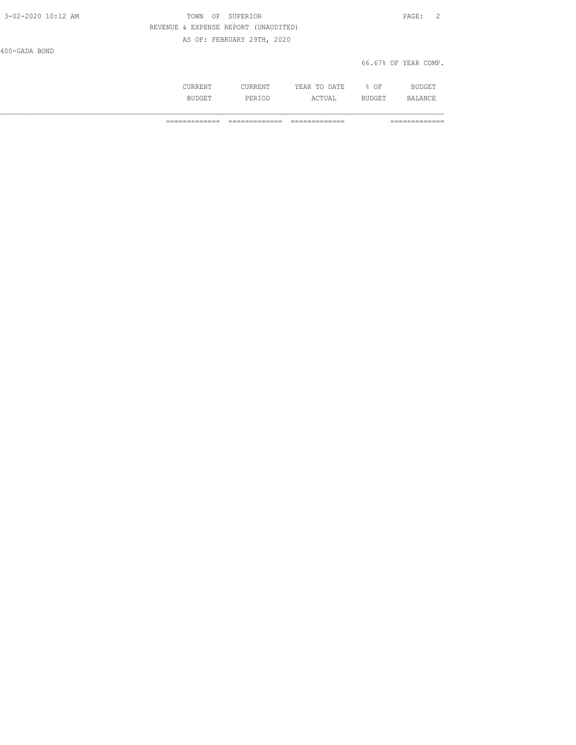| 3-02-2020 10:12 AM | OF SUPERIOR<br>TOWN                  | PAGE: 2              |
|--------------------|--------------------------------------|----------------------|
|                    | REVENUE & EXPENSE REPORT (UNAUDITED) |                      |
|                    | AS OF: FEBRUARY 29TH, 2020           |                      |
| 400-GADA BOND      |                                      |                      |
|                    |                                      | 66.67% OF YEAR COMP. |

| . | m.<br>$\cdots$<br>----<br>----- | ∩ஈ<br>◡ |   |
|---|---------------------------------|---------|---|
|   | ¬ ⊓ .<br>----                   | ---     | " |

============= ============= ============= =============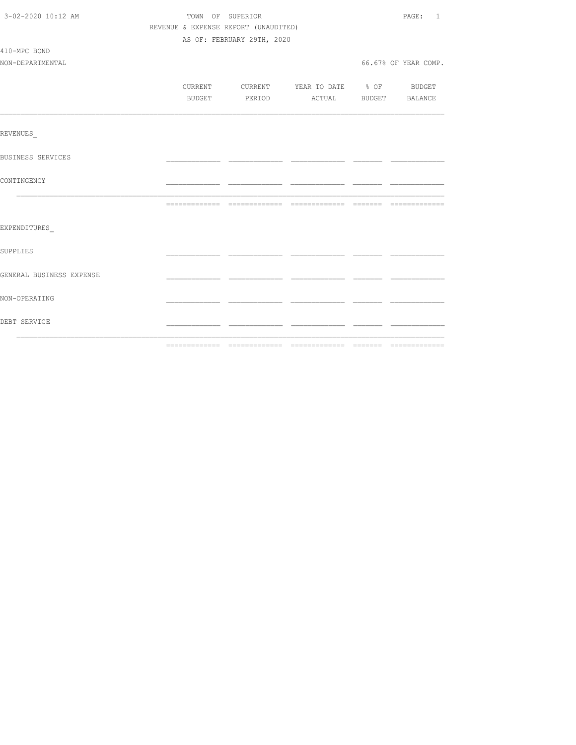| 3-02-2020 10:12 AM       |                                      | TOWN OF SUPERIOR                         |  |  |                      |  |
|--------------------------|--------------------------------------|------------------------------------------|--|--|----------------------|--|
|                          | REVENUE & EXPENSE REPORT (UNAUDITED) |                                          |  |  |                      |  |
|                          |                                      | AS OF: FEBRUARY 29TH, 2020               |  |  |                      |  |
| 410-MPC BOND             |                                      |                                          |  |  |                      |  |
| NON-DEPARTMENTAL         |                                      |                                          |  |  | 66.67% OF YEAR COMP. |  |
|                          |                                      |                                          |  |  |                      |  |
|                          |                                      | CURRENT CURRENT YEAR TO DATE % OF BUDGET |  |  |                      |  |
|                          |                                      | BUDGET PERIOD ACTUAL BUDGET BALANCE      |  |  |                      |  |
|                          |                                      |                                          |  |  |                      |  |
|                          |                                      |                                          |  |  |                      |  |
| REVENUES                 |                                      |                                          |  |  |                      |  |
|                          |                                      |                                          |  |  |                      |  |
| BUSINESS SERVICES        |                                      |                                          |  |  |                      |  |
|                          |                                      |                                          |  |  |                      |  |
| CONTINGENCY              |                                      |                                          |  |  |                      |  |
|                          |                                      |                                          |  |  |                      |  |
|                          |                                      |                                          |  |  |                      |  |
|                          |                                      |                                          |  |  |                      |  |
| EXPENDITURES             |                                      |                                          |  |  |                      |  |
| SUPPLIES                 |                                      |                                          |  |  |                      |  |
|                          |                                      |                                          |  |  |                      |  |
| GENERAL BUSINESS EXPENSE |                                      |                                          |  |  |                      |  |
|                          |                                      |                                          |  |  |                      |  |
| NON-OPERATING            |                                      |                                          |  |  |                      |  |
|                          |                                      |                                          |  |  |                      |  |
| DEBT SERVICE             |                                      |                                          |  |  |                      |  |
|                          |                                      |                                          |  |  |                      |  |
|                          |                                      |                                          |  |  |                      |  |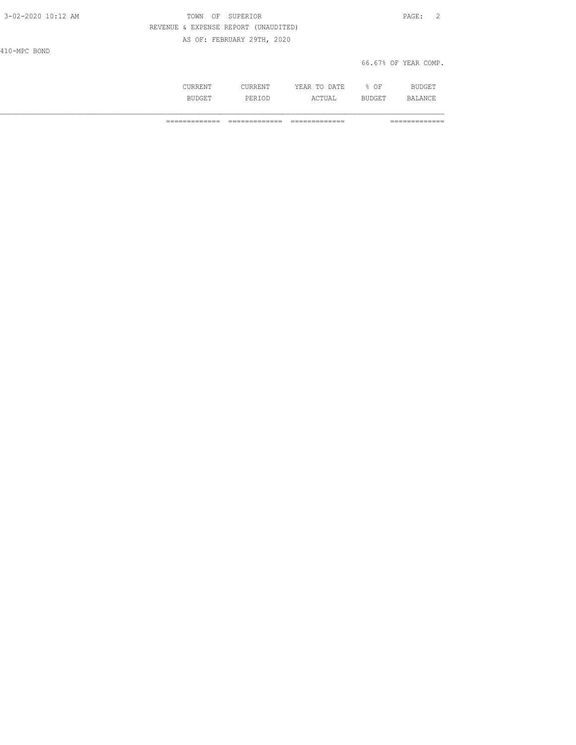| 3-02-2020 10:12 AM | OF SUPERIOR<br>TOWN                  | PAGE: 2              |
|--------------------|--------------------------------------|----------------------|
|                    | REVENUE & EXPENSE REPORT (UNAUDITED) |                      |
|                    | AS OF: FEBRUARY 29TH, 2020           |                      |
| 410-MPC BOND       |                                      |                      |
|                    |                                      | 66.67% OF YEAR COMP. |
|                    |                                      |                      |

 CURRENT CURRENT YEAR TO DATE % OF BUDGET BUDGET PERIOD ACTUAL BUDGET BALANCE

============= ============= ============= =============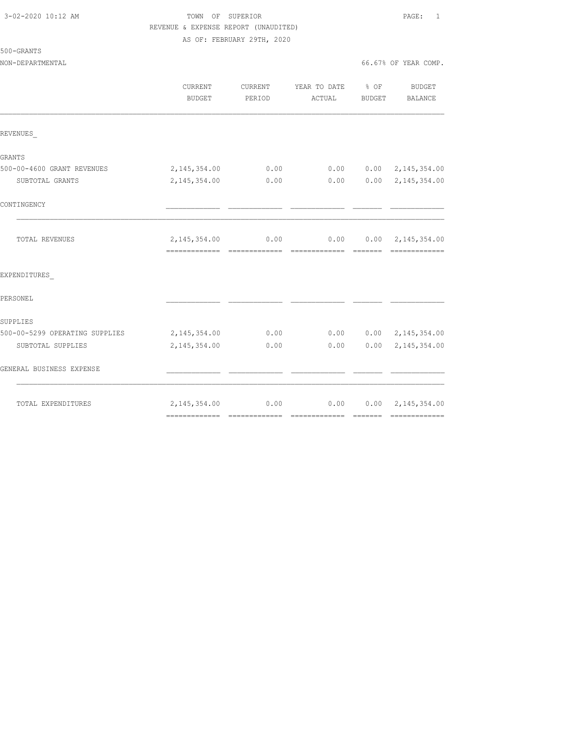### 3-02-2020 10:12 AM TOWN OF SUPERIOR PAGE: 1 REVENUE & EXPENSE REPORT (UNAUDITED) AS OF: FEBRUARY 29TH, 2020

500-GRANTS

|                                | CURRENT<br><b>BUDGET</b> | CURRENT<br>PERIOD | YEAR TO DATE % OF<br>ACTUAL | BUDGET | <b>BUDGET</b><br>BALANCE  |
|--------------------------------|--------------------------|-------------------|-----------------------------|--------|---------------------------|
| REVENUES                       |                          |                   |                             |        |                           |
| GRANTS                         |                          |                   |                             |        |                           |
| 500-00-4600 GRANT REVENUES     | 2, 145, 354.00           | 0.00              | 0.00                        |        | $0.00 \quad 2,145,354.00$ |
| SUBTOTAL GRANTS                | 2, 145, 354.00           | 0.00              | 0.00                        |        | $0.00 \quad 2,145,354.00$ |
| CONTINGENCY                    |                          |                   |                             |        |                           |
| TOTAL REVENUES                 | 2, 145, 354.00           | 0.00              | 0.00                        |        | $0.00 \quad 2,145,354.00$ |
| EXPENDITURES                   |                          |                   |                             |        |                           |
| PERSONEL                       |                          |                   |                             |        |                           |
| SUPPLIES                       |                          |                   |                             |        |                           |
| 500-00-5299 OPERATING SUPPLIES | 2, 145, 354.00           | 0.00              | 0.00                        |        | $0.00 \quad 2,145,354.00$ |
| SUBTOTAL SUPPLIES              | 2, 145, 354.00           | 0.00              | 0.00                        | 0.00   | 2,145,354.00              |
| GENERAL BUSINESS EXPENSE       |                          |                   |                             |        |                           |
| TOTAL EXPENDITURES             | 2, 145, 354.00           | 0.00              | 0.00                        |        | $0.00 \quad 2,145,354.00$ |
|                                |                          |                   |                             |        |                           |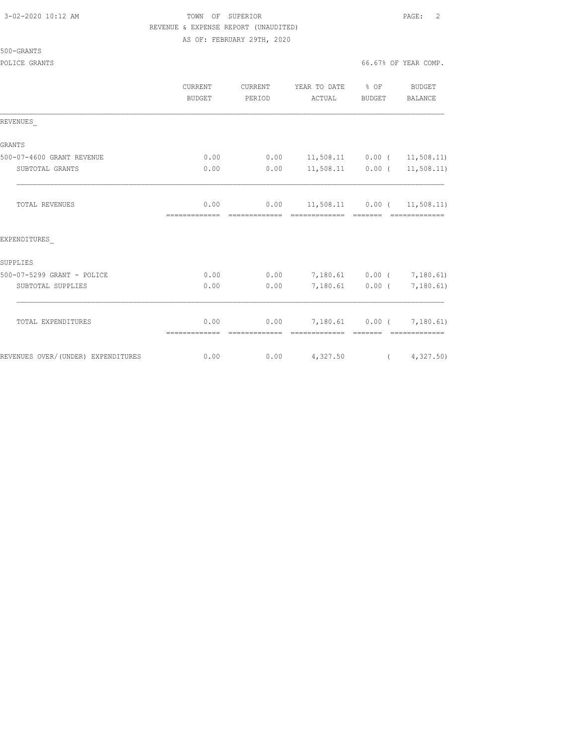#### 3-02-2020 10:12 AM TOWN OF SUPERIOR PAGE: 2 REVENUE & EXPENSE REPORT (UNAUDITED) AS OF: FEBRUARY 29TH, 2020

500-GRANTS

|                                    | CURRENT<br><b>BUDGET</b> | CURRENT<br>PERIOD      | YEAR TO DATE<br>ACTUAL                          | $\frac{6}{6}$ OF<br>BUDGET | BUDGET<br><b>BALANCE</b> |
|------------------------------------|--------------------------|------------------------|-------------------------------------------------|----------------------------|--------------------------|
| REVENUES                           |                          |                        |                                                 |                            |                          |
| <b>GRANTS</b>                      |                          |                        |                                                 |                            |                          |
| 500-07-4600 GRANT REVENUE          | 0.00                     | 0.00                   | 11,508.11                                       |                            | $0.00$ ( 11,508.11)      |
| SUBTOTAL GRANTS                    | 0.00                     | 0.00                   | 11,508.11                                       |                            | $0.00$ ( $11,508.11$ )   |
| <b>TOTAL REVENUES</b>              | 0.00<br>--------------   | 0.00<br>-------------- | $11,508.11$ 0.00 ( 11,508.11)<br>-------------- | --------                   |                          |
| EXPENDITURES                       |                          |                        |                                                 |                            |                          |
| SUPPLIES                           |                          |                        |                                                 |                            |                          |
| 500-07-5299 GRANT - POLICE         | 0.00                     | 0.00                   | 7,180.61                                        |                            | $0.00$ ( $7,180.61$ )    |
| SUBTOTAL SUPPLIES                  | 0.00                     | 0.00                   | 7,180.61                                        |                            | $0.00$ ( 7,180.61)       |
| TOTAL EXPENDITURES                 | 0.00<br>--------------   | 0.00<br>-------------  | 7,180.61  0.00  7,180.61)<br>-------------      | --------                   |                          |
| REVENUES OVER/(UNDER) EXPENDITURES | 0.00                     | 0.00                   | 4,327.50                                        |                            | (4, 327.50)              |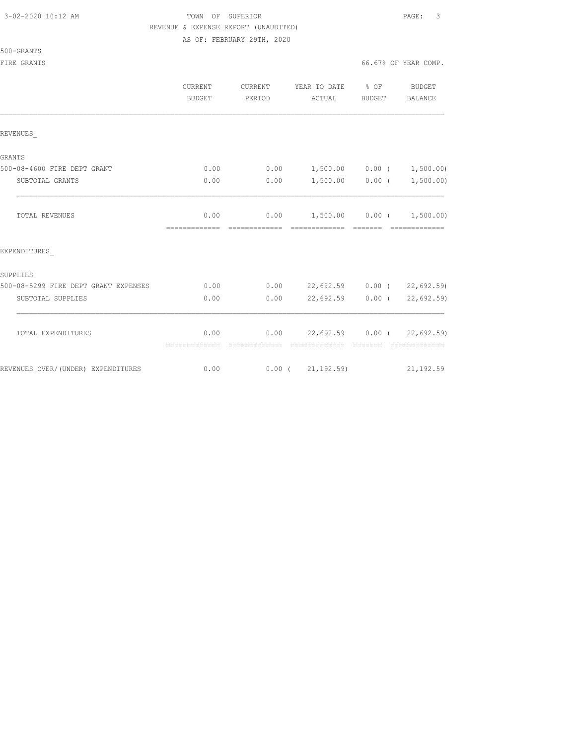500-GRANTS

# 3-02-2020 10:12 AM TOWN OF SUPERIOR PAGE: 3 REVENUE & EXPENSE REPORT (UNAUDITED)

AS OF: FEBRUARY 29TH, 2020

FIRE GRANTS **66.67%** OF YEAR COMP.

|                                      | CURRENT<br><b>BUDGET</b>                | CURRENT<br>PERIOD | YEAR TO DATE % OF<br>ACTUAL                                   | BUDGET | BUDGET<br>BALANCE           |
|--------------------------------------|-----------------------------------------|-------------------|---------------------------------------------------------------|--------|-----------------------------|
| REVENUES                             |                                         |                   |                                                               |        |                             |
| GRANTS                               |                                         |                   |                                                               |        |                             |
| 500-08-4600 FIRE DEPT GRANT          | 0.00                                    |                   | $0.00$ 1,500.00 0.00 ( 1,500.00)                              |        |                             |
| SUBTOTAL GRANTS                      | 0.00                                    | 0.00              |                                                               |        | $1,500.00$ 0.00 ( 1,500.00) |
| <b>TOTAL REVENUES</b>                | 0.00<br>=============================== |                   | $0.00$ 1,500.00 0.00 ( 1,500.00)<br>- cooperatesta - cooperat |        | --------------              |
| EXPENDITURES                         |                                         |                   |                                                               |        |                             |
| SUPPLIES                             |                                         |                   |                                                               |        |                             |
| 500-08-5299 FIRE DEPT GRANT EXPENSES | 0.00                                    |                   | $0.00$ 22,692.59 0.00 ( 22,692.59)                            |        |                             |
| SUBTOTAL SUPPLIES                    | 0.00                                    | 0.00              | 22,692.59 0.00 (                                              |        | 22,692.59                   |
| TOTAL EXPENDITURES                   | 0.00<br>=============                   | --------------    | $0.00$ 22,692.59 0.00 ( 22,692.59)                            |        | =============               |
| REVENUES OVER/(UNDER) EXPENDITURES   |                                         |                   | $0.00$ $0.00$ $(21, 192.59)$ $21, 192.59$                     |        |                             |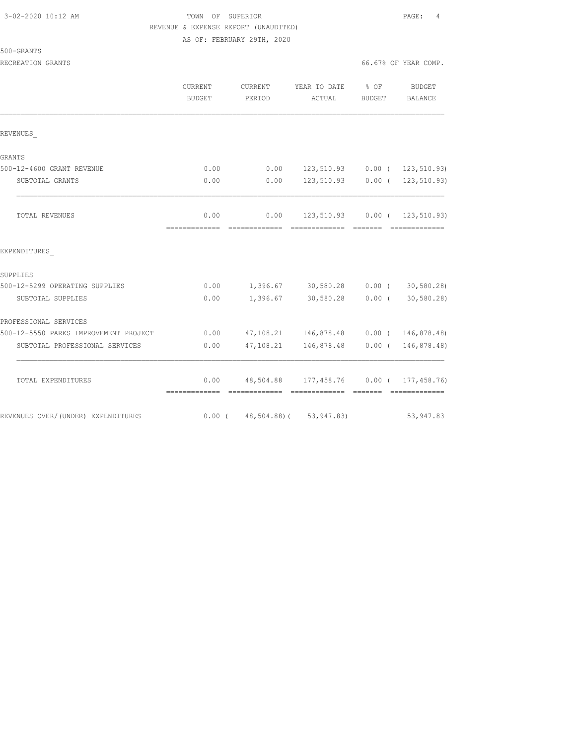| 3-02-2020 10:12 AM |  |  |  |
|--------------------|--|--|--|
|--------------------|--|--|--|

### 3-02-2020 10:12 AM TOWN OF SUPERIOR PAGE: 4 REVENUE & EXPENSE REPORT (UNAUDITED) AS OF: FEBRUARY 29TH, 2020

#### RECREATION GRANTS **EXECUTE:** 66.67% OF YEAR COMP.

500-GRANTS

|                                       | CURRENT<br><b>BUDGET</b> | CURRENT<br>PERIOD | YEAR TO DATE % OF<br>ACTUAL                   | BUDGET | BUDGET<br><b>BALANCE</b> |
|---------------------------------------|--------------------------|-------------------|-----------------------------------------------|--------|--------------------------|
| REVENUES                              |                          |                   |                                               |        |                          |
| GRANTS                                |                          |                   |                                               |        |                          |
| 500-12-4600 GRANT REVENUE             | 0.00                     | 0.00              | 123,510.93 0.00 ( 123,510.93)                 |        |                          |
| SUBTOTAL GRANTS                       | 0.00                     | 0.00              | 123,510.93 0.00 ( 123,510.93)                 |        |                          |
| TOTAL REVENUES                        | 0.00<br>=============    |                   | $0.00$ 123,510.93 0.00 ( 123,510.93)          |        | - =============          |
| EXPENDITURES                          |                          |                   |                                               |        |                          |
| SUPPLIES                              |                          |                   |                                               |        |                          |
| 500-12-5299 OPERATING SUPPLIES        | 0.00                     |                   | 1,396.67 30,580.28 0.00 (30,580.28)           |        |                          |
| SUBTOTAL SUPPLIES                     | 0.00                     |                   | 1,396.67 30,580.28 0.00 (                     |        | 30,580.28)               |
| PROFESSIONAL SERVICES                 |                          |                   |                                               |        |                          |
| 500-12-5550 PARKS IMPROVEMENT PROJECT | 0.00                     |                   | 47,108.21 146,878.48 0.00 ( 146,878.48)       |        |                          |
| SUBTOTAL PROFESSIONAL SERVICES        | 0.00                     |                   | 47, 108.21  146, 878.48  0.00  ( 146, 878.48) |        |                          |
| TOTAL EXPENDITURES                    |                          |                   | $0.00$ 48,504.88 177,458.76 0.00 (177,458.76) |        |                          |
| REVENUES OVER/(UNDER) EXPENDITURES    |                          |                   | $0.00$ ( 48,504.88) ( 53,947.83)              |        | 53, 947.83               |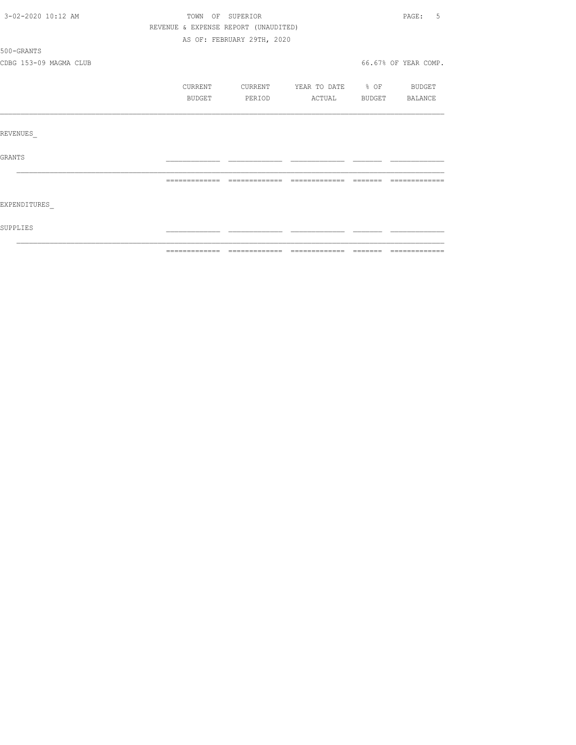| 3-02-2020 10:12 AM     | TOWN OF SUPERIOR                     |                            |               |                  | 5<br>PAGE:           |
|------------------------|--------------------------------------|----------------------------|---------------|------------------|----------------------|
|                        | REVENUE & EXPENSE REPORT (UNAUDITED) |                            |               |                  |                      |
|                        |                                      | AS OF: FEBRUARY 29TH, 2020 |               |                  |                      |
| 500-GRANTS             |                                      |                            |               |                  |                      |
| CDBG 153-09 MAGMA CLUB |                                      |                            |               |                  | 66.67% OF YEAR COMP. |
|                        | CURRENT                              | CURRENT                    | YEAR TO DATE  | $\frac{1}{2}$ OF | BUDGET               |
|                        | BUDGET                               | PERIOD                     | ACTUAL        | BUDGET           | BALANCE              |
|                        |                                      |                            |               |                  |                      |
| REVENUES               |                                      |                            |               |                  |                      |
| GRANTS                 |                                      |                            |               |                  |                      |
|                        | =============                        | -------------              | ============= | --------         |                      |
| EXPENDITURES           |                                      |                            |               |                  |                      |
| SUPPLIES               |                                      |                            |               |                  |                      |
|                        |                                      |                            |               |                  |                      |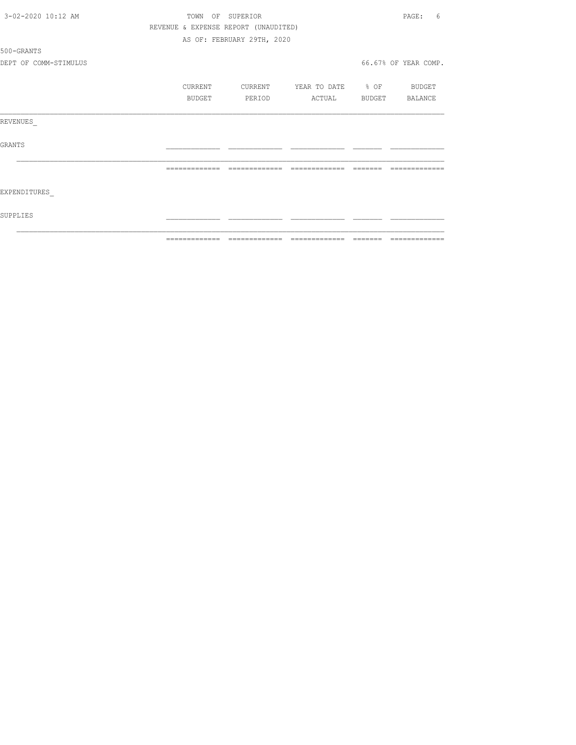| 3-02-2020 10:12 AM    | TOWN    | OF SUPERIOR                          |                   | PAGE:<br>6           |
|-----------------------|---------|--------------------------------------|-------------------|----------------------|
|                       |         | REVENUE & EXPENSE REPORT (UNAUDITED) |                   |                      |
|                       |         | AS OF: FEBRUARY 29TH, 2020           |                   |                      |
| 500-GRANTS            |         |                                      |                   |                      |
| DEPT OF COMM-STIMULUS |         |                                      |                   | 66.67% OF YEAR COMP. |
|                       | CURRENT | CURRENT                              | YEAR TO DATE % OF | BUDGET               |
|                       | BUDGET  | PERIOD                               | ACTUAL            | BUDGET BALANCE       |
| REVENUES              |         |                                      |                   |                      |
| GRANTS                |         |                                      |                   |                      |
|                       |         | -------------                        | -------------     |                      |
| EXPENDITURES          |         |                                      |                   |                      |
| SUPPLIES              |         |                                      |                   |                      |
|                       |         |                                      |                   |                      |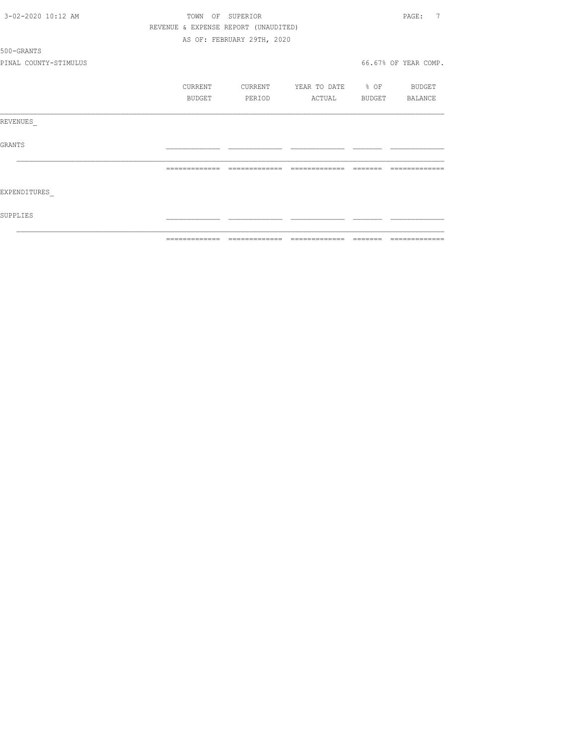| 3-02-2020 10:12 AM    | TOWN<br>OF     | SUPERIOR                             |                   |          | 7<br>PAGE:           |
|-----------------------|----------------|--------------------------------------|-------------------|----------|----------------------|
|                       |                | REVENUE & EXPENSE REPORT (UNAUDITED) |                   |          |                      |
|                       |                | AS OF: FEBRUARY 29TH, 2020           |                   |          |                      |
| 500-GRANTS            |                |                                      |                   |          |                      |
| PINAL COUNTY-STIMULUS |                |                                      |                   |          | 66.67% OF YEAR COMP. |
|                       | CURRENT        | CURRENT                              | YEAR TO DATE % OF |          | BUDGET               |
|                       | BUDGET         | PERIOD                               | ACTUAL            | BUDGET   | BALANCE              |
| REVENUES              |                |                                      |                   |          |                      |
| GRANTS                |                |                                      |                   |          |                      |
|                       | =============  | --------------                       | --------------    |          |                      |
| EXPENDITURES          |                |                                      |                   |          |                      |
| SUPPLIES              |                |                                      |                   |          |                      |
|                       | -------------- |                                      |                   | -------- |                      |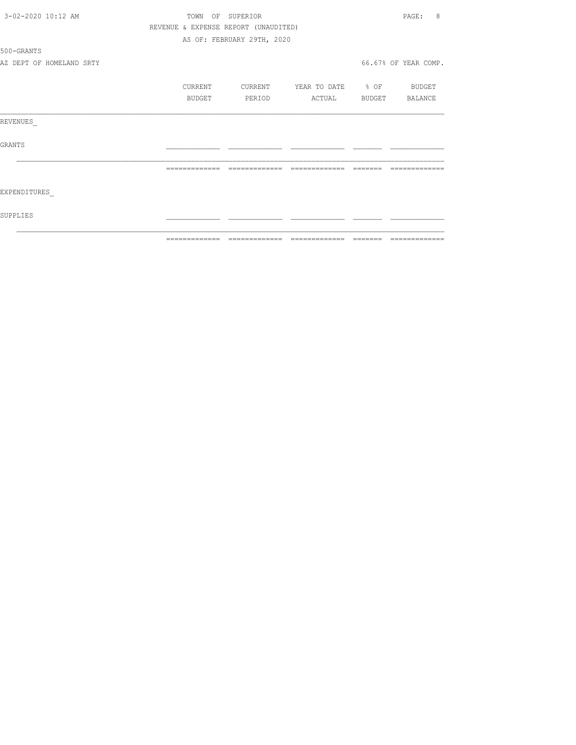| 3-02-2020 10:12 AM       |                                      | TOWN OF SUPERIOR           |                          | PAGE:<br>8           |
|--------------------------|--------------------------------------|----------------------------|--------------------------|----------------------|
|                          | REVENUE & EXPENSE REPORT (UNAUDITED) |                            |                          |                      |
|                          |                                      | AS OF: FEBRUARY 29TH, 2020 |                          |                      |
| 500-GRANTS               |                                      |                            |                          |                      |
| AZ DEPT OF HOMELAND SRTY |                                      |                            |                          | 66.67% OF YEAR COMP. |
|                          | CURRENT                              | CURRENT                    | YEAR TO DATE % OF BUDGET |                      |
|                          | BUDGET                               | PERIOD                     | ACTUAL BUDGET BALANCE    |                      |
| REVENUES                 |                                      |                            |                          |                      |
| GRANTS                   |                                      |                            |                          |                      |
|                          |                                      | --------------             |                          |                      |
| EXPENDITURES             |                                      |                            |                          |                      |
| SUPPLIES                 |                                      |                            |                          |                      |
|                          | --------------                       |                            |                          |                      |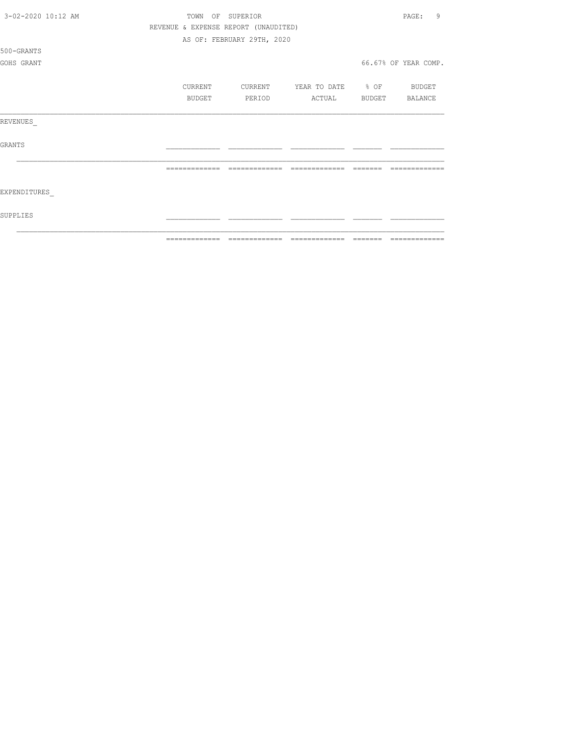|                    | =============                        | ======                     |         | =============     |        |                      |
|--------------------|--------------------------------------|----------------------------|---------|-------------------|--------|----------------------|
| SUPPLIES           |                                      |                            |         |                   |        |                      |
| EXPENDITURES       |                                      |                            |         |                   |        |                      |
|                    |                                      |                            |         |                   |        |                      |
| <b>GRANTS</b>      |                                      |                            |         |                   |        |                      |
| REVENUES           |                                      |                            |         |                   |        |                      |
|                    |                                      | BUDGET                     | PERIOD  | ACTUAL            | BUDGET | BALANCE              |
|                    | CURRENT                              |                            | CURRENT | YEAR TO DATE % OF |        | BUDGET               |
| GOHS GRANT         |                                      |                            |         |                   |        | 66.67% OF YEAR COMP. |
| 500-GRANTS         |                                      |                            |         |                   |        |                      |
|                    |                                      | AS OF: FEBRUARY 29TH, 2020 |         |                   |        |                      |
|                    | REVENUE & EXPENSE REPORT (UNAUDITED) |                            |         |                   |        |                      |
| 3-02-2020 10:12 AM | TOWN                                 | OF SUPERIOR                |         |                   |        | 9<br>PAGE:           |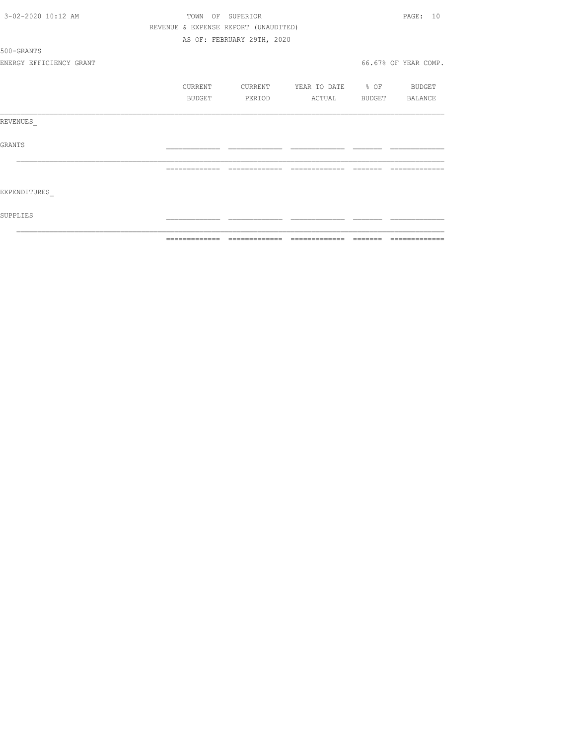| 3-02-2020 10:12 AM      |                | TOWN OF SUPERIOR                     |                                  | PAGE: 10             |
|-------------------------|----------------|--------------------------------------|----------------------------------|----------------------|
|                         |                | REVENUE & EXPENSE REPORT (UNAUDITED) |                                  |                      |
|                         |                | AS OF: FEBRUARY 29TH, 2020           |                                  |                      |
| 500-GRANTS              |                |                                      |                                  |                      |
| ENERGY EFFICIENCY GRANT |                |                                      |                                  | 66.67% OF YEAR COMP. |
|                         | CURRENT        |                                      | CURRENT YEAR TO DATE % OF BUDGET |                      |
|                         | BUDGET         | PERIOD                               | ACTUAL BUDGET BALANCE            |                      |
| REVENUES                |                |                                      |                                  |                      |
| GRANTS                  |                |                                      |                                  |                      |
|                         | -------------- | =============                        | =============                    |                      |
| EXPENDITURES            |                |                                      |                                  |                      |
| SUPPLIES                |                |                                      |                                  |                      |
|                         |                |                                      |                                  |                      |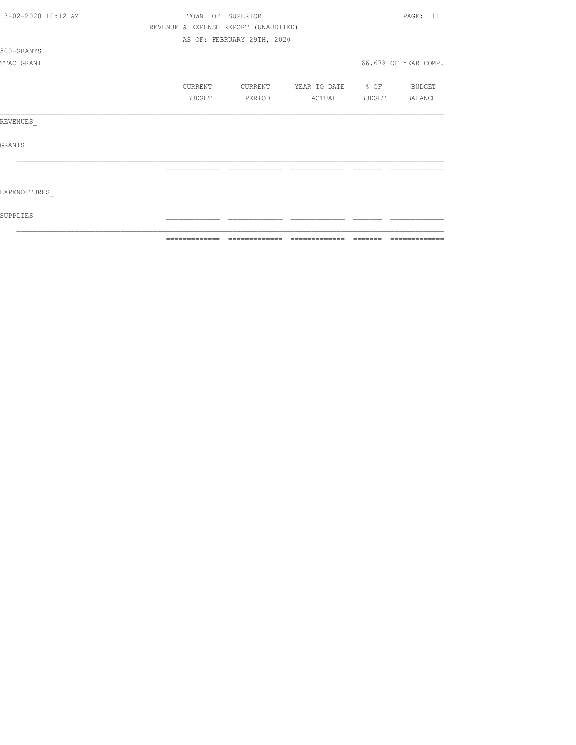|                    | ============= | ======                               | =============     |        |                      |
|--------------------|---------------|--------------------------------------|-------------------|--------|----------------------|
| SUPPLIES           |               |                                      |                   |        |                      |
| EXPENDITURES       |               |                                      |                   |        |                      |
|                    |               | -------------                        |                   |        |                      |
| <b>GRANTS</b>      |               |                                      |                   |        |                      |
| REVENUES           |               |                                      |                   |        |                      |
|                    | BUDGET        | PERIOD                               | ACTUAL            | BUDGET | BALANCE              |
|                    | CURRENT       | CURRENT                              | YEAR TO DATE % OF |        | BUDGET               |
| TTAC GRANT         |               |                                      |                   |        | 66.67% OF YEAR COMP. |
| 500-GRANTS         |               |                                      |                   |        |                      |
|                    |               | AS OF: FEBRUARY 29TH, 2020           |                   |        |                      |
|                    |               | REVENUE & EXPENSE REPORT (UNAUDITED) |                   |        |                      |
| 3-02-2020 10:12 AM | TOWN          | OF SUPERIOR                          |                   |        | <b>PAGE: 11</b>      |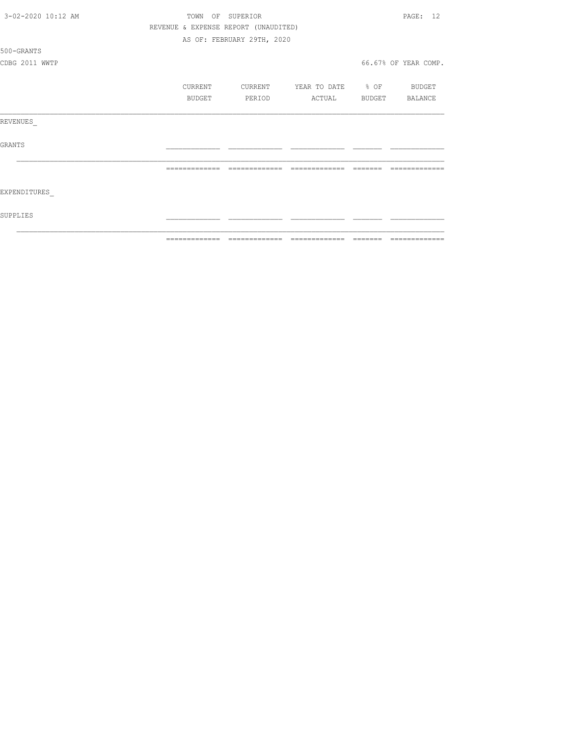| 3-02-2020 10:12 AM | TOWN           | OF SUPERIOR                          |                   |                | PAGE: 12             |
|--------------------|----------------|--------------------------------------|-------------------|----------------|----------------------|
|                    |                | REVENUE & EXPENSE REPORT (UNAUDITED) |                   |                |                      |
|                    |                | AS OF: FEBRUARY 29TH, 2020           |                   |                |                      |
| 500-GRANTS         |                |                                      |                   |                |                      |
| CDBG 2011 WWTP     |                |                                      |                   |                | 66.67% OF YEAR COMP. |
|                    | CURRENT        | CURRENT                              | YEAR TO DATE % OF |                | BUDGET               |
|                    | BUDGET         | PERIOD                               | ACTUAL            | BUDGET BALANCE |                      |
| REVENUES           |                |                                      |                   |                |                      |
| GRANTS             |                |                                      |                   |                |                      |
|                    | =============  | =============                        | =============     |                |                      |
| EXPENDITURES       |                |                                      |                   |                |                      |
| SUPPLIES           |                |                                      |                   |                |                      |
|                    | -------------- |                                      |                   |                |                      |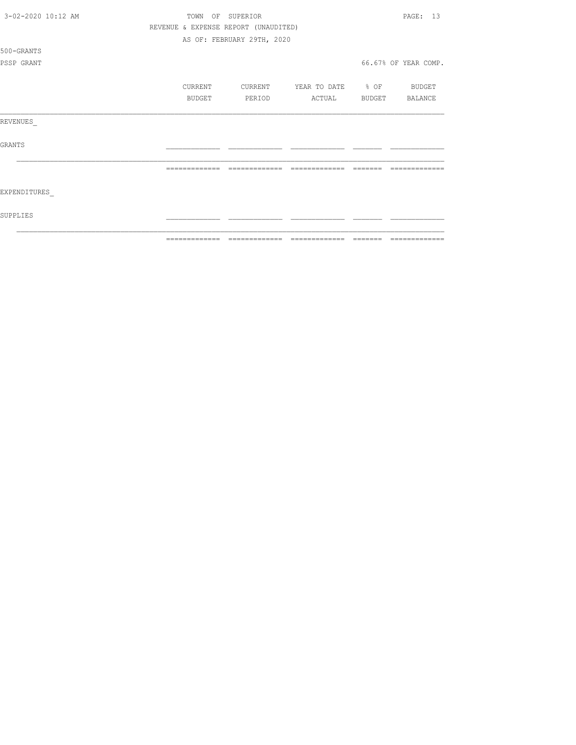|                    | ============= | ======                               | $\begin{array}{cccccccccc} \multicolumn{2}{c}{} & \multicolumn{2}{c}{} & \multicolumn{2}{c}{} & \multicolumn{2}{c}{} & \multicolumn{2}{c}{} & \multicolumn{2}{c}{} & \multicolumn{2}{c}{} & \multicolumn{2}{c}{} & \multicolumn{2}{c}{} & \multicolumn{2}{c}{} & \multicolumn{2}{c}{} & \multicolumn{2}{c}{} & \multicolumn{2}{c}{} & \multicolumn{2}{c}{} & \multicolumn{2}{c}{} & \multicolumn{2}{c}{} & \multicolumn{2}{c}{} & \multicolumn{2}{c}{} & \multicolumn{2}{c}{} & \mult$ |        |                      |
|--------------------|---------------|--------------------------------------|----------------------------------------------------------------------------------------------------------------------------------------------------------------------------------------------------------------------------------------------------------------------------------------------------------------------------------------------------------------------------------------------------------------------------------------------------------------------------------------|--------|----------------------|
| SUPPLIES           |               |                                      |                                                                                                                                                                                                                                                                                                                                                                                                                                                                                        |        |                      |
| EXPENDITURES       |               |                                      |                                                                                                                                                                                                                                                                                                                                                                                                                                                                                        |        |                      |
|                    |               |                                      |                                                                                                                                                                                                                                                                                                                                                                                                                                                                                        |        |                      |
| <b>GRANTS</b>      |               |                                      |                                                                                                                                                                                                                                                                                                                                                                                                                                                                                        |        |                      |
| REVENUES           |               |                                      |                                                                                                                                                                                                                                                                                                                                                                                                                                                                                        |        |                      |
|                    | BUDGET        | PERIOD                               | ACTUAL                                                                                                                                                                                                                                                                                                                                                                                                                                                                                 | BUDGET | BALANCE              |
|                    | CURRENT       | CURRENT                              | YEAR TO DATE % OF                                                                                                                                                                                                                                                                                                                                                                                                                                                                      |        | BUDGET               |
| PSSP GRANT         |               |                                      |                                                                                                                                                                                                                                                                                                                                                                                                                                                                                        |        | 66.67% OF YEAR COMP. |
| 500-GRANTS         |               |                                      |                                                                                                                                                                                                                                                                                                                                                                                                                                                                                        |        |                      |
|                    |               | AS OF: FEBRUARY 29TH, 2020           |                                                                                                                                                                                                                                                                                                                                                                                                                                                                                        |        |                      |
|                    |               | REVENUE & EXPENSE REPORT (UNAUDITED) |                                                                                                                                                                                                                                                                                                                                                                                                                                                                                        |        |                      |
| 3-02-2020 10:12 AM |               | TOWN OF SUPERIOR                     |                                                                                                                                                                                                                                                                                                                                                                                                                                                                                        |        | PAGE: 13             |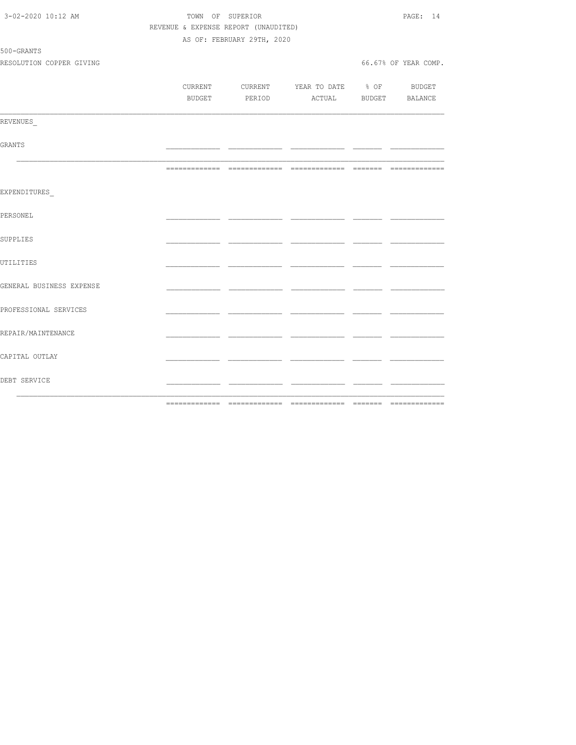| 3-02-2020 10:12 AM       | TOWN OF SUPERIOR                     | PAGE: 14                   |                                          |     |                      |
|--------------------------|--------------------------------------|----------------------------|------------------------------------------|-----|----------------------|
|                          | REVENUE & EXPENSE REPORT (UNAUDITED) |                            |                                          |     |                      |
|                          |                                      | AS OF: FEBRUARY 29TH, 2020 |                                          |     |                      |
| 500-GRANTS               |                                      |                            |                                          |     |                      |
| RESOLUTION COPPER GIVING |                                      |                            |                                          |     | 66.67% OF YEAR COMP. |
|                          |                                      |                            |                                          |     |                      |
|                          |                                      |                            | CURRENT CURRENT YEAR TO DATE % OF BUDGET |     |                      |
|                          |                                      |                            | BUDGET PERIOD ACTUAL BUDGET BALANCE      |     |                      |
|                          |                                      |                            |                                          |     |                      |
| REVENUES                 |                                      |                            |                                          |     |                      |
|                          |                                      |                            |                                          |     |                      |
| GRANTS                   |                                      |                            |                                          | ___ |                      |
|                          |                                      |                            |                                          |     |                      |
|                          |                                      |                            |                                          |     |                      |
|                          |                                      |                            |                                          |     |                      |
| EXPENDITURES             |                                      |                            |                                          |     |                      |
| PERSONEL                 |                                      |                            |                                          |     |                      |
|                          |                                      |                            |                                          |     |                      |
| SUPPLIES                 |                                      |                            |                                          |     |                      |
|                          |                                      |                            |                                          |     |                      |
| UTILITIES                |                                      |                            |                                          |     |                      |
|                          |                                      |                            |                                          |     |                      |
| GENERAL BUSINESS EXPENSE |                                      |                            |                                          |     |                      |
|                          |                                      |                            |                                          | ___ |                      |
| PROFESSIONAL SERVICES    |                                      |                            |                                          |     |                      |
|                          |                                      |                            |                                          |     |                      |
| REPAIR/MAINTENANCE       |                                      |                            |                                          |     |                      |
|                          |                                      |                            |                                          |     |                      |
| CAPITAL OUTLAY           |                                      |                            |                                          |     |                      |
|                          |                                      |                            |                                          |     |                      |
| DEBT SERVICE             |                                      |                            |                                          | - - |                      |
|                          |                                      |                            |                                          |     |                      |
|                          |                                      |                            |                                          |     |                      |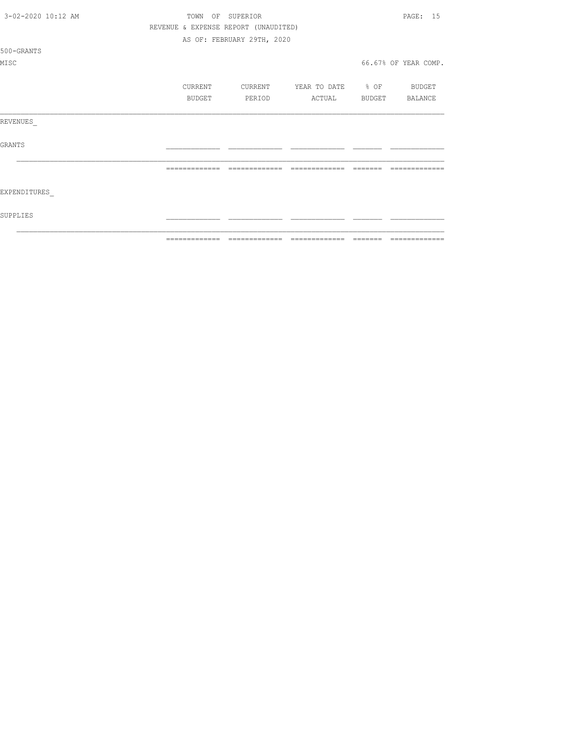|                          | ============= | --------------                       |                   | $\qquad \qquad = \qquad \qquad = \qquad \qquad = \qquad \qquad = \qquad \qquad = \qquad \qquad = \qquad \qquad = \qquad \qquad = \qquad \qquad = \qquad \qquad = \qquad \qquad = \qquad \qquad = \qquad \qquad = \qquad \qquad = \qquad \qquad = \qquad \qquad = \qquad \qquad = \qquad \qquad = \qquad \qquad = \qquad \qquad = \qquad \qquad = \qquad \qquad = \qquad \qquad = \qquad \qquad = \qquad \qquad = \qquad \qquad = \qquad \qquad = \qquad \qquad = \qquad \qquad = \qquad \qquad = \qquad \qquad = \qquad$ | =============        |
|--------------------------|---------------|--------------------------------------|-------------------|--------------------------------------------------------------------------------------------------------------------------------------------------------------------------------------------------------------------------------------------------------------------------------------------------------------------------------------------------------------------------------------------------------------------------------------------------------------------------------------------------------------------------|----------------------|
| SUPPLIES                 |               |                                      |                   |                                                                                                                                                                                                                                                                                                                                                                                                                                                                                                                          |                      |
| EXPENDITURES             |               |                                      |                   |                                                                                                                                                                                                                                                                                                                                                                                                                                                                                                                          |                      |
|                          | ============= | -------------                        | =============     |                                                                                                                                                                                                                                                                                                                                                                                                                                                                                                                          |                      |
| <b>GRANTS</b>            |               |                                      |                   |                                                                                                                                                                                                                                                                                                                                                                                                                                                                                                                          |                      |
| REVENUES                 |               |                                      |                   |                                                                                                                                                                                                                                                                                                                                                                                                                                                                                                                          |                      |
|                          | <b>BUDGET</b> | PERIOD                               | ACTUAL            |                                                                                                                                                                                                                                                                                                                                                                                                                                                                                                                          | BUDGET BALANCE       |
|                          | CURRENT       | CURRENT                              | YEAR TO DATE % OF |                                                                                                                                                                                                                                                                                                                                                                                                                                                                                                                          | BUDGET               |
| MISC                     |               |                                      |                   |                                                                                                                                                                                                                                                                                                                                                                                                                                                                                                                          | 66.67% OF YEAR COMP. |
| 500-GRANTS               |               |                                      |                   |                                                                                                                                                                                                                                                                                                                                                                                                                                                                                                                          |                      |
|                          |               | AS OF: FEBRUARY 29TH, 2020           |                   |                                                                                                                                                                                                                                                                                                                                                                                                                                                                                                                          |                      |
|                          |               | REVENUE & EXPENSE REPORT (UNAUDITED) |                   |                                                                                                                                                                                                                                                                                                                                                                                                                                                                                                                          |                      |
| $3 - 02 - 2020$ 10:12 AM | TOWN          | OF SUPERIOR                          |                   |                                                                                                                                                                                                                                                                                                                                                                                                                                                                                                                          | PAGE: 15             |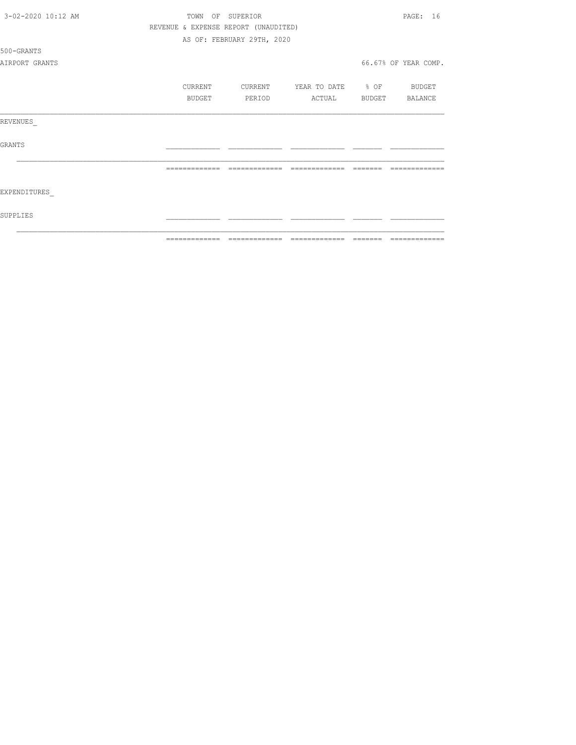| 3-02-2020 10:12 AM |               | TOWN OF SUPERIOR                     |                          | PAGE: 16             |
|--------------------|---------------|--------------------------------------|--------------------------|----------------------|
|                    |               | REVENUE & EXPENSE REPORT (UNAUDITED) |                          |                      |
|                    |               | AS OF: FEBRUARY 29TH, 2020           |                          |                      |
| 500-GRANTS         |               |                                      |                          |                      |
| AIRPORT GRANTS     |               |                                      |                          | 66.67% OF YEAR COMP. |
|                    | CURRENT       | CURRENT                              | YEAR TO DATE % OF BUDGET |                      |
|                    | BUDGET        | PERIOD                               | ACTUAL                   | BUDGET BALANCE       |
| REVENUES           |               |                                      |                          |                      |
| <b>GRANTS</b>      |               |                                      |                          |                      |
|                    |               |                                      |                          |                      |
| EXPENDITURES       |               |                                      |                          |                      |
| SUPPLIES           |               |                                      |                          |                      |
|                    | ------------- | -------------                        | --------------           |                      |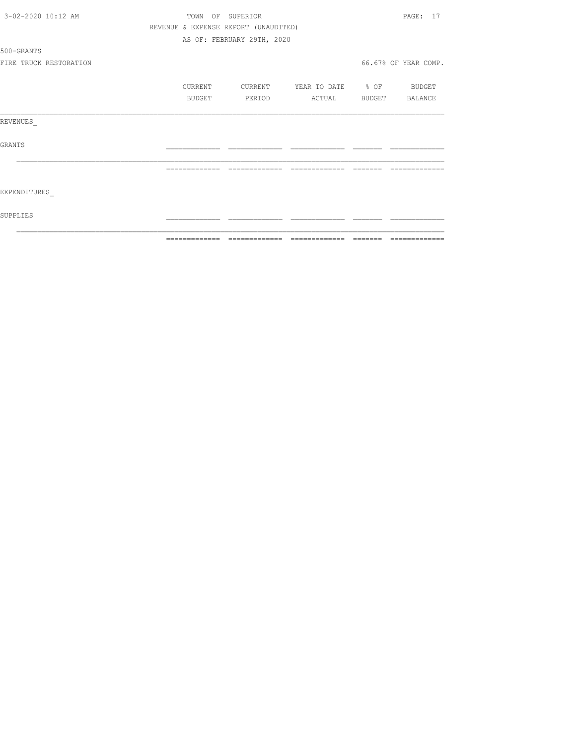| 3-02-2020 10:12 AM     | TOWN OF SUPERIOR |                                      |                          | PAGE: 17             |
|------------------------|------------------|--------------------------------------|--------------------------|----------------------|
|                        |                  | REVENUE & EXPENSE REPORT (UNAUDITED) |                          |                      |
|                        |                  | AS OF: FEBRUARY 29TH, 2020           |                          |                      |
| 500-GRANTS             |                  |                                      |                          |                      |
| FIRE TRUCK RESTORATION |                  |                                      |                          | 66.67% OF YEAR COMP. |
|                        | CURRENT          | CURRENT                              | YEAR TO DATE % OF BUDGET |                      |
|                        | BUDGET           | PERIOD                               | ACTUAL                   | BUDGET BALANCE       |
| REVENUES               |                  |                                      |                          |                      |
| GRANTS                 |                  |                                      |                          |                      |
|                        |                  | --------------                       | =============            |                      |
| EXPENDITURES           |                  |                                      |                          |                      |
| SUPPLIES               |                  |                                      |                          |                      |
|                        |                  |                                      |                          |                      |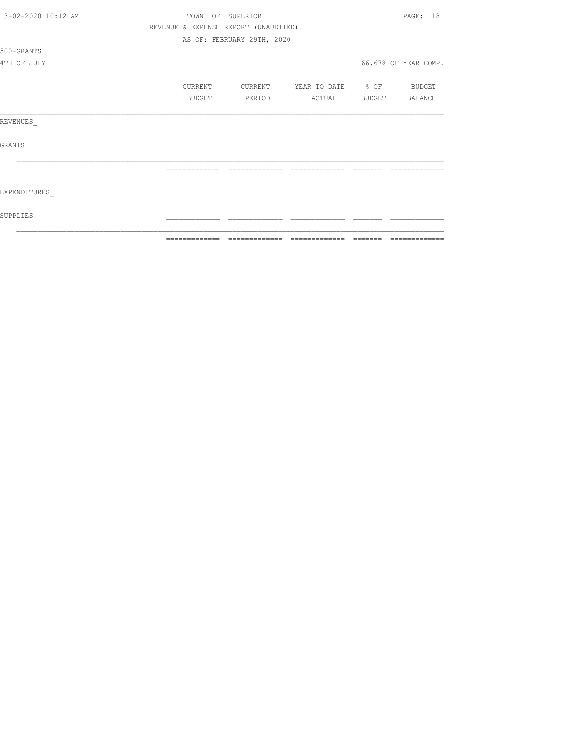|                    | ============= |            | ======                               | $\begin{array}{cccccccccc} \multicolumn{2}{c}{} & \multicolumn{2}{c}{} & \multicolumn{2}{c}{} & \multicolumn{2}{c}{} & \multicolumn{2}{c}{} & \multicolumn{2}{c}{} & \multicolumn{2}{c}{} & \multicolumn{2}{c}{} & \multicolumn{2}{c}{} & \multicolumn{2}{c}{} & \multicolumn{2}{c}{} & \multicolumn{2}{c}{} & \multicolumn{2}{c}{} & \multicolumn{2}{c}{} & \multicolumn{2}{c}{} & \multicolumn{2}{c}{} & \multicolumn{2}{c}{} & \multicolumn{2}{c}{} & \multicolumn{2}{c}{} & \mult$ | =============        |
|--------------------|---------------|------------|--------------------------------------|----------------------------------------------------------------------------------------------------------------------------------------------------------------------------------------------------------------------------------------------------------------------------------------------------------------------------------------------------------------------------------------------------------------------------------------------------------------------------------------|----------------------|
| SUPPLIES           |               |            |                                      |                                                                                                                                                                                                                                                                                                                                                                                                                                                                                        |                      |
| EXPENDITURES       |               |            |                                      |                                                                                                                                                                                                                                                                                                                                                                                                                                                                                        |                      |
|                    | ============= |            | =============                        | =============                                                                                                                                                                                                                                                                                                                                                                                                                                                                          |                      |
| <b>GRANTS</b>      |               |            |                                      |                                                                                                                                                                                                                                                                                                                                                                                                                                                                                        |                      |
| REVENUES           |               |            |                                      |                                                                                                                                                                                                                                                                                                                                                                                                                                                                                        |                      |
|                    |               | BUDGET     | PERIOD                               | ACTUAL                                                                                                                                                                                                                                                                                                                                                                                                                                                                                 | BUDGET BALANCE       |
|                    |               | CURRENT    | CURRENT                              | YEAR TO DATE % OF BUDGET                                                                                                                                                                                                                                                                                                                                                                                                                                                               |                      |
| 4TH OF JULY        |               |            |                                      |                                                                                                                                                                                                                                                                                                                                                                                                                                                                                        | 66.67% OF YEAR COMP. |
| 500-GRANTS         |               |            |                                      |                                                                                                                                                                                                                                                                                                                                                                                                                                                                                        |                      |
|                    |               |            | AS OF: FEBRUARY 29TH, 2020           |                                                                                                                                                                                                                                                                                                                                                                                                                                                                                        |                      |
|                    |               |            | REVENUE & EXPENSE REPORT (UNAUDITED) |                                                                                                                                                                                                                                                                                                                                                                                                                                                                                        |                      |
| 3-02-2020 10:12 AM |               | TOWN<br>OF | SUPERIOR                             |                                                                                                                                                                                                                                                                                                                                                                                                                                                                                        | PAGE: 18             |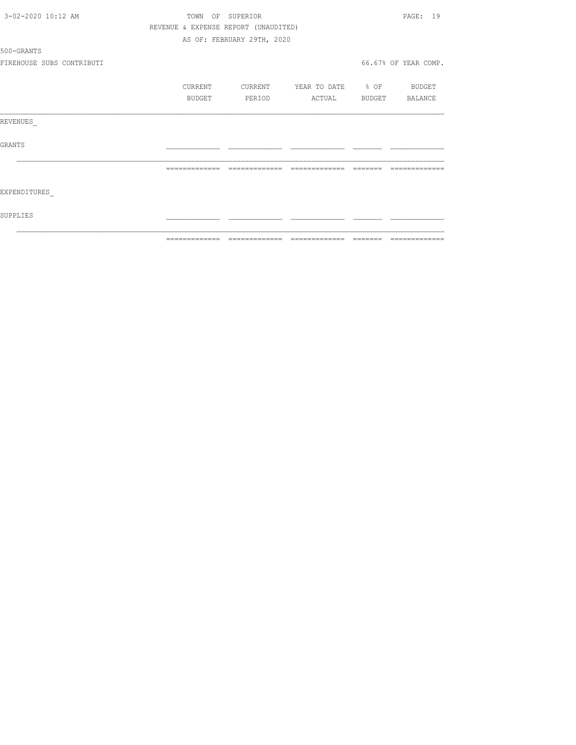| 3-02-2020 10:12 AM        | TOWN<br>OF                           | SUPERIOR                   |                   |                | PAGE: 19             |
|---------------------------|--------------------------------------|----------------------------|-------------------|----------------|----------------------|
|                           | REVENUE & EXPENSE REPORT (UNAUDITED) |                            |                   |                |                      |
|                           |                                      | AS OF: FEBRUARY 29TH, 2020 |                   |                |                      |
| 500-GRANTS                |                                      |                            |                   |                |                      |
| FIREHOUSE SUBS CONTRIBUTI |                                      |                            |                   |                | 66.67% OF YEAR COMP. |
|                           | CURRENT                              | CURRENT                    | YEAR TO DATE % OF |                | <b>BUDGET</b>        |
|                           | BUDGET                               | PERIOD                     | ACTUAL            | BUDGET BALANCE |                      |
| REVENUES                  |                                      |                            |                   |                |                      |
| GRANTS                    |                                      |                            |                   |                |                      |
|                           |                                      |                            |                   |                |                      |
| EXPENDITURES              |                                      |                            |                   |                |                      |
| SUPPLIES                  |                                      |                            |                   |                |                      |
|                           | -------------                        |                            | --------------    |                |                      |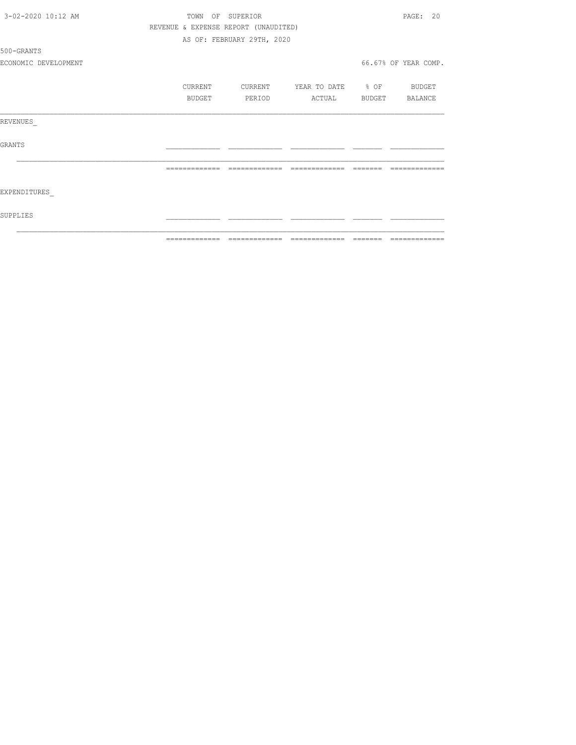| 3-02-2020 10:12 AM   | TOWN          | OF SUPERIOR                          |                          |         | PAGE: 20                                                                                                                                                                                                                                                                                                                                                                                                                                                                                     |
|----------------------|---------------|--------------------------------------|--------------------------|---------|----------------------------------------------------------------------------------------------------------------------------------------------------------------------------------------------------------------------------------------------------------------------------------------------------------------------------------------------------------------------------------------------------------------------------------------------------------------------------------------------|
|                      |               | REVENUE & EXPENSE REPORT (UNAUDITED) |                          |         |                                                                                                                                                                                                                                                                                                                                                                                                                                                                                              |
|                      |               | AS OF: FEBRUARY 29TH, 2020           |                          |         |                                                                                                                                                                                                                                                                                                                                                                                                                                                                                              |
| 500-GRANTS           |               |                                      |                          |         |                                                                                                                                                                                                                                                                                                                                                                                                                                                                                              |
| ECONOMIC DEVELOPMENT |               |                                      |                          |         | 66.67% OF YEAR COMP.                                                                                                                                                                                                                                                                                                                                                                                                                                                                         |
|                      | CURRENT       | CURRENT                              | YEAR TO DATE % OF BUDGET |         |                                                                                                                                                                                                                                                                                                                                                                                                                                                                                              |
|                      | <b>BUDGET</b> | PERIOD                               | ACTUAL                   |         | BUDGET BALANCE                                                                                                                                                                                                                                                                                                                                                                                                                                                                               |
| REVENUES             |               |                                      |                          |         |                                                                                                                                                                                                                                                                                                                                                                                                                                                                                              |
| GRANTS               |               |                                      |                          |         |                                                                                                                                                                                                                                                                                                                                                                                                                                                                                              |
|                      | ============= | =============                        | =============            |         |                                                                                                                                                                                                                                                                                                                                                                                                                                                                                              |
| EXPENDITURES         |               |                                      |                          |         |                                                                                                                                                                                                                                                                                                                                                                                                                                                                                              |
| SUPPLIES             |               |                                      |                          |         |                                                                                                                                                                                                                                                                                                                                                                                                                                                                                              |
|                      | ============= | =============                        | =============            | ======= | $\begin{array}{c} \multicolumn{2}{c} {\textbf{1}} & \multicolumn{2}{c} {\textbf{2}} & \multicolumn{2}{c} {\textbf{3}} & \multicolumn{2}{c} {\textbf{4}} \\ \multicolumn{2}{c} {\textbf{5}} & \multicolumn{2}{c} {\textbf{6}} & \multicolumn{2}{c} {\textbf{7}} & \multicolumn{2}{c} {\textbf{8}} & \multicolumn{2}{c} {\textbf{9}} \\ \multicolumn{2}{c} {\textbf{1}} & \multicolumn{2}{c} {\textbf{1}} & \multicolumn{2}{c} {\textbf{1}} & \multicolumn{2}{c} {\textbf{1}} & \multicolumn{$ |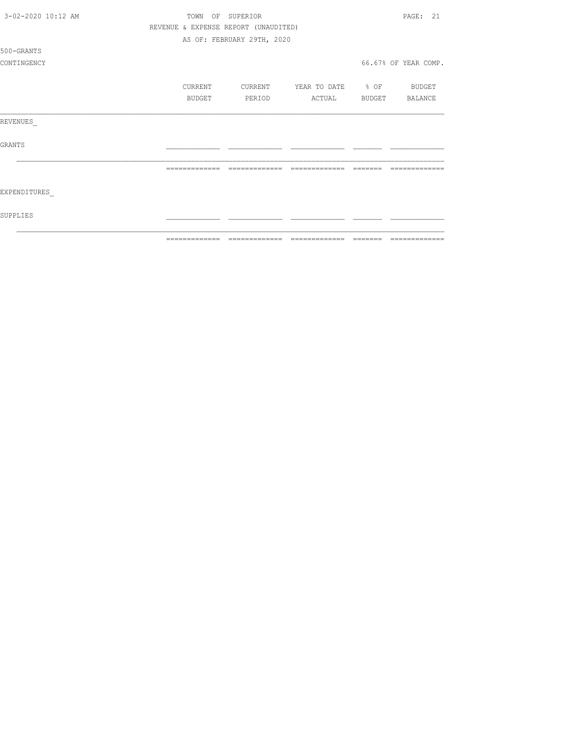| 3-02-2020 10:12 AM | TOWN          | OF SUPERIOR                          |                          |                | PAGE: 21             |
|--------------------|---------------|--------------------------------------|--------------------------|----------------|----------------------|
|                    |               | REVENUE & EXPENSE REPORT (UNAUDITED) |                          |                |                      |
|                    |               | AS OF: FEBRUARY 29TH, 2020           |                          |                |                      |
| 500-GRANTS         |               |                                      |                          |                |                      |
| CONTINGENCY        |               |                                      |                          |                | 66.67% OF YEAR COMP. |
|                    | CURRENT       | CURRENT                              | YEAR TO DATE % OF BUDGET |                |                      |
|                    | BUDGET        | PERIOD                               | ACTUAL                   | BUDGET BALANCE |                      |
| REVENUES           |               |                                      |                          |                |                      |
| <b>GRANTS</b>      |               |                                      |                          |                |                      |
|                    |               |                                      |                          |                |                      |
| EXPENDITURES       |               |                                      |                          |                |                      |
| SUPPLIES           |               |                                      |                          |                |                      |
|                    | ------------- |                                      | --------------           |                | -------------        |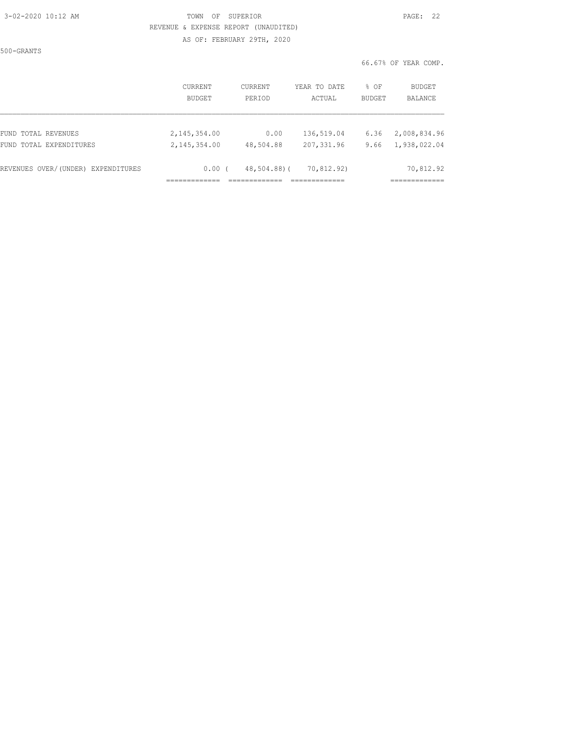### 3-02-2020 10:12 AM TOWN OF SUPERIOR PAGE: 22 REVENUE & EXPENSE REPORT (UNAUDITED) AS OF: FEBRUARY 29TH, 2020

500-GRANTS

|  | 66.67% OF YEAR COMP. |  |  |  |
|--|----------------------|--|--|--|
|--|----------------------|--|--|--|

|                                    | CURRENT        | CURRENT     | YEAR TO DATE | % OF          | <b>BUDGET</b> |
|------------------------------------|----------------|-------------|--------------|---------------|---------------|
|                                    | BUDGET         | PERIOD      | ACTUAL       | <b>BUDGET</b> | BALANCE       |
| FUND TOTAL REVENUES                | 2, 145, 354.00 | 0.00        | 136,519.04   | 6.36          | 2,008,834.96  |
| FUND TOTAL EXPENDITURES            | 2, 145, 354.00 | 48,504.88   | 207,331.96   | 9.66          | 1,938,022.04  |
| REVENUES OVER/(UNDER) EXPENDITURES | 0.00(          | 48,504.88)( | 70,812.92)   |               | 70,812.92     |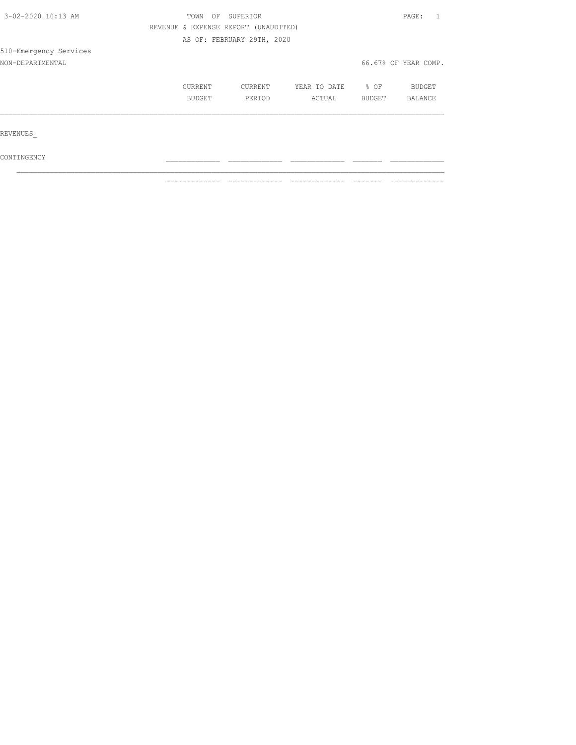| 3-02-2020 10:13 AM                                                                                                                                 | TOWN<br>OF |  |                | PAGE:                |  |
|----------------------------------------------------------------------------------------------------------------------------------------------------|------------|--|----------------|----------------------|--|
| SUPERIOR<br>REVENUE & EXPENSE REPORT (UNAUDITED)<br>AS OF: FEBRUARY 29TH, 2020<br>CURRENT<br>CURRENT<br>YEAR TO DATE<br>BUDGET<br>PERIOD<br>ACTUAL |            |  |                |                      |  |
|                                                                                                                                                    |            |  |                |                      |  |
| 510-Emergency Services                                                                                                                             |            |  |                |                      |  |
| NON-DEPARTMENTAL                                                                                                                                   |            |  |                | 66.67% OF YEAR COMP. |  |
|                                                                                                                                                    |            |  | % OF<br>BUDGET | BUDGET<br>BALANCE    |  |
| REVENUES                                                                                                                                           |            |  |                |                      |  |
| CONTINGENCY                                                                                                                                        |            |  |                |                      |  |

 $\mathcal{L}_\text{max}$ 

 $\blacksquare$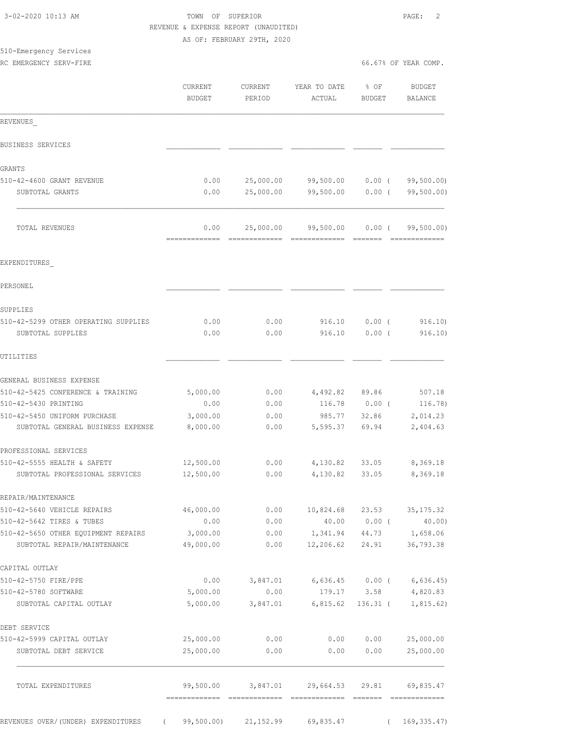|                                                                    |                        | AS OF: FEBRUARY 29TH, 2020                                                                                                                                                                                                                                                                                                                                                                                                                                                                          |                        |                      |                              |
|--------------------------------------------------------------------|------------------------|-----------------------------------------------------------------------------------------------------------------------------------------------------------------------------------------------------------------------------------------------------------------------------------------------------------------------------------------------------------------------------------------------------------------------------------------------------------------------------------------------------|------------------------|----------------------|------------------------------|
| 510-Emergency Services                                             |                        |                                                                                                                                                                                                                                                                                                                                                                                                                                                                                                     |                        |                      |                              |
| RC EMERGENCY SERV-FIRE                                             |                        |                                                                                                                                                                                                                                                                                                                                                                                                                                                                                                     |                        |                      | 66.67% OF YEAR COMP.         |
|                                                                    | CURRENT<br>BUDGET      | <b>CURRENT</b><br>PERIOD                                                                                                                                                                                                                                                                                                                                                                                                                                                                            | YEAR TO DATE<br>ACTUAL | % OF<br>BUDGET       | BUDGET<br>BALANCE            |
| REVENUES                                                           |                        |                                                                                                                                                                                                                                                                                                                                                                                                                                                                                                     |                        |                      |                              |
| BUSINESS SERVICES                                                  |                        |                                                                                                                                                                                                                                                                                                                                                                                                                                                                                                     |                        |                      |                              |
| GRANTS                                                             |                        |                                                                                                                                                                                                                                                                                                                                                                                                                                                                                                     |                        |                      |                              |
| 510-42-4600 GRANT REVENUE                                          | 0.00                   | 25,000.00                                                                                                                                                                                                                                                                                                                                                                                                                                                                                           | 99,500.00              | $0.00$ (             | 99,500.00)                   |
| SUBTOTAL GRANTS                                                    | 0.00                   | 25,000.00                                                                                                                                                                                                                                                                                                                                                                                                                                                                                           | 99,500.00              | $0.00$ (             | 99,500.00)                   |
| TOTAL REVENUES                                                     | 0.00<br>-------------- | 25,000.00<br>$\begin{array}{cccccccccc} \multicolumn{2}{c}{} & \multicolumn{2}{c}{} & \multicolumn{2}{c}{} & \multicolumn{2}{c}{} & \multicolumn{2}{c}{} & \multicolumn{2}{c}{} & \multicolumn{2}{c}{} & \multicolumn{2}{c}{} & \multicolumn{2}{c}{} & \multicolumn{2}{c}{} & \multicolumn{2}{c}{} & \multicolumn{2}{c}{} & \multicolumn{2}{c}{} & \multicolumn{2}{c}{} & \multicolumn{2}{c}{} & \multicolumn{2}{c}{} & \multicolumn{2}{c}{} & \multicolumn{2}{c}{} & \multicolumn{2}{c}{} & \mult$ | 99,500.00              | $0.00$ (<br>-------- | 99,500.00)<br>-------------- |
| EXPENDITURES                                                       |                        |                                                                                                                                                                                                                                                                                                                                                                                                                                                                                                     |                        |                      |                              |
| PERSONEL                                                           |                        |                                                                                                                                                                                                                                                                                                                                                                                                                                                                                                     |                        |                      |                              |
| SUPPLIES                                                           |                        |                                                                                                                                                                                                                                                                                                                                                                                                                                                                                                     |                        |                      |                              |
| 510-42-5299 OTHER OPERATING SUPPLIES<br>SUBTOTAL SUPPLIES          | 0.00<br>0.00           | 0.00<br>0.00                                                                                                                                                                                                                                                                                                                                                                                                                                                                                        | 916.10<br>916.10       | $0.00$ (<br>$0.00$ ( | 916.10)<br>916.10)           |
| UTILITIES                                                          |                        |                                                                                                                                                                                                                                                                                                                                                                                                                                                                                                     |                        |                      |                              |
|                                                                    |                        |                                                                                                                                                                                                                                                                                                                                                                                                                                                                                                     |                        |                      |                              |
| GENERAL BUSINESS EXPENSE                                           |                        |                                                                                                                                                                                                                                                                                                                                                                                                                                                                                                     |                        |                      |                              |
| 510-42-5425 CONFERENCE & TRAINING                                  | 5,000.00               | 0.00                                                                                                                                                                                                                                                                                                                                                                                                                                                                                                | 4,492.82 89.86         |                      | 507.18                       |
| 510-42-5430 PRINTING                                               | 0.00                   | 0.00                                                                                                                                                                                                                                                                                                                                                                                                                                                                                                | 116.78                 | $0.00$ (             | 116.78)                      |
| 510-42-5450 UNIFORM PURCHASE<br>SUBTOTAL GENERAL BUSINESS EXPENSE  | 3,000.00<br>8,000.00   | 0.00<br>0.00                                                                                                                                                                                                                                                                                                                                                                                                                                                                                        | 985.77<br>5,595.37     | 32.86<br>69.94       | 2,014.23<br>2,404.63         |
| PROFESSIONAL SERVICES                                              |                        |                                                                                                                                                                                                                                                                                                                                                                                                                                                                                                     |                        |                      |                              |
| 510-42-5555 HEALTH & SAFETY                                        | 12,500.00              | 0.00                                                                                                                                                                                                                                                                                                                                                                                                                                                                                                | 4,130.82               | 33.05                | 8,369.18                     |
| SUBTOTAL PROFESSIONAL SERVICES                                     | 12,500.00              | 0.00                                                                                                                                                                                                                                                                                                                                                                                                                                                                                                | 4,130.82               | 33.05                | 8,369.18                     |
| REPAIR/MAINTENANCE                                                 |                        |                                                                                                                                                                                                                                                                                                                                                                                                                                                                                                     |                        |                      |                              |
| 510-42-5640 VEHICLE REPAIRS                                        | 46,000.00              | 0.00                                                                                                                                                                                                                                                                                                                                                                                                                                                                                                | 10,824.68              | 23.53                | 35, 175.32                   |
| 510-42-5642 TIRES & TUBES                                          | 0.00                   | 0.00                                                                                                                                                                                                                                                                                                                                                                                                                                                                                                | 40.00                  | $0.00$ (             | 40.00)                       |
| 510-42-5650 OTHER EQUIPMENT REPAIRS<br>SUBTOTAL REPAIR/MAINTENANCE | 3,000.00<br>49,000.00  | 0.00<br>0.00                                                                                                                                                                                                                                                                                                                                                                                                                                                                                        | 1,341.94<br>12,206.62  | 44.73<br>24.91       | 1,658.06<br>36,793.38        |
| CAPITAL OUTLAY                                                     |                        |                                                                                                                                                                                                                                                                                                                                                                                                                                                                                                     |                        |                      |                              |
| 510-42-5750 FIRE/PPE                                               | 0.00                   | 3,847.01                                                                                                                                                                                                                                                                                                                                                                                                                                                                                            | 6,636.45               | $0.00$ (             | 6,636.45                     |
| 510-42-5780 SOFTWARE                                               | 5,000.00               | 0.00                                                                                                                                                                                                                                                                                                                                                                                                                                                                                                | 179.17                 | 3.58                 | 4,820.83                     |
| SUBTOTAL CAPITAL OUTLAY                                            | 5,000.00               | 3,847.01                                                                                                                                                                                                                                                                                                                                                                                                                                                                                            | 6,815.62               | $136.31$ (           | 1,815.62)                    |
| DEBT SERVICE                                                       |                        |                                                                                                                                                                                                                                                                                                                                                                                                                                                                                                     |                        |                      |                              |
| 510-42-5999 CAPITAL OUTLAY                                         | 25,000.00              | 0.00                                                                                                                                                                                                                                                                                                                                                                                                                                                                                                | 0.00                   | 0.00                 | 25,000.00                    |
| SUBTOTAL DEBT SERVICE                                              | 25,000.00              | 0.00                                                                                                                                                                                                                                                                                                                                                                                                                                                                                                | 0.00                   | 0.00                 | 25,000.00                    |
| TOTAL EXPENDITURES                                                 | 99,500.00              | 3,847.01                                                                                                                                                                                                                                                                                                                                                                                                                                                                                            | 29,664.53              | 29.81                | 69,835.47                    |

 3-02-2020 10:13 AM TOWN OF SUPERIOR PAGE: 2 REVENUE & EXPENSE REPORT (UNAUDITED)

REVENUES OVER/(UNDER) EXPENDITURES ( 99,500.00) 21,152.99 69,835.47 ( 169,335.47)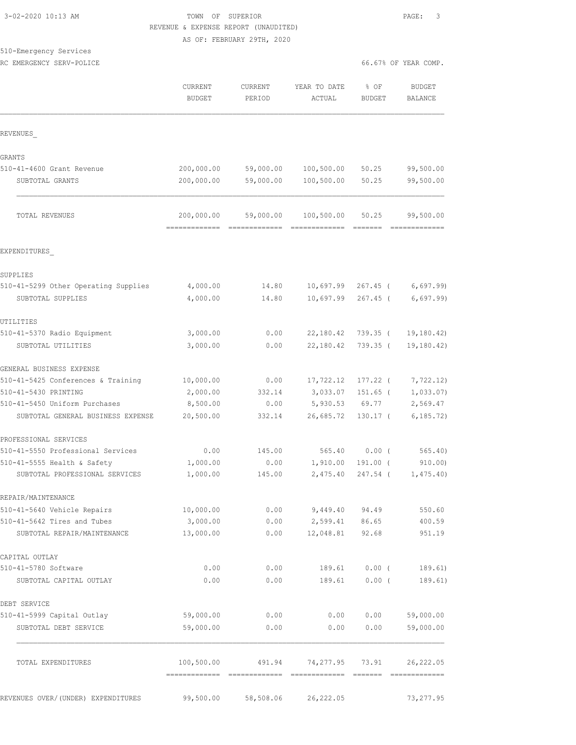#### 3-02-2020 10:13 AM TOWN OF SUPERIOR PAGE: 3 REVENUE & EXPENSE REPORT (UNAUDITED) AS OF: FEBRUARY 29TH, 2020

## 510-Emergency Services

|                                               |            | AS OF: FEBRUARY 29TH, 2020 |                                       |               |                      |
|-----------------------------------------------|------------|----------------------------|---------------------------------------|---------------|----------------------|
| 510-Emergency Services                        |            |                            |                                       |               |                      |
| RC EMERGENCY SERV-POLICE                      |            |                            |                                       |               | 66.67% OF YEAR COMP. |
|                                               | CURRENT    | <b>CURRENT</b>             | YEAR TO DATE                          | % OF          | BUDGET               |
|                                               | BUDGET     | PERIOD                     | ACTUAL                                | <b>BUDGET</b> | <b>BALANCE</b>       |
|                                               |            |                            |                                       |               |                      |
| REVENUES                                      |            |                            |                                       |               |                      |
| GRANTS                                        |            |                            |                                       |               |                      |
| 510-41-4600 Grant Revenue                     | 200,000.00 |                            | 59,000.00 100,500.00                  | 50.25         | 99,500.00            |
| SUBTOTAL GRANTS                               | 200,000.00 | 59,000.00                  | 100,500.00                            | 50.25         | 99,500.00            |
| <b>TOTAL REVENUES</b>                         |            |                            | 200,000.00 59,000.00 100,500.00 50.25 |               | 99,500.00            |
|                                               |            |                            |                                       |               |                      |
| EXPENDITURES                                  |            |                            |                                       |               |                      |
| SUPPLIES                                      |            |                            |                                       |               |                      |
| 510-41-5299 Other Operating Supplies 4,000.00 |            |                            | 14.80 10,697.99 267.45 ( 6,697.99)    |               |                      |

| SUBTOTAL SUPPLIES                  | 4,000.00         |           | 14.80 10,697.99 267.45 ( 6,697.99) |                   |                                 |
|------------------------------------|------------------|-----------|------------------------------------|-------------------|---------------------------------|
| UTILITIES                          |                  |           |                                    |                   |                                 |
| 510-41-5370 Radio Equipment        | 3,000.00         | 0.00      |                                    |                   | 22, 180.42 739.35 ( 19, 180.42) |
| SUBTOTAL UTILITIES                 | 3,000.00         | 0.00      | 22,180.42                          | 739.35 (          | 19, 180.42)                     |
| GENERAL BUSINESS EXPENSE           |                  |           |                                    |                   |                                 |
| 510-41-5425 Conferences & Training | 10,000.00        |           | $0.00$ $17,722.12$                 |                   | $177.22$ ( $7,722.12$ )         |
| 510-41-5430 PRINTING               | 2,000.00         |           | 332.14 3,033.07                    | $151.65$ (        | 1,033.07)                       |
| 510-41-5450 Uniform Purchases      | 8,500.00         | 0.00      |                                    | 5,930.53 69.77    | 2,569.47                        |
| SUBTOTAL GENERAL BUSINESS EXPENSE  | 20,500.00        | 332.14    | 26,685.72                          | $130.17$ (        | 6, 185.72                       |
| PROFESSIONAL SERVICES              |                  |           |                                    |                   |                                 |
| 510-41-5550 Professional Services  | 0.00             | 145.00    | 565.40 0.00 (                      |                   | 565.40)                         |
| 510-41-5555 Health & Safety        | 1,000.00         | 0.00      | 1,910.00                           | 191.00 (          | 910.00)                         |
| SUBTOTAL PROFESSIONAL SERVICES     | 1,000.00         | 145.00    |                                    | 2,475.40 247.54 ( | 1,475.40                        |
| REPAIR/MAINTENANCE                 |                  |           |                                    |                   |                                 |
| 510-41-5640 Vehicle Repairs        | 10,000.00        | 0.00      | 9,449.40                           | 94.49             | 550.60                          |
| 510-41-5642 Tires and Tubes        | 3,000.00         | 0.00      | 2,599.41                           | 86.65             | 400.59                          |
| SUBTOTAL REPAIR/MAINTENANCE        | 13,000.00        | 0.00      | 12,048.81                          | 92.68             | 951.19                          |
| CAPITAL OUTLAY                     |                  |           |                                    |                   |                                 |
| 510-41-5780 Software               | 0.00             | 0.00      | 189.61                             | $0.00$ (          | 189.61)                         |
| SUBTOTAL CAPITAL OUTLAY            | 0.00             | 0.00      | 189.61                             | 0.00(             | 189.61)                         |
| DEBT SERVICE                       |                  |           |                                    |                   |                                 |
| 510-41-5999 Capital Outlay         | 59,000.00        | 0.00      | 0.00                               | 0.00              | 59,000.00                       |
| CURROTIL BRBE CRBUITOR             | <b>EQ AQQ AQ</b> | $\sim$ 00 |                                    |                   |                                 |

| SUBTOTAL DEBT SERVICE              | 59,000.00  | 0.00      | 0.00            | 0.00 | 59,000.00  |
|------------------------------------|------------|-----------|-----------------|------|------------|
| TOTAL EXPENDITURES                 | 100,500.00 | 491.94    | 74,277.95 73.91 |      | 26,222.05  |
|                                    |            |           |                 |      |            |
| REVENUES OVER/(UNDER) EXPENDITURES | 99,500.00  | 58,508.06 | 26,222.05       |      | 73, 277.95 |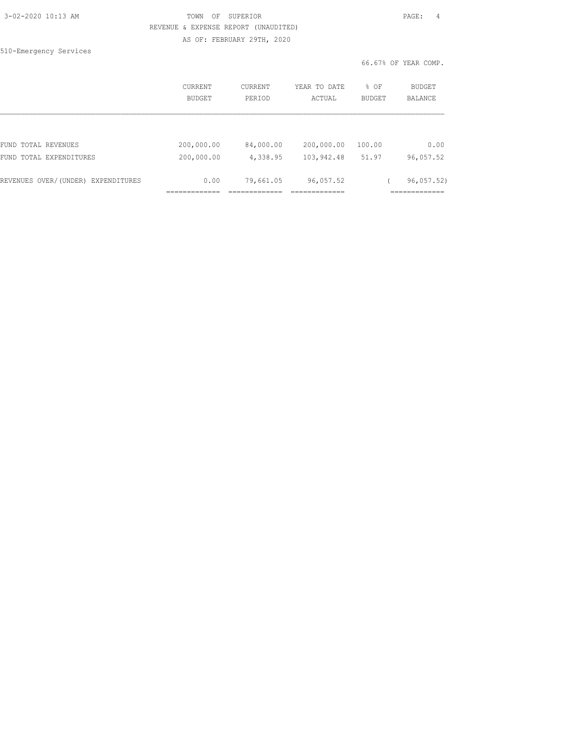|  | 3-02-2020 10:13 AM |  |
|--|--------------------|--|
|  |                    |  |

#### 3-02-2020 10:13 AM TOWN OF SUPERIOR PAGE: 4 REVENUE & EXPENSE REPORT (UNAUDITED) AS OF: FEBRUARY 29TH, 2020

510-Emergency Services

66.67% OF YEAR COMP.

|                                    | <b>CURRENT</b><br><b>BUDGET</b> | <b>CURRENT</b><br>PERIOD | YEAR TO DATE<br>ACTUAL | % OF<br><b>BUDGET</b> | BUDGET<br><b>BALANCE</b> |
|------------------------------------|---------------------------------|--------------------------|------------------------|-----------------------|--------------------------|
|                                    |                                 |                          |                        |                       |                          |
| FUND TOTAL REVENUES                | 200,000.00                      | 84,000.00                | 200,000.00             | 100.00                | 0.00                     |
| FUND TOTAL EXPENDITURES            | 200,000.00                      | 4,338.95                 | 103,942.48             | 51.97                 | 96,057.52                |
| REVENUES OVER/(UNDER) EXPENDITURES | 0.00                            | 79,661.05                | 96,057.52              |                       | 96,057.52)               |
|                                    |                                 |                          |                        |                       |                          |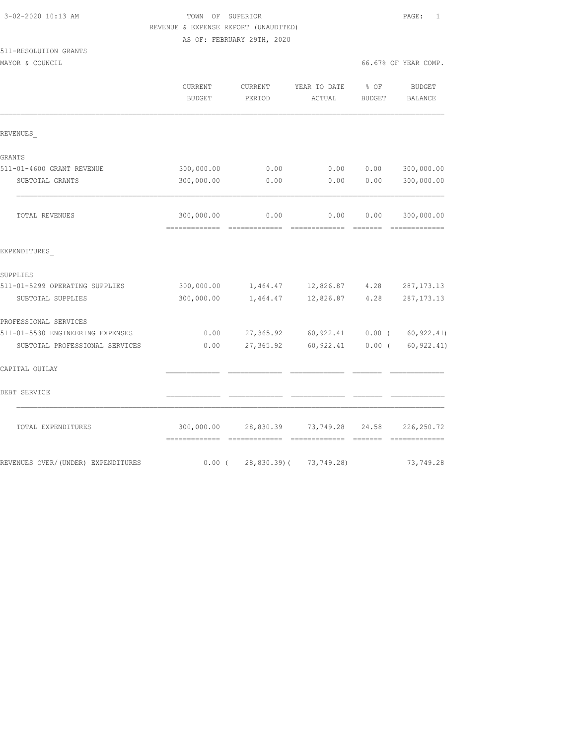511-RESOLUTION GRANTS

#### 3-02-2020 10:13 AM TOWN OF SUPERIOR PAGE: 1 REVENUE & EXPENSE REPORT (UNAUDITED) AS OF: FEBRUARY 29TH, 2020

MAYOR & COUNCIL COUNCIL COMP.

|                                    | CURRENT<br><b>BUDGET</b>                    | CURRENT<br>PERIOD                                                                                                                                                                                                                                                                                                                                                                                                                                                                              | YEAR TO DATE<br>ACTUAL                                                                                                                                                                                                                                                                                                                                                                                                                                                                         | % OF<br><b>BUDGET</b>                                                                                                                                                                                                                                                                                                                                                                                                                                                                                                                                                                                  | <b>BUDGET</b><br><b>BALANCE</b> |
|------------------------------------|---------------------------------------------|------------------------------------------------------------------------------------------------------------------------------------------------------------------------------------------------------------------------------------------------------------------------------------------------------------------------------------------------------------------------------------------------------------------------------------------------------------------------------------------------|------------------------------------------------------------------------------------------------------------------------------------------------------------------------------------------------------------------------------------------------------------------------------------------------------------------------------------------------------------------------------------------------------------------------------------------------------------------------------------------------|--------------------------------------------------------------------------------------------------------------------------------------------------------------------------------------------------------------------------------------------------------------------------------------------------------------------------------------------------------------------------------------------------------------------------------------------------------------------------------------------------------------------------------------------------------------------------------------------------------|---------------------------------|
| REVENUES                           |                                             |                                                                                                                                                                                                                                                                                                                                                                                                                                                                                                |                                                                                                                                                                                                                                                                                                                                                                                                                                                                                                |                                                                                                                                                                                                                                                                                                                                                                                                                                                                                                                                                                                                        |                                 |
| GRANTS                             |                                             |                                                                                                                                                                                                                                                                                                                                                                                                                                                                                                |                                                                                                                                                                                                                                                                                                                                                                                                                                                                                                |                                                                                                                                                                                                                                                                                                                                                                                                                                                                                                                                                                                                        |                                 |
| 511-01-4600 GRANT REVENUE          | 300,000.00                                  | 0.00                                                                                                                                                                                                                                                                                                                                                                                                                                                                                           | 0.00                                                                                                                                                                                                                                                                                                                                                                                                                                                                                           | 0.00                                                                                                                                                                                                                                                                                                                                                                                                                                                                                                                                                                                                   | 300,000.00                      |
| SUBTOTAL GRANTS                    | 300,000.00                                  | 0.00                                                                                                                                                                                                                                                                                                                                                                                                                                                                                           | 0.00                                                                                                                                                                                                                                                                                                                                                                                                                                                                                           | 0.00                                                                                                                                                                                                                                                                                                                                                                                                                                                                                                                                                                                                   | 300,000.00                      |
| TOTAL REVENUES                     | 300,000.00<br>-------------                 | 0.00<br>$\begin{array}{cccccccccc} \multicolumn{2}{c}{} & \multicolumn{2}{c}{} & \multicolumn{2}{c}{} & \multicolumn{2}{c}{} & \multicolumn{2}{c}{} & \multicolumn{2}{c}{} & \multicolumn{2}{c}{} & \multicolumn{2}{c}{} & \multicolumn{2}{c}{} & \multicolumn{2}{c}{} & \multicolumn{2}{c}{} & \multicolumn{2}{c}{} & \multicolumn{2}{c}{} & \multicolumn{2}{c}{} & \multicolumn{2}{c}{} & \multicolumn{2}{c}{} & \multicolumn{2}{c}{} & \multicolumn{2}{c}{} & \multicolumn{2}{c}{} & \mult$ | 0.00<br>$\begin{array}{cccccccccc} \multicolumn{2}{c}{} & \multicolumn{2}{c}{} & \multicolumn{2}{c}{} & \multicolumn{2}{c}{} & \multicolumn{2}{c}{} & \multicolumn{2}{c}{} & \multicolumn{2}{c}{} & \multicolumn{2}{c}{} & \multicolumn{2}{c}{} & \multicolumn{2}{c}{} & \multicolumn{2}{c}{} & \multicolumn{2}{c}{} & \multicolumn{2}{c}{} & \multicolumn{2}{c}{} & \multicolumn{2}{c}{} & \multicolumn{2}{c}{} & \multicolumn{2}{c}{} & \multicolumn{2}{c}{} & \multicolumn{2}{c}{} & \mult$ | 0.00<br>=======                                                                                                                                                                                                                                                                                                                                                                                                                                                                                                                                                                                        | 300,000.00<br>=============     |
| EXPENDITURES                       |                                             |                                                                                                                                                                                                                                                                                                                                                                                                                                                                                                |                                                                                                                                                                                                                                                                                                                                                                                                                                                                                                |                                                                                                                                                                                                                                                                                                                                                                                                                                                                                                                                                                                                        |                                 |
| SUPPLIES                           |                                             |                                                                                                                                                                                                                                                                                                                                                                                                                                                                                                |                                                                                                                                                                                                                                                                                                                                                                                                                                                                                                |                                                                                                                                                                                                                                                                                                                                                                                                                                                                                                                                                                                                        |                                 |
| 511-01-5299 OPERATING SUPPLIES     | 300,000.00                                  |                                                                                                                                                                                                                                                                                                                                                                                                                                                                                                | 1,464.47 12,826.87                                                                                                                                                                                                                                                                                                                                                                                                                                                                             | 4.28                                                                                                                                                                                                                                                                                                                                                                                                                                                                                                                                                                                                   | 287, 173. 13                    |
| SUBTOTAL SUPPLIES                  | 300,000.00                                  | 1,464.47                                                                                                                                                                                                                                                                                                                                                                                                                                                                                       | 12,826.87                                                                                                                                                                                                                                                                                                                                                                                                                                                                                      | 4.28                                                                                                                                                                                                                                                                                                                                                                                                                                                                                                                                                                                                   | 287, 173. 13                    |
| PROFESSIONAL SERVICES              |                                             |                                                                                                                                                                                                                                                                                                                                                                                                                                                                                                |                                                                                                                                                                                                                                                                                                                                                                                                                                                                                                |                                                                                                                                                                                                                                                                                                                                                                                                                                                                                                                                                                                                        |                                 |
| 511-01-5530 ENGINEERING EXPENSES   | 0.00                                        |                                                                                                                                                                                                                                                                                                                                                                                                                                                                                                | 27,365.92 60,922.41                                                                                                                                                                                                                                                                                                                                                                                                                                                                            |                                                                                                                                                                                                                                                                                                                                                                                                                                                                                                                                                                                                        | $0.00$ ( $60,922.41$ )          |
| SUBTOTAL PROFESSIONAL SERVICES     | 0.00                                        | 27,365.92                                                                                                                                                                                                                                                                                                                                                                                                                                                                                      | 60,922.41                                                                                                                                                                                                                                                                                                                                                                                                                                                                                      | $0.00$ (                                                                                                                                                                                                                                                                                                                                                                                                                                                                                                                                                                                               | 60, 922.41)                     |
| CAPITAL OUTLAY                     |                                             |                                                                                                                                                                                                                                                                                                                                                                                                                                                                                                |                                                                                                                                                                                                                                                                                                                                                                                                                                                                                                |                                                                                                                                                                                                                                                                                                                                                                                                                                                                                                                                                                                                        |                                 |
| DEBT SERVICE                       |                                             |                                                                                                                                                                                                                                                                                                                                                                                                                                                                                                |                                                                                                                                                                                                                                                                                                                                                                                                                                                                                                |                                                                                                                                                                                                                                                                                                                                                                                                                                                                                                                                                                                                        |                                 |
| TOTAL EXPENDITURES                 | 300,000.00<br>-------------- -------------- | 28,830.39                                                                                                                                                                                                                                                                                                                                                                                                                                                                                      | 73,749.28<br>=============                                                                                                                                                                                                                                                                                                                                                                                                                                                                     | 24.58<br>$\qquad \qquad \overline{\qquad \qquad }=\overline{\qquad \qquad }=\overline{\qquad \qquad }=\overline{\qquad \qquad }=\overline{\qquad \qquad }=\overline{\qquad \qquad }=\overline{\qquad \qquad }=\overline{\qquad \qquad }=\overline{\qquad \qquad }=\overline{\qquad \qquad }=\overline{\qquad \qquad }=\overline{\qquad \qquad }=\overline{\qquad \qquad }=\overline{\qquad \qquad }=\overline{\qquad \qquad }=\overline{\qquad \qquad }=\overline{\qquad \qquad }=\overline{\qquad \qquad }=\overline{\qquad \qquad }=\overline{\qquad \qquad }=\overline{\qquad \qquad }=\overline{\$ | 226, 250.72<br>=============    |
| REVENUES OVER/(UNDER) EXPENDITURES | $0.00$ (                                    | $28,830.39$ (                                                                                                                                                                                                                                                                                                                                                                                                                                                                                  | 73,749.28)                                                                                                                                                                                                                                                                                                                                                                                                                                                                                     |                                                                                                                                                                                                                                                                                                                                                                                                                                                                                                                                                                                                        | 73,749.28                       |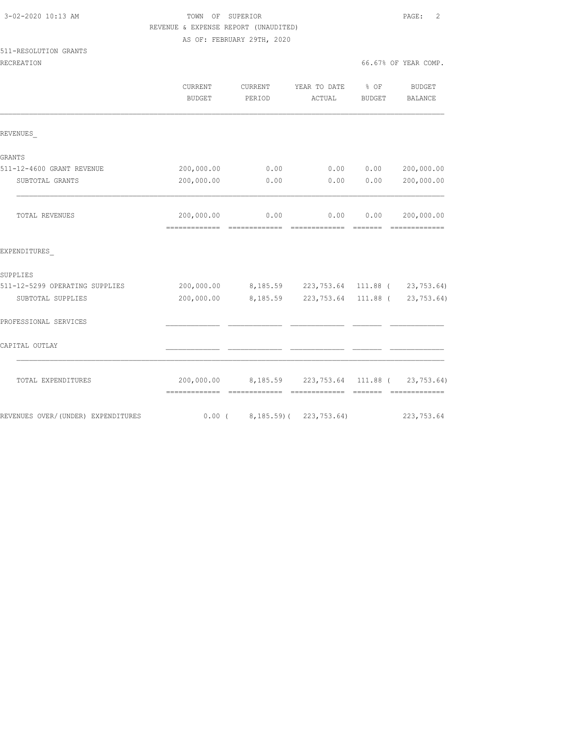|                                    | REVENUE & EXPENSE REPORT (UNAUDITED)       |                                                    |                        |                 |                                  |
|------------------------------------|--------------------------------------------|----------------------------------------------------|------------------------|-----------------|----------------------------------|
|                                    |                                            | AS OF: FEBRUARY 29TH, 2020                         |                        |                 |                                  |
| 511-RESOLUTION GRANTS              |                                            |                                                    |                        |                 |                                  |
| RECREATION                         |                                            |                                                    |                        |                 | 66.67% OF YEAR COMP.             |
|                                    | CURRENT                                    | CURRENT                                            | YEAR TO DATE           | $8$ OF          | <b>BUDGET</b>                    |
|                                    | <b>BUDGET</b>                              | PERIOD                                             | ACTUAL                 | <b>BUDGET</b>   | BALANCE                          |
| REVENUES                           |                                            |                                                    |                        |                 |                                  |
| GRANTS                             |                                            |                                                    |                        |                 |                                  |
| 511-12-4600 GRANT REVENUE          | 200,000.00                                 | 0.00                                               |                        | 0.00 0.00       | 200,000.00                       |
| SUBTOTAL GRANTS                    | 200,000.00                                 | 0.00                                               | 0.00                   | 0.00            | 200,000.00                       |
| TOTAL REVENUES                     | 200,000.00<br>-------------- ------------- | 0.00                                               | 0.00<br>- cooccooccooc | 0.00<br>_______ | 200,000.00                       |
| EXPENDITURES                       |                                            |                                                    |                        |                 |                                  |
| SUPPLIES                           |                                            |                                                    |                        |                 |                                  |
| 511-12-5299 OPERATING SUPPLIES     | 200,000.00                                 | 8,185.59 223,753.64 111.88 ( 23,753.64)            |                        |                 |                                  |
| SUBTOTAL SUPPLIES                  | 200,000.00                                 | 8,185.59                                           |                        |                 | 223, 753.64 111.88 ( 23, 753.64) |
| PROFESSIONAL SERVICES              |                                            |                                                    |                        |                 |                                  |
| CAPITAL OUTLAY                     |                                            |                                                    |                        |                 |                                  |
| TOTAL EXPENDITURES                 |                                            | 200,000.00 8,185.59 223,753.64 111.88 ( 23,753.64) |                        |                 |                                  |
| REVENUES OVER/(UNDER) EXPENDITURES |                                            | $0.00$ ( $8,185.59$ ) ( $223,753.64$ )             |                        |                 | 223, 753.64                      |

3-02-2020 10:13 AM TOWN OF SUPERIOR PAGE: 2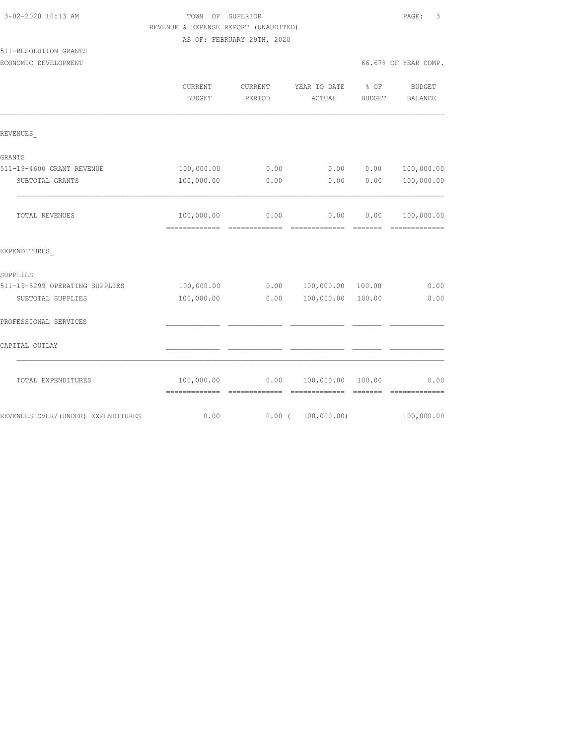| 3-02-2020 10:13 AM             | TOWN OF SUPERIOR                     |                            |                              |        | -3<br>PAGE:                  |  |
|--------------------------------|--------------------------------------|----------------------------|------------------------------|--------|------------------------------|--|
|                                | REVENUE & EXPENSE REPORT (UNAUDITED) |                            |                              |        |                              |  |
|                                |                                      | AS OF: FEBRUARY 29TH, 2020 |                              |        |                              |  |
| 511-RESOLUTION GRANTS          |                                      |                            |                              |        |                              |  |
| ECONOMIC DEVELOPMENT           |                                      |                            |                              |        | 66.67% OF YEAR COMP.         |  |
|                                | CURRENT                              |                            | CURRENT YEAR TO DATE % OF    |        | BUDGET                       |  |
|                                | <b>BUDGET</b>                        | PERIOD                     | ACTUAL                       | BUDGET | BALANCE                      |  |
| REVENUES                       |                                      |                            |                              |        |                              |  |
| GRANTS                         |                                      |                            |                              |        |                              |  |
| 511-19-4600 GRANT REVENUE      | 100,000.00                           | 0.00                       | 0.00                         | 0.00   | 100,000.00                   |  |
| SUBTOTAL GRANTS                | 100,000.00                           | 0.00                       | 0.00                         | 0.00   | 100,000.00                   |  |
| TOTAL REVENUES                 | 100,000.00                           | 0.00                       | 0.00                         | 0.00   | 100,000.00<br>-------------- |  |
| EXPENDITURES                   |                                      |                            |                              |        |                              |  |
| SUPPLIES                       |                                      |                            |                              |        |                              |  |
| 511-19-5299 OPERATING SUPPLIES | 100,000.00                           |                            | $0.00$ $100,000.00$ $100.00$ |        | 0.00                         |  |
| SUBTOTAL SUPPLIES              | 100,000.00                           | 0.00                       | 100,000.00                   | 100.00 | 0.00                         |  |
| PROFESSIONAL SERVICES          |                                      |                            |                              |        |                              |  |
| CAPITAL OUTLAY                 |                                      |                            |                              |        |                              |  |
| TOTAL EXPENDITURES             | 100,000.00                           | 0.00                       | 100,000.00                   | 100.00 | 0.00                         |  |

============= ============= ============= ======= =============

REVENUES OVER/(UNDER) EXPENDITURES 6.00 0.00 0.00 ( 100,000.00) 100,000.00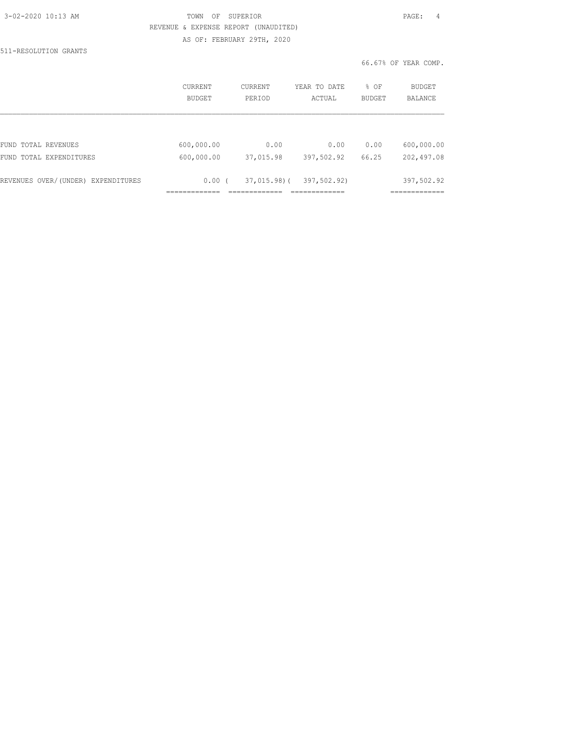| 3-02-2020 10:13 AM |  |
|--------------------|--|
|                    |  |

#### 3-02-2020 10:13 AM TOWN OF SUPERIOR PAGE: 4 REVENUE & EXPENSE REPORT (UNAUDITED) AS OF: FEBRUARY 29TH, 2020

511-RESOLUTION GRANTS

66.67% OF YEAR COMP.

|                                    | CURRENT<br><b>BUDGET</b> | CURRENT<br>PERIOD | YEAR TO DATE<br>ACTUAL | % OF<br><b>BUDGET</b> | BUDGET<br><b>BALANCE</b> |
|------------------------------------|--------------------------|-------------------|------------------------|-----------------------|--------------------------|
|                                    |                          |                   |                        |                       |                          |
| FUND TOTAL REVENUES                | 600,000.00               | 0.00              | 0.00                   | 0.00                  | 600,000.00               |
| FUND TOTAL EXPENDITURES            | 600,000.00               | 37,015.98         | 397,502.92             | 66.25                 | 202,497.08               |
| REVENUES OVER/(UNDER) EXPENDITURES | 0.00(                    | $37,015.98$ ) (   | 397,502.92)            |                       | 397,502.92               |
|                                    |                          |                   |                        |                       |                          |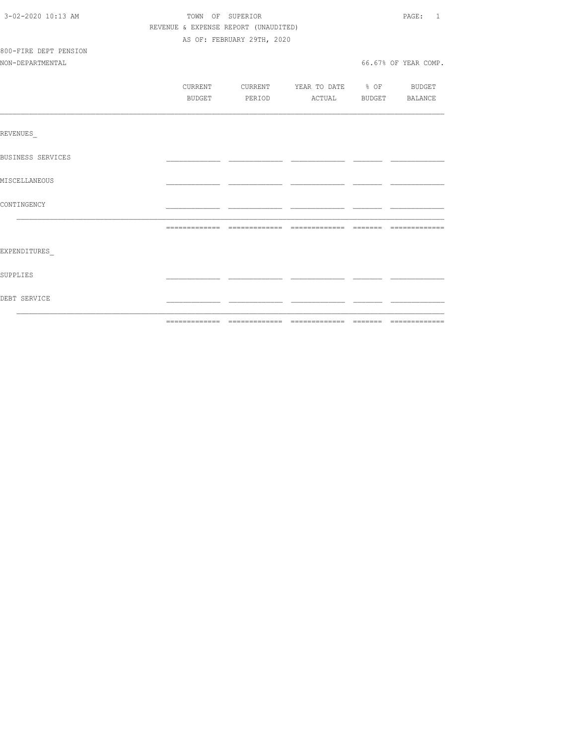| 3-02-2020 10:13 AM    | TOWN OF SUPERIOR                     |                                  |  |  | PAGE: 1              |  |
|-----------------------|--------------------------------------|----------------------------------|--|--|----------------------|--|
|                       | REVENUE & EXPENSE REPORT (UNAUDITED) |                                  |  |  |                      |  |
|                       |                                      | AS OF: FEBRUARY 29TH, 2020       |  |  |                      |  |
| 800-FIRE DEPT PENSION |                                      |                                  |  |  |                      |  |
| NON-DEPARTMENTAL      |                                      |                                  |  |  | 66.67% OF YEAR COMP. |  |
|                       |                                      |                                  |  |  |                      |  |
|                       | CURRENT                              | CURRENT YEAR TO DATE % OF BUDGET |  |  |                      |  |
|                       | BUDGET                               | PERIOD ACTUAL BUDGET BALANCE     |  |  |                      |  |
|                       |                                      |                                  |  |  |                      |  |
| REVENUES              |                                      |                                  |  |  |                      |  |
| BUSINESS SERVICES     |                                      |                                  |  |  |                      |  |
| MISCELLANEOUS         |                                      |                                  |  |  |                      |  |
| CONTINGENCY           |                                      |                                  |  |  |                      |  |
|                       |                                      |                                  |  |  |                      |  |
| EXPENDITURES          |                                      |                                  |  |  |                      |  |
| SUPPLIES              |                                      |                                  |  |  |                      |  |
| DEBT SERVICE          |                                      |                                  |  |  |                      |  |
|                       |                                      |                                  |  |  |                      |  |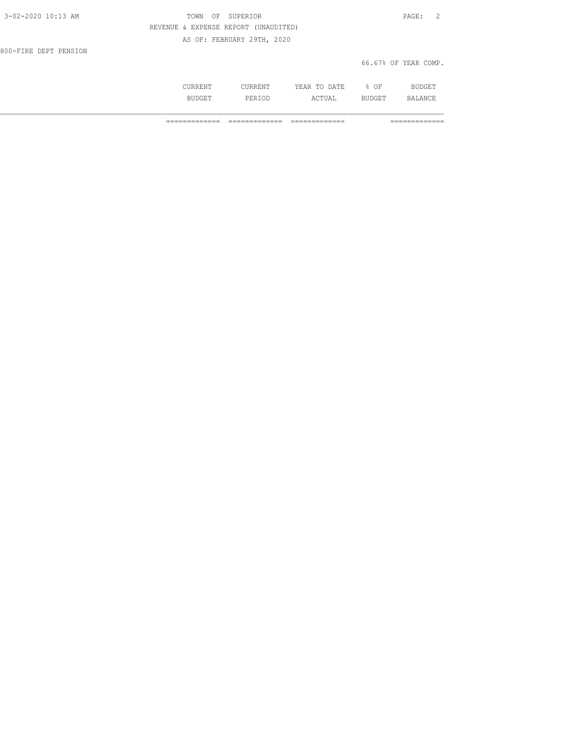| 3-02-2020 10:13 AM    | TOWN OF SUPERIOR                     | PAGE: 2              |
|-----------------------|--------------------------------------|----------------------|
|                       | REVENUE & EXPENSE REPORT (UNAUDITED) |                      |
|                       | AS OF: FEBRUARY 29TH, 2020           |                      |
| 800-FIRE DEPT PENSION |                                      |                      |
|                       |                                      | 66.67% OF YEAR COMP. |

|              | . .<br>.<br>----<br>---- | ΩF<br>-- |  |
|--------------|--------------------------|----------|--|
| -31.<br>- 14 | .                        | ---      |  |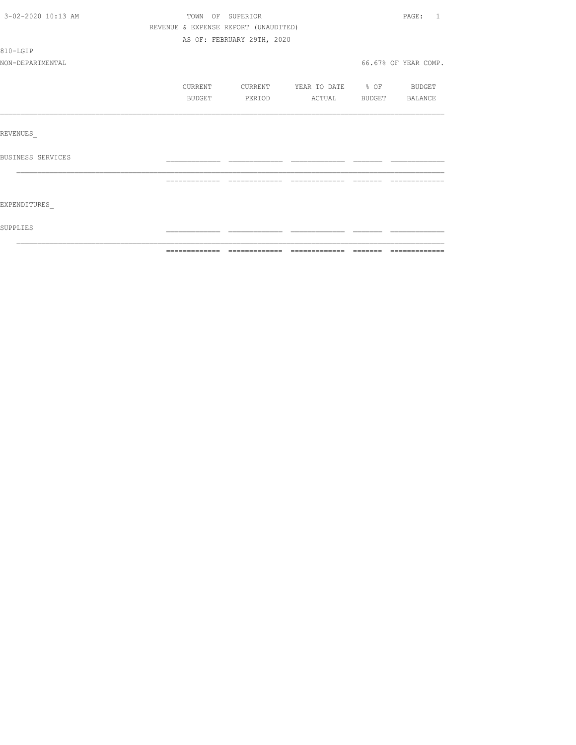| 3-02-2020 10:13 AM | TOWN OF SUPERIOR                     |                            |                   |          | PAGE:<br>$\overline{1}$ |  |
|--------------------|--------------------------------------|----------------------------|-------------------|----------|-------------------------|--|
|                    | REVENUE & EXPENSE REPORT (UNAUDITED) |                            |                   |          |                         |  |
|                    |                                      | AS OF: FEBRUARY 29TH, 2020 |                   |          |                         |  |
| 810-LGIP           |                                      |                            |                   |          |                         |  |
| NON-DEPARTMENTAL   |                                      |                            |                   |          | 66.67% OF YEAR COMP.    |  |
|                    | CURRENT                              | CURRENT                    | YEAR TO DATE % OF |          | <b>BUDGET</b>           |  |
|                    | <b>BUDGET</b>                        | PERIOD                     | ACTUAL            |          | BUDGET BALANCE          |  |
|                    |                                      |                            |                   |          |                         |  |
| REVENUES           |                                      |                            |                   |          |                         |  |
| BUSINESS SERVICES  |                                      |                            |                   |          |                         |  |
|                    |                                      |                            |                   | -------- | --------------          |  |
| EXPENDITURES       |                                      |                            |                   |          |                         |  |
| SUPPLIES           |                                      |                            |                   |          |                         |  |
|                    |                                      |                            |                   |          |                         |  |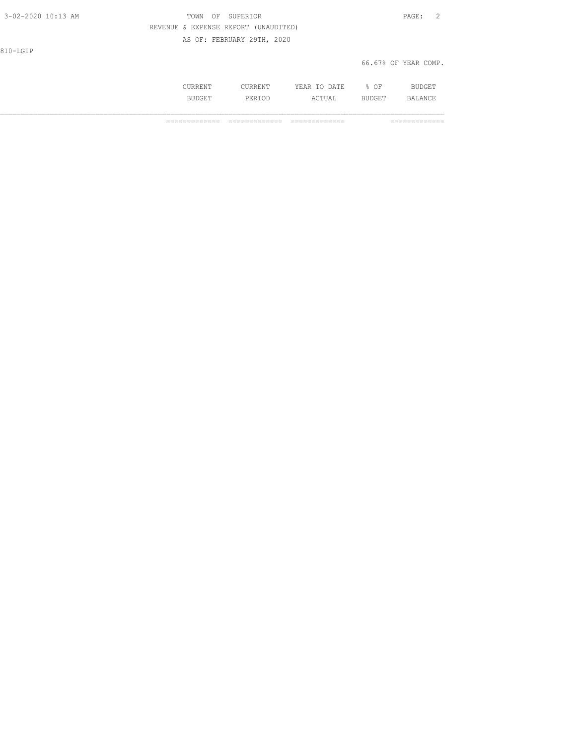3-02-2020 10:13 AM TOWN OF SUPERIOR PAGE: 2 REVENUE & EXPENSE REPORT (UNAUDITED) AS OF: FEBRUARY 29TH, 2020

810-LGIP

66.67% OF YEAR COMP.

|  | Οŀ<br>$\sim$ $\sim$ |  |
|--|---------------------|--|
|  |                     |  |
|  |                     |  |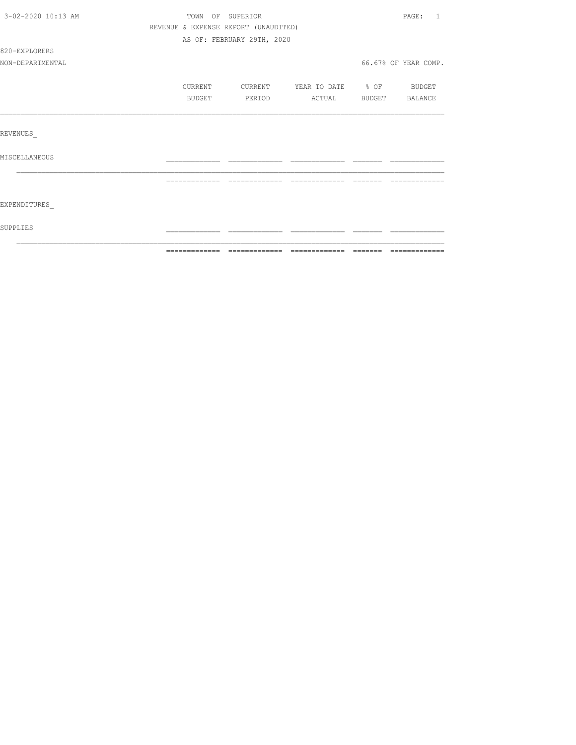| 3-02-2020 10:13 AM | TOWN OF SUPERIOR                     |                                                                                                                                                                                                                                                                                                                                                                                                                                                                                              |              |                                                                                                                                                                                                                                                                                                                                                                                                                                                                                                                                                                   | PAGE:<br>-1.                                                                                                                                                                                                                                                                                                                                                                                                                                                                                 |
|--------------------|--------------------------------------|----------------------------------------------------------------------------------------------------------------------------------------------------------------------------------------------------------------------------------------------------------------------------------------------------------------------------------------------------------------------------------------------------------------------------------------------------------------------------------------------|--------------|-------------------------------------------------------------------------------------------------------------------------------------------------------------------------------------------------------------------------------------------------------------------------------------------------------------------------------------------------------------------------------------------------------------------------------------------------------------------------------------------------------------------------------------------------------------------|----------------------------------------------------------------------------------------------------------------------------------------------------------------------------------------------------------------------------------------------------------------------------------------------------------------------------------------------------------------------------------------------------------------------------------------------------------------------------------------------|
|                    | REVENUE & EXPENSE REPORT (UNAUDITED) |                                                                                                                                                                                                                                                                                                                                                                                                                                                                                              |              |                                                                                                                                                                                                                                                                                                                                                                                                                                                                                                                                                                   |                                                                                                                                                                                                                                                                                                                                                                                                                                                                                              |
|                    |                                      | AS OF: FEBRUARY 29TH, 2020                                                                                                                                                                                                                                                                                                                                                                                                                                                                   |              |                                                                                                                                                                                                                                                                                                                                                                                                                                                                                                                                                                   |                                                                                                                                                                                                                                                                                                                                                                                                                                                                                              |
| 820-EXPLORERS      |                                      |                                                                                                                                                                                                                                                                                                                                                                                                                                                                                              |              |                                                                                                                                                                                                                                                                                                                                                                                                                                                                                                                                                                   |                                                                                                                                                                                                                                                                                                                                                                                                                                                                                              |
| NON-DEPARTMENTAL   |                                      |                                                                                                                                                                                                                                                                                                                                                                                                                                                                                              |              |                                                                                                                                                                                                                                                                                                                                                                                                                                                                                                                                                                   | 66.67% OF YEAR COMP.                                                                                                                                                                                                                                                                                                                                                                                                                                                                         |
|                    | CURRENT                              | CURRENT                                                                                                                                                                                                                                                                                                                                                                                                                                                                                      | YEAR TO DATE | $\div$ OF                                                                                                                                                                                                                                                                                                                                                                                                                                                                                                                                                         | BUDGET                                                                                                                                                                                                                                                                                                                                                                                                                                                                                       |
|                    | BUDGET                               | PERIOD                                                                                                                                                                                                                                                                                                                                                                                                                                                                                       | ACTUAL       | BUDGET BALANCE                                                                                                                                                                                                                                                                                                                                                                                                                                                                                                                                                    |                                                                                                                                                                                                                                                                                                                                                                                                                                                                                              |
|                    |                                      |                                                                                                                                                                                                                                                                                                                                                                                                                                                                                              |              |                                                                                                                                                                                                                                                                                                                                                                                                                                                                                                                                                                   |                                                                                                                                                                                                                                                                                                                                                                                                                                                                                              |
| REVENUES           |                                      |                                                                                                                                                                                                                                                                                                                                                                                                                                                                                              |              |                                                                                                                                                                                                                                                                                                                                                                                                                                                                                                                                                                   |                                                                                                                                                                                                                                                                                                                                                                                                                                                                                              |
| MISCELLANEOUS      |                                      |                                                                                                                                                                                                                                                                                                                                                                                                                                                                                              |              |                                                                                                                                                                                                                                                                                                                                                                                                                                                                                                                                                                   |                                                                                                                                                                                                                                                                                                                                                                                                                                                                                              |
|                    | =============                        | $\begin{array}{c} \multicolumn{2}{c} {\textbf{1}} & \multicolumn{2}{c} {\textbf{2}} & \multicolumn{2}{c} {\textbf{3}} & \multicolumn{2}{c} {\textbf{4}} \\ \multicolumn{2}{c} {\textbf{5}} & \multicolumn{2}{c} {\textbf{6}} & \multicolumn{2}{c} {\textbf{7}} & \multicolumn{2}{c} {\textbf{8}} & \multicolumn{2}{c} {\textbf{9}} \\ \multicolumn{2}{c} {\textbf{6}} & \multicolumn{2}{c} {\textbf{7}} & \multicolumn{2}{c} {\textbf{8}} & \multicolumn{2}{c} {\textbf{9}} & \multicolumn{$ |              | $\begin{array}{c} \begin{array}{c} \begin{array}{c} \begin{array}{c} \begin{array}{c} \end{array}\\ \end{array}\\ \end{array} \end{array} \end{array} \end{array} \end{array} \end{array} \end{array} \begin{array}{c} \begin{array}{c} \begin{array}{c} \begin{array}{c} \end{array}\\ \end{array} \end{array} \end{array} \end{array} \begin{array}{c} \begin{array}{c} \begin{array}{c} \end{array}\\ \end{array} \end{array} \end{array} \begin{array}{c} \begin{array}{c} \begin{array}{c} \end{array}\\ \end{array} \end{array} \end{array} \begin{array}{$ | $\begin{array}{c} \multicolumn{2}{c} {\textbf{1}} & \multicolumn{2}{c} {\textbf{2}} & \multicolumn{2}{c} {\textbf{3}} & \multicolumn{2}{c} {\textbf{4}} \\ \multicolumn{2}{c} {\textbf{5}} & \multicolumn{2}{c} {\textbf{6}} & \multicolumn{2}{c} {\textbf{7}} & \multicolumn{2}{c} {\textbf{8}} & \multicolumn{2}{c} {\textbf{9}} \\ \multicolumn{2}{c} {\textbf{1}} & \multicolumn{2}{c} {\textbf{1}} & \multicolumn{2}{c} {\textbf{1}} & \multicolumn{2}{c} {\textbf{1}} & \multicolumn{$ |
|                    |                                      |                                                                                                                                                                                                                                                                                                                                                                                                                                                                                              |              |                                                                                                                                                                                                                                                                                                                                                                                                                                                                                                                                                                   |                                                                                                                                                                                                                                                                                                                                                                                                                                                                                              |
| EXPENDITURES       |                                      |                                                                                                                                                                                                                                                                                                                                                                                                                                                                                              |              |                                                                                                                                                                                                                                                                                                                                                                                                                                                                                                                                                                   |                                                                                                                                                                                                                                                                                                                                                                                                                                                                                              |
| SUPPLIES           |                                      |                                                                                                                                                                                                                                                                                                                                                                                                                                                                                              |              |                                                                                                                                                                                                                                                                                                                                                                                                                                                                                                                                                                   |                                                                                                                                                                                                                                                                                                                                                                                                                                                                                              |
|                    |                                      |                                                                                                                                                                                                                                                                                                                                                                                                                                                                                              |              |                                                                                                                                                                                                                                                                                                                                                                                                                                                                                                                                                                   |                                                                                                                                                                                                                                                                                                                                                                                                                                                                                              |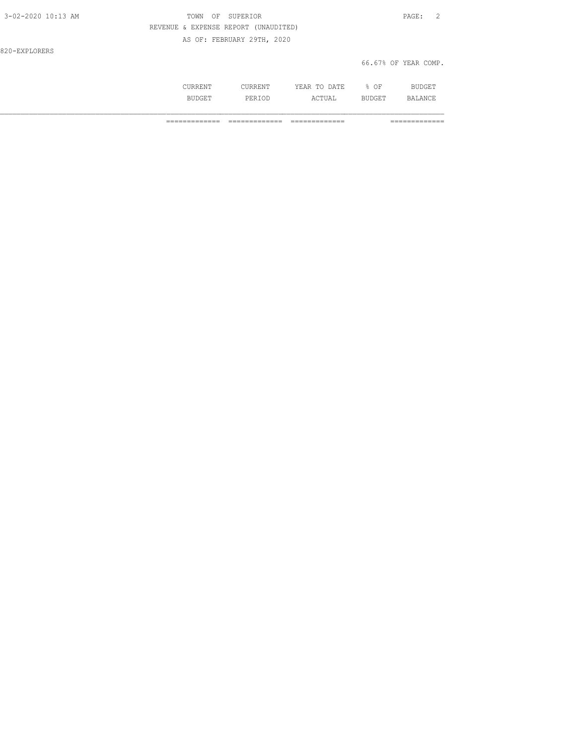| 3-02-2020 10:13 AM | OF SUPERIOR<br>TOWN                  | PAGE: 2              |  |
|--------------------|--------------------------------------|----------------------|--|
|                    | REVENUE & EXPENSE REPORT (UNAUDITED) |                      |  |
|                    | AS OF: FEBRUARY 29TH, 2020           |                      |  |
| 820-EXPLORERS      |                                      |                      |  |
|                    |                                      | 66.67% OF YEAR COMP. |  |

| . | . | - - -<br>$\Lambda$ $mT$<br>$\cdots$<br>----<br>----- | ∩F<br>◡ |            |
|---|---|------------------------------------------------------|---------|------------|
|   |   | $\wedge$ $\wedge$ $\Box$<br>.                        |         | <b>R</b> 1 |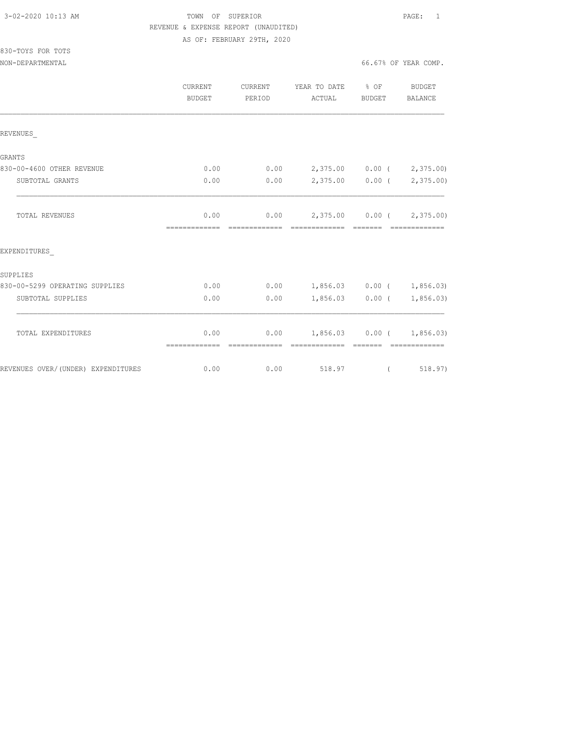#### 3-02-2020 10:13 AM TOWN OF SUPERIOR PAGE: 1 REVENUE & EXPENSE REPORT (UNAUDITED) AS OF: FEBRUARY 29TH, 2020

# 830-TOYS FOR TOTS

|                                    | CURRENT<br>BUDGET     | CURRENT<br>PERIOD      | YEAR TO DATE % OF<br>ACTUAL                  | BUDGET            | BUDGET<br>BALANCE        |
|------------------------------------|-----------------------|------------------------|----------------------------------------------|-------------------|--------------------------|
| REVENUES                           |                       |                        |                                              |                   |                          |
| GRANTS                             |                       |                        |                                              |                   |                          |
| 830-00-4600 OTHER REVENUE          | 0.00                  | 0.00                   | 2,375.00 0.00 ( 2,375.00)                    |                   |                          |
| SUBTOTAL GRANTS                    | 0.00                  | 0.00                   |                                              |                   | 2,375.00 0.00 (2,375.00) |
| <b>TOTAL REVENUES</b>              | 0.00<br>============= | 0.00                   | 2,375.00 0.00 (2,375.00)<br>-------------    |                   |                          |
| EXPENDITURES                       |                       |                        |                                              |                   |                          |
| SUPPLIES                           |                       |                        |                                              |                   |                          |
| 830-00-5299 OPERATING SUPPLIES     | 0.00                  | 0.00                   | $1,856.03$ 0.00 ( 1,856.03)                  |                   |                          |
| SUBTOTAL SUPPLIES                  | 0.00                  | 0.00                   |                                              | $1,856.03$ 0.00 ( | 1,856.03)                |
| TOTAL EXPENDITURES                 | 0.00<br>============= | 0.00<br>-------------- | $1,856.03$ 0.00 ( 1,856.03)<br>============= | --------          | --------------           |
| REVENUES OVER/(UNDER) EXPENDITURES | 0.00                  | 0.00                   | 518.97                                       | $\left($          | 518.97)                  |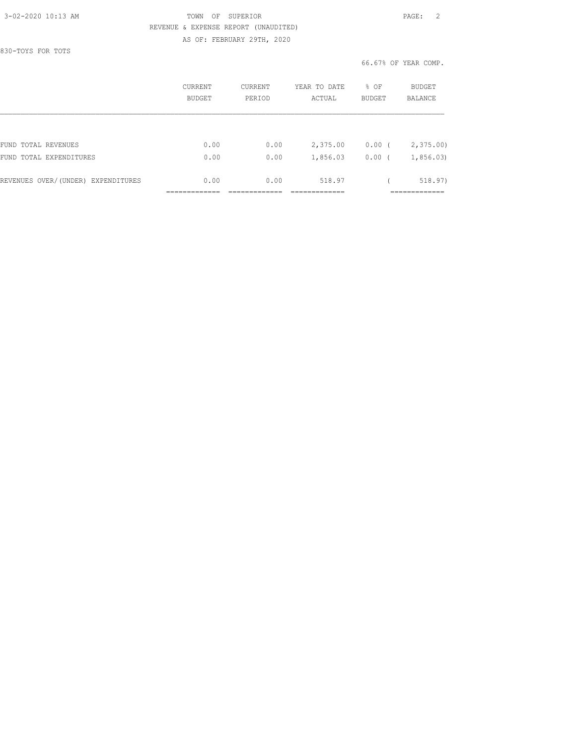#### 3-02-2020 10:13 AM TOWN OF SUPERIOR PAGE: 2 REVENUE & EXPENSE REPORT (UNAUDITED) AS OF: FEBRUARY 29TH, 2020

830-TOYS FOR TOTS

66.67% OF YEAR COMP.

|                                    | CURRENT<br>BUDGET | CURRENT<br>PERIOD | YEAR TO DATE<br>ACTUAL | % OF<br><b>BUDGET</b> | <b>BUDGET</b><br>BALANCE |
|------------------------------------|-------------------|-------------------|------------------------|-----------------------|--------------------------|
|                                    |                   |                   |                        |                       |                          |
| FUND TOTAL REVENUES                | 0.00              | 0.00              | 2,375.00               | $0.00$ (              | 2,375.00                 |
| FUND TOTAL EXPENDITURES            | 0.00              | 0.00              | 1,856.03               | 0.00(                 | 1,856.03                 |
| REVENUES OVER/(UNDER) EXPENDITURES | 0.00              | 0.00              | 518.97                 |                       | 518.97)                  |
|                                    |                   |                   |                        |                       | __________               |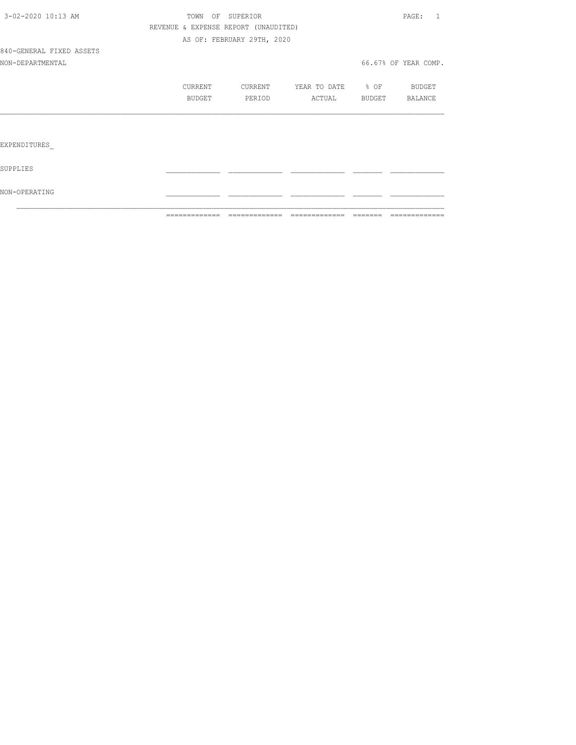|                          |                                      | ------------- ------------- | - cococococococo  | -------- | =============        |
|--------------------------|--------------------------------------|-----------------------------|-------------------|----------|----------------------|
| NON-OPERATING            |                                      |                             |                   |          |                      |
| SUPPLIES                 |                                      |                             |                   |          |                      |
| EXPENDITURES             |                                      |                             |                   |          |                      |
|                          |                                      |                             |                   |          |                      |
|                          | BUDGET                               | PERIOD                      | ACTUAL            | BUDGET   | BALANCE              |
|                          | CURRENT                              | CURRENT                     | YEAR TO DATE % OF |          | BUDGET               |
| NON-DEPARTMENTAL         |                                      |                             |                   |          | 66.67% OF YEAR COMP. |
| 840-GENERAL FIXED ASSETS |                                      |                             |                   |          |                      |
|                          |                                      | AS OF: FEBRUARY 29TH, 2020  |                   |          |                      |
|                          | REVENUE & EXPENSE REPORT (UNAUDITED) |                             |                   |          |                      |
| 3-02-2020 10:13 AM       |                                      | TOWN OF SUPERIOR            |                   |          | PAGE: 1              |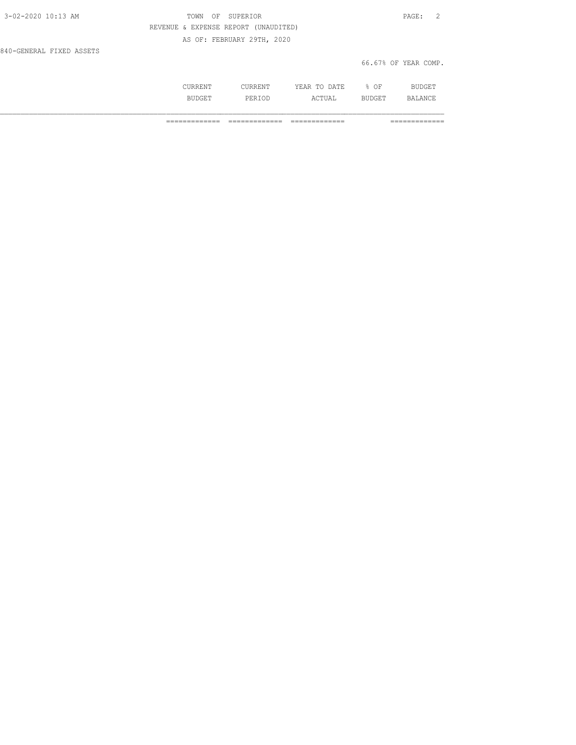| 3-02-2020 10:13 AM       | OF SUPERIOR<br>TOWN                  | PAGE: 2              |
|--------------------------|--------------------------------------|----------------------|
|                          | REVENUE & EXPENSE REPORT (UNAUDITED) |                      |
|                          | AS OF: FEBRUARY 29TH, 2020           |                      |
| 840-GENERAL FIXED ASSETS |                                      |                      |
|                          |                                      | 66.67% OF YEAR COMP. |

| . .<br>$\frac{1}{2} \left( \frac{1}{2} \right) \left( \frac{1}{2} \right) \left( \frac{1}{2} \right) \left( \frac{1}{2} \right) \left( \frac{1}{2} \right) \left( \frac{1}{2} \right) \left( \frac{1}{2} \right) \left( \frac{1}{2} \right) \left( \frac{1}{2} \right) \left( \frac{1}{2} \right) \left( \frac{1}{2} \right) \left( \frac{1}{2} \right) \left( \frac{1}{2} \right) \left( \frac{1}{2} \right) \left( \frac{1}{2} \right) \left( \frac{1}{2} \right) \left( \frac$ | $\cdots$<br>44<br>.<br>-- | UF |  |
|-----------------------------------------------------------------------------------------------------------------------------------------------------------------------------------------------------------------------------------------------------------------------------------------------------------------------------------------------------------------------------------------------------------------------------------------------------------------------------------|---------------------------|----|--|
| بیل و د                                                                                                                                                                                                                                                                                                                                                                                                                                                                           |                           |    |  |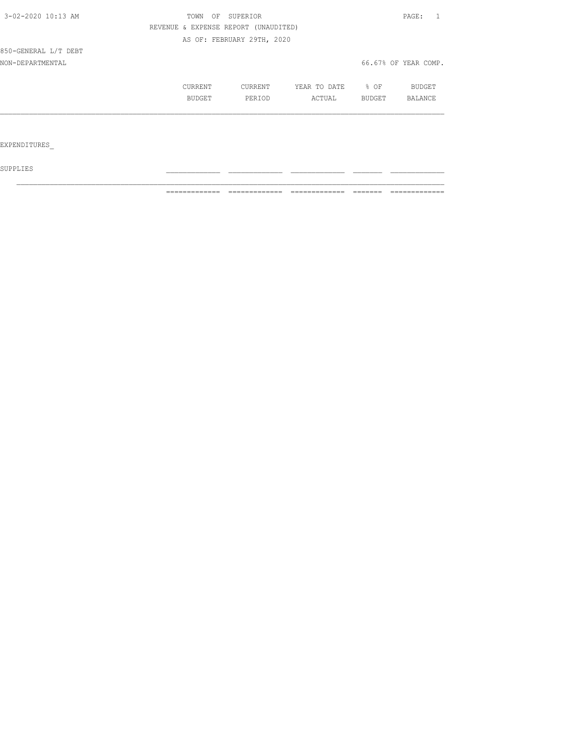| 3-02-2020 10:13 AM   | SUPERIOR<br>TOWN<br>OF               |                            |              | PAGE:  |                      |
|----------------------|--------------------------------------|----------------------------|--------------|--------|----------------------|
|                      | REVENUE & EXPENSE REPORT (UNAUDITED) |                            |              |        |                      |
|                      |                                      | AS OF: FEBRUARY 29TH, 2020 |              |        |                      |
| 850-GENERAL L/T DEBT |                                      |                            |              |        |                      |
| NON-DEPARTMENTAL     |                                      |                            |              |        | 66.67% OF YEAR COMP. |
|                      | CURRENT                              | CURRENT                    | YEAR TO DATE | % OF   | BUDGET               |
|                      | BUDGET                               | PERIOD                     | ACTUAL       | BUDGET | BALANCE              |
|                      |                                      |                            |              |        |                      |
|                      |                                      |                            |              |        |                      |
| EXPENDITURES         |                                      |                            |              |        |                      |

 ${\tt SUPPLIES}$